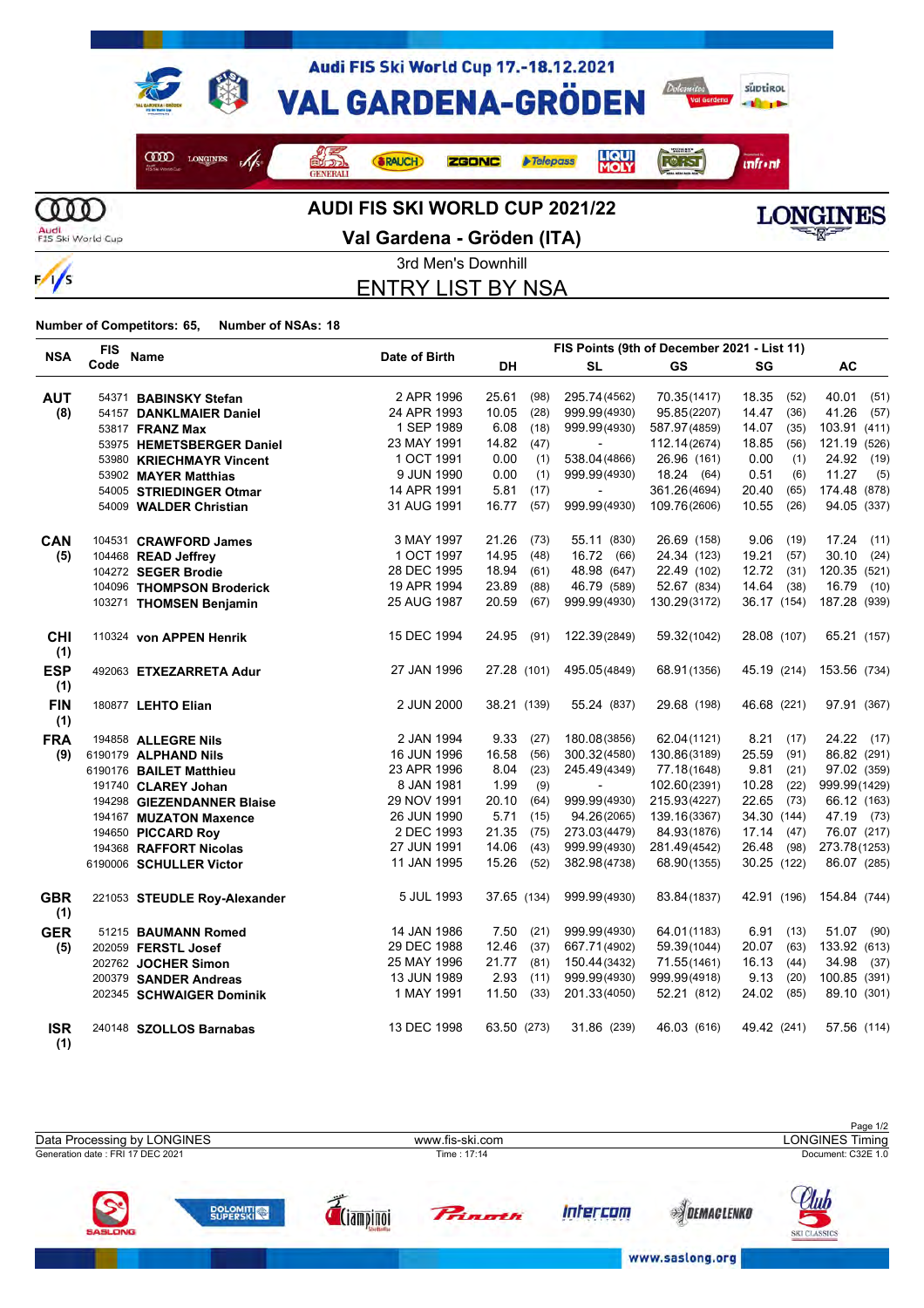

 $\frac{1}{s}$ 

**Val Gardena - Gröden (ITA)**



3rd Men's Downhill

ENTRY LIST BY NSA

| <b>FIS</b><br><b>NSA</b><br>Code | <b>Name</b> |                              |               |             |      | FIS Points (9th of December 2021 - List 11) |              |               |               |
|----------------------------------|-------------|------------------------------|---------------|-------------|------|---------------------------------------------|--------------|---------------|---------------|
|                                  |             |                              | Date of Birth | <b>DH</b>   |      | <b>SL</b>                                   | GS           | SG            | AC            |
| <b>AUT</b>                       |             | 54371 BABINSKY Stefan        | 2 APR 1996    | 25.61       | (98) | 295.74(4562)                                | 70.35(1417)  | 18.35<br>(52) | 40.01<br>(51) |
| (8)                              |             | 54157 DANKLMAIER Daniel      | 24 APR 1993   | 10.05       | (28) | 999.99(4930)                                | 95.85(2207)  | 14.47<br>(36) | 41.26<br>(57) |
|                                  |             | 53817 FRANZ Max              | 1 SEP 1989    | 6.08        | (18) | 999.99(4930)                                | 587.97(4859) | 14.07<br>(35) | 103.91 (411)  |
|                                  |             | 53975 HEMETSBERGER Daniel    | 23 MAY 1991   | 14.82 (47)  |      | $\overline{a}$                              | 112.14(2674) | 18.85<br>(56) | 121.19 (526)  |
|                                  |             | 53980 KRIECHMAYR Vincent     | 1 OCT 1991    | 0.00        | (1)  | 538.04(4866)                                | 26.96 (161)  | 0.00<br>(1)   | 24.92 (19)    |
|                                  |             | 53902 MAYER Matthias         | 9 JUN 1990    | 0.00        | (1)  | 999.99(4930)                                | 18.24 (64)   | 0.51<br>(6)   | 11.27<br>(5)  |
|                                  |             | 54005 STRIEDINGER Otmar      | 14 APR 1991   | 5.81        | (17) |                                             | 361.26(4694) | 20.40<br>(65) | 174.48 (878)  |
|                                  |             | 54009 WALDER Christian       | 31 AUG 1991   | 16.77       | (57) | 999.99(4930)                                | 109.76(2606) | 10.55<br>(26) | 94.05 (337)   |
| <b>CAN</b>                       |             | 104531 CRAWFORD James        | 3 MAY 1997    | 21.26       | (73) | 55.11 (830)                                 | 26.69 (158)  | 9.06<br>(19)  | $17.24$ (11)  |
| (5)                              |             | 104468 READ Jeffrey          | 1 OCT 1997    | 14.95       | (48) | 16.72 (66)                                  | 24.34 (123)  | 19.21<br>(57) | 30.10<br>(24) |
|                                  |             | 104272 SEGER Brodie          | 28 DEC 1995   | 18.94       | (61) | 48.98 (647)                                 | 22.49 (102)  | $12.72$ (31)  | 120.35 (521)  |
|                                  |             | 104096 THOMPSON Broderick    | 19 APR 1994   | 23.89       | (88) | 46.79 (589)                                 | 52.67 (834)  | 14.64<br>(38) | 16.79<br>(10) |
|                                  |             | 103271 THOMSEN Benjamin      | 25 AUG 1987   | 20.59       | (67) | 999.99(4930)                                | 130.29(3172) | 36.17 (154)   | 187.28 (939)  |
| <b>CHI</b><br>(1)                |             | 110324 von APPEN Henrik      | 15 DEC 1994   | 24.95       | (91) | 122.39(2849)                                | 59.32(1042)  | 28.08 (107)   | 65.21 (157)   |
| <b>ESP</b><br>(1)                |             | 492063 ETXEZARRETA Adur      | 27 JAN 1996   | 27.28 (101) |      | 495.05(4849)                                | 68.91(1356)  | 45.19 (214)   | 153.56 (734)  |
| <b>FIN</b><br>(1)                |             | 180877 LEHTO Elian           | 2 JUN 2000    | 38.21 (139) |      | 55.24 (837)                                 | 29.68 (198)  | 46.68 (221)   | 97.91 (367)   |
| <b>FRA</b>                       |             | 194858 ALLEGRE Nils          | 2 JAN 1994    | 9.33        | (27) | 180.08(3856)                                | 62.04(1121)  | 8.21(17)      | 24.22 (17)    |
| (9)                              |             | 6190179 ALPHAND Nils         | 16 JUN 1996   | 16.58       | (56) | 300.32(4580)                                | 130.86(3189) | 25.59<br>(91) | 86.82 (291)   |
|                                  |             | 6190176 BAILET Matthieu      | 23 APR 1996   | 8.04        | (23) | 245.49(4349)                                | 77.18(1648)  | 9.81<br>(21)  | 97.02 (359)   |
|                                  |             | 191740 CLAREY Johan          | 8 JAN 1981    | 1.99        | (9)  | $\blacksquare$                              | 102.60(2391) | 10.28<br>(22) | 999.99(1429)  |
|                                  |             | 194298 GIEZENDANNER Blaise   | 29 NOV 1991   | 20.10       | (64) | 999.99(4930)                                | 215.93(4227) | 22.65 (73)    | 66.12 (163)   |
|                                  |             | 194167 MUZATON Maxence       | 26 JUN 1990   | 5.71        | (15) | 94.26(2065)                                 | 139.16(3367) | 34.30 (144)   | 47.19 (73)    |
|                                  |             | 194650 PICCARD Roy           | 2 DEC 1993    | 21.35       | (75) | 273.03(4479)                                | 84.93(1876)  | $17.14$ (47)  | 76.07 (217)   |
|                                  |             | 194368 RAFFORT Nicolas       | 27 JUN 1991   | 14.06       | (43) | 999.99(4930)                                | 281.49(4542) | 26.48 (98)    | 273.78(1253)  |
|                                  |             | 6190006 SCHULLER Victor      | 11 JAN 1995   | 15.26       | (52) | 382.98(4738)                                | 68.90(1355)  | 30.25 (122)   | 86.07 (285)   |
| <b>GBR</b><br>(1)                |             | 221053 STEUDLE Roy-Alexander | 5 JUL 1993    | 37.65 (134) |      | 999.99(4930)                                | 83.84(1837)  | 42.91 (196)   | 154.84 (744)  |
| <b>GER</b>                       |             | 51215 BAUMANN Romed          | 14 JAN 1986   | 7.50        | (21) | 999.99(4930)                                | 64.01(1183)  | 6.91(13)      | 51.07 (90)    |
| (5)                              |             | 202059 FERSTL Josef          | 29 DEC 1988   | 12.46       | (37) | 667.71(4902)                                | 59.39(1044)  | (63)<br>20.07 | 133.92 (613)  |
|                                  |             | 202762 JOCHER Simon          | 25 MAY 1996   | 21.77       | (81) | 150.44(3432)                                | 71.55(1461)  | 16.13<br>(44) | 34.98<br>(37) |
|                                  |             | 200379 SANDER Andreas        | 13 JUN 1989   | 2.93        | (11) | 999.99(4930)                                | 999.99(4918) | 9.13<br>(20)  | 100.85 (391)  |
|                                  |             | 202345 SCHWAIGER Dominik     | 1 MAY 1991    | 11.50       | (33) | 201.33(4050)                                | 52.21 (812)  | 24.02 (85)    | 89.10 (301)   |
| <b>ISR</b><br>(1)                |             | 240148 SZOLLOS Barnabas      | 13 DEC 1998   | 63.50 (273) |      | 31.86 (239)                                 | 46.03 (616)  | 49.42 (241)   | 57.56 (114)   |

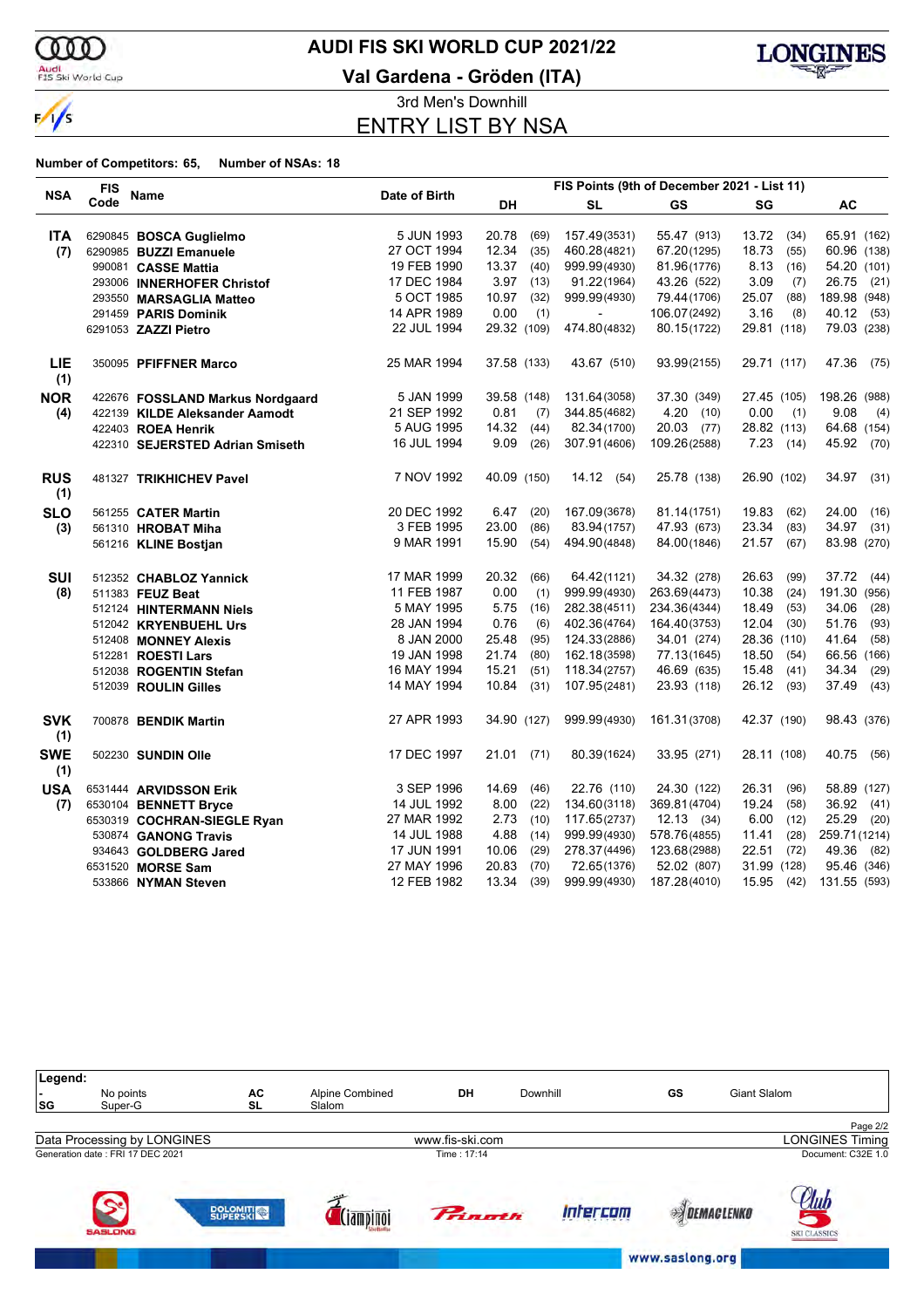

Audi<br>FIS Ski World Cup

### **AUDI FIS SKI WORLD CUP 2021/22**

**Val Gardena - Gröden (ITA)**



3rd Men's Downhill ENTRY LIST BY NSA

|                   | <b>FIS</b> |                                  |               |             |      |               | FIS Points (9th of December 2021 - List 11) |               |                 |
|-------------------|------------|----------------------------------|---------------|-------------|------|---------------|---------------------------------------------|---------------|-----------------|
| <b>NSA</b>        | Code       | Name                             | Date of Birth | DH          |      | <b>SL</b>     | GS                                          | SG            | AC              |
| <b>ITA</b>        |            | 6290845 BOSCA Guglielmo          | 5 JUN 1993    | 20.78       | (69) | 157.49(3531)  | 55.47 (913)                                 | 13.72 (34)    | 65.91 (162)     |
| (7)               |            | 6290985 BUZZI Emanuele           | 27 OCT 1994   | 12.34       | (35) | 460.28(4821)  | 67.20(1295)                                 | 18.73<br>(55) | 60.96 (138)     |
|                   |            | 990081 CASSE Mattia              | 19 FEB 1990   | 13.37       | (40) | 999.99(4930)  | 81.96(1776)                                 | 8.13<br>(16)  | 54.20 (101)     |
|                   |            | 293006 INNERHOFER Christof       | 17 DEC 1984   | 3.97        | (13) | 91.22(1964)   | 43.26 (522)                                 | 3.09<br>(7)   | 26.75<br>(21)   |
|                   |            | 293550 MARSAGLIA Matteo          | 5 OCT 1985    | 10.97       | (32) | 999.99(4930)  | 79.44(1706)                                 | 25.07<br>(88) | 189.98 (948)    |
|                   |            | 291459 PARIS Dominik             | 14 APR 1989   | 0.00        | (1)  |               | 106.07(2492)                                | 3.16<br>(8)   | 40.12<br>(53)   |
|                   |            | 6291053 ZAZZI Pietro             | 22 JUL 1994   | 29.32 (109) |      | 474.80(4832)  | 80.15(1722)                                 | 29.81 (118)   | 79.03 (238)     |
| LIE<br>(1)        |            | 350095 PFIFFNER Marco            | 25 MAR 1994   | 37.58 (133) |      | 43.67 (510)   | 93.99(2155)                                 | 29.71 (117)   | 47.36<br>(75)   |
| <b>NOR</b>        |            | 422676 FOSSLAND Markus Nordgaard | 5 JAN 1999    | 39.58 (148) |      | 131.64 (3058) | 37.30 (349)                                 | 27.45 (105)   | 198.26 (988)    |
| (4)               |            | 422139 KILDE Aleksander Aamodt   | 21 SEP 1992   | 0.81        | (7)  | 344.85(4682)  | 4.20(10)                                    | 0.00<br>(1)   | 9.08<br>(4)     |
|                   |            | 422403 ROEA Henrik               | 5 AUG 1995    | 14.32       | (44) | 82.34(1700)   | 20.03 (77)                                  | 28.82 (113)   | 64.68 (154)     |
|                   |            | 422310 SEJERSTED Adrian Smiseth  | 16 JUL 1994   | 9.09        | (26) | 307.91(4606)  | 109.26(2588)                                | 7.23(14)      | 45.92<br>(70)   |
| <b>RUS</b><br>(1) |            | 481327 TRIKHICHEV Pavel          | 7 NOV 1992    | 40.09 (150) |      | 14.12 (54)    | 25.78 (138)                                 | 26.90 (102)   | 34.97<br>(31)   |
| <b>SLO</b>        |            | 561255 CATER Martin              | 20 DEC 1992   | 6.47        | (20) | 167.09(3678)  | 81.14(1751)                                 | 19.83<br>(62) | 24.00<br>(16)   |
| (3)               |            | 561310 HROBAT Miha               | 3 FEB 1995    | 23.00       | (86) | 83.94(1757)   | 47.93 (673)                                 | 23.34<br>(83) | 34.97<br>(31)   |
|                   |            | 561216 KLINE Bostjan             | 9 MAR 1991    | 15.90       | (54) | 494.90(4848)  | 84.00(1846)                                 | 21.57 (67)    | 83.98 (270)     |
| <b>SUI</b>        |            | 512352 CHABLOZ Yannick           | 17 MAR 1999   | 20.32       | (66) | 64.42(1121)   | 34.32 (278)                                 | 26.63<br>(99) | 37.72<br>(44)   |
| (8)               |            | 511383 FEUZ Beat                 | 11 FEB 1987   | 0.00        | (1)  | 999.99(4930)  | 263.69(4473)                                | 10.38<br>(24) | 191.30<br>(956) |
|                   |            | 512124 HINTERMANN Niels          | 5 MAY 1995    | 5.75        | (16) | 282.38(4511)  | 234.36(4344)                                | 18.49<br>(53) | 34.06<br>(28)   |
|                   |            | 512042 KRYENBUEHL Urs            | 28 JAN 1994   | 0.76        | (6)  | 402.36(4764)  | 164.40(3753)                                | 12.04<br>(30) | 51.76<br>(93)   |
|                   |            | 512408 MONNEY Alexis             | 8 JAN 2000    | 25.48       | (95) | 124.33(2886)  | 34.01 (274)                                 | 28.36 (110)   | 41.64<br>(58)   |
|                   |            | 512281 ROESTI Lars               | 19 JAN 1998   | 21.74       | (80) | 162.18(3598)  | 77.13(1645)                                 | 18.50<br>(54) | 66.56 (166)     |
|                   |            | 512038 ROGENTIN Stefan           | 16 MAY 1994   | 15.21       | (51) | 118.34(2757)  | 46.69 (635)                                 | 15.48<br>(41) | 34.34<br>(29)   |
|                   |            | 512039 ROULIN Gilles             | 14 MAY 1994   | 10.84       | (31) | 107.95(2481)  | 23.93 (118)                                 | 26.12 (93)    | 37.49<br>(43)   |
| <b>SVK</b><br>(1) |            | 700878 BENDIK Martin             | 27 APR 1993   | 34.90 (127) |      | 999.99(4930)  | 161.31(3708)                                | 42.37 (190)   | 98.43 (376)     |
| <b>SWE</b><br>(1) |            | 502230 SUNDIN Olle               | 17 DEC 1997   | 21.01 (71)  |      | 80.39(1624)   | 33.95 (271)                                 | 28.11 (108)   | 40.75<br>(56)   |
| <b>USA</b>        |            | 6531444 ARVIDSSON Erik           | 3 SEP 1996    | 14.69       | (46) | 22.76 (110)   | 24.30 (122)                                 | 26.31<br>(96) | 58.89 (127)     |
| (7)               |            | 6530104 BENNETT Bryce            | 14 JUL 1992   | 8.00        | (22) | 134.60(3118)  | 369.81(4704)                                | 19.24<br>(58) | 36.92<br>(41)   |
|                   |            | 6530319 COCHRAN-SIEGLE Ryan      | 27 MAR 1992   | 2.73        | (10) | 117.65(2737)  | $12.13$ (34)                                | 6.00<br>(12)  | 25.29<br>(20)   |
|                   |            | 530874 GANONG Travis             | 14 JUL 1988   | 4.88        | (14) | 999.99(4930)  | 578.76(4855)                                | 11.41<br>(28) | 259.71 (1214)   |
|                   |            | 934643 GOLDBERG Jared            | 17 JUN 1991   | 10.06       | (29) | 278.37(4496)  | 123.68(2988)                                | 22.51<br>(72) | 49.36<br>(82)   |
|                   |            | 6531520 MORSE Sam                | 27 MAY 1996   | 20.83       | (70) | 72.65(1376)   | 52.02 (807)                                 | 31.99 (128)   | 95.46 (346)     |
|                   |            | 533866 NYMAN Steven              | 12 FEB 1982   | 13.34       | (39) | 999.99(4930)  | 187.28(4010)                                | 15.95<br>(42) | 131.55 (593)    |

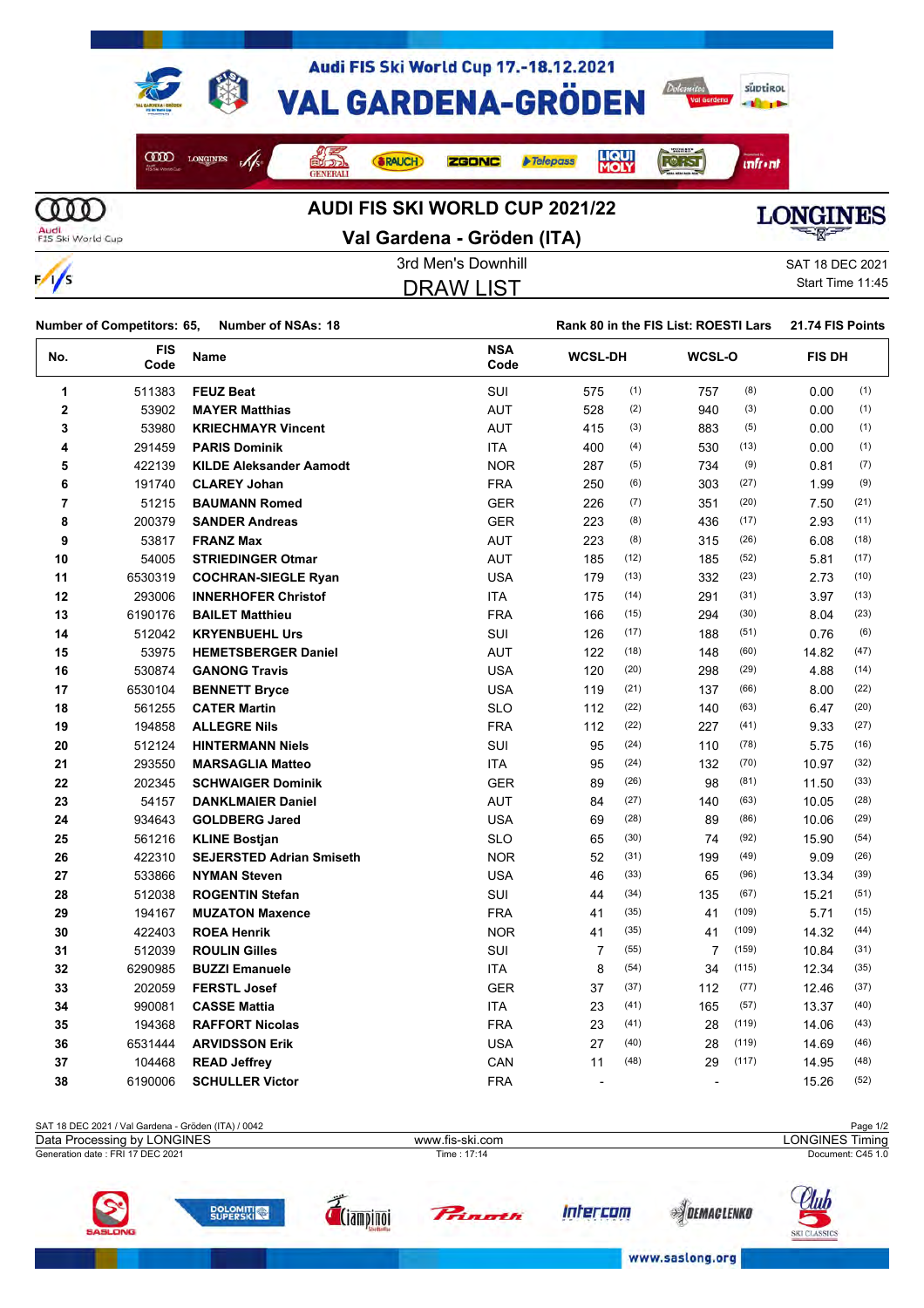



 $\frac{1}{s}$ 

3rd Men's Downhill Saturation Control of the SAT 18 DEC 2021 **Val Gardena - Gröden (ITA)**

DRAW LIST

Start Time 11:45

| Number of Competitors: 65. Number of NSAs: 18 | Rank 80 in the FIS List: ROESTI Lars 21.74 FIS Points |  |
|-----------------------------------------------|-------------------------------------------------------|--|

| No.            | <b>FIS</b><br>Code | Name                            | <b>NSA</b><br>Code | <b>WCSL-DH</b> |      | WCSL-O         |       | <b>FIS DH</b> |      |
|----------------|--------------------|---------------------------------|--------------------|----------------|------|----------------|-------|---------------|------|
| 1              | 511383             | <b>FEUZ Beat</b>                | SUI                | 575            | (1)  | 757            | (8)   | 0.00          | (1)  |
| 2              | 53902              | <b>MAYER Matthias</b>           | <b>AUT</b>         | 528            | (2)  | 940            | (3)   | 0.00          | (1)  |
| 3              | 53980              | <b>KRIECHMAYR Vincent</b>       | <b>AUT</b>         | 415            | (3)  | 883            | (5)   | 0.00          | (1)  |
| 4              | 291459             | <b>PARIS Dominik</b>            | <b>ITA</b>         | 400            | (4)  | 530            | (13)  | 0.00          | (1)  |
| 5              | 422139             | <b>KILDE Aleksander Aamodt</b>  | <b>NOR</b>         | 287            | (5)  | 734            | (9)   | 0.81          | (7)  |
| 6              | 191740             | <b>CLAREY Johan</b>             | <b>FRA</b>         | 250            | (6)  | 303            | (27)  | 1.99          | (9)  |
| $\overline{7}$ | 51215              | <b>BAUMANN Romed</b>            | <b>GER</b>         | 226            | (7)  | 351            | (20)  | 7.50          | (21) |
| 8              | 200379             | <b>SANDER Andreas</b>           | <b>GER</b>         | 223            | (8)  | 436            | (17)  | 2.93          | (11) |
| 9              | 53817              | <b>FRANZ Max</b>                | <b>AUT</b>         | 223            | (8)  | 315            | (26)  | 6.08          | (18) |
| 10             | 54005              | <b>STRIEDINGER Otmar</b>        | AUT                | 185            | (12) | 185            | (52)  | 5.81          | (17) |
| 11             | 6530319            | <b>COCHRAN-SIEGLE Ryan</b>      | <b>USA</b>         | 179            | (13) | 332            | (23)  | 2.73          | (10) |
| 12             | 293006             | <b>INNERHOFER Christof</b>      | <b>ITA</b>         | 175            | (14) | 291            | (31)  | 3.97          | (13) |
| 13             | 6190176            | <b>BAILET Matthieu</b>          | <b>FRA</b>         | 166            | (15) | 294            | (30)  | 8.04          | (23) |
| 14             | 512042             | <b>KRYENBUEHL Urs</b>           | <b>SUI</b>         | 126            | (17) | 188            | (51)  | 0.76          | (6)  |
| 15             | 53975              | <b>HEMETSBERGER Daniel</b>      | <b>AUT</b>         | 122            | (18) | 148            | (60)  | 14.82         | (47) |
| 16             | 530874             | <b>GANONG Travis</b>            | <b>USA</b>         | 120            | (20) | 298            | (29)  | 4.88          | (14) |
| 17             | 6530104            | <b>BENNETT Bryce</b>            | <b>USA</b>         | 119            | (21) | 137            | (66)  | 8.00          | (22) |
| 18             | 561255             | <b>CATER Martin</b>             | <b>SLO</b>         | 112            | (22) | 140            | (63)  | 6.47          | (20) |
| 19             | 194858             | <b>ALLEGRE Nils</b>             | <b>FRA</b>         | 112            | (22) | 227            | (41)  | 9.33          | (27) |
| 20             | 512124             | <b>HINTERMANN Niels</b>         | <b>SUI</b>         | 95             | (24) | 110            | (78)  | 5.75          | (16) |
| 21             | 293550             | <b>MARSAGLIA Matteo</b>         | <b>ITA</b>         | 95             | (24) | 132            | (70)  | 10.97         | (32) |
| 22             | 202345             | <b>SCHWAIGER Dominik</b>        | <b>GER</b>         | 89             | (26) | 98             | (81)  | 11.50         | (33) |
| 23             | 54157              | <b>DANKLMAIER Daniel</b>        | <b>AUT</b>         | 84             | (27) | 140            | (63)  | 10.05         | (28) |
| 24             | 934643             | <b>GOLDBERG Jared</b>           | <b>USA</b>         | 69             | (28) | 89             | (86)  | 10.06         | (29) |
| 25             | 561216             | <b>KLINE Bostjan</b>            | <b>SLO</b>         | 65             | (30) | 74             | (92)  | 15.90         | (54) |
| 26             | 422310             | <b>SEJERSTED Adrian Smiseth</b> | <b>NOR</b>         | 52             | (31) | 199            | (49)  | 9.09          | (26) |
| 27             | 533866             | <b>NYMAN Steven</b>             | <b>USA</b>         | 46             | (33) | 65             | (96)  | 13.34         | (39) |
| 28             | 512038             | <b>ROGENTIN Stefan</b>          | SUI                | 44             | (34) | 135            | (67)  | 15.21         | (51) |
| 29             | 194167             | <b>MUZATON Maxence</b>          | <b>FRA</b>         | 41             | (35) | 41             | (109) | 5.71          | (15) |
| 30             | 422403             | <b>ROEA Henrik</b>              | <b>NOR</b>         | 41             | (35) | 41             | (109) | 14.32         | (44) |
| 31             | 512039             | <b>ROULIN Gilles</b>            | <b>SUI</b>         | $\overline{7}$ | (55) | $\overline{7}$ | (159) | 10.84         | (31) |
| 32             | 6290985            | <b>BUZZI Emanuele</b>           | <b>ITA</b>         | 8              | (54) | 34             | (115) | 12.34         | (35) |
| 33             | 202059             | <b>FERSTL Josef</b>             | <b>GER</b>         | 37             | (37) | 112            | (77)  | 12.46         | (37) |
| 34             | 990081             | <b>CASSE Mattia</b>             | <b>ITA</b>         | 23             | (41) | 165            | (57)  | 13.37         | (40) |
| 35             | 194368             | <b>RAFFORT Nicolas</b>          | <b>FRA</b>         | 23             | (41) | 28             | (119) | 14.06         | (43) |
| 36             | 6531444            | <b>ARVIDSSON Erik</b>           | <b>USA</b>         | 27             | (40) | 28             | (119) | 14.69         | (46) |
| 37             | 104468             | <b>READ Jeffrey</b>             | CAN                | 11             | (48) | 29             | (117) | 14.95         | (48) |
| 38             | 6190006            | <b>SCHULLER Victor</b>          | <b>FRA</b>         | $\overline{a}$ |      |                |       | 15.26         | (52) |



**SKI CLASSICS**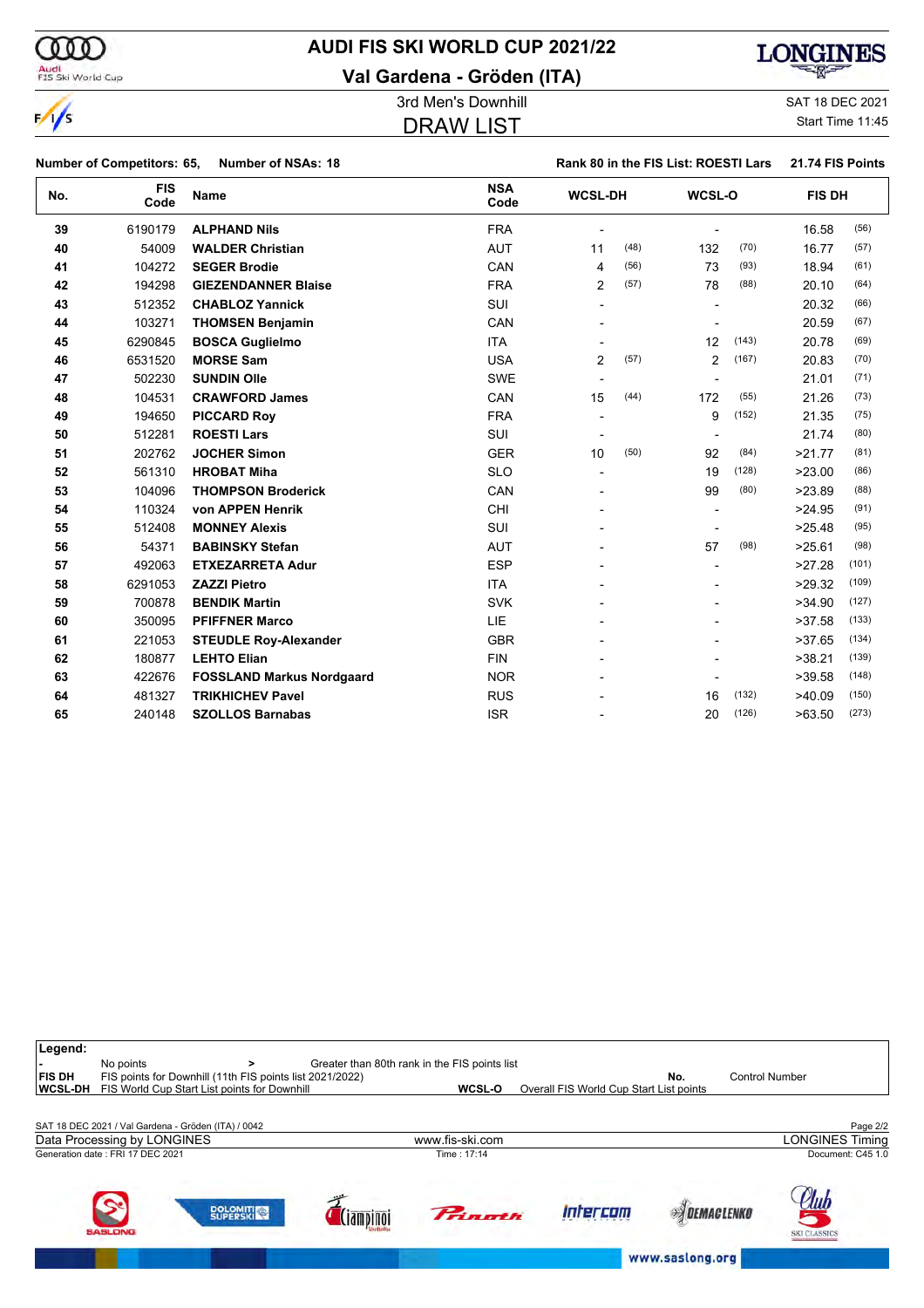$\frac{1}{2}$ 

# **AUDI FIS SKI WORLD CUP 2021/22**

**Val Gardena - Gröden (ITA)**



3rd Men's Downhill Same Communication of the SAT 18 DEC 2021 **DRAW LIST** 

Start Time 11:45

|     | <b>Number of Competitors: 65,</b> | <b>Number of NSAs: 18</b>        |                    |                |      | Rank 80 in the FIS List: ROESTI Lars |       | 21.74 FIS Points |       |
|-----|-----------------------------------|----------------------------------|--------------------|----------------|------|--------------------------------------|-------|------------------|-------|
| No. | <b>FIS</b><br>Code                | <b>Name</b>                      | <b>NSA</b><br>Code | <b>WCSL-DH</b> |      | WCSL-O                               |       | <b>FIS DH</b>    |       |
| 39  | 6190179                           | <b>ALPHAND Nils</b>              | <b>FRA</b>         |                |      |                                      |       | 16.58            | (56)  |
| 40  | 54009                             | <b>WALDER Christian</b>          | <b>AUT</b>         | 11             | (48) | 132                                  | (70)  | 16.77            | (57)  |
| 41  | 104272                            | <b>SEGER Brodie</b>              | CAN                | 4              | (56) | 73                                   | (93)  | 18.94            | (61)  |
| 42  | 194298                            | <b>GIEZENDANNER Blaise</b>       | <b>FRA</b>         | $\overline{2}$ | (57) | 78                                   | (88)  | 20.10            | (64)  |
| 43  | 512352                            | <b>CHABLOZ Yannick</b>           | SUI                |                |      |                                      |       | 20.32            | (66)  |
| 44  | 103271                            | <b>THOMSEN Benjamin</b>          | CAN                |                |      |                                      |       | 20.59            | (67)  |
| 45  | 6290845                           | <b>BOSCA Guglielmo</b>           | <b>ITA</b>         |                |      | 12                                   | (143) | 20.78            | (69)  |
| 46  | 6531520                           | <b>MORSE Sam</b>                 | <b>USA</b>         | $\overline{2}$ | (57) | $\overline{2}$                       | (167) | 20.83            | (70)  |
| 47  | 502230                            | <b>SUNDIN Olle</b>               | <b>SWE</b>         |                |      |                                      |       | 21.01            | (71)  |
| 48  | 104531                            | <b>CRAWFORD James</b>            | CAN                | 15             | (44) | 172                                  | (55)  | 21.26            | (73)  |
| 49  | 194650                            | <b>PICCARD Roy</b>               | <b>FRA</b>         |                |      | 9                                    | (152) | 21.35            | (75)  |
| 50  | 512281                            | <b>ROESTI Lars</b>               | SUI                |                |      |                                      |       | 21.74            | (80)  |
| 51  | 202762                            | <b>JOCHER Simon</b>              | <b>GER</b>         | 10             | (50) | 92                                   | (84)  | >21.77           | (81)  |
| 52  | 561310                            | <b>HROBAT Miha</b>               | <b>SLO</b>         |                |      | 19                                   | (128) | >23.00           | (86)  |
| 53  | 104096                            | <b>THOMPSON Broderick</b>        | CAN                |                |      | 99                                   | (80)  | >23.89           | (88)  |
| 54  | 110324                            | von APPEN Henrik                 | CHI                |                |      |                                      |       | >24.95           | (91)  |
| 55  | 512408                            | <b>MONNEY Alexis</b>             | SUI                |                |      |                                      |       | >25.48           | (95)  |
| 56  | 54371                             | <b>BABINSKY Stefan</b>           | <b>AUT</b>         |                |      | 57                                   | (98)  | >25.61           | (98)  |
| 57  | 492063                            | <b>ETXEZARRETA Adur</b>          | <b>ESP</b>         |                |      |                                      |       | >27.28           | (101) |
| 58  | 6291053                           | <b>ZAZZI Pietro</b>              | <b>ITA</b>         |                |      |                                      |       | >29.32           | (109) |
| 59  | 700878                            | <b>BENDIK Martin</b>             | <b>SVK</b>         |                |      |                                      |       | >34.90           | (127) |
| 60  | 350095                            | <b>PFIFFNER Marco</b>            | <b>LIE</b>         |                |      |                                      |       | >37.58           | (133) |
| 61  | 221053                            | <b>STEUDLE Roy-Alexander</b>     | <b>GBR</b>         |                |      |                                      |       | >37.65           | (134) |
| 62  | 180877                            | <b>LEHTO Elian</b>               | <b>FIN</b>         |                |      |                                      |       | >38.21           | (139) |
| 63  | 422676                            | <b>FOSSLAND Markus Nordgaard</b> | <b>NOR</b>         |                |      |                                      |       | >39.58           | (148) |
| 64  | 481327                            | <b>TRIKHICHEV Pavel</b>          | <b>RUS</b>         |                |      | 16                                   | (132) | >40.09           | (150) |
| 65  | 240148                            | <b>SZOLLOS Barnabas</b>          | <b>ISR</b>         |                |      | 20                                   | (126) | >63.50           | (273) |

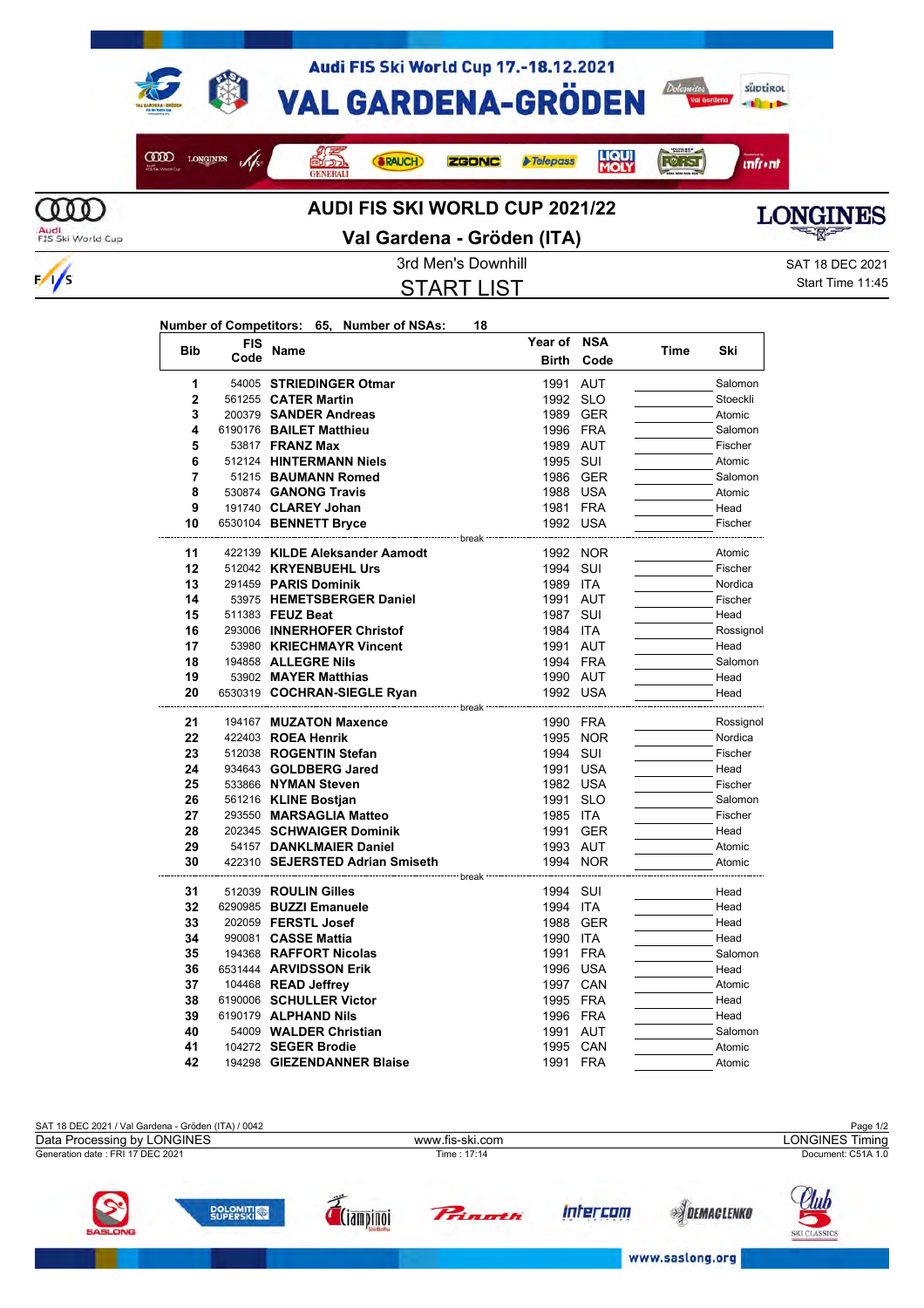

 $\frac{1}{s}$ 



**Val Gardena - Gröden (ITA)**

START LIST

**Year of NSA**

3rd Men's Downhill SAT 18 DEC 2021 Start Time 11:45

| <b>Bib</b>   | FIS  | Name                                                       | Year of                  | <b>NSA</b> | Time | Ski                |
|--------------|------|------------------------------------------------------------|--------------------------|------------|------|--------------------|
|              | Code |                                                            | <b>Birth</b>             | Code       |      |                    |
| 1            |      | 54005 STRIEDINGER Otmar                                    | 1991                     | <b>AUT</b> |      | Salomon            |
| $\mathbf{2}$ |      | 561255 <b>CATER Martin</b>                                 | 1992 SLO                 |            |      | Stoeckli           |
| 3            |      | 200379 SANDER Andreas                                      |                          | 1989 GER   |      | Atomic             |
| 4            |      | 6190176 BAILET Matthieu                                    | 1996 FRA                 |            |      | Salomon            |
| 5            |      | 53817 FRANZ Max                                            | 1989                     | AUT        |      | Fischer            |
| 6            |      | 512124 HINTERMANN Niels                                    | 1995 SUI                 |            |      | Atomic             |
| 7            |      | 51215 BAUMANN Romed                                        |                          | 1986 GER   |      | Salomon            |
| 8            |      | 530874 <b>GANONG Travis</b>                                | 1988 USA                 |            |      | Atomic             |
| 9            |      | 191740 CLAREY Johan                                        | 1981 FRA                 |            |      | Head               |
| 10           |      | 6530104 BENNETT Bryce                                      | 1992 USA                 |            |      | Fischer            |
| 11           |      | ---------------- break -<br>422139 KILDE Aleksander Aamodt |                          | 1992 NOR   |      | Atomic             |
| 12           |      | 512042 KRYENBUEHL Urs                                      | 1994 SUI                 |            |      | Fischer            |
| 13           |      | 291459 PARIS Dominik                                       | 1989 ITA                 |            |      | Nordica            |
| 14           |      | 53975 HEMETSBERGER Daniel                                  | 1991 AUT                 |            |      | Fischer            |
| 15           |      | 511383 FEUZ Beat                                           | 1987 SUI                 |            |      | Head               |
| 16           |      | 293006 INNERHOFER Christof                                 | 1984 ITA                 |            |      | Rossignol          |
| 17           |      | 53980 KRIECHMAYR Vincent                                   | 1991 AUT                 |            |      | Head               |
| 18           |      | 194858 ALLEGRE Nils                                        | 1994 FRA                 |            |      | Salomon            |
| 19           |      | 53902 MAYER Matthias                                       | 1990 AUT                 |            |      | Head               |
| 20           |      | 6530319 COCHRAN-SIEGLE Ryan                                | 1992 USA                 |            |      | Head               |
|              |      |                                                            | <sup>.------</sup> break |            |      |                    |
| 21           |      | 194167 MUZATON Maxence                                     | 1990 FRA                 |            |      | Rossignol          |
| 22           |      | 422403 ROEA Henrik                                         |                          | 1995 NOR   |      | Nordica            |
| 23           |      | 512038 ROGENTIN Stefan                                     | 1994 SUI                 |            |      | Fischer            |
| 24           |      | 934643 GOLDBERG Jared                                      | 1991 USA                 |            |      | Head               |
| 25<br>26     |      | 533866 NYMAN Steven                                        | 1982 USA                 |            |      | Fischer            |
| 27           |      | 561216 KLINE Bostjan<br>293550 MARSAGLIA Matteo            | 1991 SLO<br>1985 ITA     |            |      | Salomon<br>Fischer |
| 28           |      | 202345 SCHWAIGER Dominik                                   |                          | 1991 GER   |      | Head               |
| 29           |      | 54157 DANKLMAIER Daniel                                    | 1993 AUT                 |            |      | Atomic             |
| 30           |      | 422310 SEJERSTED Adrian Smiseth                            |                          | 1994 NOR   |      | Atomic             |
|              |      |                                                            |                          |            |      |                    |
| 31           |      | 512039 ROULIN Gilles                                       | 1994 SUI                 |            |      | Head               |
| 32           |      | 6290985 BUZZI Emanuele                                     | 1994 ITA                 |            |      | Head               |
| 33           |      | 202059 FERSTL Josef                                        |                          | 1988 GER   |      | Head               |
| 34           |      | 990081 <b>CASSE Mattia</b>                                 | 1990 ITA                 |            |      | Head               |
| 35           |      | 194368 RAFFORT Nicolas                                     | 1991                     | FRA        |      | Salomon            |
| 36           |      | 6531444 ARVIDSSON Erik                                     | 1996 USA                 |            |      | Head               |
| 37           |      | 104468 READ Jeffrey                                        | 1997 CAN                 |            |      | Atomic             |
| 38           |      | 6190006 SCHULLER Victor                                    | 1995 FRA                 |            |      | Head               |
| 39           |      | 6190179 ALPHAND Nils                                       | 1996 FRA                 |            |      | Head               |
| 40           |      | 54009 WALDER Christian                                     | 1991                     | AUT        |      | Salomon            |
| 41           |      | 104272 SEGER Brodie                                        | 1995 CAN                 |            |      | Atomic             |
| 42           |      | 194298 GIEZENDANNER Blaise                                 | 1991                     | FRA        |      | Atomic             |

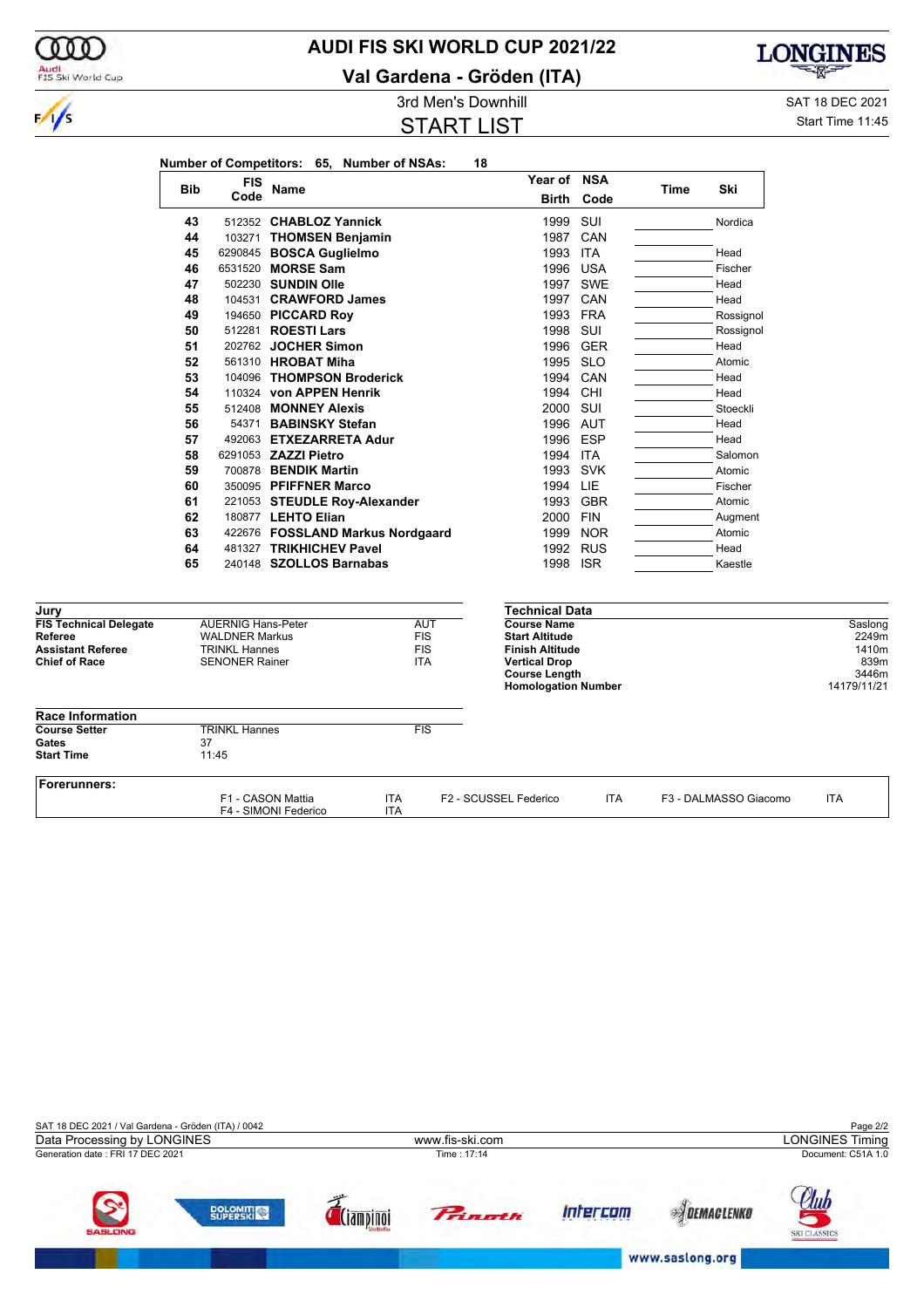

### **AUDI FIS SKI WORLD CUP 2021/22**

**Val Gardena - Gröden (ITA)**



**LONGINES** 曱

START LIST

3rd Men's Downhill Same Communication of the SAT 18 DEC 2021

Start Time 11:45

|                                          |                                                                                                                                                      |                                                    |                              | Number of Competitors: 65, Number of NSAs: | 18                                          |            |      |                       |                      |
|------------------------------------------|------------------------------------------------------------------------------------------------------------------------------------------------------|----------------------------------------------------|------------------------------|--------------------------------------------|---------------------------------------------|------------|------|-----------------------|----------------------|
|                                          |                                                                                                                                                      | FIS                                                | Name                         |                                            | Year of NSA                                 |            | Time | Ski                   |                      |
|                                          |                                                                                                                                                      | Code                                               |                              |                                            | Birth                                       | Code       |      |                       |                      |
|                                          | <b>Bib</b><br>43<br>44<br>45<br>46<br>47<br>48<br>49<br>50<br>51<br>52<br>53<br>54<br>55<br>56<br>57<br>58<br>59<br>60<br>61<br>62<br>63<br>64<br>65 |                                                    | 512352 CHABLOZ Yannick       |                                            | 1999                                        | SUI        |      | Nordica               |                      |
|                                          |                                                                                                                                                      |                                                    | 103271 THOMSEN Benjamin      |                                            | 1987                                        | CAN        |      |                       |                      |
|                                          |                                                                                                                                                      |                                                    | 6290845 BOSCA Guglielmo      |                                            | 1993 ITA                                    |            |      | Head                  |                      |
|                                          |                                                                                                                                                      |                                                    | 6531520 MORSE Sam            |                                            |                                             | 1996 USA   |      | Fischer               |                      |
|                                          |                                                                                                                                                      |                                                    | 502230 SUNDIN Olle           |                                            |                                             | 1997 SWE   |      | Head                  |                      |
|                                          |                                                                                                                                                      |                                                    | 104531 CRAWFORD James        |                                            | 1997                                        | CAN        |      | Head                  |                      |
|                                          |                                                                                                                                                      |                                                    | 194650 PICCARD Roy           |                                            |                                             | 1993 FRA   |      | Rossignol             |                      |
|                                          |                                                                                                                                                      |                                                    | 512281 <b>ROESTI Lars</b>    |                                            | 1998 SUI                                    |            |      | Rossignol             |                      |
|                                          |                                                                                                                                                      |                                                    | 202762 JOCHER Simon          |                                            |                                             | 1996 GER   |      | Head                  |                      |
|                                          |                                                                                                                                                      |                                                    | 561310 HROBAT Miha           |                                            |                                             | 1995 SLO   |      | Atomic                |                      |
|                                          |                                                                                                                                                      |                                                    | 104096 THOMPSON Broderick    |                                            | 1994                                        | CAN        |      | Head                  |                      |
|                                          |                                                                                                                                                      |                                                    | 110324 von APPEN Henrik      |                                            | 1994                                        | CHI        |      | Head                  |                      |
|                                          |                                                                                                                                                      |                                                    | 512408 MONNEY Alexis         |                                            | 2000 SUI                                    |            |      | Stoeckli              |                      |
|                                          |                                                                                                                                                      |                                                    | 54371 BABINSKY Stefan        |                                            |                                             | 1996 AUT   |      | Head                  |                      |
|                                          |                                                                                                                                                      |                                                    | 492063 ETXEZARRETA Adur      |                                            |                                             | 1996 ESP   |      | Head                  |                      |
|                                          |                                                                                                                                                      |                                                    | 6291053 ZAZZI Pietro         |                                            | 1994                                        | <b>ITA</b> |      | Salomon               |                      |
|                                          |                                                                                                                                                      |                                                    | 700878 BENDIK Martin         |                                            |                                             | 1993 SVK   |      | Atomic                |                      |
|                                          |                                                                                                                                                      |                                                    | 350095 PFIFFNER Marco        |                                            | 1994 LIE                                    |            |      | Fischer               |                      |
|                                          |                                                                                                                                                      |                                                    | 221053 STEUDLE Roy-Alexander |                                            |                                             | 1993 GBR   |      | Atomic                |                      |
|                                          |                                                                                                                                                      |                                                    | 180877 LEHTO Elian           |                                            | 2000 FIN                                    |            |      | Augment               |                      |
|                                          |                                                                                                                                                      |                                                    |                              | 422676 FOSSLAND Markus Nordgaard           |                                             | 1999 NOR   |      | Atomic                |                      |
|                                          |                                                                                                                                                      |                                                    | 481327 TRIKHICHEV Pavel      |                                            |                                             | 1992 RUS   |      | Head                  |                      |
|                                          |                                                                                                                                                      |                                                    | 240148 SZOLLOS Barnabas      |                                            | 1998 ISR                                    |            |      | Kaestle               |                      |
|                                          |                                                                                                                                                      |                                                    |                              |                                            |                                             |            |      |                       |                      |
| Jury                                     |                                                                                                                                                      |                                                    |                              |                                            | <b>Technical Data</b>                       |            |      |                       |                      |
| <b>FIS Technical Delegate</b><br>Referee |                                                                                                                                                      | <b>AUERNIG Hans-Peter</b><br><b>WALDNER Markus</b> |                              | <b>AUT</b><br><b>FIS</b>                   | <b>Course Name</b><br><b>Start Altitude</b> |            |      |                       | Saslong<br>2249m     |
| <b>Assistant Referee</b>                 |                                                                                                                                                      | <b>TRINKL Hannes</b>                               |                              | <b>FIS</b>                                 | <b>Finish Altitude</b>                      |            |      |                       | 1410m                |
| <b>Chief of Race</b>                     |                                                                                                                                                      | <b>SENONER Rainer</b>                              |                              | ITA                                        | <b>Vertical Drop</b>                        |            |      |                       | 839m                 |
|                                          |                                                                                                                                                      |                                                    |                              |                                            | <b>Course Length</b>                        |            |      |                       | 3446m<br>14179/11/21 |
|                                          |                                                                                                                                                      |                                                    |                              |                                            | <b>Homologation Number</b>                  |            |      |                       |                      |
| <b>Race Information</b>                  | 37                                                                                                                                                   |                                                    |                              |                                            |                                             |            |      |                       |                      |
| <b>Course Setter</b>                     |                                                                                                                                                      | <b>TRINKL Hannes</b>                               |                              | FIS                                        |                                             |            |      |                       |                      |
| Gates<br><b>Start Time</b>               |                                                                                                                                                      | 11:45                                              |                              |                                            |                                             |            |      |                       |                      |
|                                          |                                                                                                                                                      |                                                    |                              |                                            |                                             |            |      |                       |                      |
| <b>Forerunners:</b>                      |                                                                                                                                                      |                                                    | F1 - CASON Mattia            | ITA                                        | F2 - SCUSSEL Federico                       | <b>ITA</b> |      | F3 - DALMASSO Giacomo | <b>ITA</b>           |
|                                          |                                                                                                                                                      |                                                    | F4 - SIMONI Federico         | ITA                                        |                                             |            |      |                       |                      |

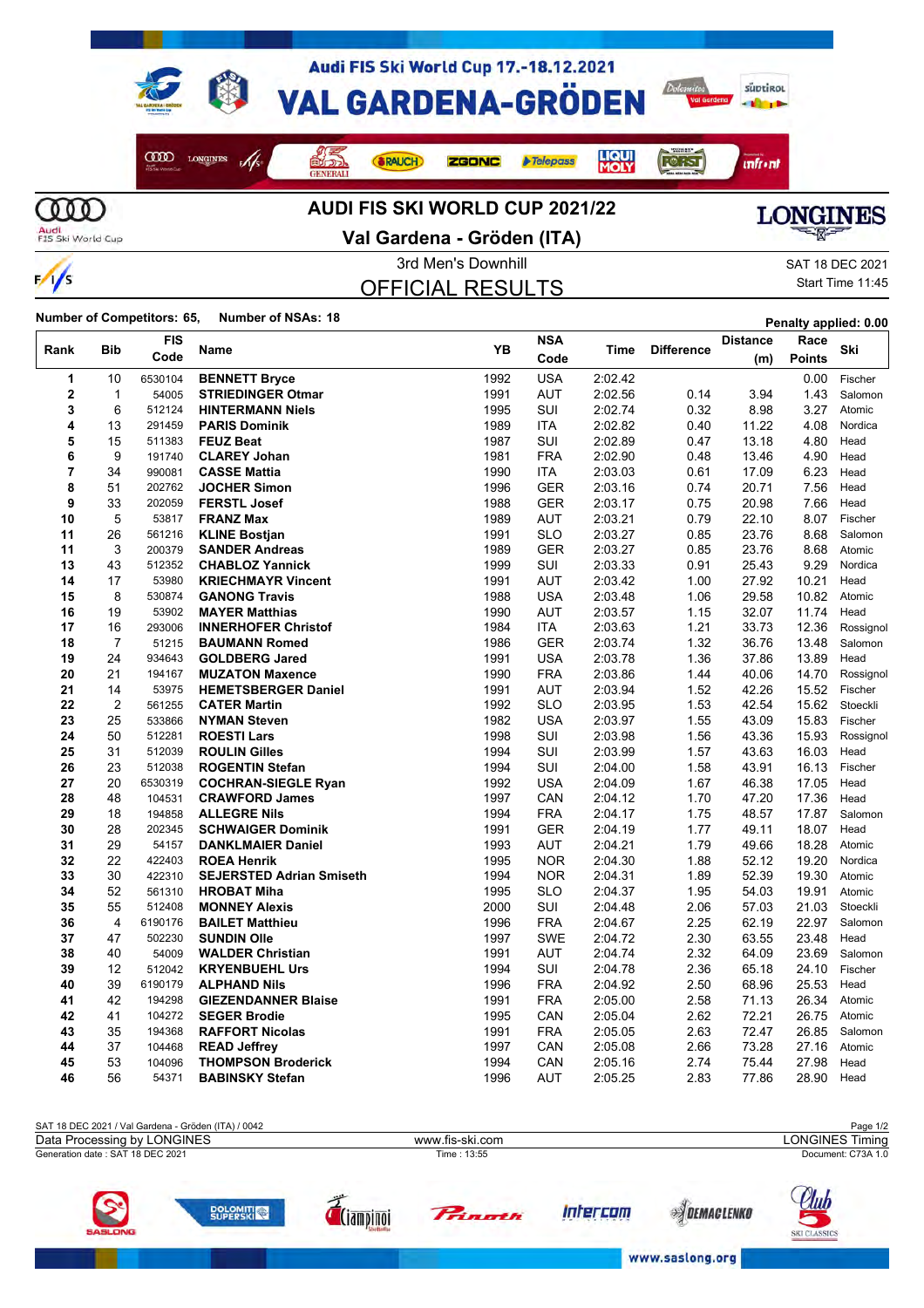

 $\frac{1}{s}$ 



**Val Gardena - Gröden (ITA)**

OFFICIAL RESULTS

3rd Men's Downhill Saturation Control of the SAT 18 DEC 2021 Start Time 11:45

**Number of Competitors: 65, Number of NSAs: 18 Penalty applied: 0.00**

| Rank | Bib            | <b>FIS</b> | Name                            | YB   | <b>NSA</b> | Time    | <b>Difference</b> | Distance | Race          | Ski       |
|------|----------------|------------|---------------------------------|------|------------|---------|-------------------|----------|---------------|-----------|
|      |                | Code       |                                 |      | Code       |         |                   | (m)      | <b>Points</b> |           |
| 1    | 10             | 6530104    | <b>BENNETT Bryce</b>            | 1992 | <b>USA</b> | 2:02.42 |                   |          | 0.00          | Fischer   |
| 2    | $\mathbf{1}$   | 54005      | <b>STRIEDINGER Otmar</b>        | 1991 | <b>AUT</b> | 2:02.56 | 0.14              | 3.94     | 1.43          | Salomon   |
| 3    | 6              | 512124     | <b>HINTERMANN Niels</b>         | 1995 | SUI        | 2:02.74 | 0.32              | 8.98     | 3.27          | Atomic    |
| 4    | 13             | 291459     | <b>PARIS Dominik</b>            | 1989 | <b>ITA</b> | 2:02.82 | 0.40              | 11.22    | 4.08          | Nordica   |
| 5    | 15             | 511383     | <b>FEUZ Beat</b>                | 1987 | SUI        | 2:02.89 | 0.47              | 13.18    | 4.80          | Head      |
| 6    | 9              | 191740     | <b>CLAREY Johan</b>             | 1981 | <b>FRA</b> | 2:02.90 | 0.48              | 13.46    | 4.90          | Head      |
| 7    | 34             | 990081     | <b>CASSE Mattia</b>             | 1990 | <b>ITA</b> | 2:03.03 | 0.61              | 17.09    | 6.23          | Head      |
| 8    | 51             | 202762     | <b>JOCHER Simon</b>             | 1996 | <b>GER</b> | 2:03.16 | 0.74              | 20.71    | 7.56          | Head      |
| 9    | 33             | 202059     | <b>FERSTL Josef</b>             | 1988 | <b>GER</b> | 2:03.17 | 0.75              | 20.98    | 7.66          | Head      |
| 10   | 5              | 53817      | <b>FRANZ Max</b>                | 1989 | AUT        | 2:03.21 | 0.79              | 22.10    | 8.07          | Fischer   |
| 11   | 26             | 561216     | <b>KLINE Bostjan</b>            | 1991 | <b>SLO</b> | 2:03.27 | 0.85              | 23.76    | 8.68          | Salomon   |
| 11   | 3              | 200379     | <b>SANDER Andreas</b>           | 1989 | <b>GER</b> | 2:03.27 | 0.85              | 23.76    | 8.68          | Atomic    |
| 13   | 43             | 512352     | <b>CHABLOZ Yannick</b>          | 1999 | SUI        | 2:03.33 | 0.91              | 25.43    | 9.29          | Nordica   |
| 14   | 17             | 53980      | <b>KRIECHMAYR Vincent</b>       | 1991 | <b>AUT</b> | 2:03.42 | 1.00              | 27.92    | 10.21         | Head      |
| 15   | 8              | 530874     | <b>GANONG Travis</b>            | 1988 | <b>USA</b> | 2:03.48 | 1.06              | 29.58    | 10.82         | Atomic    |
| 16   | 19             | 53902      | <b>MAYER Matthias</b>           | 1990 | <b>AUT</b> | 2:03.57 | 1.15              | 32.07    | 11.74         | Head      |
| 17   | 16             | 293006     | <b>INNERHOFER Christof</b>      | 1984 | ITA        | 2:03.63 | 1.21              | 33.73    | 12.36         | Rossignol |
| 18   | $\overline{7}$ | 51215      | <b>BAUMANN Romed</b>            | 1986 | <b>GER</b> | 2:03.74 | 1.32              | 36.76    | 13.48         | Salomon   |
| 19   | 24             | 934643     | <b>GOLDBERG Jared</b>           | 1991 | <b>USA</b> | 2:03.78 | 1.36              | 37.86    | 13.89         | Head      |
| 20   | 21             | 194167     | <b>MUZATON Maxence</b>          | 1990 | <b>FRA</b> | 2:03.86 | 1.44              | 40.06    | 14.70         | Rossignol |
| 21   | 14             | 53975      | <b>HEMETSBERGER Daniel</b>      | 1991 | <b>AUT</b> | 2:03.94 | 1.52              | 42.26    | 15.52         | Fischer   |
| 22   | 2              | 561255     | <b>CATER Martin</b>             | 1992 | <b>SLO</b> | 2:03.95 | 1.53              | 42.54    | 15.62         | Stoeckli  |
| 23   | 25             | 533866     | <b>NYMAN Steven</b>             | 1982 | <b>USA</b> | 2:03.97 | 1.55              | 43.09    | 15.83         | Fischer   |
| 24   | 50             | 512281     | <b>ROESTI Lars</b>              | 1998 | SUI        | 2:03.98 | 1.56              | 43.36    | 15.93         | Rossignol |
| 25   | 31             | 512039     | <b>ROULIN Gilles</b>            | 1994 | SUI        | 2:03.99 | 1.57              | 43.63    | 16.03         | Head      |
| 26   | 23             | 512038     | <b>ROGENTIN Stefan</b>          | 1994 | SUI        | 2:04.00 | 1.58              | 43.91    | 16.13         | Fischer   |
| 27   | 20             | 6530319    | <b>COCHRAN-SIEGLE Ryan</b>      | 1992 | <b>USA</b> | 2:04.09 | 1.67              | 46.38    | 17.05         | Head      |
| 28   | 48             | 104531     | <b>CRAWFORD James</b>           | 1997 | CAN        | 2:04.12 | 1.70              | 47.20    | 17.36         | Head      |
| 29   | 18             | 194858     | <b>ALLEGRE Nils</b>             | 1994 | <b>FRA</b> | 2:04.17 | 1.75              | 48.57    | 17.87         | Salomon   |
| 30   | 28             | 202345     | <b>SCHWAIGER Dominik</b>        | 1991 | <b>GER</b> | 2:04.19 | 1.77              | 49.11    | 18.07         | Head      |
| 31   | 29             | 54157      | <b>DANKLMAIER Daniel</b>        | 1993 | <b>AUT</b> | 2:04.21 | 1.79              | 49.66    | 18.28         | Atomic    |
| 32   | 22             | 422403     | <b>ROEA Henrik</b>              | 1995 | <b>NOR</b> | 2:04.30 | 1.88              | 52.12    | 19.20         | Nordica   |
| 33   | 30             | 422310     | <b>SEJERSTED Adrian Smiseth</b> | 1994 | <b>NOR</b> | 2:04.31 | 1.89              | 52.39    | 19.30         | Atomic    |
| 34   | 52             | 561310     | <b>HROBAT Miha</b>              | 1995 | <b>SLO</b> | 2:04.37 | 1.95              | 54.03    | 19.91         | Atomic    |
| 35   | 55             | 512408     | <b>MONNEY Alexis</b>            | 2000 | SUI        | 2:04.48 | 2.06              | 57.03    | 21.03         | Stoeckli  |
| 36   | 4              | 6190176    | <b>BAILET Matthieu</b>          | 1996 | <b>FRA</b> | 2:04.67 | 2.25              | 62.19    | 22.97         | Salomon   |
| 37   | 47             | 502230     | <b>SUNDIN Olle</b>              | 1997 | <b>SWE</b> | 2:04.72 | 2.30              | 63.55    | 23.48         | Head      |
| 38   | 40             | 54009      | <b>WALDER Christian</b>         | 1991 | <b>AUT</b> | 2:04.74 | 2.32              | 64.09    | 23.69         | Salomon   |
| 39   | 12             | 512042     | <b>KRYENBUEHL Urs</b>           | 1994 | SUI        | 2:04.78 | 2.36              | 65.18    | 24.10         | Fischer   |
| 40   | 39             | 6190179    | <b>ALPHAND Nils</b>             | 1996 | <b>FRA</b> | 2:04.92 | 2.50              | 68.96    | 25.53         | Head      |
| 41   | 42             | 194298     | <b>GIEZENDANNER Blaise</b>      | 1991 | <b>FRA</b> | 2:05.00 | 2.58              | 71.13    | 26.34         | Atomic    |
| 42   | 41             | 104272     | <b>SEGER Brodie</b>             | 1995 | CAN        | 2:05.04 | 2.62              | 72.21    | 26.75         | Atomic    |
| 43   | 35             | 194368     | <b>RAFFORT Nicolas</b>          | 1991 | <b>FRA</b> | 2:05.05 | 2.63              | 72.47    | 26.85         | Salomon   |
| 44   | 37             | 104468     | <b>READ Jeffrey</b>             | 1997 | CAN        | 2:05.08 | 2.66              | 73.28    | 27.16         | Atomic    |
| 45   | 53             | 104096     | <b>THOMPSON Broderick</b>       | 1994 | CAN        | 2:05.16 | 2.74              | 75.44    | 27.98         | Head      |
| 46   | 56             | 54371      | <b>BABINSKY Stefan</b>          | 1996 | <b>AUT</b> | 2:05.25 | 2.83              | 77.86    | 28.90         | Head      |

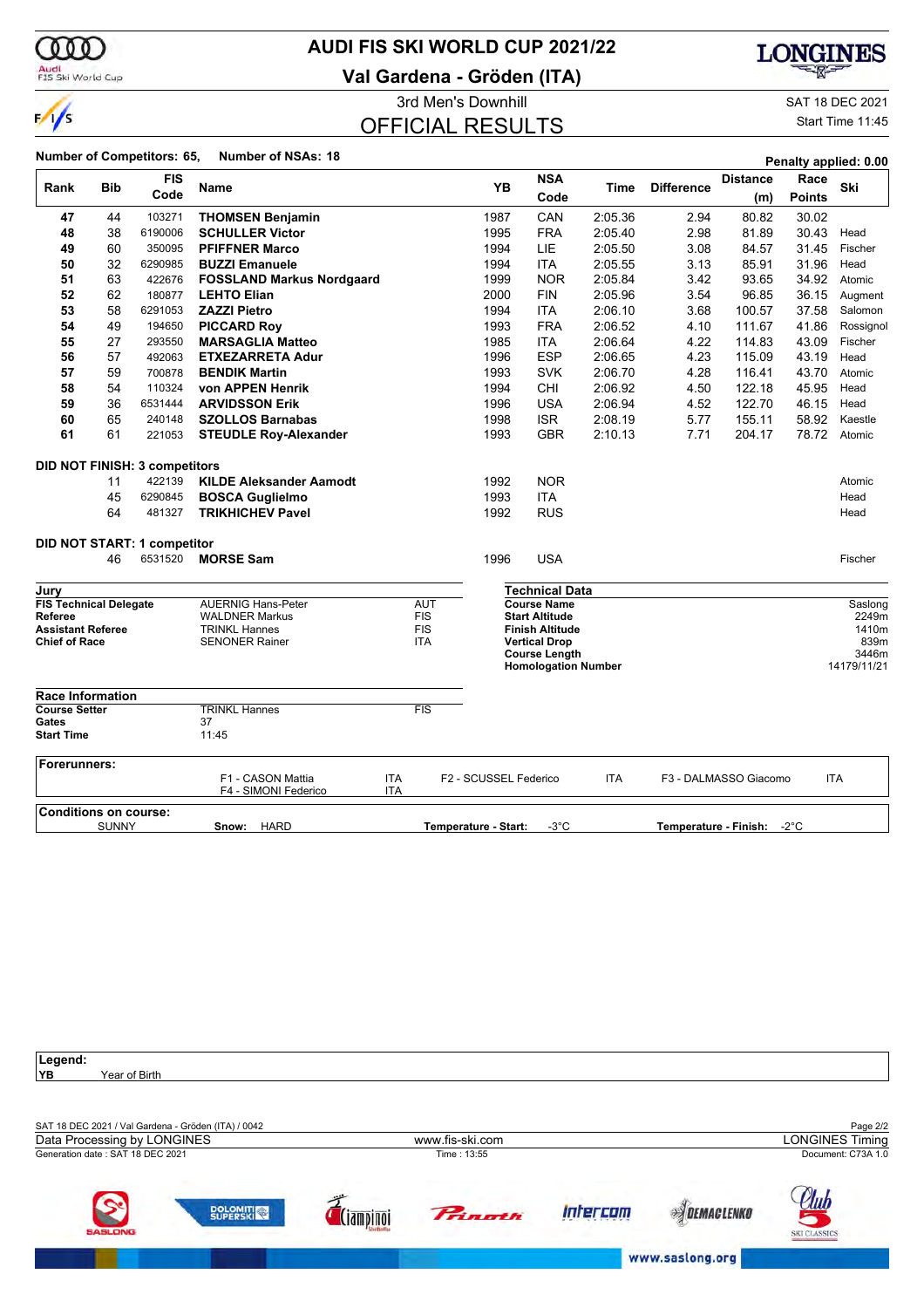

### **AUDI FIS SKI WORLD CUP 2021/22**

**Val Gardena - Gröden (ITA)**



3rd Men's Downhill Same Communication of the SAT 18 DEC 2021

# OFFICIAL RESULTS

Start Time 11:45

|                                     |                                      | <b>FIS</b>                           |                                               |            |                          |                       | <b>NSA</b>                                      |            |                   | <b>Distance</b>       | Race          |                |
|-------------------------------------|--------------------------------------|--------------------------------------|-----------------------------------------------|------------|--------------------------|-----------------------|-------------------------------------------------|------------|-------------------|-----------------------|---------------|----------------|
| Rank                                | <b>Bib</b>                           | Code                                 | Name                                          |            |                          | YB                    | Code                                            | Time       | <b>Difference</b> | (m)                   | <b>Points</b> | Ski            |
| 47                                  | 44                                   | 103271                               | <b>THOMSEN Benjamin</b>                       |            |                          | 1987                  | CAN                                             | 2:05.36    | 2.94              | 80.82                 | 30.02         |                |
| 48                                  | 38                                   | 6190006                              | <b>SCHULLER Victor</b>                        |            |                          | 1995                  | <b>FRA</b>                                      | 2:05.40    | 2.98              | 81.89                 | 30.43         | Head           |
| 49                                  | 60                                   | 350095                               | <b>PFIFFNER Marco</b>                         |            |                          | 1994                  | LIE                                             | 2:05.50    | 3.08              | 84.57                 | 31.45         | Fischer        |
| 50                                  | 32                                   | 6290985                              | <b>BUZZI Emanuele</b>                         |            |                          | 1994                  | <b>ITA</b>                                      | 2:05.55    | 3.13              | 85.91                 | 31.96         | Head           |
| 51                                  | 63                                   | 422676                               | <b>FOSSLAND Markus Nordgaard</b>              |            |                          | 1999                  | <b>NOR</b>                                      | 2:05.84    | 3.42              | 93.65                 | 34.92         | Atomic         |
| 52                                  | 62                                   | 180877                               | <b>LEHTO Elian</b>                            |            |                          | 2000                  | <b>FIN</b>                                      | 2:05.96    | 3.54              | 96.85                 | 36.15         | Augment        |
| 53                                  | 58                                   | 6291053                              | <b>ZAZZI Pietro</b>                           |            |                          | 1994                  | <b>ITA</b>                                      | 2:06.10    | 3.68              | 100.57                | 37.58         | Salomon        |
| 54                                  | 49                                   | 194650                               | <b>PICCARD Roy</b>                            |            |                          | 1993                  | <b>FRA</b>                                      | 2:06.52    | 4.10              | 111.67                | 41.86         | Rossignol      |
| 55                                  | 27                                   | 293550                               | <b>MARSAGLIA Matteo</b>                       |            |                          | 1985                  | <b>ITA</b>                                      | 2:06.64    | 4.22              | 114.83                | 43.09         | Fischer        |
| 56                                  | 57                                   | 492063                               | <b>ETXEZARRETA Adur</b>                       |            |                          | 1996                  | <b>ESP</b>                                      | 2:06.65    | 4.23              | 115.09                | 43.19         | Head           |
| 57                                  | 59                                   | 700878                               | <b>BENDIK Martin</b>                          |            |                          | 1993                  | <b>SVK</b>                                      | 2:06.70    | 4.28              | 116.41                | 43.70         | Atomic         |
| 58                                  | 54                                   | 110324                               | von APPEN Henrik                              |            |                          | 1994                  | CHI                                             | 2:06.92    | 4.50              | 122.18                | 45.95         | Head           |
| 59                                  | 36                                   | 6531444                              | <b>ARVIDSSON Erik</b>                         |            |                          | 1996                  | <b>USA</b>                                      | 2:06.94    | 4.52              | 122.70                | 46.15         | Head           |
| 60                                  | 65                                   | 240148                               | <b>SZOLLOS Barnabas</b>                       |            |                          | 1998                  | <b>ISR</b>                                      | 2:08.19    | 5.77              | 155.11                | 58.92         | Kaestle        |
| 61                                  | 61                                   | 221053                               | <b>STEUDLE Roy-Alexander</b>                  |            |                          | 1993                  | <b>GBR</b>                                      | 2:10.13    | 7.71              | 204.17                | 78.72         | Atomic         |
|                                     |                                      | <b>DID NOT FINISH: 3 competitors</b> |                                               |            |                          |                       |                                                 |            |                   |                       |               |                |
|                                     | 11                                   | 422139                               | <b>KILDE Aleksander Aamodt</b>                |            |                          | 1992                  | <b>NOR</b>                                      |            |                   |                       |               | Atomic         |
|                                     | 45                                   | 6290845                              | <b>BOSCA Guglielmo</b>                        |            |                          | 1993                  | <b>ITA</b>                                      |            |                   |                       |               | Head           |
|                                     | 64                                   | 481327                               | <b>TRIKHICHEV Pavel</b>                       |            |                          | 1992                  | <b>RUS</b>                                      |            |                   |                       |               | Head           |
|                                     |                                      | DID NOT START: 1 competitor          |                                               |            |                          |                       |                                                 |            |                   |                       |               |                |
|                                     | 46                                   | 6531520                              | <b>MORSE Sam</b>                              |            |                          | 1996                  | <b>USA</b>                                      |            |                   |                       |               | Fischer        |
| Jury                                |                                      |                                      |                                               |            |                          |                       | <b>Technical Data</b>                           |            |                   |                       |               |                |
| <b>FIS Technical Delegate</b>       |                                      |                                      | <b>AUERNIG Hans-Peter</b>                     |            | <b>AUT</b>               |                       | <b>Course Name</b>                              |            |                   |                       |               | Saslong        |
| Referee<br><b>Assistant Referee</b> |                                      |                                      | <b>WALDNER Markus</b><br><b>TRINKL Hannes</b> |            | <b>FIS</b><br><b>FIS</b> |                       | <b>Start Altitude</b><br><b>Finish Altitude</b> |            |                   |                       |               | 2249m<br>1410m |
| <b>Chief of Race</b>                |                                      |                                      | <b>SENONER Rainer</b>                         |            | ITA                      |                       | <b>Vertical Drop</b>                            |            |                   |                       |               | 839m           |
|                                     |                                      |                                      |                                               |            |                          |                       | <b>Course Length</b>                            |            |                   |                       |               | 3446m          |
|                                     |                                      |                                      |                                               |            |                          |                       | <b>Homologation Number</b>                      |            |                   |                       |               | 14179/11/21    |
| <b>Race Information</b>             |                                      |                                      |                                               |            |                          |                       |                                                 |            |                   |                       |               |                |
| <b>Course Setter</b>                |                                      |                                      | <b>TRINKL Hannes</b>                          |            | <b>FIS</b>               |                       |                                                 |            |                   |                       |               |                |
| Gates                               |                                      |                                      | 37                                            |            |                          |                       |                                                 |            |                   |                       |               |                |
| <b>Start Time</b>                   |                                      |                                      | 11:45                                         |            |                          |                       |                                                 |            |                   |                       |               |                |
| <b>Forerunners:</b>                 |                                      |                                      | F1 - CASON Mattia                             | <b>ITA</b> |                          | F2 - SCUSSEL Federico |                                                 | <b>ITA</b> |                   | F3 - DALMASSO Giacomo |               | <b>ITA</b>     |
|                                     |                                      |                                      | F4 - SIMONI Federico                          | <b>ITA</b> |                          |                       |                                                 |            |                   |                       |               |                |
| <b>Conditions on course:</b>        |                                      |                                      |                                               |            |                          |                       |                                                 |            |                   |                       |               |                |
|                                     | <b>SUNNY</b><br><b>HARD</b><br>Snow: |                                      |                                               |            |                          | Temperature - Start:  | $-3^{\circ}$ C                                  |            |                   | Temperature - Finish: | -2°C          |                |

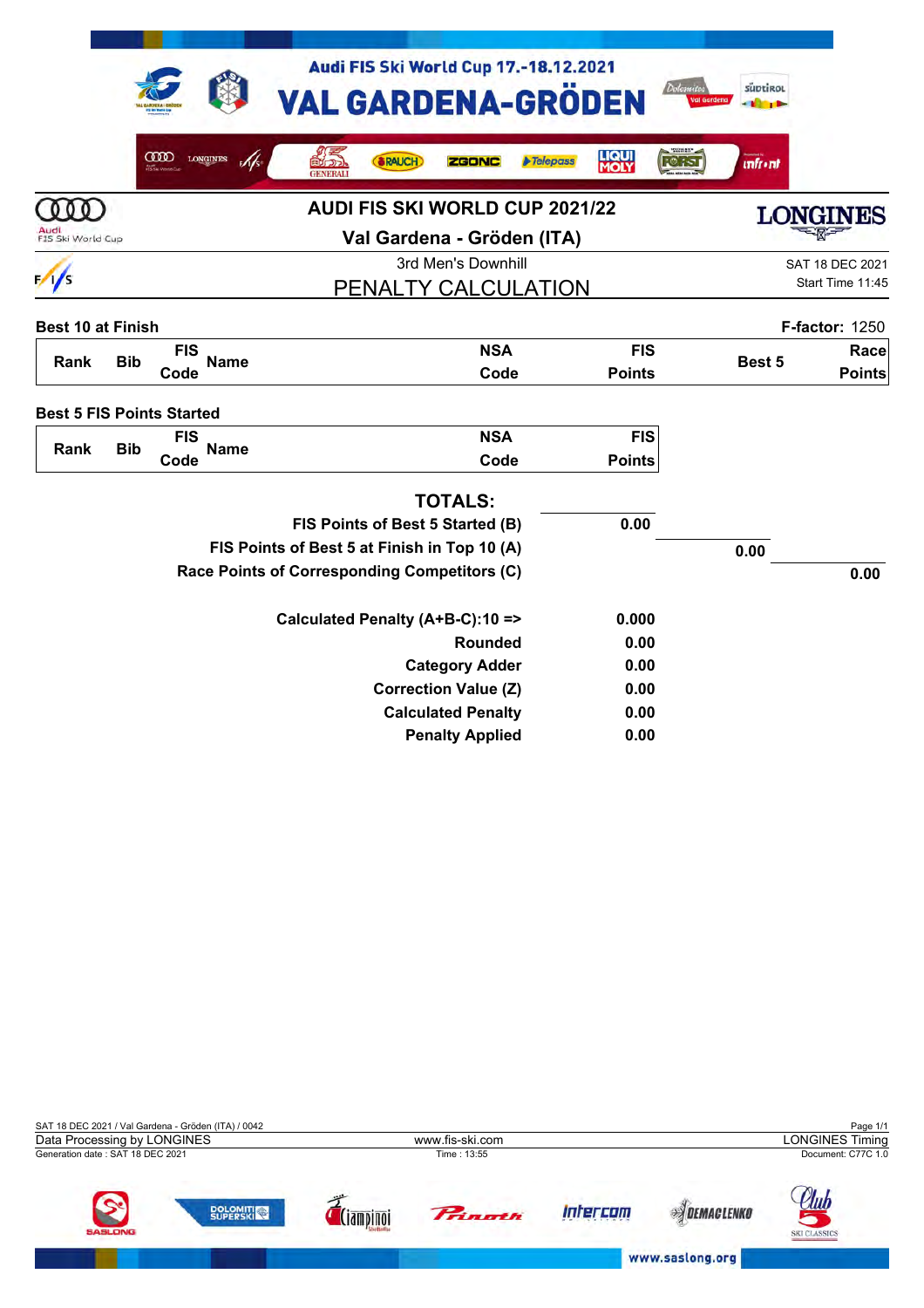|                                  |            |             |                 | <b>VAL GARDENA-GRÖDEN</b>                    |               | Audi FIS Ski World Cup 17.-18.12.2021 |                 |                      | Dolomites<br>Jal Garde | süptirot<br><b>CONTRACTOR</b> |                       |
|----------------------------------|------------|-------------|-----------------|----------------------------------------------|---------------|---------------------------------------|-----------------|----------------------|------------------------|-------------------------------|-----------------------|
|                                  |            | <b>COOD</b> | <b>LONGINES</b> | 03                                           | <b>SRAUCH</b> | <b>ZGONC</b>                          | <b>Felepass</b> | <b>LIQUI</b><br>MOLY | <b>FORST</b>           | <b>infr</b> •nt               |                       |
|                                  |            |             |                 |                                              |               | <b>AUDI FIS SKI WORLD CUP 2021/22</b> |                 |                      |                        |                               |                       |
| FIS Ski World Cup                |            |             |                 |                                              |               | Val Gardena - Gröden (ITA)            |                 |                      |                        |                               |                       |
|                                  |            |             |                 |                                              |               | 3rd Men's Downhill                    |                 |                      |                        |                               | SAT 18 DEC 2021       |
| $\frac{1}{s}$                    |            |             |                 |                                              |               | PENALTY CALCULATION                   |                 |                      |                        |                               | Start Time 11:45      |
| <b>Best 10 at Finish</b>         |            |             |                 |                                              |               |                                       |                 |                      |                        |                               | <b>F-factor: 1250</b> |
| Rank                             | <b>Bib</b> | <b>FIS</b>  | <b>Name</b>     |                                              |               | <b>NSA</b>                            |                 | <b>FIS</b>           |                        | Best 5                        | Race                  |
|                                  |            | Code        |                 |                                              |               | Code                                  |                 | <b>Points</b>        |                        |                               | <b>Points</b>         |
| <b>Best 5 FIS Points Started</b> |            |             |                 |                                              |               |                                       |                 |                      |                        |                               |                       |
|                                  |            | <b>FIS</b>  |                 |                                              |               | <b>NSA</b>                            |                 | <b>FIS</b>           |                        |                               |                       |
| <b>Rank</b>                      | <b>Bib</b> | Code        | <b>Name</b>     |                                              |               | Code                                  |                 | <b>Points</b>        |                        |                               |                       |
|                                  |            |             |                 |                                              |               | <b>TOTALS:</b>                        |                 |                      |                        |                               |                       |
|                                  |            |             |                 |                                              |               | FIS Points of Best 5 Started (B)      |                 | 0.00                 |                        |                               |                       |
|                                  |            |             |                 | FIS Points of Best 5 at Finish in Top 10 (A) |               |                                       |                 |                      | 0.00                   |                               |                       |
|                                  |            |             |                 | Race Points of Corresponding Competitors (C) |               |                                       |                 |                      |                        |                               | 0.00                  |
|                                  |            |             |                 | Calculated Penalty (A+B-C):10 =>             |               |                                       |                 | 0.000                |                        |                               |                       |
|                                  |            |             |                 |                                              |               | <b>Rounded</b>                        |                 | 0.00                 |                        |                               |                       |
|                                  |            |             |                 |                                              |               | <b>Category Adder</b>                 |                 | 0.00                 |                        |                               |                       |
|                                  |            |             |                 |                                              |               | <b>Correction Value (Z)</b>           |                 | 0.00                 |                        |                               |                       |
|                                  |            |             |                 |                                              |               | <b>Calculated Penalty</b>             |                 | 0.00                 |                        |                               |                       |
|                                  |            |             |                 |                                              |               | <b>Penalty Applied</b>                |                 | 0.00                 |                        |                               |                       |

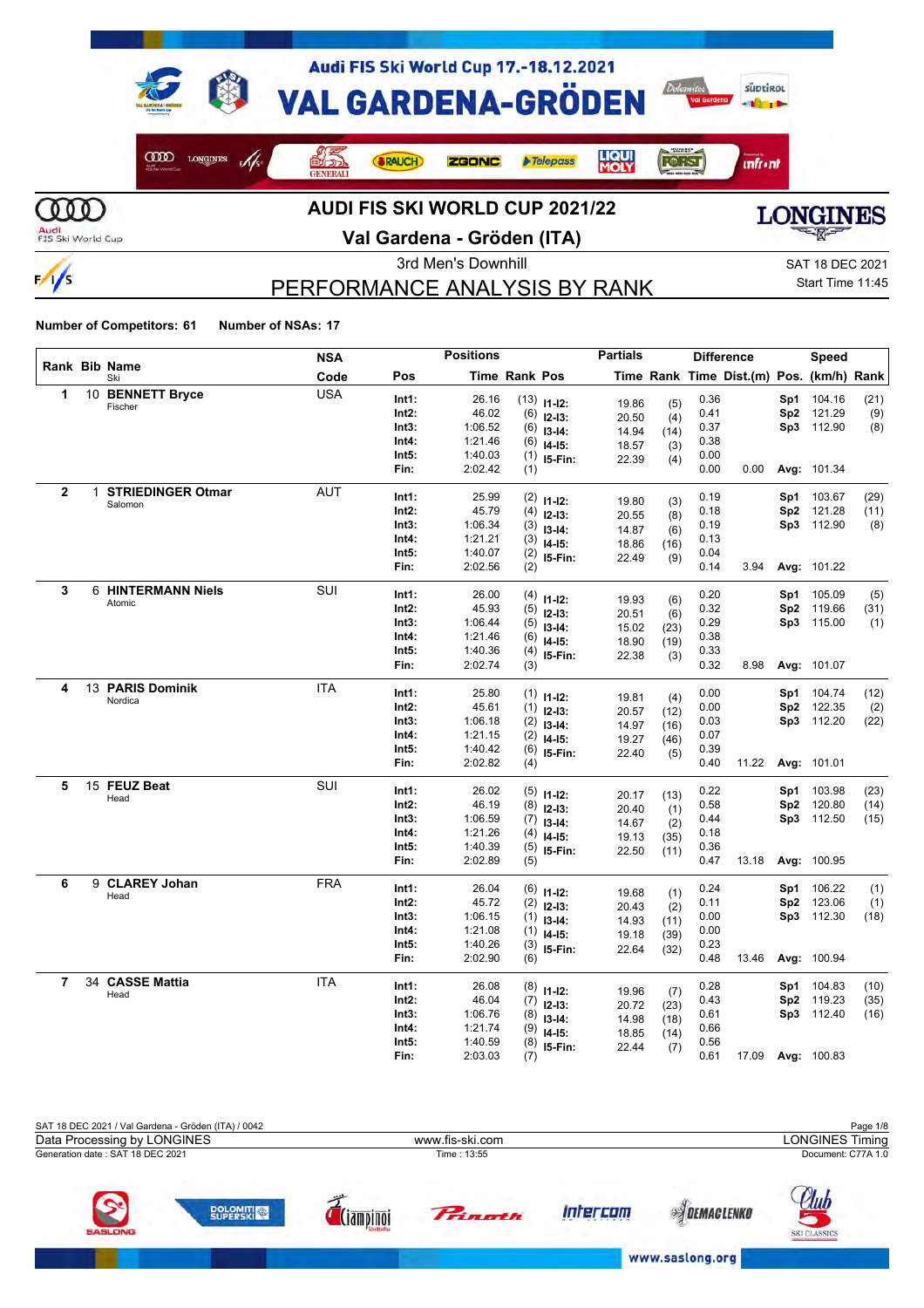

 $\frac{1}{s}$ 

**Val Gardena - Gröden (ITA)**

**LONGINES** 

3rd Men's Downhill SAT 18 DEC 2021

# PERFORMANCE ANALYSIS BY RANK

Start Time 11:45

|                |   | Rank Bib Name             | <b>NSA</b> |       | <b>Positions</b> |                      |               | <b>Partials</b> |              | <b>Difference</b> |                                          |                 | <b>Speed</b> |      |
|----------------|---|---------------------------|------------|-------|------------------|----------------------|---------------|-----------------|--------------|-------------------|------------------------------------------|-----------------|--------------|------|
|                |   | Ski                       | Code       | Pos   |                  | <b>Time Rank Pos</b> |               |                 |              |                   | Time Rank Time Dist.(m) Pos. (km/h) Rank |                 |              |      |
| 1              |   | 10 BENNETT Bryce          | <b>USA</b> | Int1: | 26.16            |                      | $(13)$ 11-12: | 19.86           | (5)          | 0.36              |                                          | Sp1             | 104.16       | (21) |
|                |   | Fischer                   |            | Int2: | 46.02            |                      | $(6)$ 12-13:  | 20.50           | (4)          | 0.41              |                                          | Sp <sub>2</sub> | 121.29       | (9)  |
|                |   |                           |            | Int3: | 1:06.52          |                      | $(6)$ 13-14:  | 14.94           | (14)         | 0.37              |                                          | Sp3             | 112.90       | (8)  |
|                |   |                           |            | Int4: | 1:21.46          | (6)                  | $14-15:$      | 18.57           | (3)          | 0.38              |                                          |                 |              |      |
|                |   |                           |            | Int5: | 1:40.03          |                      | $(1)$ 15-Fin: | 22.39           | (4)          | 0.00              |                                          |                 |              |      |
|                |   |                           |            | Fin:  | 2:02.42          | (1)                  |               |                 |              | 0.00              | 0.00                                     |                 | Avg: 101.34  |      |
| $\mathbf{2}$   | 1 | <b>STRIEDINGER Otmar</b>  | <b>AUT</b> | Int1: | 25.99            |                      | $(2)$ 11-12:  |                 |              | 0.19              |                                          | Sp1             | 103.67       | (29) |
|                |   | Salomon                   |            | Int2: | 45.79            |                      | $(4)$ 12-13:  | 19.80<br>20.55  | (3)          | 0.18              |                                          | Sp2             | 121.28       | (11) |
|                |   |                           |            | Int3: | 1:06.34          |                      | $(3)$ 13-14:  | 14.87           | (8)<br>(6)   | 0.19              |                                          | Sp3             | 112.90       | (8)  |
|                |   |                           |            | Int4: | 1:21.21          | (3)                  | $14-15:$      | 18.86           | (16)         | 0.13              |                                          |                 |              |      |
|                |   |                           |            | Int5: | 1:40.07          |                      | $(2)$ 15-Fin: | 22.49           | (9)          | 0.04              |                                          |                 |              |      |
|                |   |                           |            | Fin:  | 2:02.56          | (2)                  |               |                 |              | 0.14              | 3.94                                     |                 | Avg: 101.22  |      |
| 3              |   | <b>6 HINTERMANN Niels</b> | SUI        | Int1: | 26.00            |                      | $(4)$ 11-12:  |                 |              | 0.20              |                                          | Sp1             | 105.09       | (5)  |
|                |   | Atomic                    |            | Int2: | 45.93            | (5)                  | $12-13:$      | 19.93<br>20.51  | (6)          | 0.32              |                                          | Sp2             | 119.66       | (31) |
|                |   |                           |            | Int3: | 1:06.44          | (5)                  | $13-14:$      | 15.02           | (6)          | 0.29              |                                          | Sp3             | 115.00       | (1)  |
|                |   |                           |            | Int4: | 1:21.46          | (6)                  | $14 - 15$ :   | 18.90           | (23)<br>(19) | 0.38              |                                          |                 |              |      |
|                |   |                           |            | Int5: | 1:40.36          |                      | $(4)$ 15-Fin: | 22.38           | (3)          | 0.33              |                                          |                 |              |      |
|                |   |                           |            | Fin:  | 2:02.74          | (3)                  |               |                 |              | 0.32              | 8.98                                     |                 | Avg: 101.07  |      |
| 4              |   | 13 PARIS Dominik          | <b>ITA</b> | Int1: | 25.80            |                      | $(1)$ 11-12:  |                 |              | 0.00              |                                          | Sp1             | 104.74       | (12) |
|                |   | Nordica                   |            | Int2: | 45.61            |                      | $(1)$ 12-13:  | 19.81           | (4)          | 0.00              |                                          | Sp2             | 122.35       | (2)  |
|                |   |                           |            | Int3: | 1:06.18          |                      | $(2)$ 13-14:  | 20.57<br>14.97  | (12)         | 0.03              |                                          | Sp3             | 112.20       | (22) |
|                |   |                           |            | Int4: | 1:21.15          |                      | $(2)$ 14-15:  | 19.27           | (16)<br>(46) | 0.07              |                                          |                 |              |      |
|                |   |                           |            | Int5: | 1:40.42          | (6)                  | 15-Fin:       | 22.40           | (5)          | 0.39              |                                          |                 |              |      |
|                |   |                           |            | Fin:  | 2:02.82          | (4)                  |               |                 |              | 0.40              | 11.22                                    |                 | Avg: 101.01  |      |
| 5              |   | 15 FEUZ Beat              | SUI        | Int1: | 26.02            |                      | $(5)$ 11-12:  |                 |              | 0.22              |                                          | Sp1             | 103.98       | (23) |
|                |   | Head                      |            | Int2: | 46.19            | (8)                  | $12-13:$      | 20.17<br>20.40  | (13)         | 0.58              |                                          | Sp2             | 120.80       | (14) |
|                |   |                           |            | Int3: | 1:06.59          |                      | $(7)$ 13-14:  | 14.67           | (1)<br>(2)   | 0.44              |                                          | Sp3             | 112.50       | (15) |
|                |   |                           |            | Int4: | 1:21.26          | (4)                  | $14 - 15$ :   | 19.13           | (35)         | 0.18              |                                          |                 |              |      |
|                |   |                           |            | Int5: | 1:40.39          | (5)                  | 15-Fin:       | 22.50           | (11)         | 0.36              |                                          |                 |              |      |
|                |   |                           |            | Fin:  | 2:02.89          | (5)                  |               |                 |              | 0.47              | 13.18                                    |                 | Avg: 100.95  |      |
| 6              | 9 | <b>CLAREY Johan</b>       | <b>FRA</b> | Int1: | 26.04            |                      | $(6)$ 11-12:  |                 |              | 0.24              |                                          | Sp1             | 106.22       | (1)  |
|                |   | Head                      |            | Int2: | 45.72            |                      | $(2)$ 12-13:  | 19.68           | (1)          | 0.11              |                                          | Sp2             | 123.06       | (1)  |
|                |   |                           |            | Int3: | 1:06.15          | (1)                  | $13-14:$      | 20.43           | (2)          | 0.00              |                                          | Sp3             | 112.30       | (18) |
|                |   |                           |            | Int4: | 1:21.08          |                      | $(1)$ 14-15:  | 14.93           | (11)         | 0.00              |                                          |                 |              |      |
|                |   |                           |            | Int5: | 1:40.26          |                      | $(3)$ 15-Fin: | 19.18<br>22.64  | (39)         | 0.23              |                                          |                 |              |      |
|                |   |                           |            | Fin:  | 2:02.90          | (6)                  |               |                 | (32)         | 0.48              | 13.46                                    |                 | Avg: 100.94  |      |
| $\overline{7}$ |   | 34 CASSE Mattia           | <b>ITA</b> | Int1: | 26.08            |                      | $(8)$ 11-12:  |                 |              | 0.28              |                                          | Sp1             | 104.83       | (10) |
|                |   | Head                      |            | Int2: | 46.04            |                      | $(7)$ 12-13:  | 19.96           | (7)          | 0.43              |                                          | Sp2             | 119.23       | (35) |
|                |   |                           |            | Int3: | 1:06.76          | (8)                  | $13-14:$      | 20.72           | (23)         | 0.61              |                                          | Sp3             | 112.40       | (16) |
|                |   |                           |            | Int4: | 1:21.74          | (9)                  | $14-15$ :     | 14.98           | (18)         | 0.66              |                                          |                 |              |      |
|                |   |                           |            | Int5: | 1:40.59          | (8)                  | 15-Fin:       | 18.85           | (14)         | 0.56              |                                          |                 |              |      |
|                |   |                           |            | Fin:  | 2:03.03          | (7)                  |               | 22.44           | (7)          | 0.61              | 17.09                                    |                 | Avg: 100.83  |      |

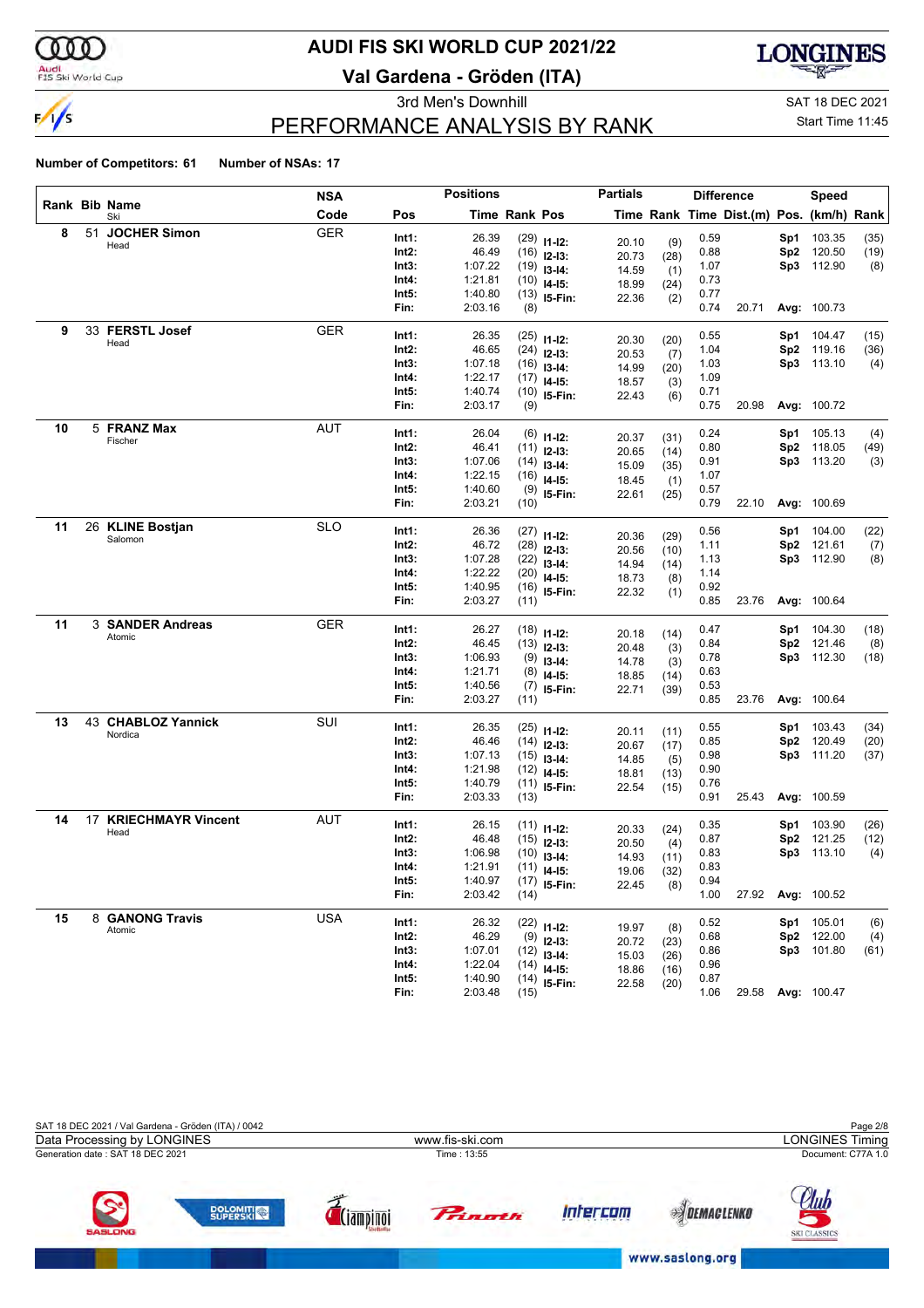

# **AUDI FIS SKI WORLD CUP 2021/22**

**Val Gardena - Gröden (ITA)**



3rd Men's Downhill Same Communication of the SAT 18 DEC 2021

Start Time 11:45

# PERFORMANCE ANALYSIS BY RANK

|    |    |                       | <b>NSA</b> |                | <b>Positions</b>   |                      |                               | <b>Partials</b> |             |              | <b>Difference</b>                        |            | Speed                    |            |
|----|----|-----------------------|------------|----------------|--------------------|----------------------|-------------------------------|-----------------|-------------|--------------|------------------------------------------|------------|--------------------------|------------|
|    |    | Rank Bib Name<br>Ski  | Code       | Pos            |                    | <b>Time Rank Pos</b> |                               |                 |             |              | Time Rank Time Dist.(m) Pos. (km/h) Rank |            |                          |            |
| 8  | 51 | <b>JOCHER Simon</b>   | <b>GER</b> | Int1:          | 26.39              |                      | $(29)$ 11-12:                 | 20.10           | (9)         | 0.59         |                                          | Sp1        | 103.35                   | (35)       |
|    |    | Head                  |            | Int2:          | 46.49              |                      | $(16)$ 12-13:                 | 20.73           | (28)        | 0.88         |                                          | Sp2        | 120.50                   | (19)       |
|    |    |                       |            | Int3:          | 1:07.22            |                      | $(19)$ 13-14:                 | 14.59           | (1)         | 1.07         |                                          |            | Sp3 112.90               | (8)        |
|    |    |                       |            | Int4:          | 1:21.81            |                      | $(10)$ 14-15:                 | 18.99           | (24)        | 0.73         |                                          |            |                          |            |
|    |    |                       |            | Int5:          | 1:40.80            |                      | $(13)$ 15-Fin:                | 22.36           | (2)         | 0.77         |                                          |            |                          |            |
|    |    |                       |            | Fin:           | 2:03.16            | (8)                  |                               |                 |             | 0.74         | 20.71                                    |            | Avg: 100.73              |            |
| 9  |    | 33 FERSTL Josef       | <b>GER</b> | Int1:          | 26.35              |                      | $(25)$ 11-12:                 |                 |             | 0.55         |                                          | Sp1        | 104.47                   | (15)       |
|    |    | Head                  |            | Int2:          | 46.65              |                      | $(24)$ 12-13:                 | 20.30<br>20.53  | (20)        | 1.04         |                                          | Sp2        | 119.16                   | (36)       |
|    |    |                       |            | Int3:          | 1:07.18            |                      | $(16)$ 13-14:                 | 14.99           | (7)<br>(20) | 1.03         |                                          |            | Sp3 113.10               | (4)        |
|    |    |                       |            | Int4:          | 1:22.17            |                      | $(17)$ 14-15:                 | 18.57           | (3)         | 1.09         |                                          |            |                          |            |
|    |    |                       |            | Int5:          | 1:40.74            |                      | $(10)$ 15-Fin:                | 22.43           | (6)         | 0.71         |                                          |            |                          |            |
|    |    |                       |            | Fin:           | 2:03.17            | (9)                  |                               |                 |             | 0.75         | 20.98                                    |            | Avg: 100.72              |            |
| 10 |    | 5 FRANZ Max           | AUT        | Int1:          | 26.04              |                      |                               |                 |             | 0.24         |                                          | Sp1        | 105.13                   | (4)        |
|    |    | Fischer               |            | Int2:          | 46.41              |                      | $(6)$ 11-12:<br>$(11)$ 12-13: | 20.37           | (31)        | 0.80         |                                          | Sp2        | 118.05                   | (49)       |
|    |    |                       |            | Int3:          | 1:07.06            |                      | $(14)$ 13-14:                 | 20.65           | (14)        | 0.91         |                                          |            | Sp3 113.20               | (3)        |
|    |    |                       |            | Int4:          | 1:22.15            |                      | $(16)$ 14-15:                 | 15.09           | (35)        | 1.07         |                                          |            |                          |            |
|    |    |                       |            | Int5:          | 1:40.60            |                      | $(9)$ 15-Fin:                 | 18.45           | (1)         | 0.57         |                                          |            |                          |            |
|    |    |                       |            | Fin:           | 2:03.21            | (10)                 |                               | 22.61           | (25)        | 0.79         | 22.10                                    |            | Avg: 100.69              |            |
| 11 |    | 26 KLINE Bostjan      | <b>SLO</b> |                |                    |                      |                               |                 |             |              |                                          |            |                          |            |
|    |    | Salomon               |            | Int1:<br>Int2: | 26.36<br>46.72     |                      | $(27)$ 11-12:                 | 20.36           | (29)        | 0.56<br>1.11 |                                          | Sp1<br>Sp2 | 104.00<br>121.61         | (22)       |
|    |    |                       |            | Int3:          | 1:07.28            |                      | $(28)$ 12-13:                 | 20.56           | (10)        | 1.13         |                                          |            | Sp3 112.90               | (7)<br>(8) |
|    |    |                       |            | Int4:          | 1:22.22            |                      | $(22)$ 13-14:                 | 14.94           | (14)        | 1.14         |                                          |            |                          |            |
|    |    |                       |            | Int5:          | 1:40.95            |                      | $(20)$ 14-15:                 | 18.73           | (8)         | 0.92         |                                          |            |                          |            |
|    |    |                       |            | Fin:           | 2:03.27            | (11)                 | $(16)$ 15-Fin:                | 22.32           | (1)         | 0.85         | 23.76                                    |            | Avg: 100.64              |            |
| 11 |    | 3 SANDER Andreas      | <b>GER</b> |                |                    |                      |                               |                 |             |              |                                          |            |                          |            |
|    |    | Atomic                |            | Int1:          | 26.27              |                      | $(18)$ 11-12:                 | 20.18           | (14)        | 0.47         |                                          | Sp1        | 104.30                   | (18)       |
|    |    |                       |            | Int2:          | 46.45              |                      | $(13)$ 12-13:                 | 20.48           | (3)         | 0.84         |                                          | Sp2        | 121.46                   | (8)        |
|    |    |                       |            | Int3:<br>Int4: | 1:06.93<br>1:21.71 |                      | $(9)$ 13-14:                  | 14.78           | (3)         | 0.78<br>0.63 |                                          |            | Sp3 112.30               | (18)       |
|    |    |                       |            | Int5:          | 1:40.56            |                      | $(8)$ 14-15:                  | 18.85           | (14)        | 0.53         |                                          |            |                          |            |
|    |    |                       |            | Fin:           | 2:03.27            | (11)                 | $(7)$ 15-Fin:                 | 22.71           | (39)        | 0.85         | 23.76                                    |            | Avg: 100.64              |            |
| 13 |    | 43 CHABLOZ Yannick    | SUI        |                |                    |                      |                               |                 |             |              |                                          |            |                          |            |
|    |    | Nordica               |            | Int1:          | 26.35              |                      | $(25)$ 11-12:                 | 20.11           | (11)        | 0.55         |                                          | Sp1        | 103.43                   | (34)       |
|    |    |                       |            | Int2:          | 46.46              |                      | $(14)$ 12-13:                 | 20.67           | (17)        | 0.85         |                                          | Sp2        | 120.49                   | (20)       |
|    |    |                       |            | Int3:          | 1:07.13            |                      | $(15)$ 13-14:                 | 14.85           | (5)         | 0.98         |                                          |            | Sp3 111.20               | (37)       |
|    |    |                       |            | Int4:          | 1:21.98<br>1:40.79 |                      | $(12)$ 14-15:                 | 18.81           | (13)        | 0.90<br>0.76 |                                          |            |                          |            |
|    |    |                       |            | Int5:<br>Fin:  | 2:03.33            | (13)                 | $(11)$ 15-Fin:                | 22.54           | (15)        | 0.91         | 25.43                                    |            | Avg: 100.59              |            |
| 14 |    | 17 KRIECHMAYR Vincent | AUT        |                |                    |                      |                               |                 |             |              |                                          |            |                          |            |
|    |    | Head                  |            | Int1:          | 26.15              |                      | $(11)$ $11-12$ :              | 20.33           | (24)        | 0.35         |                                          | Sp1        | 103.90                   | (26)       |
|    |    |                       |            | Int2:          | 46.48              |                      | $(15)$ 12-13:                 | 20.50           | (4)         | 0.87         |                                          | Sp2        | 121.25                   | (12)       |
|    |    |                       |            | Int3:<br>Int4: | 1:06.98<br>1:21.91 |                      | $(10)$ 13-14:                 | 14.93           | (11)        | 0.83<br>0.83 |                                          | Sp3        | 113.10                   | (4)        |
|    |    |                       |            | Int5:          | 1:40.97            |                      | $(11)$ 14-15:                 | 19.06           | (32)        | 0.94         |                                          |            |                          |            |
|    |    |                       |            | Fin:           | 2:03.42            | (14)                 | $(17)$ 15-Fin:                | 22.45           | (8)         | 1.00         | 27.92                                    |            | Avg: 100.52              |            |
| 15 |    | 8 GANONG Travis       | <b>USA</b> |                |                    |                      |                               |                 |             |              |                                          |            |                          |            |
|    |    | Atomic                |            | Int1:          | 26.32              |                      | $(22)$ 11-12:                 | 19.97           | (8)         | 0.52         |                                          |            | Sp1 105.01               | (6)        |
|    |    |                       |            | Int2:          | 46.29<br>1:07.01   |                      | $(9)$ 12-13:                  | 20.72           | (23)        | 0.68         |                                          |            | Sp2 122.00<br>Sp3 101.80 | (4)        |
|    |    |                       |            | Int3:<br>Int4: | 1:22.04            |                      | $(12)$ 13-14:                 | 15.03           | (26)        | 0.86<br>0.96 |                                          |            |                          | (61)       |
|    |    |                       |            | Int5:          | 1:40.90            |                      | $(14)$ 14-15:                 | 18.86           | (16)        | 0.87         |                                          |            |                          |            |
|    |    |                       |            | Fin:           | 2:03.48            | (15)                 | $(14)$ 15-Fin:                | 22.58           | (20)        |              | 1.06 29.58 Avg: 100.47                   |            |                          |            |
|    |    |                       |            |                |                    |                      |                               |                 |             |              |                                          |            |                          |            |

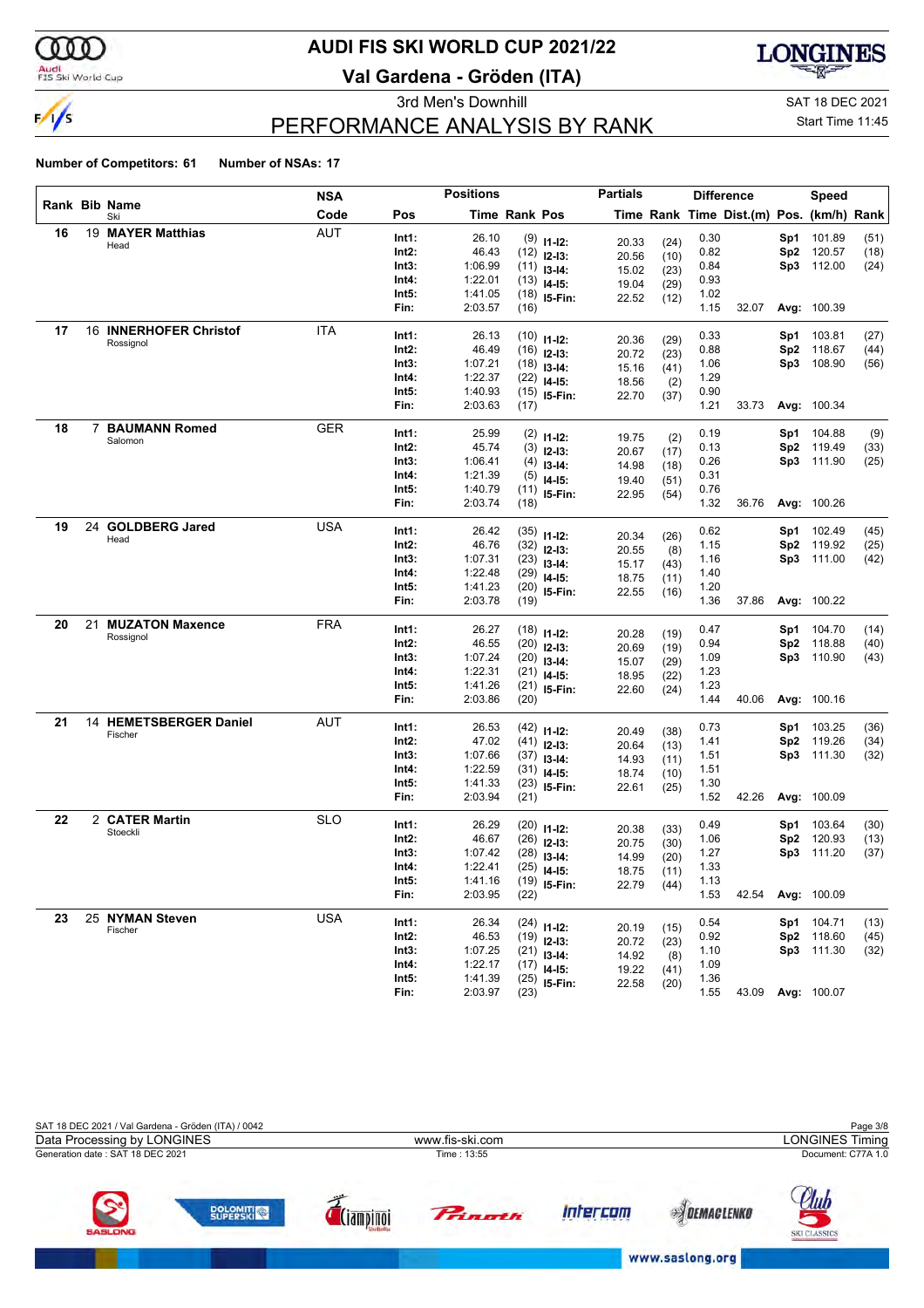

# **AUDI FIS SKI WORLD CUP 2021/22**

**Val Gardena - Gröden (ITA)**



3rd Men's Downhill Same Communication of the SAT 18 DEC 2021

### PERFORMANCE ANALYSIS BY RANK

Start Time 11:45

| Rank Bib Name<br>Code<br>Time Rank Pos<br>Time Rank Time Dist.(m) Pos. (km/h) Rank<br>Pos<br>Ski<br>19 MAYER Matthias<br><b>AUT</b><br>16<br>26.10<br>Int1:<br>0.30<br>101.89<br>$(9)$ 11-12:<br>Sp1<br>20.33<br>(24)<br>Head<br>46.43<br>0.82<br>Int2:<br>Sp <sub>2</sub><br>120.57<br>$(12)$ 12-13:<br>20.56<br>(10)<br>1:06.99<br>0.84<br>112.00<br>Int3:<br>Sp3<br>$(11)$ 13-14:<br>15.02<br>(23)<br>1:22.01<br>0.93<br>Int4:<br>$(13)$ 14-15:<br>19.04<br>(29)<br>1:41.05<br>Int5:<br>1.02<br>$(18)$ 15-Fin:<br>22.52<br>(12)<br>2:03.57<br>1.15<br>32.07<br>Fin:<br>Avg: 100.39<br>(16)<br>17<br>16 INNERHOFER Christof<br>ITA<br>0.33<br>Int1:<br>26.13<br>103.81<br>Sp1<br>$(10)$ 11-12:<br>20.36<br>(29)<br>Rossignol<br>46.49<br>0.88<br>118.67<br>Int2:<br>$(16)$ 12-13:<br>Sp2<br>20.72<br>(23)<br>1:07.21<br>108.90<br>Int3:<br>1.06<br>Sp3<br>$(18)$ 13-14:<br>15.16<br>(41)<br>1:22.37<br>1.29<br>Int4:<br>$(22)$ 14-15:<br>18.56<br>(2)<br>1:40.93<br>0.90<br>Int5:<br>$(15)$ 15-Fin:<br>22.70<br>(37)<br>2:03.63<br>1.21<br>Fin:<br>33.73<br>Avg: 100.34<br>(17)<br>18<br>$\overline{7}$<br><b>BAUMANN Romed</b><br><b>GER</b><br>25.99<br>0.19<br>Int1:<br>104.88<br>$(2)$ 11-12:<br>Sp1<br>19.75<br>(2)<br>Salomon<br>45.74<br>0.13<br>119.49<br>Int2:<br>Sp <sub>2</sub><br>$(3)$ 12-13:<br>20.67<br>(17)<br>0.26<br>Int3:<br>1:06.41<br>111.90<br>Sp3<br>$(4)$ 13-14:<br>14.98<br>(18)<br>1:21.39<br>Int4:<br>0.31<br>$(5)$ 14-15:<br>19.40<br>(51)<br>1:40.79<br>Int5:<br>0.76<br>$(11)$ 15-Fin:<br>22.95<br>(54)<br>2:03.74<br>1.32<br>Fin:<br>36.76<br>Avg: 100.26<br>(18)<br><b>GOLDBERG Jared</b><br><b>USA</b><br>19<br>24<br>Int1:<br>26.42<br>0.62<br>102.49<br>Sp1<br>$(35)$ 11-12:<br>20.34<br>(26)<br>Head<br>46.76<br>1.15<br>119.92<br>Int2:<br>Sp <sub>2</sub><br>$(32)$ 12-13:<br>20.55<br>(8)<br>1:07.31<br>Int3:<br>1.16<br>Sp3 111.00<br>$(23)$ 13-14:<br>15.17<br>(43)<br>1:22.48<br>1.40<br>Int4:<br>$(29)$ 14-15:<br>18.75<br>(11)<br>1.20<br>Int5:<br>1:41.23<br>$(20)$ 15-Fin:<br>22.55<br>(16)<br>2:03.78<br>Fin:<br>1.36<br>37.86<br>Avg: 100.22<br>(19)<br><b>FRA</b><br>20<br>21<br><b>MUZATON Maxence</b><br>26.27<br>Int1:<br>0.47<br>104.70<br>$(18)$ $11-12$ :<br>Sp1<br>20.28<br>(19)<br>Rossignol<br>46.55<br>0.94<br>118.88<br>Int2:<br>Sp <sub>2</sub><br>$(20)$ 12-13:<br>20.69<br>(19)<br>1:07.24<br>1.09<br>Int3:<br>110.90<br>$(20)$ 13-14:<br>Sp3<br>15.07<br>(29)<br>1:22.31<br>1.23<br>Int4:<br>$(21)$ 14-15:<br>18.95<br>(22)<br>1:41.26<br>1.23<br>Int5:<br>$(21)$ 15-Fin:<br>22.60<br>(24)<br>2:03.86<br>1.44<br>Fin:<br>40.06<br>Avg: 100.16<br>(20)<br>21<br>14<br><b>HEMETSBERGER Daniel</b><br>AUT<br>Int1:<br>26.53<br>0.73<br>103.25<br>$(42)$ 11-12:<br>Sp1<br>20.49<br>(38)<br>Fischer<br>Int2:<br>47.02<br>1.41<br>119.26<br>Sp <sub>2</sub><br>$(41)$ 12-13:<br>20.64<br>(13)<br>1:07.66<br>Int3:<br>1.51<br>Sp3 111.30<br>$(37)$ 13-14:<br>14.93<br>(11)<br>1:22.59<br>1.51<br>Int4:<br>$(31)$ 14-15:<br>18.74<br>(10)<br>Int5:<br>1:41.33<br>1.30<br>$(23)$ 15-Fin:<br>22.61<br>(25)<br>2:03.94<br>1.52<br>Fin:<br>42.26<br>Avg: 100.09<br>(21)<br>2 CATER Martin<br><b>SLO</b><br>22<br>26.29<br>Int1:<br>0.49<br>103.64<br>$(20)$ 11-12:<br>Sp1<br>20.38<br>(33)<br>Stoeckli<br>46.67<br>1.06<br>Int2:<br>Sp <sub>2</sub><br>120.93<br>$(26)$ 12-13:<br>20.75<br>(30)<br>1:07.42<br>1.27<br>Int3:<br>111.20<br>Sp3<br>$(28)$ 13-14:<br>14.99<br>(20)<br>1:22.41<br>1.33<br>Int4:<br>$(25)$ 14-15:<br>18.75<br>(11)<br>1:41.16<br>1.13<br>Int5:<br>$(19)$ 15-Fin:<br>22.79<br>(44)<br>1.53<br>2:03.95<br>(22)<br>42.54<br>Avg: 100.09<br>Fin:<br><b>USA</b><br>25 NYMAN Steven<br>23<br>26.34<br>Int1:<br>0.54<br><b>Sp1</b> 104.71<br>$(24)$ 11-12:<br>20.19<br>(15)<br>Fischer<br>46.53<br>Sp2 118.60<br>Int2:<br>0.92<br>$(19)$ 12-13:<br>20.72<br>(23)<br>1:07.25<br>Sp3 111.30<br>Int3:<br>1.10<br>$(21)$ 13-14:<br>14.92<br>(8) |  | <b>NSA</b> |       | <b>Positions</b> |  | <b>Partials</b> |      | <b>Difference</b> | Speed |              |
|----------------------------------------------------------------------------------------------------------------------------------------------------------------------------------------------------------------------------------------------------------------------------------------------------------------------------------------------------------------------------------------------------------------------------------------------------------------------------------------------------------------------------------------------------------------------------------------------------------------------------------------------------------------------------------------------------------------------------------------------------------------------------------------------------------------------------------------------------------------------------------------------------------------------------------------------------------------------------------------------------------------------------------------------------------------------------------------------------------------------------------------------------------------------------------------------------------------------------------------------------------------------------------------------------------------------------------------------------------------------------------------------------------------------------------------------------------------------------------------------------------------------------------------------------------------------------------------------------------------------------------------------------------------------------------------------------------------------------------------------------------------------------------------------------------------------------------------------------------------------------------------------------------------------------------------------------------------------------------------------------------------------------------------------------------------------------------------------------------------------------------------------------------------------------------------------------------------------------------------------------------------------------------------------------------------------------------------------------------------------------------------------------------------------------------------------------------------------------------------------------------------------------------------------------------------------------------------------------------------------------------------------------------------------------------------------------------------------------------------------------------------------------------------------------------------------------------------------------------------------------------------------------------------------------------------------------------------------------------------------------------------------------------------------------------------------------------------------------------------------------------------------------------------------------------------------------------------------------------------------------------------------------------------------------------------------------------------------------------------------------------------------------------------------------------------------------------------------------------------------------------------------------------------------------------------------------------------------------------------------------------------------------------------------------------------------------------------------------------------------------------------------------------------------------------------------------------------------------------------------------------------------------------------------|--|------------|-------|------------------|--|-----------------|------|-------------------|-------|--------------|
|                                                                                                                                                                                                                                                                                                                                                                                                                                                                                                                                                                                                                                                                                                                                                                                                                                                                                                                                                                                                                                                                                                                                                                                                                                                                                                                                                                                                                                                                                                                                                                                                                                                                                                                                                                                                                                                                                                                                                                                                                                                                                                                                                                                                                                                                                                                                                                                                                                                                                                                                                                                                                                                                                                                                                                                                                                                                                                                                                                                                                                                                                                                                                                                                                                                                                                                                                                                                                                                                                                                                                                                                                                                                                                                                                                                                                                                                                                                      |  |            |       |                  |  |                 |      |                   |       |              |
|                                                                                                                                                                                                                                                                                                                                                                                                                                                                                                                                                                                                                                                                                                                                                                                                                                                                                                                                                                                                                                                                                                                                                                                                                                                                                                                                                                                                                                                                                                                                                                                                                                                                                                                                                                                                                                                                                                                                                                                                                                                                                                                                                                                                                                                                                                                                                                                                                                                                                                                                                                                                                                                                                                                                                                                                                                                                                                                                                                                                                                                                                                                                                                                                                                                                                                                                                                                                                                                                                                                                                                                                                                                                                                                                                                                                                                                                                                                      |  |            |       |                  |  |                 |      |                   |       | (51)         |
|                                                                                                                                                                                                                                                                                                                                                                                                                                                                                                                                                                                                                                                                                                                                                                                                                                                                                                                                                                                                                                                                                                                                                                                                                                                                                                                                                                                                                                                                                                                                                                                                                                                                                                                                                                                                                                                                                                                                                                                                                                                                                                                                                                                                                                                                                                                                                                                                                                                                                                                                                                                                                                                                                                                                                                                                                                                                                                                                                                                                                                                                                                                                                                                                                                                                                                                                                                                                                                                                                                                                                                                                                                                                                                                                                                                                                                                                                                                      |  |            |       |                  |  |                 |      |                   |       | (18)         |
|                                                                                                                                                                                                                                                                                                                                                                                                                                                                                                                                                                                                                                                                                                                                                                                                                                                                                                                                                                                                                                                                                                                                                                                                                                                                                                                                                                                                                                                                                                                                                                                                                                                                                                                                                                                                                                                                                                                                                                                                                                                                                                                                                                                                                                                                                                                                                                                                                                                                                                                                                                                                                                                                                                                                                                                                                                                                                                                                                                                                                                                                                                                                                                                                                                                                                                                                                                                                                                                                                                                                                                                                                                                                                                                                                                                                                                                                                                                      |  |            |       |                  |  |                 |      |                   |       | (24)         |
|                                                                                                                                                                                                                                                                                                                                                                                                                                                                                                                                                                                                                                                                                                                                                                                                                                                                                                                                                                                                                                                                                                                                                                                                                                                                                                                                                                                                                                                                                                                                                                                                                                                                                                                                                                                                                                                                                                                                                                                                                                                                                                                                                                                                                                                                                                                                                                                                                                                                                                                                                                                                                                                                                                                                                                                                                                                                                                                                                                                                                                                                                                                                                                                                                                                                                                                                                                                                                                                                                                                                                                                                                                                                                                                                                                                                                                                                                                                      |  |            |       |                  |  |                 |      |                   |       |              |
|                                                                                                                                                                                                                                                                                                                                                                                                                                                                                                                                                                                                                                                                                                                                                                                                                                                                                                                                                                                                                                                                                                                                                                                                                                                                                                                                                                                                                                                                                                                                                                                                                                                                                                                                                                                                                                                                                                                                                                                                                                                                                                                                                                                                                                                                                                                                                                                                                                                                                                                                                                                                                                                                                                                                                                                                                                                                                                                                                                                                                                                                                                                                                                                                                                                                                                                                                                                                                                                                                                                                                                                                                                                                                                                                                                                                                                                                                                                      |  |            |       |                  |  |                 |      |                   |       |              |
|                                                                                                                                                                                                                                                                                                                                                                                                                                                                                                                                                                                                                                                                                                                                                                                                                                                                                                                                                                                                                                                                                                                                                                                                                                                                                                                                                                                                                                                                                                                                                                                                                                                                                                                                                                                                                                                                                                                                                                                                                                                                                                                                                                                                                                                                                                                                                                                                                                                                                                                                                                                                                                                                                                                                                                                                                                                                                                                                                                                                                                                                                                                                                                                                                                                                                                                                                                                                                                                                                                                                                                                                                                                                                                                                                                                                                                                                                                                      |  |            |       |                  |  |                 |      |                   |       |              |
|                                                                                                                                                                                                                                                                                                                                                                                                                                                                                                                                                                                                                                                                                                                                                                                                                                                                                                                                                                                                                                                                                                                                                                                                                                                                                                                                                                                                                                                                                                                                                                                                                                                                                                                                                                                                                                                                                                                                                                                                                                                                                                                                                                                                                                                                                                                                                                                                                                                                                                                                                                                                                                                                                                                                                                                                                                                                                                                                                                                                                                                                                                                                                                                                                                                                                                                                                                                                                                                                                                                                                                                                                                                                                                                                                                                                                                                                                                                      |  |            |       |                  |  |                 |      |                   |       | (27)         |
|                                                                                                                                                                                                                                                                                                                                                                                                                                                                                                                                                                                                                                                                                                                                                                                                                                                                                                                                                                                                                                                                                                                                                                                                                                                                                                                                                                                                                                                                                                                                                                                                                                                                                                                                                                                                                                                                                                                                                                                                                                                                                                                                                                                                                                                                                                                                                                                                                                                                                                                                                                                                                                                                                                                                                                                                                                                                                                                                                                                                                                                                                                                                                                                                                                                                                                                                                                                                                                                                                                                                                                                                                                                                                                                                                                                                                                                                                                                      |  |            |       |                  |  |                 |      |                   |       | (44)         |
|                                                                                                                                                                                                                                                                                                                                                                                                                                                                                                                                                                                                                                                                                                                                                                                                                                                                                                                                                                                                                                                                                                                                                                                                                                                                                                                                                                                                                                                                                                                                                                                                                                                                                                                                                                                                                                                                                                                                                                                                                                                                                                                                                                                                                                                                                                                                                                                                                                                                                                                                                                                                                                                                                                                                                                                                                                                                                                                                                                                                                                                                                                                                                                                                                                                                                                                                                                                                                                                                                                                                                                                                                                                                                                                                                                                                                                                                                                                      |  |            |       |                  |  |                 |      |                   |       | (56)         |
|                                                                                                                                                                                                                                                                                                                                                                                                                                                                                                                                                                                                                                                                                                                                                                                                                                                                                                                                                                                                                                                                                                                                                                                                                                                                                                                                                                                                                                                                                                                                                                                                                                                                                                                                                                                                                                                                                                                                                                                                                                                                                                                                                                                                                                                                                                                                                                                                                                                                                                                                                                                                                                                                                                                                                                                                                                                                                                                                                                                                                                                                                                                                                                                                                                                                                                                                                                                                                                                                                                                                                                                                                                                                                                                                                                                                                                                                                                                      |  |            |       |                  |  |                 |      |                   |       |              |
|                                                                                                                                                                                                                                                                                                                                                                                                                                                                                                                                                                                                                                                                                                                                                                                                                                                                                                                                                                                                                                                                                                                                                                                                                                                                                                                                                                                                                                                                                                                                                                                                                                                                                                                                                                                                                                                                                                                                                                                                                                                                                                                                                                                                                                                                                                                                                                                                                                                                                                                                                                                                                                                                                                                                                                                                                                                                                                                                                                                                                                                                                                                                                                                                                                                                                                                                                                                                                                                                                                                                                                                                                                                                                                                                                                                                                                                                                                                      |  |            |       |                  |  |                 |      |                   |       |              |
|                                                                                                                                                                                                                                                                                                                                                                                                                                                                                                                                                                                                                                                                                                                                                                                                                                                                                                                                                                                                                                                                                                                                                                                                                                                                                                                                                                                                                                                                                                                                                                                                                                                                                                                                                                                                                                                                                                                                                                                                                                                                                                                                                                                                                                                                                                                                                                                                                                                                                                                                                                                                                                                                                                                                                                                                                                                                                                                                                                                                                                                                                                                                                                                                                                                                                                                                                                                                                                                                                                                                                                                                                                                                                                                                                                                                                                                                                                                      |  |            |       |                  |  |                 |      |                   |       |              |
|                                                                                                                                                                                                                                                                                                                                                                                                                                                                                                                                                                                                                                                                                                                                                                                                                                                                                                                                                                                                                                                                                                                                                                                                                                                                                                                                                                                                                                                                                                                                                                                                                                                                                                                                                                                                                                                                                                                                                                                                                                                                                                                                                                                                                                                                                                                                                                                                                                                                                                                                                                                                                                                                                                                                                                                                                                                                                                                                                                                                                                                                                                                                                                                                                                                                                                                                                                                                                                                                                                                                                                                                                                                                                                                                                                                                                                                                                                                      |  |            |       |                  |  |                 |      |                   |       | (9)          |
|                                                                                                                                                                                                                                                                                                                                                                                                                                                                                                                                                                                                                                                                                                                                                                                                                                                                                                                                                                                                                                                                                                                                                                                                                                                                                                                                                                                                                                                                                                                                                                                                                                                                                                                                                                                                                                                                                                                                                                                                                                                                                                                                                                                                                                                                                                                                                                                                                                                                                                                                                                                                                                                                                                                                                                                                                                                                                                                                                                                                                                                                                                                                                                                                                                                                                                                                                                                                                                                                                                                                                                                                                                                                                                                                                                                                                                                                                                                      |  |            |       |                  |  |                 |      |                   |       | (33)         |
|                                                                                                                                                                                                                                                                                                                                                                                                                                                                                                                                                                                                                                                                                                                                                                                                                                                                                                                                                                                                                                                                                                                                                                                                                                                                                                                                                                                                                                                                                                                                                                                                                                                                                                                                                                                                                                                                                                                                                                                                                                                                                                                                                                                                                                                                                                                                                                                                                                                                                                                                                                                                                                                                                                                                                                                                                                                                                                                                                                                                                                                                                                                                                                                                                                                                                                                                                                                                                                                                                                                                                                                                                                                                                                                                                                                                                                                                                                                      |  |            |       |                  |  |                 |      |                   |       | (25)         |
|                                                                                                                                                                                                                                                                                                                                                                                                                                                                                                                                                                                                                                                                                                                                                                                                                                                                                                                                                                                                                                                                                                                                                                                                                                                                                                                                                                                                                                                                                                                                                                                                                                                                                                                                                                                                                                                                                                                                                                                                                                                                                                                                                                                                                                                                                                                                                                                                                                                                                                                                                                                                                                                                                                                                                                                                                                                                                                                                                                                                                                                                                                                                                                                                                                                                                                                                                                                                                                                                                                                                                                                                                                                                                                                                                                                                                                                                                                                      |  |            |       |                  |  |                 |      |                   |       |              |
|                                                                                                                                                                                                                                                                                                                                                                                                                                                                                                                                                                                                                                                                                                                                                                                                                                                                                                                                                                                                                                                                                                                                                                                                                                                                                                                                                                                                                                                                                                                                                                                                                                                                                                                                                                                                                                                                                                                                                                                                                                                                                                                                                                                                                                                                                                                                                                                                                                                                                                                                                                                                                                                                                                                                                                                                                                                                                                                                                                                                                                                                                                                                                                                                                                                                                                                                                                                                                                                                                                                                                                                                                                                                                                                                                                                                                                                                                                                      |  |            |       |                  |  |                 |      |                   |       |              |
|                                                                                                                                                                                                                                                                                                                                                                                                                                                                                                                                                                                                                                                                                                                                                                                                                                                                                                                                                                                                                                                                                                                                                                                                                                                                                                                                                                                                                                                                                                                                                                                                                                                                                                                                                                                                                                                                                                                                                                                                                                                                                                                                                                                                                                                                                                                                                                                                                                                                                                                                                                                                                                                                                                                                                                                                                                                                                                                                                                                                                                                                                                                                                                                                                                                                                                                                                                                                                                                                                                                                                                                                                                                                                                                                                                                                                                                                                                                      |  |            |       |                  |  |                 |      |                   |       |              |
|                                                                                                                                                                                                                                                                                                                                                                                                                                                                                                                                                                                                                                                                                                                                                                                                                                                                                                                                                                                                                                                                                                                                                                                                                                                                                                                                                                                                                                                                                                                                                                                                                                                                                                                                                                                                                                                                                                                                                                                                                                                                                                                                                                                                                                                                                                                                                                                                                                                                                                                                                                                                                                                                                                                                                                                                                                                                                                                                                                                                                                                                                                                                                                                                                                                                                                                                                                                                                                                                                                                                                                                                                                                                                                                                                                                                                                                                                                                      |  |            |       |                  |  |                 |      |                   |       | (45)         |
|                                                                                                                                                                                                                                                                                                                                                                                                                                                                                                                                                                                                                                                                                                                                                                                                                                                                                                                                                                                                                                                                                                                                                                                                                                                                                                                                                                                                                                                                                                                                                                                                                                                                                                                                                                                                                                                                                                                                                                                                                                                                                                                                                                                                                                                                                                                                                                                                                                                                                                                                                                                                                                                                                                                                                                                                                                                                                                                                                                                                                                                                                                                                                                                                                                                                                                                                                                                                                                                                                                                                                                                                                                                                                                                                                                                                                                                                                                                      |  |            |       |                  |  |                 |      |                   |       | (25)         |
|                                                                                                                                                                                                                                                                                                                                                                                                                                                                                                                                                                                                                                                                                                                                                                                                                                                                                                                                                                                                                                                                                                                                                                                                                                                                                                                                                                                                                                                                                                                                                                                                                                                                                                                                                                                                                                                                                                                                                                                                                                                                                                                                                                                                                                                                                                                                                                                                                                                                                                                                                                                                                                                                                                                                                                                                                                                                                                                                                                                                                                                                                                                                                                                                                                                                                                                                                                                                                                                                                                                                                                                                                                                                                                                                                                                                                                                                                                                      |  |            |       |                  |  |                 |      |                   |       | (42)         |
|                                                                                                                                                                                                                                                                                                                                                                                                                                                                                                                                                                                                                                                                                                                                                                                                                                                                                                                                                                                                                                                                                                                                                                                                                                                                                                                                                                                                                                                                                                                                                                                                                                                                                                                                                                                                                                                                                                                                                                                                                                                                                                                                                                                                                                                                                                                                                                                                                                                                                                                                                                                                                                                                                                                                                                                                                                                                                                                                                                                                                                                                                                                                                                                                                                                                                                                                                                                                                                                                                                                                                                                                                                                                                                                                                                                                                                                                                                                      |  |            |       |                  |  |                 |      |                   |       |              |
|                                                                                                                                                                                                                                                                                                                                                                                                                                                                                                                                                                                                                                                                                                                                                                                                                                                                                                                                                                                                                                                                                                                                                                                                                                                                                                                                                                                                                                                                                                                                                                                                                                                                                                                                                                                                                                                                                                                                                                                                                                                                                                                                                                                                                                                                                                                                                                                                                                                                                                                                                                                                                                                                                                                                                                                                                                                                                                                                                                                                                                                                                                                                                                                                                                                                                                                                                                                                                                                                                                                                                                                                                                                                                                                                                                                                                                                                                                                      |  |            |       |                  |  |                 |      |                   |       |              |
|                                                                                                                                                                                                                                                                                                                                                                                                                                                                                                                                                                                                                                                                                                                                                                                                                                                                                                                                                                                                                                                                                                                                                                                                                                                                                                                                                                                                                                                                                                                                                                                                                                                                                                                                                                                                                                                                                                                                                                                                                                                                                                                                                                                                                                                                                                                                                                                                                                                                                                                                                                                                                                                                                                                                                                                                                                                                                                                                                                                                                                                                                                                                                                                                                                                                                                                                                                                                                                                                                                                                                                                                                                                                                                                                                                                                                                                                                                                      |  |            |       |                  |  |                 |      |                   |       |              |
|                                                                                                                                                                                                                                                                                                                                                                                                                                                                                                                                                                                                                                                                                                                                                                                                                                                                                                                                                                                                                                                                                                                                                                                                                                                                                                                                                                                                                                                                                                                                                                                                                                                                                                                                                                                                                                                                                                                                                                                                                                                                                                                                                                                                                                                                                                                                                                                                                                                                                                                                                                                                                                                                                                                                                                                                                                                                                                                                                                                                                                                                                                                                                                                                                                                                                                                                                                                                                                                                                                                                                                                                                                                                                                                                                                                                                                                                                                                      |  |            |       |                  |  |                 |      |                   |       |              |
|                                                                                                                                                                                                                                                                                                                                                                                                                                                                                                                                                                                                                                                                                                                                                                                                                                                                                                                                                                                                                                                                                                                                                                                                                                                                                                                                                                                                                                                                                                                                                                                                                                                                                                                                                                                                                                                                                                                                                                                                                                                                                                                                                                                                                                                                                                                                                                                                                                                                                                                                                                                                                                                                                                                                                                                                                                                                                                                                                                                                                                                                                                                                                                                                                                                                                                                                                                                                                                                                                                                                                                                                                                                                                                                                                                                                                                                                                                                      |  |            |       |                  |  |                 |      |                   |       | (14)<br>(40) |
|                                                                                                                                                                                                                                                                                                                                                                                                                                                                                                                                                                                                                                                                                                                                                                                                                                                                                                                                                                                                                                                                                                                                                                                                                                                                                                                                                                                                                                                                                                                                                                                                                                                                                                                                                                                                                                                                                                                                                                                                                                                                                                                                                                                                                                                                                                                                                                                                                                                                                                                                                                                                                                                                                                                                                                                                                                                                                                                                                                                                                                                                                                                                                                                                                                                                                                                                                                                                                                                                                                                                                                                                                                                                                                                                                                                                                                                                                                                      |  |            |       |                  |  |                 |      |                   |       | (43)         |
|                                                                                                                                                                                                                                                                                                                                                                                                                                                                                                                                                                                                                                                                                                                                                                                                                                                                                                                                                                                                                                                                                                                                                                                                                                                                                                                                                                                                                                                                                                                                                                                                                                                                                                                                                                                                                                                                                                                                                                                                                                                                                                                                                                                                                                                                                                                                                                                                                                                                                                                                                                                                                                                                                                                                                                                                                                                                                                                                                                                                                                                                                                                                                                                                                                                                                                                                                                                                                                                                                                                                                                                                                                                                                                                                                                                                                                                                                                                      |  |            |       |                  |  |                 |      |                   |       |              |
|                                                                                                                                                                                                                                                                                                                                                                                                                                                                                                                                                                                                                                                                                                                                                                                                                                                                                                                                                                                                                                                                                                                                                                                                                                                                                                                                                                                                                                                                                                                                                                                                                                                                                                                                                                                                                                                                                                                                                                                                                                                                                                                                                                                                                                                                                                                                                                                                                                                                                                                                                                                                                                                                                                                                                                                                                                                                                                                                                                                                                                                                                                                                                                                                                                                                                                                                                                                                                                                                                                                                                                                                                                                                                                                                                                                                                                                                                                                      |  |            |       |                  |  |                 |      |                   |       |              |
|                                                                                                                                                                                                                                                                                                                                                                                                                                                                                                                                                                                                                                                                                                                                                                                                                                                                                                                                                                                                                                                                                                                                                                                                                                                                                                                                                                                                                                                                                                                                                                                                                                                                                                                                                                                                                                                                                                                                                                                                                                                                                                                                                                                                                                                                                                                                                                                                                                                                                                                                                                                                                                                                                                                                                                                                                                                                                                                                                                                                                                                                                                                                                                                                                                                                                                                                                                                                                                                                                                                                                                                                                                                                                                                                                                                                                                                                                                                      |  |            |       |                  |  |                 |      |                   |       |              |
|                                                                                                                                                                                                                                                                                                                                                                                                                                                                                                                                                                                                                                                                                                                                                                                                                                                                                                                                                                                                                                                                                                                                                                                                                                                                                                                                                                                                                                                                                                                                                                                                                                                                                                                                                                                                                                                                                                                                                                                                                                                                                                                                                                                                                                                                                                                                                                                                                                                                                                                                                                                                                                                                                                                                                                                                                                                                                                                                                                                                                                                                                                                                                                                                                                                                                                                                                                                                                                                                                                                                                                                                                                                                                                                                                                                                                                                                                                                      |  |            |       |                  |  |                 |      |                   |       |              |
|                                                                                                                                                                                                                                                                                                                                                                                                                                                                                                                                                                                                                                                                                                                                                                                                                                                                                                                                                                                                                                                                                                                                                                                                                                                                                                                                                                                                                                                                                                                                                                                                                                                                                                                                                                                                                                                                                                                                                                                                                                                                                                                                                                                                                                                                                                                                                                                                                                                                                                                                                                                                                                                                                                                                                                                                                                                                                                                                                                                                                                                                                                                                                                                                                                                                                                                                                                                                                                                                                                                                                                                                                                                                                                                                                                                                                                                                                                                      |  |            |       |                  |  |                 |      |                   |       | (36)         |
|                                                                                                                                                                                                                                                                                                                                                                                                                                                                                                                                                                                                                                                                                                                                                                                                                                                                                                                                                                                                                                                                                                                                                                                                                                                                                                                                                                                                                                                                                                                                                                                                                                                                                                                                                                                                                                                                                                                                                                                                                                                                                                                                                                                                                                                                                                                                                                                                                                                                                                                                                                                                                                                                                                                                                                                                                                                                                                                                                                                                                                                                                                                                                                                                                                                                                                                                                                                                                                                                                                                                                                                                                                                                                                                                                                                                                                                                                                                      |  |            |       |                  |  |                 |      |                   |       | (34)<br>(32) |
|                                                                                                                                                                                                                                                                                                                                                                                                                                                                                                                                                                                                                                                                                                                                                                                                                                                                                                                                                                                                                                                                                                                                                                                                                                                                                                                                                                                                                                                                                                                                                                                                                                                                                                                                                                                                                                                                                                                                                                                                                                                                                                                                                                                                                                                                                                                                                                                                                                                                                                                                                                                                                                                                                                                                                                                                                                                                                                                                                                                                                                                                                                                                                                                                                                                                                                                                                                                                                                                                                                                                                                                                                                                                                                                                                                                                                                                                                                                      |  |            |       |                  |  |                 |      |                   |       |              |
|                                                                                                                                                                                                                                                                                                                                                                                                                                                                                                                                                                                                                                                                                                                                                                                                                                                                                                                                                                                                                                                                                                                                                                                                                                                                                                                                                                                                                                                                                                                                                                                                                                                                                                                                                                                                                                                                                                                                                                                                                                                                                                                                                                                                                                                                                                                                                                                                                                                                                                                                                                                                                                                                                                                                                                                                                                                                                                                                                                                                                                                                                                                                                                                                                                                                                                                                                                                                                                                                                                                                                                                                                                                                                                                                                                                                                                                                                                                      |  |            |       |                  |  |                 |      |                   |       |              |
|                                                                                                                                                                                                                                                                                                                                                                                                                                                                                                                                                                                                                                                                                                                                                                                                                                                                                                                                                                                                                                                                                                                                                                                                                                                                                                                                                                                                                                                                                                                                                                                                                                                                                                                                                                                                                                                                                                                                                                                                                                                                                                                                                                                                                                                                                                                                                                                                                                                                                                                                                                                                                                                                                                                                                                                                                                                                                                                                                                                                                                                                                                                                                                                                                                                                                                                                                                                                                                                                                                                                                                                                                                                                                                                                                                                                                                                                                                                      |  |            |       |                  |  |                 |      |                   |       |              |
|                                                                                                                                                                                                                                                                                                                                                                                                                                                                                                                                                                                                                                                                                                                                                                                                                                                                                                                                                                                                                                                                                                                                                                                                                                                                                                                                                                                                                                                                                                                                                                                                                                                                                                                                                                                                                                                                                                                                                                                                                                                                                                                                                                                                                                                                                                                                                                                                                                                                                                                                                                                                                                                                                                                                                                                                                                                                                                                                                                                                                                                                                                                                                                                                                                                                                                                                                                                                                                                                                                                                                                                                                                                                                                                                                                                                                                                                                                                      |  |            |       |                  |  |                 |      |                   |       |              |
|                                                                                                                                                                                                                                                                                                                                                                                                                                                                                                                                                                                                                                                                                                                                                                                                                                                                                                                                                                                                                                                                                                                                                                                                                                                                                                                                                                                                                                                                                                                                                                                                                                                                                                                                                                                                                                                                                                                                                                                                                                                                                                                                                                                                                                                                                                                                                                                                                                                                                                                                                                                                                                                                                                                                                                                                                                                                                                                                                                                                                                                                                                                                                                                                                                                                                                                                                                                                                                                                                                                                                                                                                                                                                                                                                                                                                                                                                                                      |  |            |       |                  |  |                 |      |                   |       | (30)<br>(13) |
|                                                                                                                                                                                                                                                                                                                                                                                                                                                                                                                                                                                                                                                                                                                                                                                                                                                                                                                                                                                                                                                                                                                                                                                                                                                                                                                                                                                                                                                                                                                                                                                                                                                                                                                                                                                                                                                                                                                                                                                                                                                                                                                                                                                                                                                                                                                                                                                                                                                                                                                                                                                                                                                                                                                                                                                                                                                                                                                                                                                                                                                                                                                                                                                                                                                                                                                                                                                                                                                                                                                                                                                                                                                                                                                                                                                                                                                                                                                      |  |            |       |                  |  |                 |      |                   |       | (37)         |
|                                                                                                                                                                                                                                                                                                                                                                                                                                                                                                                                                                                                                                                                                                                                                                                                                                                                                                                                                                                                                                                                                                                                                                                                                                                                                                                                                                                                                                                                                                                                                                                                                                                                                                                                                                                                                                                                                                                                                                                                                                                                                                                                                                                                                                                                                                                                                                                                                                                                                                                                                                                                                                                                                                                                                                                                                                                                                                                                                                                                                                                                                                                                                                                                                                                                                                                                                                                                                                                                                                                                                                                                                                                                                                                                                                                                                                                                                                                      |  |            |       |                  |  |                 |      |                   |       |              |
|                                                                                                                                                                                                                                                                                                                                                                                                                                                                                                                                                                                                                                                                                                                                                                                                                                                                                                                                                                                                                                                                                                                                                                                                                                                                                                                                                                                                                                                                                                                                                                                                                                                                                                                                                                                                                                                                                                                                                                                                                                                                                                                                                                                                                                                                                                                                                                                                                                                                                                                                                                                                                                                                                                                                                                                                                                                                                                                                                                                                                                                                                                                                                                                                                                                                                                                                                                                                                                                                                                                                                                                                                                                                                                                                                                                                                                                                                                                      |  |            |       |                  |  |                 |      |                   |       |              |
|                                                                                                                                                                                                                                                                                                                                                                                                                                                                                                                                                                                                                                                                                                                                                                                                                                                                                                                                                                                                                                                                                                                                                                                                                                                                                                                                                                                                                                                                                                                                                                                                                                                                                                                                                                                                                                                                                                                                                                                                                                                                                                                                                                                                                                                                                                                                                                                                                                                                                                                                                                                                                                                                                                                                                                                                                                                                                                                                                                                                                                                                                                                                                                                                                                                                                                                                                                                                                                                                                                                                                                                                                                                                                                                                                                                                                                                                                                                      |  |            |       |                  |  |                 |      |                   |       |              |
|                                                                                                                                                                                                                                                                                                                                                                                                                                                                                                                                                                                                                                                                                                                                                                                                                                                                                                                                                                                                                                                                                                                                                                                                                                                                                                                                                                                                                                                                                                                                                                                                                                                                                                                                                                                                                                                                                                                                                                                                                                                                                                                                                                                                                                                                                                                                                                                                                                                                                                                                                                                                                                                                                                                                                                                                                                                                                                                                                                                                                                                                                                                                                                                                                                                                                                                                                                                                                                                                                                                                                                                                                                                                                                                                                                                                                                                                                                                      |  |            |       |                  |  |                 |      |                   |       |              |
|                                                                                                                                                                                                                                                                                                                                                                                                                                                                                                                                                                                                                                                                                                                                                                                                                                                                                                                                                                                                                                                                                                                                                                                                                                                                                                                                                                                                                                                                                                                                                                                                                                                                                                                                                                                                                                                                                                                                                                                                                                                                                                                                                                                                                                                                                                                                                                                                                                                                                                                                                                                                                                                                                                                                                                                                                                                                                                                                                                                                                                                                                                                                                                                                                                                                                                                                                                                                                                                                                                                                                                                                                                                                                                                                                                                                                                                                                                                      |  |            |       |                  |  |                 |      |                   |       | (13)<br>(45) |
|                                                                                                                                                                                                                                                                                                                                                                                                                                                                                                                                                                                                                                                                                                                                                                                                                                                                                                                                                                                                                                                                                                                                                                                                                                                                                                                                                                                                                                                                                                                                                                                                                                                                                                                                                                                                                                                                                                                                                                                                                                                                                                                                                                                                                                                                                                                                                                                                                                                                                                                                                                                                                                                                                                                                                                                                                                                                                                                                                                                                                                                                                                                                                                                                                                                                                                                                                                                                                                                                                                                                                                                                                                                                                                                                                                                                                                                                                                                      |  |            |       |                  |  |                 |      |                   |       | (32)         |
|                                                                                                                                                                                                                                                                                                                                                                                                                                                                                                                                                                                                                                                                                                                                                                                                                                                                                                                                                                                                                                                                                                                                                                                                                                                                                                                                                                                                                                                                                                                                                                                                                                                                                                                                                                                                                                                                                                                                                                                                                                                                                                                                                                                                                                                                                                                                                                                                                                                                                                                                                                                                                                                                                                                                                                                                                                                                                                                                                                                                                                                                                                                                                                                                                                                                                                                                                                                                                                                                                                                                                                                                                                                                                                                                                                                                                                                                                                                      |  |            | Int4: | 1:22.17          |  |                 | 1.09 |                   |       |              |
| $(17)$ 14-15:<br>19.22<br>(41)<br>Int5:<br>1:41.39<br>1.36<br>$(25)$ 15-Fin:                                                                                                                                                                                                                                                                                                                                                                                                                                                                                                                                                                                                                                                                                                                                                                                                                                                                                                                                                                                                                                                                                                                                                                                                                                                                                                                                                                                                                                                                                                                                                                                                                                                                                                                                                                                                                                                                                                                                                                                                                                                                                                                                                                                                                                                                                                                                                                                                                                                                                                                                                                                                                                                                                                                                                                                                                                                                                                                                                                                                                                                                                                                                                                                                                                                                                                                                                                                                                                                                                                                                                                                                                                                                                                                                                                                                                                         |  |            |       |                  |  |                 |      |                   |       |              |
| 22.58<br>(20)<br>2:03.97<br>1.55<br>Fin:<br>43.09 Avg: 100.07<br>(23)                                                                                                                                                                                                                                                                                                                                                                                                                                                                                                                                                                                                                                                                                                                                                                                                                                                                                                                                                                                                                                                                                                                                                                                                                                                                                                                                                                                                                                                                                                                                                                                                                                                                                                                                                                                                                                                                                                                                                                                                                                                                                                                                                                                                                                                                                                                                                                                                                                                                                                                                                                                                                                                                                                                                                                                                                                                                                                                                                                                                                                                                                                                                                                                                                                                                                                                                                                                                                                                                                                                                                                                                                                                                                                                                                                                                                                                |  |            |       |                  |  |                 |      |                   |       |              |

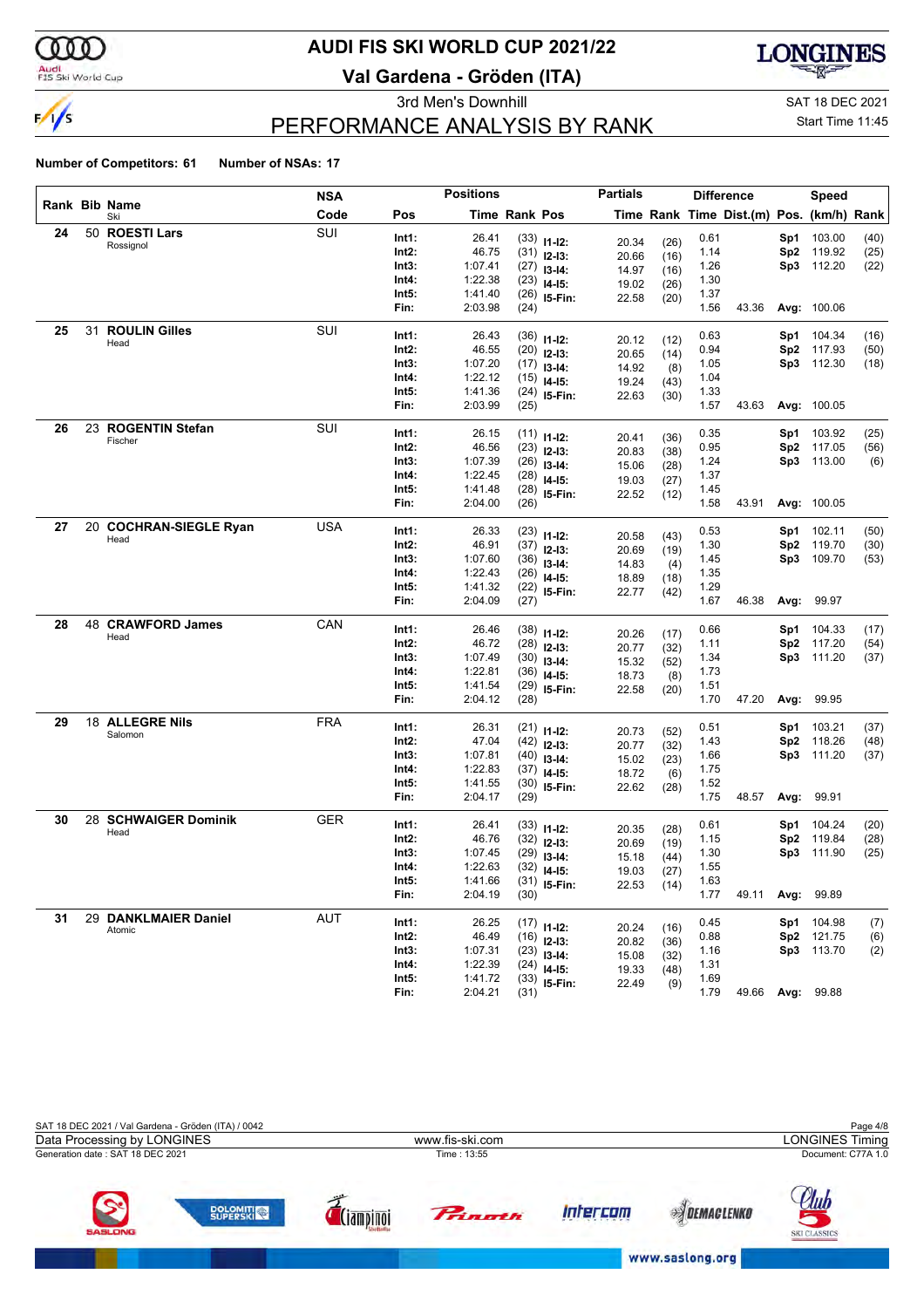

# **AUDI FIS SKI WORLD CUP 2021/22**

**Val Gardena - Gröden (ITA)**



3rd Men's Downhill Same Communication of the SAT 18 DEC 2021

### PERFORMANCE ANALYSIS BY RANK

Start Time 11:45

|    |                        | <b>NSA</b> |                | <b>Positions</b>   |               |                                 | <b>Partials</b> |              |              | <b>Difference</b>                        |            | Speed            |              |
|----|------------------------|------------|----------------|--------------------|---------------|---------------------------------|-----------------|--------------|--------------|------------------------------------------|------------|------------------|--------------|
|    | Rank Bib Name<br>Ski   | Code       | Pos            |                    | Time Rank Pos |                                 |                 |              |              | Time Rank Time Dist.(m) Pos. (km/h) Rank |            |                  |              |
| 24 | 50 ROESTI Lars         | SUI        | Int1:          | 26.41              |               | $(33)$ 11-12:                   | 20.34           | (26)         | 0.61         |                                          | Sp1        | 103.00           | (40)         |
|    | Rossignol              |            | Int2:          | 46.75              |               | $(31)$ 12-13:                   | 20.66           | (16)         | 1.14         |                                          | Sp2        | 119.92           | (25)         |
|    |                        |            | Int3:          | 1:07.41            |               | $(27)$ 13-14:                   | 14.97           | (16)         | 1.26         |                                          | Sp3        | 112.20           | (22)         |
|    |                        |            | Int4:          | 1:22.38            |               | $(23)$ 14-15:                   | 19.02           | (26)         | 1.30         |                                          |            |                  |              |
|    |                        |            | Int5:          | 1:41.40            |               | $(26)$ 15-Fin:                  | 22.58           | (20)         | 1.37         |                                          |            |                  |              |
|    |                        |            | Fin:           | 2:03.98            | (24)          |                                 |                 |              | 1.56         | 43.36                                    |            | Avg: 100.06      |              |
| 25 | 31 ROULIN Gilles       | SUI        | Int1:          | 26.43              |               | $(36)$ 11-12:                   | 20.12           |              | 0.63         |                                          | Sp1        | 104.34           | (16)         |
|    | Head                   |            | Int2:          | 46.55              |               | $(20)$ 12-13:                   | 20.65           | (12)<br>(14) | 0.94         |                                          | Sp2        | 117.93           | (50)         |
|    |                        |            | Int3:          | 1:07.20            |               | $(17)$ 13-14:                   | 14.92           | (8)          | 1.05         |                                          |            | Sp3 112.30       | (18)         |
|    |                        |            | Int4:          | 1:22.12            |               | $(15)$ 14-15:                   | 19.24           | (43)         | 1.04         |                                          |            |                  |              |
|    |                        |            | Int5:          | 1:41.36            |               | $(24)$ 15-Fin:                  | 22.63           | (30)         | 1.33         |                                          |            |                  |              |
|    |                        |            | Fin:           | 2:03.99            | (25)          |                                 |                 |              | 1.57         | 43.63                                    |            | Avg: 100.05      |              |
| 26 | 23 ROGENTIN Stefan     | SUI        | Int1:          | 26.15              |               | $(11)$ 11-12:                   |                 |              | 0.35         |                                          | Sp1        | 103.92           | (25)         |
|    | Fischer                |            | Int2:          | 46.56              |               | $(23)$ 12-13:                   | 20.41           | (36)         | 0.95         |                                          | Sp2        | 117.05           | (56)         |
|    |                        |            | Int3:          | 1:07.39            |               | $(26)$ 13-14:                   | 20.83           | (38)         | 1.24         |                                          |            | Sp3 113.00       | (6)          |
|    |                        |            | Int4:          | 1:22.45            |               | $(28)$ 14-15:                   | 15.06           | (28)         | 1.37         |                                          |            |                  |              |
|    |                        |            | Int5:          | 1:41.48            |               | $(28)$ 15-Fin:                  | 19.03<br>22.52  | (27)         | 1.45         |                                          |            |                  |              |
|    |                        |            | Fin:           | 2:04.00            | (26)          |                                 |                 | (12)         | 1.58         | 43.91                                    |            | Avg: 100.05      |              |
| 27 | 20 COCHRAN-SIEGLE Ryan | <b>USA</b> | Int1:          | 26.33              |               |                                 |                 |              | 0.53         |                                          | Sp1        | 102.11           |              |
|    | Head                   |            | Int2:          | 46.91              |               | $(23)$ 11-12:                   | 20.58           | (43)         | 1.30         |                                          | Sp2        | 119.70           | (50)<br>(30) |
|    |                        |            | Int3:          | 1:07.60            |               | $(37)$ 12-13:                   | 20.69           | (19)         | 1.45         |                                          | Sp3.       | 109.70           | (53)         |
|    |                        |            | Int4:          | 1:22.43            |               | $(36)$ 13-14:                   | 14.83           | (4)          | 1.35         |                                          |            |                  |              |
|    |                        |            | Int5:          | 1:41.32            |               | $(26)$ 14-15:<br>$(22)$ 15-Fin: | 18.89           | (18)         | 1.29         |                                          |            |                  |              |
|    |                        |            | Fin:           | 2:04.09            | (27)          |                                 | 22.77           | (42)         | 1.67         | 46.38                                    | Avg:       | 99.97            |              |
| 28 | 48 CRAWFORD James      | CAN        |                |                    |               |                                 |                 |              |              |                                          |            |                  |              |
|    | Head                   |            | Int1:          | 26.46              |               | $(38)$ 11-12:                   | 20.26           | (17)         | 0.66         |                                          | Sp1        | 104.33           | (17)         |
|    |                        |            | Int2:<br>Int3: | 46.72<br>1:07.49   |               | $(28)$ 12-13:                   | 20.77           | (32)         | 1.11<br>1.34 |                                          | Sp2<br>Sp3 | 117.20<br>111.20 | (54)         |
|    |                        |            | Int4:          | 1:22.81            |               | $(30)$ 13-14:                   | 15.32           | (52)         | 1.73         |                                          |            |                  | (37)         |
|    |                        |            | Int5:          | 1:41.54            |               | $(36)$ 14-15:                   | 18.73           | (8)          | 1.51         |                                          |            |                  |              |
|    |                        |            | Fin:           | 2:04.12            | (28)          | $(29)$ 15-Fin:                  | 22.58           | (20)         | 1.70         | 47.20                                    | Avg:       | 99.95            |              |
| 29 | 18 ALLEGRE Nils        | <b>FRA</b> |                |                    |               |                                 |                 |              |              |                                          |            |                  |              |
|    | Salomon                |            | Int1:          | 26.31              |               | $(21)$ 11-12:                   | 20.73           | (52)         | 0.51         |                                          | Sp1        | 103.21           | (37)         |
|    |                        |            | Int2:          | 47.04              |               | $(42)$ 12-13:                   | 20.77           | (32)         | 1.43         |                                          | Sp2        | 118.26           | (48)         |
|    |                        |            | Int3:          | 1:07.81            |               | $(40)$ 13-14:                   | 15.02           | (23)         | 1.66         |                                          |            | Sp3 111.20       | (37)         |
|    |                        |            | Int4:          | 1:22.83            |               | $(37)$ 14-15:                   | 18.72           | (6)          | 1.75         |                                          |            |                  |              |
|    |                        |            | Int5:<br>Fin:  | 1:41.55<br>2:04.17 | (29)          | $(30)$ 15-Fin:                  | 22.62           | (28)         | 1.52<br>1.75 | 48.57                                    |            | Avg: 99.91       |              |
| 30 | 28 SCHWAIGER Dominik   | <b>GER</b> |                |                    |               |                                 |                 |              |              |                                          |            |                  |              |
|    | Head                   |            | Int1:          | 26.41              |               | $(33)$ 11-12:                   | 20.35           | (28)         | 0.61         |                                          | Sp1        | 104.24           | (20)         |
|    |                        |            | Int2:          | 46.76              |               | $(32)$ 12-13:                   | 20.69           | (19)         | 1.15         |                                          | Sp2        | 119.84           | (28)         |
|    |                        |            | Int3:          | 1:07.45            |               | $(29)$ 13-14:                   | 15.18           | (44)         | 1.30         |                                          | Sp3        | 111.90           | (25)         |
|    |                        |            | Int4:          | 1:22.63            |               | $(32)$ 14-15:                   | 19.03           | (27)         | 1.55         |                                          |            |                  |              |
|    |                        |            | Int5:<br>Fin:  | 1:41.66<br>2:04.19 | (30)          | $(31)$ 15-Fin:                  | 22.53           | (14)         | 1.63<br>1.77 | 49.11                                    |            | Avg: 99.89       |              |
| 31 | 29 DANKLMAIER Daniel   | AUT        |                |                    |               |                                 |                 |              |              |                                          |            |                  |              |
|    | Atomic                 |            | Int1:          | 26.25              |               | $(17)$ 11-12:                   | 20.24           | (16)         | 0.45         |                                          |            | Sp1 104.98       | (7)          |
|    |                        |            | Int2:          | 46.49              |               | $(16)$ 12-13:                   | 20.82           | (36)         | 0.88         |                                          |            | Sp2 121.75       | (6)          |
|    |                        |            | Int3:          | 1:07.31<br>1:22.39 |               | $(23)$ 13-14:                   | 15.08           | (32)         | 1.16         |                                          |            | Sp3 113.70       | (2)          |
|    |                        |            | Int4:<br>Int5: | 1:41.72            |               | $(24)$ 14-15:                   | 19.33           | (48)         | 1.31<br>1.69 |                                          |            |                  |              |
|    |                        |            | Fin:           | 2:04.21            | (31)          | $(33)$ 15-Fin:                  | 22.49           | (9)          | 1.79         |                                          |            | 49.66 Avg: 99.88 |              |
|    |                        |            |                |                    |               |                                 |                 |              |              |                                          |            |                  |              |

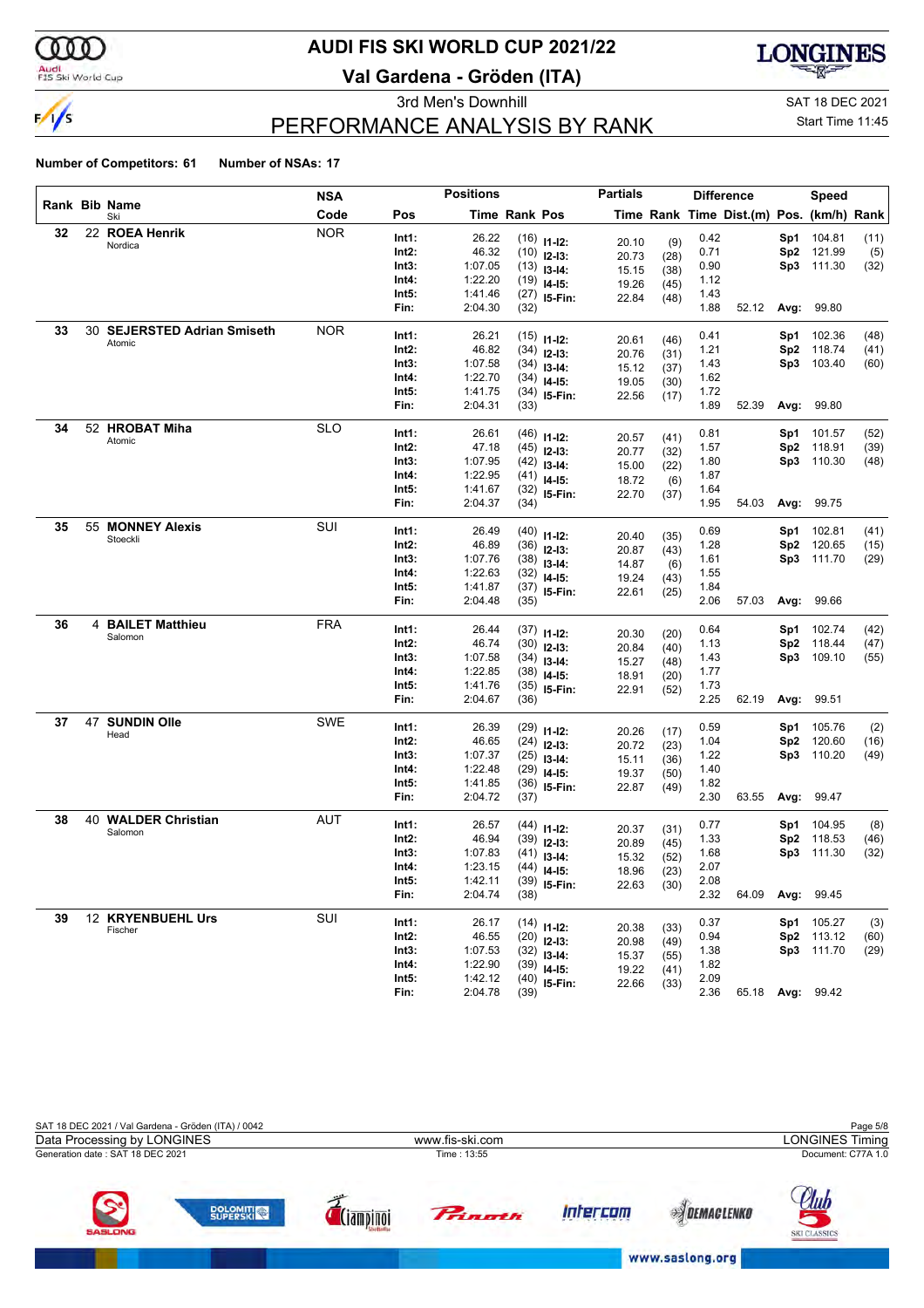

# **AUDI FIS SKI WORLD CUP 2021/22**

**Val Gardena - Gröden (ITA)**



3rd Men's Downhill Same Communication of the SAT 18 DEC 2021

### PERFORMANCE ANALYSIS BY RANK

Start Time 11:45

| Rank Bib Name<br>Code<br>Time Rank Pos<br>Time Rank Time Dist.(m) Pos. (km/h) Rank<br>Pos<br>Ski<br><b>NOR</b><br>22 ROEA Henrik<br>32<br>26.22<br>Int1:<br>0.42<br>104.81<br>$(16)$ 11-12:<br>Sp1<br>(11)<br>(9)<br>20.10<br>Nordica<br>46.32<br>0.71<br>Int2:<br>Sp <sub>2</sub><br>121.99<br>$(10)$ 12-13:<br>(5)<br>20.73<br>(28)<br>1:07.05<br>0.90<br>111.30<br>Int3:<br>Sp3<br>$(13)$ 13-14:<br>15.15<br>(38)<br>1:22.20<br>Int4:<br>1.12<br>$(19)$ 14-15:<br>19.26<br>(45)<br>Int5:<br>1:41.46<br>1.43<br>$(27)$ 15-Fin:<br>22.84<br>(48)<br>1.88<br>Fin:<br>2:04.30<br>52.12<br>Avg: 99.80<br>(32)<br>30 SEJERSTED Adrian Smiseth<br><b>NOR</b><br>33<br>Int1:<br>26.21<br>0.41<br>102.36<br>Sp1<br>(48)<br>$(15)$ 11-12:<br>(46)<br>20.61<br>Atomic<br>46.82<br>1.21<br>118.74<br>Int2:<br>(41)<br>$(34)$ 12-13:<br>Sp2<br>20.76<br>(31)<br>1:07.58<br>103.40<br>Int3:<br>1.43<br>Sp3<br>(60)<br>$(34)$ 13-14:<br>15.12<br>(37)<br>1:22.70<br>1.62<br>Int4:<br>$(34)$ 14-15:<br>19.05<br>(30)<br>1:41.75<br>Int5:<br>1.72<br>$(34)$ 15-Fin:<br>22.56<br>(17)<br>1.89<br>Fin:<br>2:04.31<br>52.39<br>99.80<br>Avg:<br>(33)<br><b>SLO</b><br>34<br>52 HROBAT Miha<br>26.61<br>Int1:<br>0.81<br>(52)<br>$(46)$ 11-12:<br>Sp1<br>101.57<br>20.57<br>(41)<br>Atomic<br>47.18<br>1.57<br>Int2:<br>Sp <sub>2</sub><br>118.91<br>(39)<br>$(45)$ 12-13:<br>20.77<br>(32)<br>Int3:<br>1:07.95<br>1.80<br>110.30<br>Sp3<br>(48)<br>$(42)$ 13-14:<br>15.00<br>(22)<br>1:22.95<br>Int4:<br>1.87<br>$(41)$ 14-15:<br>18.72<br>(6)<br>Int5:<br>1:41.67<br>1.64<br>$(32)$ 15-Fin:<br>22.70<br>(37)<br>Fin:<br>2:04.37<br>1.95<br>54.03<br>Avg: 99.75<br>(34)<br>55 MONNEY Alexis<br>SUI<br>35<br>Int1:<br>26.49<br>0.69<br>102.81<br>$(40)$ 11-12:<br>Sp1<br>(41)<br>(35)<br>20.40<br>Stoeckli<br>46.89<br>1.28<br>120.65<br>Int2:<br>Sp <sub>2</sub><br>(15)<br>$(36)$ 12-13:<br>20.87<br>(43)<br>1:07.76<br>Int3:<br>1.61<br>111.70<br>(29)<br>Sp3<br>$(38)$ 13-14:<br>14.87<br>(6)<br>1:22.63<br>Int4:<br>1.55<br>$(32)$ 14-15:<br>19.24<br>(43)<br>Int5:<br>1:41.87<br>1.84<br>$(37)$ 15-Fin:<br>22.61<br>(25)<br>2.06<br>Fin:<br>2:04.48<br>57.03<br>Avg:<br>99.66<br>(35)<br><b>FRA</b><br>36<br>4 BAILET Matthieu<br>26.44<br>Int1:<br>0.64<br>102.74<br>(42)<br>Sp1<br>$(37)$ 11-12:<br>20.30<br>(20)<br>Salomon<br>46.74<br>118.44<br>Int2:<br>1.13<br>Sp <sub>2</sub><br>(47)<br>$(30)$ 12-13:<br>20.84<br>(40)<br>1:07.58<br>109.10<br>Int3:<br>1.43<br>Sp3<br>(55)<br>$(34)$ 13-14:<br>15.27<br>(48)<br>1:22.85<br>Int4:<br>1.77<br>$(38)$ 14-15:<br>18.91<br>(20)<br>1:41.76<br>Int5:<br>1.73<br>$(35)$ 15-Fin:<br>22.91<br>(52)<br>2.25<br>Fin:<br>2:04.67<br>62.19<br>Avg: 99.51<br>(36)<br><b>SUNDIN Olle</b><br>SWE<br>47<br>37<br>0.59<br>26.39<br>105.76<br>(2)<br>Int1:<br>$(29)$ 11-12:<br>Sp1<br>20.26<br>(17)<br>Head<br>Int2:<br>46.65<br>1.04<br>120.60<br>Sp <sub>2</sub><br>$(24)$ 12-13:<br>(16)<br>20.72<br>(23)<br>1.22<br>Int3:<br>1:07.37<br>Sp3 110.20<br>(49)<br>$(25)$ 13-14:<br>15.11<br>(36)<br>1:22.48<br>1.40<br>Int4:<br>$(29)$ 14-15:<br>19.37<br>(50)<br>1:41.85<br>1.82<br>Int5:<br>$(36)$ 15-Fin:<br>22.87<br>(49)<br>2.30<br>Fin:<br>2:04.72<br>63.55<br>Avg: 99.47<br>(37)<br>40 WALDER Christian<br>38<br>AUT<br>26.57<br>Int1:<br>0.77<br>104.95<br>(8)<br>$(44)$ 11-12:<br>Sp1<br>20.37<br>(31)<br>Salomon<br>46.94<br>1.33<br>Int2:<br>Sp <sub>2</sub><br>118.53<br>$(39)$ 12-13:<br>(46)<br>20.89<br>(45)<br>1:07.83<br>Int3:<br>1.68<br>111.30<br>(32)<br>Sp3<br>$(41)$ 13-14:<br>15.32<br>(52)<br>1:23.15<br>2.07<br>Int4:<br>$(44)$ 14-15:<br>18.96<br>(23)<br>1:42.11<br>2.08<br>Int5:<br>$(39)$ 15-Fin:<br>22.63<br>(30)<br>2.32<br>2:04.74<br>64.09<br>Avg: 99.45<br>Fin:<br>(38)<br>SUI<br>12 KRYENBUEHL Urs<br>39<br>26.17<br>Int1:<br>0.37<br>105.27<br>Sp1<br>(3)<br>$(14)$ 11-12:<br>20.38<br>(33)<br>Fischer<br>46.55<br>0.94<br>113.12<br>Int2:<br>Sp2<br>(60)<br>$(20)$ 12-13:<br>20.98<br>(49)<br>1:07.53<br>Sp3 111.70<br>Int3:<br>1.38<br>(29)<br>$(32)$ 13-14:<br>15.37<br>(55)<br>1:22.90<br>1.82<br>Int4:<br>$(39)$ 14-15:<br>19.22<br>(41)<br>1:42.12<br>2.09<br>Int5:<br>$(40)$ 15-Fin:<br>22.66<br>(33)<br>65.18 Avg: 99.42 |  | NSA |      | <b>Positions</b> |      | <b>Partials</b> |      | <b>Difference</b> | Speed |      |
|-------------------------------------------------------------------------------------------------------------------------------------------------------------------------------------------------------------------------------------------------------------------------------------------------------------------------------------------------------------------------------------------------------------------------------------------------------------------------------------------------------------------------------------------------------------------------------------------------------------------------------------------------------------------------------------------------------------------------------------------------------------------------------------------------------------------------------------------------------------------------------------------------------------------------------------------------------------------------------------------------------------------------------------------------------------------------------------------------------------------------------------------------------------------------------------------------------------------------------------------------------------------------------------------------------------------------------------------------------------------------------------------------------------------------------------------------------------------------------------------------------------------------------------------------------------------------------------------------------------------------------------------------------------------------------------------------------------------------------------------------------------------------------------------------------------------------------------------------------------------------------------------------------------------------------------------------------------------------------------------------------------------------------------------------------------------------------------------------------------------------------------------------------------------------------------------------------------------------------------------------------------------------------------------------------------------------------------------------------------------------------------------------------------------------------------------------------------------------------------------------------------------------------------------------------------------------------------------------------------------------------------------------------------------------------------------------------------------------------------------------------------------------------------------------------------------------------------------------------------------------------------------------------------------------------------------------------------------------------------------------------------------------------------------------------------------------------------------------------------------------------------------------------------------------------------------------------------------------------------------------------------------------------------------------------------------------------------------------------------------------------------------------------------------------------------------------------------------------------------------------------------------------------------------------------------------------------------------------------------------------------------------------------------------------------------------------------------------------------------------------------------------------------------------------------------------------------------------------------------------------------------------------------------------------------------------------------------------------------------------------------------------------------------------------------------------------------------------------------------------------------------------------------------------------------------------------|--|-----|------|------------------|------|-----------------|------|-------------------|-------|------|
|                                                                                                                                                                                                                                                                                                                                                                                                                                                                                                                                                                                                                                                                                                                                                                                                                                                                                                                                                                                                                                                                                                                                                                                                                                                                                                                                                                                                                                                                                                                                                                                                                                                                                                                                                                                                                                                                                                                                                                                                                                                                                                                                                                                                                                                                                                                                                                                                                                                                                                                                                                                                                                                                                                                                                                                                                                                                                                                                                                                                                                                                                                                                                                                                                                                                                                                                                                                                                                                                                                                                                                                                                                                                                                                                                                                                                                                                                                                                                                                                                                                                                                                                                                                                 |  |     |      |                  |      |                 |      |                   |       |      |
|                                                                                                                                                                                                                                                                                                                                                                                                                                                                                                                                                                                                                                                                                                                                                                                                                                                                                                                                                                                                                                                                                                                                                                                                                                                                                                                                                                                                                                                                                                                                                                                                                                                                                                                                                                                                                                                                                                                                                                                                                                                                                                                                                                                                                                                                                                                                                                                                                                                                                                                                                                                                                                                                                                                                                                                                                                                                                                                                                                                                                                                                                                                                                                                                                                                                                                                                                                                                                                                                                                                                                                                                                                                                                                                                                                                                                                                                                                                                                                                                                                                                                                                                                                                                 |  |     |      |                  |      |                 |      |                   |       |      |
|                                                                                                                                                                                                                                                                                                                                                                                                                                                                                                                                                                                                                                                                                                                                                                                                                                                                                                                                                                                                                                                                                                                                                                                                                                                                                                                                                                                                                                                                                                                                                                                                                                                                                                                                                                                                                                                                                                                                                                                                                                                                                                                                                                                                                                                                                                                                                                                                                                                                                                                                                                                                                                                                                                                                                                                                                                                                                                                                                                                                                                                                                                                                                                                                                                                                                                                                                                                                                                                                                                                                                                                                                                                                                                                                                                                                                                                                                                                                                                                                                                                                                                                                                                                                 |  |     |      |                  |      |                 |      |                   |       |      |
|                                                                                                                                                                                                                                                                                                                                                                                                                                                                                                                                                                                                                                                                                                                                                                                                                                                                                                                                                                                                                                                                                                                                                                                                                                                                                                                                                                                                                                                                                                                                                                                                                                                                                                                                                                                                                                                                                                                                                                                                                                                                                                                                                                                                                                                                                                                                                                                                                                                                                                                                                                                                                                                                                                                                                                                                                                                                                                                                                                                                                                                                                                                                                                                                                                                                                                                                                                                                                                                                                                                                                                                                                                                                                                                                                                                                                                                                                                                                                                                                                                                                                                                                                                                                 |  |     |      |                  |      |                 |      |                   |       | (32) |
|                                                                                                                                                                                                                                                                                                                                                                                                                                                                                                                                                                                                                                                                                                                                                                                                                                                                                                                                                                                                                                                                                                                                                                                                                                                                                                                                                                                                                                                                                                                                                                                                                                                                                                                                                                                                                                                                                                                                                                                                                                                                                                                                                                                                                                                                                                                                                                                                                                                                                                                                                                                                                                                                                                                                                                                                                                                                                                                                                                                                                                                                                                                                                                                                                                                                                                                                                                                                                                                                                                                                                                                                                                                                                                                                                                                                                                                                                                                                                                                                                                                                                                                                                                                                 |  |     |      |                  |      |                 |      |                   |       |      |
|                                                                                                                                                                                                                                                                                                                                                                                                                                                                                                                                                                                                                                                                                                                                                                                                                                                                                                                                                                                                                                                                                                                                                                                                                                                                                                                                                                                                                                                                                                                                                                                                                                                                                                                                                                                                                                                                                                                                                                                                                                                                                                                                                                                                                                                                                                                                                                                                                                                                                                                                                                                                                                                                                                                                                                                                                                                                                                                                                                                                                                                                                                                                                                                                                                                                                                                                                                                                                                                                                                                                                                                                                                                                                                                                                                                                                                                                                                                                                                                                                                                                                                                                                                                                 |  |     |      |                  |      |                 |      |                   |       |      |
|                                                                                                                                                                                                                                                                                                                                                                                                                                                                                                                                                                                                                                                                                                                                                                                                                                                                                                                                                                                                                                                                                                                                                                                                                                                                                                                                                                                                                                                                                                                                                                                                                                                                                                                                                                                                                                                                                                                                                                                                                                                                                                                                                                                                                                                                                                                                                                                                                                                                                                                                                                                                                                                                                                                                                                                                                                                                                                                                                                                                                                                                                                                                                                                                                                                                                                                                                                                                                                                                                                                                                                                                                                                                                                                                                                                                                                                                                                                                                                                                                                                                                                                                                                                                 |  |     |      |                  |      |                 |      |                   |       |      |
|                                                                                                                                                                                                                                                                                                                                                                                                                                                                                                                                                                                                                                                                                                                                                                                                                                                                                                                                                                                                                                                                                                                                                                                                                                                                                                                                                                                                                                                                                                                                                                                                                                                                                                                                                                                                                                                                                                                                                                                                                                                                                                                                                                                                                                                                                                                                                                                                                                                                                                                                                                                                                                                                                                                                                                                                                                                                                                                                                                                                                                                                                                                                                                                                                                                                                                                                                                                                                                                                                                                                                                                                                                                                                                                                                                                                                                                                                                                                                                                                                                                                                                                                                                                                 |  |     |      |                  |      |                 |      |                   |       |      |
|                                                                                                                                                                                                                                                                                                                                                                                                                                                                                                                                                                                                                                                                                                                                                                                                                                                                                                                                                                                                                                                                                                                                                                                                                                                                                                                                                                                                                                                                                                                                                                                                                                                                                                                                                                                                                                                                                                                                                                                                                                                                                                                                                                                                                                                                                                                                                                                                                                                                                                                                                                                                                                                                                                                                                                                                                                                                                                                                                                                                                                                                                                                                                                                                                                                                                                                                                                                                                                                                                                                                                                                                                                                                                                                                                                                                                                                                                                                                                                                                                                                                                                                                                                                                 |  |     |      |                  |      |                 |      |                   |       |      |
|                                                                                                                                                                                                                                                                                                                                                                                                                                                                                                                                                                                                                                                                                                                                                                                                                                                                                                                                                                                                                                                                                                                                                                                                                                                                                                                                                                                                                                                                                                                                                                                                                                                                                                                                                                                                                                                                                                                                                                                                                                                                                                                                                                                                                                                                                                                                                                                                                                                                                                                                                                                                                                                                                                                                                                                                                                                                                                                                                                                                                                                                                                                                                                                                                                                                                                                                                                                                                                                                                                                                                                                                                                                                                                                                                                                                                                                                                                                                                                                                                                                                                                                                                                                                 |  |     |      |                  |      |                 |      |                   |       |      |
|                                                                                                                                                                                                                                                                                                                                                                                                                                                                                                                                                                                                                                                                                                                                                                                                                                                                                                                                                                                                                                                                                                                                                                                                                                                                                                                                                                                                                                                                                                                                                                                                                                                                                                                                                                                                                                                                                                                                                                                                                                                                                                                                                                                                                                                                                                                                                                                                                                                                                                                                                                                                                                                                                                                                                                                                                                                                                                                                                                                                                                                                                                                                                                                                                                                                                                                                                                                                                                                                                                                                                                                                                                                                                                                                                                                                                                                                                                                                                                                                                                                                                                                                                                                                 |  |     |      |                  |      |                 |      |                   |       |      |
|                                                                                                                                                                                                                                                                                                                                                                                                                                                                                                                                                                                                                                                                                                                                                                                                                                                                                                                                                                                                                                                                                                                                                                                                                                                                                                                                                                                                                                                                                                                                                                                                                                                                                                                                                                                                                                                                                                                                                                                                                                                                                                                                                                                                                                                                                                                                                                                                                                                                                                                                                                                                                                                                                                                                                                                                                                                                                                                                                                                                                                                                                                                                                                                                                                                                                                                                                                                                                                                                                                                                                                                                                                                                                                                                                                                                                                                                                                                                                                                                                                                                                                                                                                                                 |  |     |      |                  |      |                 |      |                   |       |      |
|                                                                                                                                                                                                                                                                                                                                                                                                                                                                                                                                                                                                                                                                                                                                                                                                                                                                                                                                                                                                                                                                                                                                                                                                                                                                                                                                                                                                                                                                                                                                                                                                                                                                                                                                                                                                                                                                                                                                                                                                                                                                                                                                                                                                                                                                                                                                                                                                                                                                                                                                                                                                                                                                                                                                                                                                                                                                                                                                                                                                                                                                                                                                                                                                                                                                                                                                                                                                                                                                                                                                                                                                                                                                                                                                                                                                                                                                                                                                                                                                                                                                                                                                                                                                 |  |     |      |                  |      |                 |      |                   |       |      |
|                                                                                                                                                                                                                                                                                                                                                                                                                                                                                                                                                                                                                                                                                                                                                                                                                                                                                                                                                                                                                                                                                                                                                                                                                                                                                                                                                                                                                                                                                                                                                                                                                                                                                                                                                                                                                                                                                                                                                                                                                                                                                                                                                                                                                                                                                                                                                                                                                                                                                                                                                                                                                                                                                                                                                                                                                                                                                                                                                                                                                                                                                                                                                                                                                                                                                                                                                                                                                                                                                                                                                                                                                                                                                                                                                                                                                                                                                                                                                                                                                                                                                                                                                                                                 |  |     |      |                  |      |                 |      |                   |       |      |
|                                                                                                                                                                                                                                                                                                                                                                                                                                                                                                                                                                                                                                                                                                                                                                                                                                                                                                                                                                                                                                                                                                                                                                                                                                                                                                                                                                                                                                                                                                                                                                                                                                                                                                                                                                                                                                                                                                                                                                                                                                                                                                                                                                                                                                                                                                                                                                                                                                                                                                                                                                                                                                                                                                                                                                                                                                                                                                                                                                                                                                                                                                                                                                                                                                                                                                                                                                                                                                                                                                                                                                                                                                                                                                                                                                                                                                                                                                                                                                                                                                                                                                                                                                                                 |  |     |      |                  |      |                 |      |                   |       |      |
|                                                                                                                                                                                                                                                                                                                                                                                                                                                                                                                                                                                                                                                                                                                                                                                                                                                                                                                                                                                                                                                                                                                                                                                                                                                                                                                                                                                                                                                                                                                                                                                                                                                                                                                                                                                                                                                                                                                                                                                                                                                                                                                                                                                                                                                                                                                                                                                                                                                                                                                                                                                                                                                                                                                                                                                                                                                                                                                                                                                                                                                                                                                                                                                                                                                                                                                                                                                                                                                                                                                                                                                                                                                                                                                                                                                                                                                                                                                                                                                                                                                                                                                                                                                                 |  |     |      |                  |      |                 |      |                   |       |      |
|                                                                                                                                                                                                                                                                                                                                                                                                                                                                                                                                                                                                                                                                                                                                                                                                                                                                                                                                                                                                                                                                                                                                                                                                                                                                                                                                                                                                                                                                                                                                                                                                                                                                                                                                                                                                                                                                                                                                                                                                                                                                                                                                                                                                                                                                                                                                                                                                                                                                                                                                                                                                                                                                                                                                                                                                                                                                                                                                                                                                                                                                                                                                                                                                                                                                                                                                                                                                                                                                                                                                                                                                                                                                                                                                                                                                                                                                                                                                                                                                                                                                                                                                                                                                 |  |     |      |                  |      |                 |      |                   |       |      |
|                                                                                                                                                                                                                                                                                                                                                                                                                                                                                                                                                                                                                                                                                                                                                                                                                                                                                                                                                                                                                                                                                                                                                                                                                                                                                                                                                                                                                                                                                                                                                                                                                                                                                                                                                                                                                                                                                                                                                                                                                                                                                                                                                                                                                                                                                                                                                                                                                                                                                                                                                                                                                                                                                                                                                                                                                                                                                                                                                                                                                                                                                                                                                                                                                                                                                                                                                                                                                                                                                                                                                                                                                                                                                                                                                                                                                                                                                                                                                                                                                                                                                                                                                                                                 |  |     |      |                  |      |                 |      |                   |       |      |
|                                                                                                                                                                                                                                                                                                                                                                                                                                                                                                                                                                                                                                                                                                                                                                                                                                                                                                                                                                                                                                                                                                                                                                                                                                                                                                                                                                                                                                                                                                                                                                                                                                                                                                                                                                                                                                                                                                                                                                                                                                                                                                                                                                                                                                                                                                                                                                                                                                                                                                                                                                                                                                                                                                                                                                                                                                                                                                                                                                                                                                                                                                                                                                                                                                                                                                                                                                                                                                                                                                                                                                                                                                                                                                                                                                                                                                                                                                                                                                                                                                                                                                                                                                                                 |  |     |      |                  |      |                 |      |                   |       |      |
|                                                                                                                                                                                                                                                                                                                                                                                                                                                                                                                                                                                                                                                                                                                                                                                                                                                                                                                                                                                                                                                                                                                                                                                                                                                                                                                                                                                                                                                                                                                                                                                                                                                                                                                                                                                                                                                                                                                                                                                                                                                                                                                                                                                                                                                                                                                                                                                                                                                                                                                                                                                                                                                                                                                                                                                                                                                                                                                                                                                                                                                                                                                                                                                                                                                                                                                                                                                                                                                                                                                                                                                                                                                                                                                                                                                                                                                                                                                                                                                                                                                                                                                                                                                                 |  |     |      |                  |      |                 |      |                   |       |      |
|                                                                                                                                                                                                                                                                                                                                                                                                                                                                                                                                                                                                                                                                                                                                                                                                                                                                                                                                                                                                                                                                                                                                                                                                                                                                                                                                                                                                                                                                                                                                                                                                                                                                                                                                                                                                                                                                                                                                                                                                                                                                                                                                                                                                                                                                                                                                                                                                                                                                                                                                                                                                                                                                                                                                                                                                                                                                                                                                                                                                                                                                                                                                                                                                                                                                                                                                                                                                                                                                                                                                                                                                                                                                                                                                                                                                                                                                                                                                                                                                                                                                                                                                                                                                 |  |     |      |                  |      |                 |      |                   |       |      |
|                                                                                                                                                                                                                                                                                                                                                                                                                                                                                                                                                                                                                                                                                                                                                                                                                                                                                                                                                                                                                                                                                                                                                                                                                                                                                                                                                                                                                                                                                                                                                                                                                                                                                                                                                                                                                                                                                                                                                                                                                                                                                                                                                                                                                                                                                                                                                                                                                                                                                                                                                                                                                                                                                                                                                                                                                                                                                                                                                                                                                                                                                                                                                                                                                                                                                                                                                                                                                                                                                                                                                                                                                                                                                                                                                                                                                                                                                                                                                                                                                                                                                                                                                                                                 |  |     |      |                  |      |                 |      |                   |       |      |
|                                                                                                                                                                                                                                                                                                                                                                                                                                                                                                                                                                                                                                                                                                                                                                                                                                                                                                                                                                                                                                                                                                                                                                                                                                                                                                                                                                                                                                                                                                                                                                                                                                                                                                                                                                                                                                                                                                                                                                                                                                                                                                                                                                                                                                                                                                                                                                                                                                                                                                                                                                                                                                                                                                                                                                                                                                                                                                                                                                                                                                                                                                                                                                                                                                                                                                                                                                                                                                                                                                                                                                                                                                                                                                                                                                                                                                                                                                                                                                                                                                                                                                                                                                                                 |  |     |      |                  |      |                 |      |                   |       |      |
|                                                                                                                                                                                                                                                                                                                                                                                                                                                                                                                                                                                                                                                                                                                                                                                                                                                                                                                                                                                                                                                                                                                                                                                                                                                                                                                                                                                                                                                                                                                                                                                                                                                                                                                                                                                                                                                                                                                                                                                                                                                                                                                                                                                                                                                                                                                                                                                                                                                                                                                                                                                                                                                                                                                                                                                                                                                                                                                                                                                                                                                                                                                                                                                                                                                                                                                                                                                                                                                                                                                                                                                                                                                                                                                                                                                                                                                                                                                                                                                                                                                                                                                                                                                                 |  |     |      |                  |      |                 |      |                   |       |      |
|                                                                                                                                                                                                                                                                                                                                                                                                                                                                                                                                                                                                                                                                                                                                                                                                                                                                                                                                                                                                                                                                                                                                                                                                                                                                                                                                                                                                                                                                                                                                                                                                                                                                                                                                                                                                                                                                                                                                                                                                                                                                                                                                                                                                                                                                                                                                                                                                                                                                                                                                                                                                                                                                                                                                                                                                                                                                                                                                                                                                                                                                                                                                                                                                                                                                                                                                                                                                                                                                                                                                                                                                                                                                                                                                                                                                                                                                                                                                                                                                                                                                                                                                                                                                 |  |     |      |                  |      |                 |      |                   |       |      |
|                                                                                                                                                                                                                                                                                                                                                                                                                                                                                                                                                                                                                                                                                                                                                                                                                                                                                                                                                                                                                                                                                                                                                                                                                                                                                                                                                                                                                                                                                                                                                                                                                                                                                                                                                                                                                                                                                                                                                                                                                                                                                                                                                                                                                                                                                                                                                                                                                                                                                                                                                                                                                                                                                                                                                                                                                                                                                                                                                                                                                                                                                                                                                                                                                                                                                                                                                                                                                                                                                                                                                                                                                                                                                                                                                                                                                                                                                                                                                                                                                                                                                                                                                                                                 |  |     |      |                  |      |                 |      |                   |       |      |
|                                                                                                                                                                                                                                                                                                                                                                                                                                                                                                                                                                                                                                                                                                                                                                                                                                                                                                                                                                                                                                                                                                                                                                                                                                                                                                                                                                                                                                                                                                                                                                                                                                                                                                                                                                                                                                                                                                                                                                                                                                                                                                                                                                                                                                                                                                                                                                                                                                                                                                                                                                                                                                                                                                                                                                                                                                                                                                                                                                                                                                                                                                                                                                                                                                                                                                                                                                                                                                                                                                                                                                                                                                                                                                                                                                                                                                                                                                                                                                                                                                                                                                                                                                                                 |  |     |      |                  |      |                 |      |                   |       |      |
|                                                                                                                                                                                                                                                                                                                                                                                                                                                                                                                                                                                                                                                                                                                                                                                                                                                                                                                                                                                                                                                                                                                                                                                                                                                                                                                                                                                                                                                                                                                                                                                                                                                                                                                                                                                                                                                                                                                                                                                                                                                                                                                                                                                                                                                                                                                                                                                                                                                                                                                                                                                                                                                                                                                                                                                                                                                                                                                                                                                                                                                                                                                                                                                                                                                                                                                                                                                                                                                                                                                                                                                                                                                                                                                                                                                                                                                                                                                                                                                                                                                                                                                                                                                                 |  |     |      |                  |      |                 |      |                   |       |      |
|                                                                                                                                                                                                                                                                                                                                                                                                                                                                                                                                                                                                                                                                                                                                                                                                                                                                                                                                                                                                                                                                                                                                                                                                                                                                                                                                                                                                                                                                                                                                                                                                                                                                                                                                                                                                                                                                                                                                                                                                                                                                                                                                                                                                                                                                                                                                                                                                                                                                                                                                                                                                                                                                                                                                                                                                                                                                                                                                                                                                                                                                                                                                                                                                                                                                                                                                                                                                                                                                                                                                                                                                                                                                                                                                                                                                                                                                                                                                                                                                                                                                                                                                                                                                 |  |     |      |                  |      |                 |      |                   |       |      |
|                                                                                                                                                                                                                                                                                                                                                                                                                                                                                                                                                                                                                                                                                                                                                                                                                                                                                                                                                                                                                                                                                                                                                                                                                                                                                                                                                                                                                                                                                                                                                                                                                                                                                                                                                                                                                                                                                                                                                                                                                                                                                                                                                                                                                                                                                                                                                                                                                                                                                                                                                                                                                                                                                                                                                                                                                                                                                                                                                                                                                                                                                                                                                                                                                                                                                                                                                                                                                                                                                                                                                                                                                                                                                                                                                                                                                                                                                                                                                                                                                                                                                                                                                                                                 |  |     |      |                  |      |                 |      |                   |       |      |
|                                                                                                                                                                                                                                                                                                                                                                                                                                                                                                                                                                                                                                                                                                                                                                                                                                                                                                                                                                                                                                                                                                                                                                                                                                                                                                                                                                                                                                                                                                                                                                                                                                                                                                                                                                                                                                                                                                                                                                                                                                                                                                                                                                                                                                                                                                                                                                                                                                                                                                                                                                                                                                                                                                                                                                                                                                                                                                                                                                                                                                                                                                                                                                                                                                                                                                                                                                                                                                                                                                                                                                                                                                                                                                                                                                                                                                                                                                                                                                                                                                                                                                                                                                                                 |  |     |      |                  |      |                 |      |                   |       |      |
|                                                                                                                                                                                                                                                                                                                                                                                                                                                                                                                                                                                                                                                                                                                                                                                                                                                                                                                                                                                                                                                                                                                                                                                                                                                                                                                                                                                                                                                                                                                                                                                                                                                                                                                                                                                                                                                                                                                                                                                                                                                                                                                                                                                                                                                                                                                                                                                                                                                                                                                                                                                                                                                                                                                                                                                                                                                                                                                                                                                                                                                                                                                                                                                                                                                                                                                                                                                                                                                                                                                                                                                                                                                                                                                                                                                                                                                                                                                                                                                                                                                                                                                                                                                                 |  |     |      |                  |      |                 |      |                   |       |      |
|                                                                                                                                                                                                                                                                                                                                                                                                                                                                                                                                                                                                                                                                                                                                                                                                                                                                                                                                                                                                                                                                                                                                                                                                                                                                                                                                                                                                                                                                                                                                                                                                                                                                                                                                                                                                                                                                                                                                                                                                                                                                                                                                                                                                                                                                                                                                                                                                                                                                                                                                                                                                                                                                                                                                                                                                                                                                                                                                                                                                                                                                                                                                                                                                                                                                                                                                                                                                                                                                                                                                                                                                                                                                                                                                                                                                                                                                                                                                                                                                                                                                                                                                                                                                 |  |     |      |                  |      |                 |      |                   |       |      |
|                                                                                                                                                                                                                                                                                                                                                                                                                                                                                                                                                                                                                                                                                                                                                                                                                                                                                                                                                                                                                                                                                                                                                                                                                                                                                                                                                                                                                                                                                                                                                                                                                                                                                                                                                                                                                                                                                                                                                                                                                                                                                                                                                                                                                                                                                                                                                                                                                                                                                                                                                                                                                                                                                                                                                                                                                                                                                                                                                                                                                                                                                                                                                                                                                                                                                                                                                                                                                                                                                                                                                                                                                                                                                                                                                                                                                                                                                                                                                                                                                                                                                                                                                                                                 |  |     |      |                  |      |                 |      |                   |       |      |
|                                                                                                                                                                                                                                                                                                                                                                                                                                                                                                                                                                                                                                                                                                                                                                                                                                                                                                                                                                                                                                                                                                                                                                                                                                                                                                                                                                                                                                                                                                                                                                                                                                                                                                                                                                                                                                                                                                                                                                                                                                                                                                                                                                                                                                                                                                                                                                                                                                                                                                                                                                                                                                                                                                                                                                                                                                                                                                                                                                                                                                                                                                                                                                                                                                                                                                                                                                                                                                                                                                                                                                                                                                                                                                                                                                                                                                                                                                                                                                                                                                                                                                                                                                                                 |  |     |      |                  |      |                 |      |                   |       |      |
|                                                                                                                                                                                                                                                                                                                                                                                                                                                                                                                                                                                                                                                                                                                                                                                                                                                                                                                                                                                                                                                                                                                                                                                                                                                                                                                                                                                                                                                                                                                                                                                                                                                                                                                                                                                                                                                                                                                                                                                                                                                                                                                                                                                                                                                                                                                                                                                                                                                                                                                                                                                                                                                                                                                                                                                                                                                                                                                                                                                                                                                                                                                                                                                                                                                                                                                                                                                                                                                                                                                                                                                                                                                                                                                                                                                                                                                                                                                                                                                                                                                                                                                                                                                                 |  |     |      |                  |      |                 |      |                   |       |      |
|                                                                                                                                                                                                                                                                                                                                                                                                                                                                                                                                                                                                                                                                                                                                                                                                                                                                                                                                                                                                                                                                                                                                                                                                                                                                                                                                                                                                                                                                                                                                                                                                                                                                                                                                                                                                                                                                                                                                                                                                                                                                                                                                                                                                                                                                                                                                                                                                                                                                                                                                                                                                                                                                                                                                                                                                                                                                                                                                                                                                                                                                                                                                                                                                                                                                                                                                                                                                                                                                                                                                                                                                                                                                                                                                                                                                                                                                                                                                                                                                                                                                                                                                                                                                 |  |     |      |                  |      |                 |      |                   |       |      |
|                                                                                                                                                                                                                                                                                                                                                                                                                                                                                                                                                                                                                                                                                                                                                                                                                                                                                                                                                                                                                                                                                                                                                                                                                                                                                                                                                                                                                                                                                                                                                                                                                                                                                                                                                                                                                                                                                                                                                                                                                                                                                                                                                                                                                                                                                                                                                                                                                                                                                                                                                                                                                                                                                                                                                                                                                                                                                                                                                                                                                                                                                                                                                                                                                                                                                                                                                                                                                                                                                                                                                                                                                                                                                                                                                                                                                                                                                                                                                                                                                                                                                                                                                                                                 |  |     |      |                  |      |                 |      |                   |       |      |
|                                                                                                                                                                                                                                                                                                                                                                                                                                                                                                                                                                                                                                                                                                                                                                                                                                                                                                                                                                                                                                                                                                                                                                                                                                                                                                                                                                                                                                                                                                                                                                                                                                                                                                                                                                                                                                                                                                                                                                                                                                                                                                                                                                                                                                                                                                                                                                                                                                                                                                                                                                                                                                                                                                                                                                                                                                                                                                                                                                                                                                                                                                                                                                                                                                                                                                                                                                                                                                                                                                                                                                                                                                                                                                                                                                                                                                                                                                                                                                                                                                                                                                                                                                                                 |  |     |      |                  |      |                 |      |                   |       |      |
|                                                                                                                                                                                                                                                                                                                                                                                                                                                                                                                                                                                                                                                                                                                                                                                                                                                                                                                                                                                                                                                                                                                                                                                                                                                                                                                                                                                                                                                                                                                                                                                                                                                                                                                                                                                                                                                                                                                                                                                                                                                                                                                                                                                                                                                                                                                                                                                                                                                                                                                                                                                                                                                                                                                                                                                                                                                                                                                                                                                                                                                                                                                                                                                                                                                                                                                                                                                                                                                                                                                                                                                                                                                                                                                                                                                                                                                                                                                                                                                                                                                                                                                                                                                                 |  |     |      |                  |      |                 |      |                   |       |      |
|                                                                                                                                                                                                                                                                                                                                                                                                                                                                                                                                                                                                                                                                                                                                                                                                                                                                                                                                                                                                                                                                                                                                                                                                                                                                                                                                                                                                                                                                                                                                                                                                                                                                                                                                                                                                                                                                                                                                                                                                                                                                                                                                                                                                                                                                                                                                                                                                                                                                                                                                                                                                                                                                                                                                                                                                                                                                                                                                                                                                                                                                                                                                                                                                                                                                                                                                                                                                                                                                                                                                                                                                                                                                                                                                                                                                                                                                                                                                                                                                                                                                                                                                                                                                 |  |     |      |                  |      |                 |      |                   |       |      |
|                                                                                                                                                                                                                                                                                                                                                                                                                                                                                                                                                                                                                                                                                                                                                                                                                                                                                                                                                                                                                                                                                                                                                                                                                                                                                                                                                                                                                                                                                                                                                                                                                                                                                                                                                                                                                                                                                                                                                                                                                                                                                                                                                                                                                                                                                                                                                                                                                                                                                                                                                                                                                                                                                                                                                                                                                                                                                                                                                                                                                                                                                                                                                                                                                                                                                                                                                                                                                                                                                                                                                                                                                                                                                                                                                                                                                                                                                                                                                                                                                                                                                                                                                                                                 |  |     |      |                  |      |                 |      |                   |       |      |
|                                                                                                                                                                                                                                                                                                                                                                                                                                                                                                                                                                                                                                                                                                                                                                                                                                                                                                                                                                                                                                                                                                                                                                                                                                                                                                                                                                                                                                                                                                                                                                                                                                                                                                                                                                                                                                                                                                                                                                                                                                                                                                                                                                                                                                                                                                                                                                                                                                                                                                                                                                                                                                                                                                                                                                                                                                                                                                                                                                                                                                                                                                                                                                                                                                                                                                                                                                                                                                                                                                                                                                                                                                                                                                                                                                                                                                                                                                                                                                                                                                                                                                                                                                                                 |  |     |      |                  |      |                 |      |                   |       |      |
|                                                                                                                                                                                                                                                                                                                                                                                                                                                                                                                                                                                                                                                                                                                                                                                                                                                                                                                                                                                                                                                                                                                                                                                                                                                                                                                                                                                                                                                                                                                                                                                                                                                                                                                                                                                                                                                                                                                                                                                                                                                                                                                                                                                                                                                                                                                                                                                                                                                                                                                                                                                                                                                                                                                                                                                                                                                                                                                                                                                                                                                                                                                                                                                                                                                                                                                                                                                                                                                                                                                                                                                                                                                                                                                                                                                                                                                                                                                                                                                                                                                                                                                                                                                                 |  |     |      |                  |      |                 |      |                   |       |      |
|                                                                                                                                                                                                                                                                                                                                                                                                                                                                                                                                                                                                                                                                                                                                                                                                                                                                                                                                                                                                                                                                                                                                                                                                                                                                                                                                                                                                                                                                                                                                                                                                                                                                                                                                                                                                                                                                                                                                                                                                                                                                                                                                                                                                                                                                                                                                                                                                                                                                                                                                                                                                                                                                                                                                                                                                                                                                                                                                                                                                                                                                                                                                                                                                                                                                                                                                                                                                                                                                                                                                                                                                                                                                                                                                                                                                                                                                                                                                                                                                                                                                                                                                                                                                 |  |     |      |                  |      |                 |      |                   |       |      |
|                                                                                                                                                                                                                                                                                                                                                                                                                                                                                                                                                                                                                                                                                                                                                                                                                                                                                                                                                                                                                                                                                                                                                                                                                                                                                                                                                                                                                                                                                                                                                                                                                                                                                                                                                                                                                                                                                                                                                                                                                                                                                                                                                                                                                                                                                                                                                                                                                                                                                                                                                                                                                                                                                                                                                                                                                                                                                                                                                                                                                                                                                                                                                                                                                                                                                                                                                                                                                                                                                                                                                                                                                                                                                                                                                                                                                                                                                                                                                                                                                                                                                                                                                                                                 |  |     |      |                  |      |                 |      |                   |       |      |
|                                                                                                                                                                                                                                                                                                                                                                                                                                                                                                                                                                                                                                                                                                                                                                                                                                                                                                                                                                                                                                                                                                                                                                                                                                                                                                                                                                                                                                                                                                                                                                                                                                                                                                                                                                                                                                                                                                                                                                                                                                                                                                                                                                                                                                                                                                                                                                                                                                                                                                                                                                                                                                                                                                                                                                                                                                                                                                                                                                                                                                                                                                                                                                                                                                                                                                                                                                                                                                                                                                                                                                                                                                                                                                                                                                                                                                                                                                                                                                                                                                                                                                                                                                                                 |  |     |      |                  |      |                 |      |                   |       |      |
|                                                                                                                                                                                                                                                                                                                                                                                                                                                                                                                                                                                                                                                                                                                                                                                                                                                                                                                                                                                                                                                                                                                                                                                                                                                                                                                                                                                                                                                                                                                                                                                                                                                                                                                                                                                                                                                                                                                                                                                                                                                                                                                                                                                                                                                                                                                                                                                                                                                                                                                                                                                                                                                                                                                                                                                                                                                                                                                                                                                                                                                                                                                                                                                                                                                                                                                                                                                                                                                                                                                                                                                                                                                                                                                                                                                                                                                                                                                                                                                                                                                                                                                                                                                                 |  |     |      |                  |      |                 |      |                   |       |      |
|                                                                                                                                                                                                                                                                                                                                                                                                                                                                                                                                                                                                                                                                                                                                                                                                                                                                                                                                                                                                                                                                                                                                                                                                                                                                                                                                                                                                                                                                                                                                                                                                                                                                                                                                                                                                                                                                                                                                                                                                                                                                                                                                                                                                                                                                                                                                                                                                                                                                                                                                                                                                                                                                                                                                                                                                                                                                                                                                                                                                                                                                                                                                                                                                                                                                                                                                                                                                                                                                                                                                                                                                                                                                                                                                                                                                                                                                                                                                                                                                                                                                                                                                                                                                 |  |     |      |                  |      |                 |      |                   |       |      |
|                                                                                                                                                                                                                                                                                                                                                                                                                                                                                                                                                                                                                                                                                                                                                                                                                                                                                                                                                                                                                                                                                                                                                                                                                                                                                                                                                                                                                                                                                                                                                                                                                                                                                                                                                                                                                                                                                                                                                                                                                                                                                                                                                                                                                                                                                                                                                                                                                                                                                                                                                                                                                                                                                                                                                                                                                                                                                                                                                                                                                                                                                                                                                                                                                                                                                                                                                                                                                                                                                                                                                                                                                                                                                                                                                                                                                                                                                                                                                                                                                                                                                                                                                                                                 |  |     | Fin: | 2:04.78          | (39) |                 | 2.36 |                   |       |      |

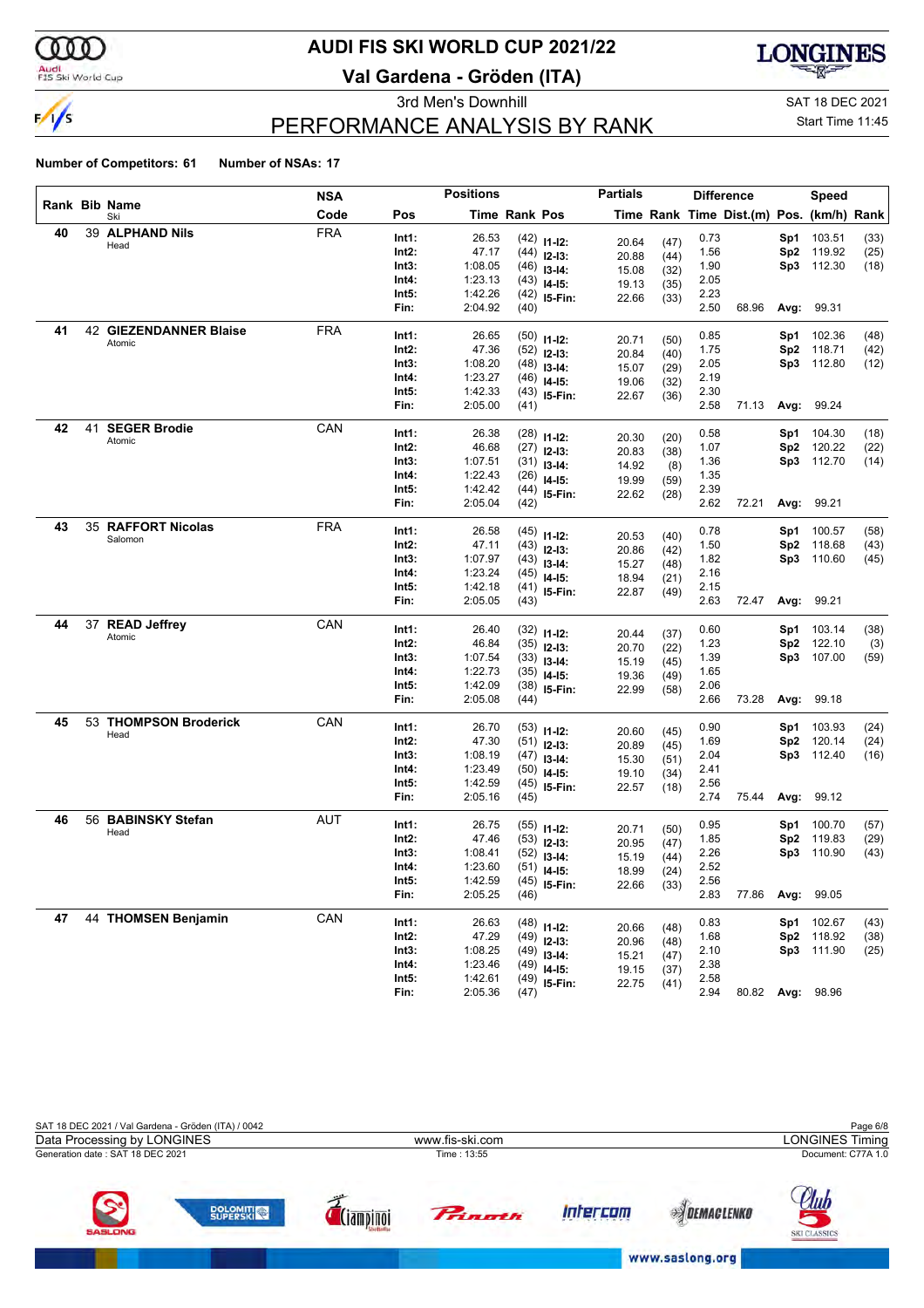

# **AUDI FIS SKI WORLD CUP 2021/22**

**Val Gardena - Gröden (ITA)**



3rd Men's Downhill Same Communication of the SAT 18 DEC 2021

### PERFORMANCE ANALYSIS BY RANK

Start Time 11:45

|    |    |                               | NSA        |       | <b>Positions</b> |                      |                                 | <b>Partials</b> |              |      | <b>Difference</b>                        |                        | Speed      |              |
|----|----|-------------------------------|------------|-------|------------------|----------------------|---------------------------------|-----------------|--------------|------|------------------------------------------|------------------------|------------|--------------|
|    |    | Rank Bib Name<br>Ski          | Code       | Pos   |                  | <b>Time Rank Pos</b> |                                 |                 |              |      | Time Rank Time Dist.(m) Pos. (km/h) Rank |                        |            |              |
| 40 |    | <b>39 ALPHAND Nils</b>        | <b>FRA</b> | Int1: | 26.53            |                      | $(42)$ 11-12:                   |                 |              | 0.73 |                                          | Sp1                    | 103.51     | (33)         |
|    |    | Head                          |            | Int2: | 47.17            |                      | $(44)$ 12-13:                   | 20.64<br>20.88  | (47)         | 1.56 |                                          | Sp <sub>2</sub>        | 119.92     | (25)         |
|    |    |                               |            | Int3: | 1:08.05          |                      | $(46)$ 13-14:                   | 15.08           | (44)<br>(32) | 1.90 |                                          | Sp3                    | 112.30     | (18)         |
|    |    |                               |            | Int4: | 1:23.13          |                      | $(43)$ 14-15:                   | 19.13           | (35)         | 2.05 |                                          |                        |            |              |
|    |    |                               |            | Int5: | 1:42.26          |                      | $(42)$ 15-Fin:                  | 22.66           | (33)         | 2.23 |                                          |                        |            |              |
|    |    |                               |            | Fin:  | 2:04.92          | (40)                 |                                 |                 |              | 2.50 | 68.96                                    | Avg:                   | 99.31      |              |
| 41 |    | <b>42 GIEZENDANNER Blaise</b> | <b>FRA</b> | Int1: | 26.65            |                      | $(50)$ 11-12:                   |                 |              | 0.85 |                                          | Sp1                    | 102.36     | (48)         |
|    |    | Atomic                        |            | Int2: | 47.36            |                      | $(52)$ 12-13:                   | 20.71           | (50)         | 1.75 |                                          | Sp <sub>2</sub>        | 118.71     | (42)         |
|    |    |                               |            | Int3: | 1:08.20          |                      | $(48)$ 13-14:                   | 20.84<br>15.07  | (40)<br>(29) | 2.05 |                                          | Sp3                    | 112.80     | (12)         |
|    |    |                               |            | Int4: | 1:23.27          |                      | $(46)$ 14-15:                   | 19.06           | (32)         | 2.19 |                                          |                        |            |              |
|    |    |                               |            | Int5: | 1:42.33          |                      | $(43)$ 15-Fin:                  | 22.67           | (36)         | 2.30 |                                          |                        |            |              |
|    |    |                               |            | Fin:  | 2:05.00          | (41)                 |                                 |                 |              | 2.58 | 71.13                                    | Avg:                   | 99.24      |              |
| 42 | 41 | <b>SEGER Brodie</b>           | CAN        | Int1: | 26.38            |                      |                                 |                 |              | 0.58 |                                          | Sp1                    | 104.30     | (18)         |
|    |    | Atomic                        |            | Int2: | 46.68            |                      | $(28)$ 11-12:<br>$(27)$ 12-13:  | 20.30           | (20)         | 1.07 |                                          | Sp <sub>2</sub>        | 120.22     | (22)         |
|    |    |                               |            | Int3: | 1:07.51          |                      | $(31)$ 13-14:                   | 20.83           | (38)         | 1.36 |                                          | Sp3                    | 112.70     | (14)         |
|    |    |                               |            | Int4: | 1:22.43          |                      | $(26)$ 14-15:                   | 14.92           | (8)          | 1.35 |                                          |                        |            |              |
|    |    |                               |            | Int5: | 1:42.42          |                      | $(44)$ 15-Fin:                  | 19.99           | (59)         | 2.39 |                                          |                        |            |              |
|    |    |                               |            | Fin:  | 2:05.04          | (42)                 |                                 | 22.62           | (28)         | 2.62 | 72.21                                    | Avg:                   | 99.21      |              |
| 43 |    | 35 RAFFORT Nicolas            | FRA        | Int1: | 26.58            |                      |                                 |                 |              | 0.78 |                                          | Sp1                    | 100.57     | (58)         |
|    |    | Salomon                       |            | Int2: | 47.11            |                      | $(45)$ 11-12:<br>$(43)$ 12-13:  | 20.53           | (40)         | 1.50 |                                          | Sp <sub>2</sub>        | 118.68     | (43)         |
|    |    |                               |            | Int3: | 1:07.97          |                      | $(43)$ 13-14:                   | 20.86           | (42)         | 1.82 |                                          | Sp3                    | 110.60     | (45)         |
|    |    |                               |            | Int4: | 1:23.24          |                      | $(45)$ 14-15:                   | 15.27           | (48)         | 2.16 |                                          |                        |            |              |
|    |    |                               |            | Int5: | 1:42.18          |                      | $(41)$ 15-Fin:                  | 18.94           | (21)         | 2.15 |                                          |                        |            |              |
|    |    |                               |            | Fin:  | 2:05.05          | (43)                 |                                 | 22.87           | (49)         | 2.63 | 72.47                                    | Avg:                   | 99.21      |              |
| 44 |    | 37 READ Jeffrey               | CAN        | Int1: | 26.40            |                      |                                 |                 |              | 0.60 |                                          | Sp1                    | 103.14     | (38)         |
|    |    | Atomic                        |            | Int2: | 46.84            |                      | $(32)$ 11-12:                   | 20.44           | (37)         | 1.23 |                                          | Sp <sub>2</sub>        | 122.10     | (3)          |
|    |    |                               |            | Int3: | 1:07.54          |                      | $(35)$ 12-13:<br>$(33)$ 13-14:  | 20.70           | (22)         | 1.39 |                                          | Sp3                    | 107.00     | (59)         |
|    |    |                               |            | Int4: | 1:22.73          |                      | $(35)$ 14-15:                   | 15.19           | (45)         | 1.65 |                                          |                        |            |              |
|    |    |                               |            | Int5: | 1:42.09          |                      | $(38)$ 15-Fin:                  | 19.36           | (49)         | 2.06 |                                          |                        |            |              |
|    |    |                               |            | Fin:  | 2:05.08          | (44)                 |                                 | 22.99           | (58)         | 2.66 | 73.28                                    | Avg:                   | 99.18      |              |
| 45 |    | 53 THOMPSON Broderick         | CAN        | Int1: | 26.70            |                      |                                 |                 |              | 0.90 |                                          | Sp1                    | 103.93     |              |
|    |    | Head                          |            | Int2: | 47.30            |                      | $(53)$ 11-12:                   | 20.60           | (45)         | 1.69 |                                          | Sp <sub>2</sub>        | 120.14     | (24)<br>(24) |
|    |    |                               |            | Int3: | 1:08.19          |                      | $(51)$ 12-13:<br>$(47)$ 13-14:  | 20.89           | (45)         | 2.04 |                                          | Sp3                    | 112.40     | (16)         |
|    |    |                               |            | Int4: | 1:23.49          |                      | $(50)$ 14-15:                   | 15.30           | (51)         | 2.41 |                                          |                        |            |              |
|    |    |                               |            | Int5: | 1:42.59          |                      | $(45)$ 15-Fin:                  | 19.10           | (34)         | 2.56 |                                          |                        |            |              |
|    |    |                               |            | Fin:  | 2:05.16          | (45)                 |                                 | 22.57           | (18)         | 2.74 | 75.44                                    | Avg:                   | 99.12      |              |
| 46 |    | 56 BABINSKY Stefan            | AUT        | Int1: | 26.75            |                      |                                 |                 |              | 0.95 |                                          | Sp1                    | 100.70     | (57)         |
|    |    | Head                          |            | Int2: | 47.46            |                      | $(55)$ 11-12:                   | 20.71           | (50)         | 1.85 |                                          | Sp <sub>2</sub>        | 119.83     | (29)         |
|    |    |                               |            | Int3: | 1:08.41          |                      | $(53)$ 12-13:<br>$(52)$ 13-14:  | 20.95           | (47)         | 2.26 |                                          | Sp3                    | 110.90     | (43)         |
|    |    |                               |            | Int4: | 1:23.60          |                      | $(51)$ 14-15:                   | 15.19           | (44)         | 2.52 |                                          |                        |            |              |
|    |    |                               |            | Int5: | 1:42.59          |                      | $(45)$ 15-Fin:                  | 18.99           | (24)         | 2.56 |                                          |                        |            |              |
|    |    |                               |            | Fin:  | 2:05.25          | (46)                 |                                 | 22.66           | (33)         | 2.83 | 77.86                                    | Avg:                   | 99.05      |              |
| 47 |    | 44 THOMSEN Benjamin           | CAN        | Int1: | 26.63            |                      |                                 |                 |              | 0.83 |                                          |                        | 102.67     |              |
|    |    |                               |            | Int2: | 47.29            |                      | $(48)$ 11-12:                   | 20.66           | (48)         | 1.68 |                                          | Sp1<br>Sp <sub>2</sub> | 118.92     | (43)<br>(38) |
|    |    |                               |            | Int3: | 1:08.25          |                      | $(49)$ 12-13:                   | 20.96           | (48)         | 2.10 |                                          |                        | Sp3 111.90 | (25)         |
|    |    |                               |            | Int4: | 1:23.46          |                      | $(49)$ 13-14:                   | 15.21           | (47)         | 2.38 |                                          |                        |            |              |
|    |    |                               |            | Int5: | 1:42.61          |                      | $(49)$ 14-15:<br>$(49)$ 15-Fin: | 19.15           | (37)         | 2.58 |                                          |                        |            |              |
|    |    |                               |            | Fin:  | 2:05.36          | (47)                 |                                 | 22.75           | (41)         | 2.94 | 80.82                                    |                        | Avg: 98.96 |              |

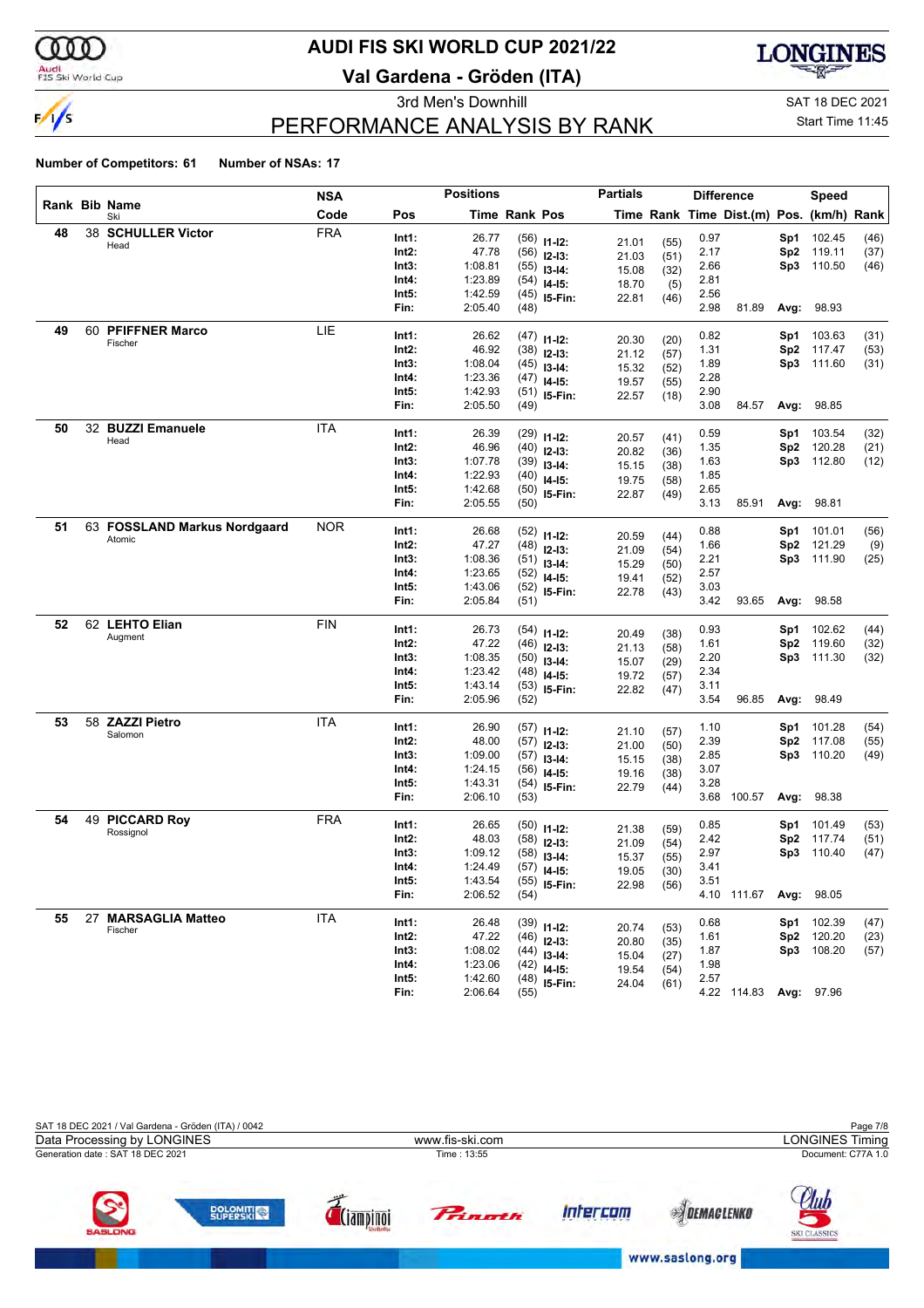

# **AUDI FIS SKI WORLD CUP 2021/22**

**Val Gardena - Gröden (ITA)**



3rd Men's Downhill Same Communication of the SAT 18 DEC 2021

### PERFORMANCE ANALYSIS BY RANK

Start Time 11:45

| Rank Bib Name<br>Code<br><b>Time Rank Pos</b><br>Time Rank Time Dist.(m) Pos. (km/h) Rank<br>Pos<br>Ski<br><b>FRA</b><br>38 SCHULLER Victor<br>48<br>0.97<br>Int1:<br>26.77<br>102.45<br>$(56)$ 11-12:<br>Sp1<br>(46)<br>21.01<br>(55)<br>Head<br>2.17<br>119.11<br>Int2:<br>47.78<br>Sp <sub>2</sub><br>(37)<br>$(56)$ 12-13:<br>21.03<br>(51)<br>110.50<br>Int3:<br>1:08.81<br>2.66<br>Sp3<br>$(55)$ 13-14:<br>15.08<br>(32)<br>Int4:<br>1:23.89<br>2.81<br>$(54)$ 14-15:<br>18.70<br>(5)<br>1:42.59<br>Int5:<br>2.56<br>$(45)$ 15-Fin:<br>22.81<br>(46)<br>Fin:<br>2:05.40<br>2.98<br>81.89<br>Avg:<br>98.93<br>(48)<br>LIE<br>60 PFIFFNER Marco<br>49<br>Int1:<br>26.62<br>0.82<br>103.63<br>Sp1<br>(31)<br>$(47)$ 11-12:<br>20.30<br>(20)<br>Fischer<br>46.92<br>Int2:<br>1.31<br>Sp <sub>2</sub><br>117.47<br>(53)<br>$(38)$ 12-13:<br>21.12<br>(57)<br>1:08.04<br>Int3:<br>1.89<br>Sp3<br>111.60<br>$(45)$ 13-14:<br>15.32<br>(52)<br>1:23.36<br>2.28<br>Int4:<br>$(47)$ 14-15:<br>19.57<br>(55)<br>1:42.93<br>Int5:<br>2.90<br>$(51)$ 15-Fin:<br>22.57<br>(18)<br>Fin:<br>2:05.50<br>3.08<br>84.57<br>98.85<br>(49)<br>Avg:<br>50<br>32 BUZZI Emanuele<br>ITA<br>26.39<br>Int1:<br>0.59<br>103.54<br>(32)<br>$(29)$ 11-12:<br>Sp1<br>20.57<br>(41)<br>Head<br>46.96<br>Int2:<br>1.35<br>Sp <sub>2</sub><br>120.28<br>(21)<br>$(40)$ 12-13:<br>20.82<br>(36)<br>Int3:<br>1:07.78<br>1.63<br>Sp3<br>112.80<br>(12)<br>$(39)$ 13-14:<br>15.15<br>(38)<br>1:22.93<br>Int4:<br>1.85<br>$(40)$ 14-15:<br>19.75<br>(58)<br>1:42.68<br>Int5:<br>2.65<br>$(50)$ 15-Fin:<br>22.87<br>(49)<br>Fin:<br>2:05.55<br>3.13<br>85.91<br>Avg:<br>98.81<br>(50)<br>63 FOSSLAND Markus Nordgaard<br><b>NOR</b><br>51<br>Int1:<br>26.68<br>0.88<br>101.01<br>$(52)$ 11-12:<br>Sp1<br>(56)<br>20.59<br>(44)<br>Atomic<br>47.27<br>1.66<br>Int2:<br>Sp <sub>2</sub><br>121.29<br>(9)<br>$(48)$ 12-13:<br>21.09<br>(54)<br>1:08.36<br>Int3:<br>2.21<br>111.90<br>Sp3<br>(25)<br>$(51)$ 13-14:<br>15.29<br>(50)<br>1:23.65<br>2.57<br>Int4:<br>$(52)$ 14-15:<br>19.41<br>(52)<br>Int5:<br>1:43.06<br>3.03<br>$(52)$ 15-Fin:<br>22.78<br>(43)<br>3.42<br>Fin:<br>2:05.84<br>93.65<br>Avg:<br>98.58<br>(51)<br>62 LEHTO Elian<br><b>FIN</b><br>52<br>Int1:<br>26.73<br>0.93<br>102.62<br>(44)<br>$(54)$ 11-12:<br>Sp1<br>20.49<br>(38)<br>Augment<br>Int2:<br>47.22<br>1.61<br>Sp <sub>2</sub><br>119.60<br>(32)<br>$(46)$ 12-13:<br>21.13<br>(58)<br>1:08.35<br>Int3:<br>2.20<br>Sp3<br>111.30<br>(32)<br>$(50)$ 13-14:<br>15.07<br>(29)<br>2.34<br>Int4:<br>1:23.42<br>$(48)$ 14-15:<br>19.72<br>(57)<br>1:43.14<br>Int5:<br>3.11<br>$(53)$ 15-Fin:<br>22.82<br>(47)<br>3.54<br>Fin:<br>2:05.96<br>96.85<br>Avg:<br>98.49<br>(52)<br>58 ZAZZI Pietro<br><b>ITA</b><br>53<br>Int1:<br>26.90<br>1.10<br>101.28<br>Sp1<br>(54)<br>$(57)$ 11-12:<br>21.10<br>(57)<br>Salomon<br>48.00<br>2.39<br>Int2:<br>Sp <sub>2</sub><br>117.08<br>(55)<br>$(57)$ 12-13:<br>21.00<br>(50)<br>1:09.00<br>Int3:<br>2.85<br>110.20<br>Sp3<br>(49)<br>$(57)$ 13-14:<br>15.15<br>(38)<br>3.07<br>Int4:<br>1:24.15<br>$(56)$ 14-15:<br>19.16<br>(38)<br>3.28<br>Int5:<br>1:43.31<br>$(54)$ 15-Fin:<br>22.79<br>(44)<br>Fin:<br>2:06.10<br>3.68<br>100.57<br>98.38<br>(53)<br>Avg:<br>54<br>49 PICCARD Roy<br><b>FRA</b><br>Int1:<br>26.65<br>0.85<br>101.49<br>(53)<br>$(50)$ 11-12:<br>Sp1<br>21.38<br>(59)<br>Rossignol<br>48.03<br>Int2:<br>2.42<br>Sp <sub>2</sub><br>117.74<br>(51)<br>$(58)$ 12-13:<br>21.09<br>(54)<br>1:09.12<br>Int3:<br>2.97<br>Sp3<br>110.40<br>$(58)$ 13-14:<br>(47)<br>15.37<br>(55)<br>Int4:<br>1:24.49<br>3.41<br>$(57)$ 14-15:<br>19.05<br>(30)<br>3.51<br>Int5:<br>1:43.54<br>$(55)$ 15-Fin:<br>22.98<br>(56)<br>2:06.52<br>(54)<br>4.10 111.67<br>Avg:<br>98.05<br>Fin:<br>ITA<br>55<br>27 MARSAGLIA Matteo<br>Int1:<br>26.48<br>0.68<br>102.39<br>Sp1<br>(47)<br>$(39)$ 11-12:<br>(53)<br>20.74<br>Fischer<br>47.22<br>Int2:<br>1.61<br>Sp <sub>2</sub><br>120.20<br>(23)<br>$(46)$ 12-13:<br>20.80<br>(35)<br>Int3:<br>1:08.02<br>1.87<br>Sp3 108.20<br>(57)<br>$(44)$ 13-14:<br>15.04<br>(27)<br>Int4:<br>1:23.06<br>1.98<br>$(42)$ 14-15:<br>19.54<br>(54)<br>Int5:<br>1:42.60<br>2.57<br>$(48)$ 15-Fin:<br>24.04<br>(61)<br>4.22 114.83 Avg: 97.96 |  | <b>NSA</b> |      | <b>Positions</b> |      | <b>Partials</b> |  | <b>Difference</b> | Speed |      |
|----------------------------------------------------------------------------------------------------------------------------------------------------------------------------------------------------------------------------------------------------------------------------------------------------------------------------------------------------------------------------------------------------------------------------------------------------------------------------------------------------------------------------------------------------------------------------------------------------------------------------------------------------------------------------------------------------------------------------------------------------------------------------------------------------------------------------------------------------------------------------------------------------------------------------------------------------------------------------------------------------------------------------------------------------------------------------------------------------------------------------------------------------------------------------------------------------------------------------------------------------------------------------------------------------------------------------------------------------------------------------------------------------------------------------------------------------------------------------------------------------------------------------------------------------------------------------------------------------------------------------------------------------------------------------------------------------------------------------------------------------------------------------------------------------------------------------------------------------------------------------------------------------------------------------------------------------------------------------------------------------------------------------------------------------------------------------------------------------------------------------------------------------------------------------------------------------------------------------------------------------------------------------------------------------------------------------------------------------------------------------------------------------------------------------------------------------------------------------------------------------------------------------------------------------------------------------------------------------------------------------------------------------------------------------------------------------------------------------------------------------------------------------------------------------------------------------------------------------------------------------------------------------------------------------------------------------------------------------------------------------------------------------------------------------------------------------------------------------------------------------------------------------------------------------------------------------------------------------------------------------------------------------------------------------------------------------------------------------------------------------------------------------------------------------------------------------------------------------------------------------------------------------------------------------------------------------------------------------------------------------------------------------------------------------------------------------------------------------------------------------------------------------------------------------------------------------------------------------------------------------------------------------------------------------------------------------------------------------------------------------------------------------------------------------------------------------------------------------------------------------------------------------------------------------------------------------------------------------------------------------|--|------------|------|------------------|------|-----------------|--|-------------------|-------|------|
|                                                                                                                                                                                                                                                                                                                                                                                                                                                                                                                                                                                                                                                                                                                                                                                                                                                                                                                                                                                                                                                                                                                                                                                                                                                                                                                                                                                                                                                                                                                                                                                                                                                                                                                                                                                                                                                                                                                                                                                                                                                                                                                                                                                                                                                                                                                                                                                                                                                                                                                                                                                                                                                                                                                                                                                                                                                                                                                                                                                                                                                                                                                                                                                                                                                                                                                                                                                                                                                                                                                                                                                                                                                                                                                                                                                                                                                                                                                                                                                                                                                                                                                                                                                                                                                    |  |            |      |                  |      |                 |  |                   |       |      |
|                                                                                                                                                                                                                                                                                                                                                                                                                                                                                                                                                                                                                                                                                                                                                                                                                                                                                                                                                                                                                                                                                                                                                                                                                                                                                                                                                                                                                                                                                                                                                                                                                                                                                                                                                                                                                                                                                                                                                                                                                                                                                                                                                                                                                                                                                                                                                                                                                                                                                                                                                                                                                                                                                                                                                                                                                                                                                                                                                                                                                                                                                                                                                                                                                                                                                                                                                                                                                                                                                                                                                                                                                                                                                                                                                                                                                                                                                                                                                                                                                                                                                                                                                                                                                                                    |  |            |      |                  |      |                 |  |                   |       |      |
|                                                                                                                                                                                                                                                                                                                                                                                                                                                                                                                                                                                                                                                                                                                                                                                                                                                                                                                                                                                                                                                                                                                                                                                                                                                                                                                                                                                                                                                                                                                                                                                                                                                                                                                                                                                                                                                                                                                                                                                                                                                                                                                                                                                                                                                                                                                                                                                                                                                                                                                                                                                                                                                                                                                                                                                                                                                                                                                                                                                                                                                                                                                                                                                                                                                                                                                                                                                                                                                                                                                                                                                                                                                                                                                                                                                                                                                                                                                                                                                                                                                                                                                                                                                                                                                    |  |            |      |                  |      |                 |  |                   |       |      |
|                                                                                                                                                                                                                                                                                                                                                                                                                                                                                                                                                                                                                                                                                                                                                                                                                                                                                                                                                                                                                                                                                                                                                                                                                                                                                                                                                                                                                                                                                                                                                                                                                                                                                                                                                                                                                                                                                                                                                                                                                                                                                                                                                                                                                                                                                                                                                                                                                                                                                                                                                                                                                                                                                                                                                                                                                                                                                                                                                                                                                                                                                                                                                                                                                                                                                                                                                                                                                                                                                                                                                                                                                                                                                                                                                                                                                                                                                                                                                                                                                                                                                                                                                                                                                                                    |  |            |      |                  |      |                 |  |                   |       | (46) |
|                                                                                                                                                                                                                                                                                                                                                                                                                                                                                                                                                                                                                                                                                                                                                                                                                                                                                                                                                                                                                                                                                                                                                                                                                                                                                                                                                                                                                                                                                                                                                                                                                                                                                                                                                                                                                                                                                                                                                                                                                                                                                                                                                                                                                                                                                                                                                                                                                                                                                                                                                                                                                                                                                                                                                                                                                                                                                                                                                                                                                                                                                                                                                                                                                                                                                                                                                                                                                                                                                                                                                                                                                                                                                                                                                                                                                                                                                                                                                                                                                                                                                                                                                                                                                                                    |  |            |      |                  |      |                 |  |                   |       |      |
|                                                                                                                                                                                                                                                                                                                                                                                                                                                                                                                                                                                                                                                                                                                                                                                                                                                                                                                                                                                                                                                                                                                                                                                                                                                                                                                                                                                                                                                                                                                                                                                                                                                                                                                                                                                                                                                                                                                                                                                                                                                                                                                                                                                                                                                                                                                                                                                                                                                                                                                                                                                                                                                                                                                                                                                                                                                                                                                                                                                                                                                                                                                                                                                                                                                                                                                                                                                                                                                                                                                                                                                                                                                                                                                                                                                                                                                                                                                                                                                                                                                                                                                                                                                                                                                    |  |            |      |                  |      |                 |  |                   |       |      |
|                                                                                                                                                                                                                                                                                                                                                                                                                                                                                                                                                                                                                                                                                                                                                                                                                                                                                                                                                                                                                                                                                                                                                                                                                                                                                                                                                                                                                                                                                                                                                                                                                                                                                                                                                                                                                                                                                                                                                                                                                                                                                                                                                                                                                                                                                                                                                                                                                                                                                                                                                                                                                                                                                                                                                                                                                                                                                                                                                                                                                                                                                                                                                                                                                                                                                                                                                                                                                                                                                                                                                                                                                                                                                                                                                                                                                                                                                                                                                                                                                                                                                                                                                                                                                                                    |  |            |      |                  |      |                 |  |                   |       |      |
|                                                                                                                                                                                                                                                                                                                                                                                                                                                                                                                                                                                                                                                                                                                                                                                                                                                                                                                                                                                                                                                                                                                                                                                                                                                                                                                                                                                                                                                                                                                                                                                                                                                                                                                                                                                                                                                                                                                                                                                                                                                                                                                                                                                                                                                                                                                                                                                                                                                                                                                                                                                                                                                                                                                                                                                                                                                                                                                                                                                                                                                                                                                                                                                                                                                                                                                                                                                                                                                                                                                                                                                                                                                                                                                                                                                                                                                                                                                                                                                                                                                                                                                                                                                                                                                    |  |            |      |                  |      |                 |  |                   |       |      |
|                                                                                                                                                                                                                                                                                                                                                                                                                                                                                                                                                                                                                                                                                                                                                                                                                                                                                                                                                                                                                                                                                                                                                                                                                                                                                                                                                                                                                                                                                                                                                                                                                                                                                                                                                                                                                                                                                                                                                                                                                                                                                                                                                                                                                                                                                                                                                                                                                                                                                                                                                                                                                                                                                                                                                                                                                                                                                                                                                                                                                                                                                                                                                                                                                                                                                                                                                                                                                                                                                                                                                                                                                                                                                                                                                                                                                                                                                                                                                                                                                                                                                                                                                                                                                                                    |  |            |      |                  |      |                 |  |                   |       |      |
|                                                                                                                                                                                                                                                                                                                                                                                                                                                                                                                                                                                                                                                                                                                                                                                                                                                                                                                                                                                                                                                                                                                                                                                                                                                                                                                                                                                                                                                                                                                                                                                                                                                                                                                                                                                                                                                                                                                                                                                                                                                                                                                                                                                                                                                                                                                                                                                                                                                                                                                                                                                                                                                                                                                                                                                                                                                                                                                                                                                                                                                                                                                                                                                                                                                                                                                                                                                                                                                                                                                                                                                                                                                                                                                                                                                                                                                                                                                                                                                                                                                                                                                                                                                                                                                    |  |            |      |                  |      |                 |  |                   |       | (31) |
|                                                                                                                                                                                                                                                                                                                                                                                                                                                                                                                                                                                                                                                                                                                                                                                                                                                                                                                                                                                                                                                                                                                                                                                                                                                                                                                                                                                                                                                                                                                                                                                                                                                                                                                                                                                                                                                                                                                                                                                                                                                                                                                                                                                                                                                                                                                                                                                                                                                                                                                                                                                                                                                                                                                                                                                                                                                                                                                                                                                                                                                                                                                                                                                                                                                                                                                                                                                                                                                                                                                                                                                                                                                                                                                                                                                                                                                                                                                                                                                                                                                                                                                                                                                                                                                    |  |            |      |                  |      |                 |  |                   |       |      |
|                                                                                                                                                                                                                                                                                                                                                                                                                                                                                                                                                                                                                                                                                                                                                                                                                                                                                                                                                                                                                                                                                                                                                                                                                                                                                                                                                                                                                                                                                                                                                                                                                                                                                                                                                                                                                                                                                                                                                                                                                                                                                                                                                                                                                                                                                                                                                                                                                                                                                                                                                                                                                                                                                                                                                                                                                                                                                                                                                                                                                                                                                                                                                                                                                                                                                                                                                                                                                                                                                                                                                                                                                                                                                                                                                                                                                                                                                                                                                                                                                                                                                                                                                                                                                                                    |  |            |      |                  |      |                 |  |                   |       |      |
|                                                                                                                                                                                                                                                                                                                                                                                                                                                                                                                                                                                                                                                                                                                                                                                                                                                                                                                                                                                                                                                                                                                                                                                                                                                                                                                                                                                                                                                                                                                                                                                                                                                                                                                                                                                                                                                                                                                                                                                                                                                                                                                                                                                                                                                                                                                                                                                                                                                                                                                                                                                                                                                                                                                                                                                                                                                                                                                                                                                                                                                                                                                                                                                                                                                                                                                                                                                                                                                                                                                                                                                                                                                                                                                                                                                                                                                                                                                                                                                                                                                                                                                                                                                                                                                    |  |            |      |                  |      |                 |  |                   |       |      |
|                                                                                                                                                                                                                                                                                                                                                                                                                                                                                                                                                                                                                                                                                                                                                                                                                                                                                                                                                                                                                                                                                                                                                                                                                                                                                                                                                                                                                                                                                                                                                                                                                                                                                                                                                                                                                                                                                                                                                                                                                                                                                                                                                                                                                                                                                                                                                                                                                                                                                                                                                                                                                                                                                                                                                                                                                                                                                                                                                                                                                                                                                                                                                                                                                                                                                                                                                                                                                                                                                                                                                                                                                                                                                                                                                                                                                                                                                                                                                                                                                                                                                                                                                                                                                                                    |  |            |      |                  |      |                 |  |                   |       |      |
|                                                                                                                                                                                                                                                                                                                                                                                                                                                                                                                                                                                                                                                                                                                                                                                                                                                                                                                                                                                                                                                                                                                                                                                                                                                                                                                                                                                                                                                                                                                                                                                                                                                                                                                                                                                                                                                                                                                                                                                                                                                                                                                                                                                                                                                                                                                                                                                                                                                                                                                                                                                                                                                                                                                                                                                                                                                                                                                                                                                                                                                                                                                                                                                                                                                                                                                                                                                                                                                                                                                                                                                                                                                                                                                                                                                                                                                                                                                                                                                                                                                                                                                                                                                                                                                    |  |            |      |                  |      |                 |  |                   |       |      |
|                                                                                                                                                                                                                                                                                                                                                                                                                                                                                                                                                                                                                                                                                                                                                                                                                                                                                                                                                                                                                                                                                                                                                                                                                                                                                                                                                                                                                                                                                                                                                                                                                                                                                                                                                                                                                                                                                                                                                                                                                                                                                                                                                                                                                                                                                                                                                                                                                                                                                                                                                                                                                                                                                                                                                                                                                                                                                                                                                                                                                                                                                                                                                                                                                                                                                                                                                                                                                                                                                                                                                                                                                                                                                                                                                                                                                                                                                                                                                                                                                                                                                                                                                                                                                                                    |  |            |      |                  |      |                 |  |                   |       |      |
|                                                                                                                                                                                                                                                                                                                                                                                                                                                                                                                                                                                                                                                                                                                                                                                                                                                                                                                                                                                                                                                                                                                                                                                                                                                                                                                                                                                                                                                                                                                                                                                                                                                                                                                                                                                                                                                                                                                                                                                                                                                                                                                                                                                                                                                                                                                                                                                                                                                                                                                                                                                                                                                                                                                                                                                                                                                                                                                                                                                                                                                                                                                                                                                                                                                                                                                                                                                                                                                                                                                                                                                                                                                                                                                                                                                                                                                                                                                                                                                                                                                                                                                                                                                                                                                    |  |            |      |                  |      |                 |  |                   |       |      |
|                                                                                                                                                                                                                                                                                                                                                                                                                                                                                                                                                                                                                                                                                                                                                                                                                                                                                                                                                                                                                                                                                                                                                                                                                                                                                                                                                                                                                                                                                                                                                                                                                                                                                                                                                                                                                                                                                                                                                                                                                                                                                                                                                                                                                                                                                                                                                                                                                                                                                                                                                                                                                                                                                                                                                                                                                                                                                                                                                                                                                                                                                                                                                                                                                                                                                                                                                                                                                                                                                                                                                                                                                                                                                                                                                                                                                                                                                                                                                                                                                                                                                                                                                                                                                                                    |  |            |      |                  |      |                 |  |                   |       |      |
|                                                                                                                                                                                                                                                                                                                                                                                                                                                                                                                                                                                                                                                                                                                                                                                                                                                                                                                                                                                                                                                                                                                                                                                                                                                                                                                                                                                                                                                                                                                                                                                                                                                                                                                                                                                                                                                                                                                                                                                                                                                                                                                                                                                                                                                                                                                                                                                                                                                                                                                                                                                                                                                                                                                                                                                                                                                                                                                                                                                                                                                                                                                                                                                                                                                                                                                                                                                                                                                                                                                                                                                                                                                                                                                                                                                                                                                                                                                                                                                                                                                                                                                                                                                                                                                    |  |            |      |                  |      |                 |  |                   |       |      |
|                                                                                                                                                                                                                                                                                                                                                                                                                                                                                                                                                                                                                                                                                                                                                                                                                                                                                                                                                                                                                                                                                                                                                                                                                                                                                                                                                                                                                                                                                                                                                                                                                                                                                                                                                                                                                                                                                                                                                                                                                                                                                                                                                                                                                                                                                                                                                                                                                                                                                                                                                                                                                                                                                                                                                                                                                                                                                                                                                                                                                                                                                                                                                                                                                                                                                                                                                                                                                                                                                                                                                                                                                                                                                                                                                                                                                                                                                                                                                                                                                                                                                                                                                                                                                                                    |  |            |      |                  |      |                 |  |                   |       |      |
|                                                                                                                                                                                                                                                                                                                                                                                                                                                                                                                                                                                                                                                                                                                                                                                                                                                                                                                                                                                                                                                                                                                                                                                                                                                                                                                                                                                                                                                                                                                                                                                                                                                                                                                                                                                                                                                                                                                                                                                                                                                                                                                                                                                                                                                                                                                                                                                                                                                                                                                                                                                                                                                                                                                                                                                                                                                                                                                                                                                                                                                                                                                                                                                                                                                                                                                                                                                                                                                                                                                                                                                                                                                                                                                                                                                                                                                                                                                                                                                                                                                                                                                                                                                                                                                    |  |            |      |                  |      |                 |  |                   |       |      |
|                                                                                                                                                                                                                                                                                                                                                                                                                                                                                                                                                                                                                                                                                                                                                                                                                                                                                                                                                                                                                                                                                                                                                                                                                                                                                                                                                                                                                                                                                                                                                                                                                                                                                                                                                                                                                                                                                                                                                                                                                                                                                                                                                                                                                                                                                                                                                                                                                                                                                                                                                                                                                                                                                                                                                                                                                                                                                                                                                                                                                                                                                                                                                                                                                                                                                                                                                                                                                                                                                                                                                                                                                                                                                                                                                                                                                                                                                                                                                                                                                                                                                                                                                                                                                                                    |  |            |      |                  |      |                 |  |                   |       |      |
|                                                                                                                                                                                                                                                                                                                                                                                                                                                                                                                                                                                                                                                                                                                                                                                                                                                                                                                                                                                                                                                                                                                                                                                                                                                                                                                                                                                                                                                                                                                                                                                                                                                                                                                                                                                                                                                                                                                                                                                                                                                                                                                                                                                                                                                                                                                                                                                                                                                                                                                                                                                                                                                                                                                                                                                                                                                                                                                                                                                                                                                                                                                                                                                                                                                                                                                                                                                                                                                                                                                                                                                                                                                                                                                                                                                                                                                                                                                                                                                                                                                                                                                                                                                                                                                    |  |            |      |                  |      |                 |  |                   |       |      |
|                                                                                                                                                                                                                                                                                                                                                                                                                                                                                                                                                                                                                                                                                                                                                                                                                                                                                                                                                                                                                                                                                                                                                                                                                                                                                                                                                                                                                                                                                                                                                                                                                                                                                                                                                                                                                                                                                                                                                                                                                                                                                                                                                                                                                                                                                                                                                                                                                                                                                                                                                                                                                                                                                                                                                                                                                                                                                                                                                                                                                                                                                                                                                                                                                                                                                                                                                                                                                                                                                                                                                                                                                                                                                                                                                                                                                                                                                                                                                                                                                                                                                                                                                                                                                                                    |  |            |      |                  |      |                 |  |                   |       |      |
|                                                                                                                                                                                                                                                                                                                                                                                                                                                                                                                                                                                                                                                                                                                                                                                                                                                                                                                                                                                                                                                                                                                                                                                                                                                                                                                                                                                                                                                                                                                                                                                                                                                                                                                                                                                                                                                                                                                                                                                                                                                                                                                                                                                                                                                                                                                                                                                                                                                                                                                                                                                                                                                                                                                                                                                                                                                                                                                                                                                                                                                                                                                                                                                                                                                                                                                                                                                                                                                                                                                                                                                                                                                                                                                                                                                                                                                                                                                                                                                                                                                                                                                                                                                                                                                    |  |            |      |                  |      |                 |  |                   |       |      |
|                                                                                                                                                                                                                                                                                                                                                                                                                                                                                                                                                                                                                                                                                                                                                                                                                                                                                                                                                                                                                                                                                                                                                                                                                                                                                                                                                                                                                                                                                                                                                                                                                                                                                                                                                                                                                                                                                                                                                                                                                                                                                                                                                                                                                                                                                                                                                                                                                                                                                                                                                                                                                                                                                                                                                                                                                                                                                                                                                                                                                                                                                                                                                                                                                                                                                                                                                                                                                                                                                                                                                                                                                                                                                                                                                                                                                                                                                                                                                                                                                                                                                                                                                                                                                                                    |  |            |      |                  |      |                 |  |                   |       |      |
|                                                                                                                                                                                                                                                                                                                                                                                                                                                                                                                                                                                                                                                                                                                                                                                                                                                                                                                                                                                                                                                                                                                                                                                                                                                                                                                                                                                                                                                                                                                                                                                                                                                                                                                                                                                                                                                                                                                                                                                                                                                                                                                                                                                                                                                                                                                                                                                                                                                                                                                                                                                                                                                                                                                                                                                                                                                                                                                                                                                                                                                                                                                                                                                                                                                                                                                                                                                                                                                                                                                                                                                                                                                                                                                                                                                                                                                                                                                                                                                                                                                                                                                                                                                                                                                    |  |            |      |                  |      |                 |  |                   |       |      |
|                                                                                                                                                                                                                                                                                                                                                                                                                                                                                                                                                                                                                                                                                                                                                                                                                                                                                                                                                                                                                                                                                                                                                                                                                                                                                                                                                                                                                                                                                                                                                                                                                                                                                                                                                                                                                                                                                                                                                                                                                                                                                                                                                                                                                                                                                                                                                                                                                                                                                                                                                                                                                                                                                                                                                                                                                                                                                                                                                                                                                                                                                                                                                                                                                                                                                                                                                                                                                                                                                                                                                                                                                                                                                                                                                                                                                                                                                                                                                                                                                                                                                                                                                                                                                                                    |  |            |      |                  |      |                 |  |                   |       |      |
|                                                                                                                                                                                                                                                                                                                                                                                                                                                                                                                                                                                                                                                                                                                                                                                                                                                                                                                                                                                                                                                                                                                                                                                                                                                                                                                                                                                                                                                                                                                                                                                                                                                                                                                                                                                                                                                                                                                                                                                                                                                                                                                                                                                                                                                                                                                                                                                                                                                                                                                                                                                                                                                                                                                                                                                                                                                                                                                                                                                                                                                                                                                                                                                                                                                                                                                                                                                                                                                                                                                                                                                                                                                                                                                                                                                                                                                                                                                                                                                                                                                                                                                                                                                                                                                    |  |            |      |                  |      |                 |  |                   |       |      |
|                                                                                                                                                                                                                                                                                                                                                                                                                                                                                                                                                                                                                                                                                                                                                                                                                                                                                                                                                                                                                                                                                                                                                                                                                                                                                                                                                                                                                                                                                                                                                                                                                                                                                                                                                                                                                                                                                                                                                                                                                                                                                                                                                                                                                                                                                                                                                                                                                                                                                                                                                                                                                                                                                                                                                                                                                                                                                                                                                                                                                                                                                                                                                                                                                                                                                                                                                                                                                                                                                                                                                                                                                                                                                                                                                                                                                                                                                                                                                                                                                                                                                                                                                                                                                                                    |  |            |      |                  |      |                 |  |                   |       |      |
|                                                                                                                                                                                                                                                                                                                                                                                                                                                                                                                                                                                                                                                                                                                                                                                                                                                                                                                                                                                                                                                                                                                                                                                                                                                                                                                                                                                                                                                                                                                                                                                                                                                                                                                                                                                                                                                                                                                                                                                                                                                                                                                                                                                                                                                                                                                                                                                                                                                                                                                                                                                                                                                                                                                                                                                                                                                                                                                                                                                                                                                                                                                                                                                                                                                                                                                                                                                                                                                                                                                                                                                                                                                                                                                                                                                                                                                                                                                                                                                                                                                                                                                                                                                                                                                    |  |            |      |                  |      |                 |  |                   |       |      |
|                                                                                                                                                                                                                                                                                                                                                                                                                                                                                                                                                                                                                                                                                                                                                                                                                                                                                                                                                                                                                                                                                                                                                                                                                                                                                                                                                                                                                                                                                                                                                                                                                                                                                                                                                                                                                                                                                                                                                                                                                                                                                                                                                                                                                                                                                                                                                                                                                                                                                                                                                                                                                                                                                                                                                                                                                                                                                                                                                                                                                                                                                                                                                                                                                                                                                                                                                                                                                                                                                                                                                                                                                                                                                                                                                                                                                                                                                                                                                                                                                                                                                                                                                                                                                                                    |  |            |      |                  |      |                 |  |                   |       |      |
|                                                                                                                                                                                                                                                                                                                                                                                                                                                                                                                                                                                                                                                                                                                                                                                                                                                                                                                                                                                                                                                                                                                                                                                                                                                                                                                                                                                                                                                                                                                                                                                                                                                                                                                                                                                                                                                                                                                                                                                                                                                                                                                                                                                                                                                                                                                                                                                                                                                                                                                                                                                                                                                                                                                                                                                                                                                                                                                                                                                                                                                                                                                                                                                                                                                                                                                                                                                                                                                                                                                                                                                                                                                                                                                                                                                                                                                                                                                                                                                                                                                                                                                                                                                                                                                    |  |            |      |                  |      |                 |  |                   |       |      |
|                                                                                                                                                                                                                                                                                                                                                                                                                                                                                                                                                                                                                                                                                                                                                                                                                                                                                                                                                                                                                                                                                                                                                                                                                                                                                                                                                                                                                                                                                                                                                                                                                                                                                                                                                                                                                                                                                                                                                                                                                                                                                                                                                                                                                                                                                                                                                                                                                                                                                                                                                                                                                                                                                                                                                                                                                                                                                                                                                                                                                                                                                                                                                                                                                                                                                                                                                                                                                                                                                                                                                                                                                                                                                                                                                                                                                                                                                                                                                                                                                                                                                                                                                                                                                                                    |  |            |      |                  |      |                 |  |                   |       |      |
|                                                                                                                                                                                                                                                                                                                                                                                                                                                                                                                                                                                                                                                                                                                                                                                                                                                                                                                                                                                                                                                                                                                                                                                                                                                                                                                                                                                                                                                                                                                                                                                                                                                                                                                                                                                                                                                                                                                                                                                                                                                                                                                                                                                                                                                                                                                                                                                                                                                                                                                                                                                                                                                                                                                                                                                                                                                                                                                                                                                                                                                                                                                                                                                                                                                                                                                                                                                                                                                                                                                                                                                                                                                                                                                                                                                                                                                                                                                                                                                                                                                                                                                                                                                                                                                    |  |            |      |                  |      |                 |  |                   |       |      |
|                                                                                                                                                                                                                                                                                                                                                                                                                                                                                                                                                                                                                                                                                                                                                                                                                                                                                                                                                                                                                                                                                                                                                                                                                                                                                                                                                                                                                                                                                                                                                                                                                                                                                                                                                                                                                                                                                                                                                                                                                                                                                                                                                                                                                                                                                                                                                                                                                                                                                                                                                                                                                                                                                                                                                                                                                                                                                                                                                                                                                                                                                                                                                                                                                                                                                                                                                                                                                                                                                                                                                                                                                                                                                                                                                                                                                                                                                                                                                                                                                                                                                                                                                                                                                                                    |  |            |      |                  |      |                 |  |                   |       |      |
|                                                                                                                                                                                                                                                                                                                                                                                                                                                                                                                                                                                                                                                                                                                                                                                                                                                                                                                                                                                                                                                                                                                                                                                                                                                                                                                                                                                                                                                                                                                                                                                                                                                                                                                                                                                                                                                                                                                                                                                                                                                                                                                                                                                                                                                                                                                                                                                                                                                                                                                                                                                                                                                                                                                                                                                                                                                                                                                                                                                                                                                                                                                                                                                                                                                                                                                                                                                                                                                                                                                                                                                                                                                                                                                                                                                                                                                                                                                                                                                                                                                                                                                                                                                                                                                    |  |            |      |                  |      |                 |  |                   |       |      |
|                                                                                                                                                                                                                                                                                                                                                                                                                                                                                                                                                                                                                                                                                                                                                                                                                                                                                                                                                                                                                                                                                                                                                                                                                                                                                                                                                                                                                                                                                                                                                                                                                                                                                                                                                                                                                                                                                                                                                                                                                                                                                                                                                                                                                                                                                                                                                                                                                                                                                                                                                                                                                                                                                                                                                                                                                                                                                                                                                                                                                                                                                                                                                                                                                                                                                                                                                                                                                                                                                                                                                                                                                                                                                                                                                                                                                                                                                                                                                                                                                                                                                                                                                                                                                                                    |  |            |      |                  |      |                 |  |                   |       |      |
|                                                                                                                                                                                                                                                                                                                                                                                                                                                                                                                                                                                                                                                                                                                                                                                                                                                                                                                                                                                                                                                                                                                                                                                                                                                                                                                                                                                                                                                                                                                                                                                                                                                                                                                                                                                                                                                                                                                                                                                                                                                                                                                                                                                                                                                                                                                                                                                                                                                                                                                                                                                                                                                                                                                                                                                                                                                                                                                                                                                                                                                                                                                                                                                                                                                                                                                                                                                                                                                                                                                                                                                                                                                                                                                                                                                                                                                                                                                                                                                                                                                                                                                                                                                                                                                    |  |            |      |                  |      |                 |  |                   |       |      |
|                                                                                                                                                                                                                                                                                                                                                                                                                                                                                                                                                                                                                                                                                                                                                                                                                                                                                                                                                                                                                                                                                                                                                                                                                                                                                                                                                                                                                                                                                                                                                                                                                                                                                                                                                                                                                                                                                                                                                                                                                                                                                                                                                                                                                                                                                                                                                                                                                                                                                                                                                                                                                                                                                                                                                                                                                                                                                                                                                                                                                                                                                                                                                                                                                                                                                                                                                                                                                                                                                                                                                                                                                                                                                                                                                                                                                                                                                                                                                                                                                                                                                                                                                                                                                                                    |  |            |      |                  |      |                 |  |                   |       |      |
|                                                                                                                                                                                                                                                                                                                                                                                                                                                                                                                                                                                                                                                                                                                                                                                                                                                                                                                                                                                                                                                                                                                                                                                                                                                                                                                                                                                                                                                                                                                                                                                                                                                                                                                                                                                                                                                                                                                                                                                                                                                                                                                                                                                                                                                                                                                                                                                                                                                                                                                                                                                                                                                                                                                                                                                                                                                                                                                                                                                                                                                                                                                                                                                                                                                                                                                                                                                                                                                                                                                                                                                                                                                                                                                                                                                                                                                                                                                                                                                                                                                                                                                                                                                                                                                    |  |            |      |                  |      |                 |  |                   |       |      |
|                                                                                                                                                                                                                                                                                                                                                                                                                                                                                                                                                                                                                                                                                                                                                                                                                                                                                                                                                                                                                                                                                                                                                                                                                                                                                                                                                                                                                                                                                                                                                                                                                                                                                                                                                                                                                                                                                                                                                                                                                                                                                                                                                                                                                                                                                                                                                                                                                                                                                                                                                                                                                                                                                                                                                                                                                                                                                                                                                                                                                                                                                                                                                                                                                                                                                                                                                                                                                                                                                                                                                                                                                                                                                                                                                                                                                                                                                                                                                                                                                                                                                                                                                                                                                                                    |  |            |      |                  |      |                 |  |                   |       |      |
|                                                                                                                                                                                                                                                                                                                                                                                                                                                                                                                                                                                                                                                                                                                                                                                                                                                                                                                                                                                                                                                                                                                                                                                                                                                                                                                                                                                                                                                                                                                                                                                                                                                                                                                                                                                                                                                                                                                                                                                                                                                                                                                                                                                                                                                                                                                                                                                                                                                                                                                                                                                                                                                                                                                                                                                                                                                                                                                                                                                                                                                                                                                                                                                                                                                                                                                                                                                                                                                                                                                                                                                                                                                                                                                                                                                                                                                                                                                                                                                                                                                                                                                                                                                                                                                    |  |            |      |                  |      |                 |  |                   |       |      |
|                                                                                                                                                                                                                                                                                                                                                                                                                                                                                                                                                                                                                                                                                                                                                                                                                                                                                                                                                                                                                                                                                                                                                                                                                                                                                                                                                                                                                                                                                                                                                                                                                                                                                                                                                                                                                                                                                                                                                                                                                                                                                                                                                                                                                                                                                                                                                                                                                                                                                                                                                                                                                                                                                                                                                                                                                                                                                                                                                                                                                                                                                                                                                                                                                                                                                                                                                                                                                                                                                                                                                                                                                                                                                                                                                                                                                                                                                                                                                                                                                                                                                                                                                                                                                                                    |  |            |      |                  |      |                 |  |                   |       |      |
|                                                                                                                                                                                                                                                                                                                                                                                                                                                                                                                                                                                                                                                                                                                                                                                                                                                                                                                                                                                                                                                                                                                                                                                                                                                                                                                                                                                                                                                                                                                                                                                                                                                                                                                                                                                                                                                                                                                                                                                                                                                                                                                                                                                                                                                                                                                                                                                                                                                                                                                                                                                                                                                                                                                                                                                                                                                                                                                                                                                                                                                                                                                                                                                                                                                                                                                                                                                                                                                                                                                                                                                                                                                                                                                                                                                                                                                                                                                                                                                                                                                                                                                                                                                                                                                    |  |            |      |                  |      |                 |  |                   |       |      |
|                                                                                                                                                                                                                                                                                                                                                                                                                                                                                                                                                                                                                                                                                                                                                                                                                                                                                                                                                                                                                                                                                                                                                                                                                                                                                                                                                                                                                                                                                                                                                                                                                                                                                                                                                                                                                                                                                                                                                                                                                                                                                                                                                                                                                                                                                                                                                                                                                                                                                                                                                                                                                                                                                                                                                                                                                                                                                                                                                                                                                                                                                                                                                                                                                                                                                                                                                                                                                                                                                                                                                                                                                                                                                                                                                                                                                                                                                                                                                                                                                                                                                                                                                                                                                                                    |  |            |      |                  |      |                 |  |                   |       |      |
|                                                                                                                                                                                                                                                                                                                                                                                                                                                                                                                                                                                                                                                                                                                                                                                                                                                                                                                                                                                                                                                                                                                                                                                                                                                                                                                                                                                                                                                                                                                                                                                                                                                                                                                                                                                                                                                                                                                                                                                                                                                                                                                                                                                                                                                                                                                                                                                                                                                                                                                                                                                                                                                                                                                                                                                                                                                                                                                                                                                                                                                                                                                                                                                                                                                                                                                                                                                                                                                                                                                                                                                                                                                                                                                                                                                                                                                                                                                                                                                                                                                                                                                                                                                                                                                    |  |            |      |                  |      |                 |  |                   |       |      |
|                                                                                                                                                                                                                                                                                                                                                                                                                                                                                                                                                                                                                                                                                                                                                                                                                                                                                                                                                                                                                                                                                                                                                                                                                                                                                                                                                                                                                                                                                                                                                                                                                                                                                                                                                                                                                                                                                                                                                                                                                                                                                                                                                                                                                                                                                                                                                                                                                                                                                                                                                                                                                                                                                                                                                                                                                                                                                                                                                                                                                                                                                                                                                                                                                                                                                                                                                                                                                                                                                                                                                                                                                                                                                                                                                                                                                                                                                                                                                                                                                                                                                                                                                                                                                                                    |  |            |      |                  |      |                 |  |                   |       |      |
|                                                                                                                                                                                                                                                                                                                                                                                                                                                                                                                                                                                                                                                                                                                                                                                                                                                                                                                                                                                                                                                                                                                                                                                                                                                                                                                                                                                                                                                                                                                                                                                                                                                                                                                                                                                                                                                                                                                                                                                                                                                                                                                                                                                                                                                                                                                                                                                                                                                                                                                                                                                                                                                                                                                                                                                                                                                                                                                                                                                                                                                                                                                                                                                                                                                                                                                                                                                                                                                                                                                                                                                                                                                                                                                                                                                                                                                                                                                                                                                                                                                                                                                                                                                                                                                    |  |            | Fin: | 2:06.64          | (55) |                 |  |                   |       |      |

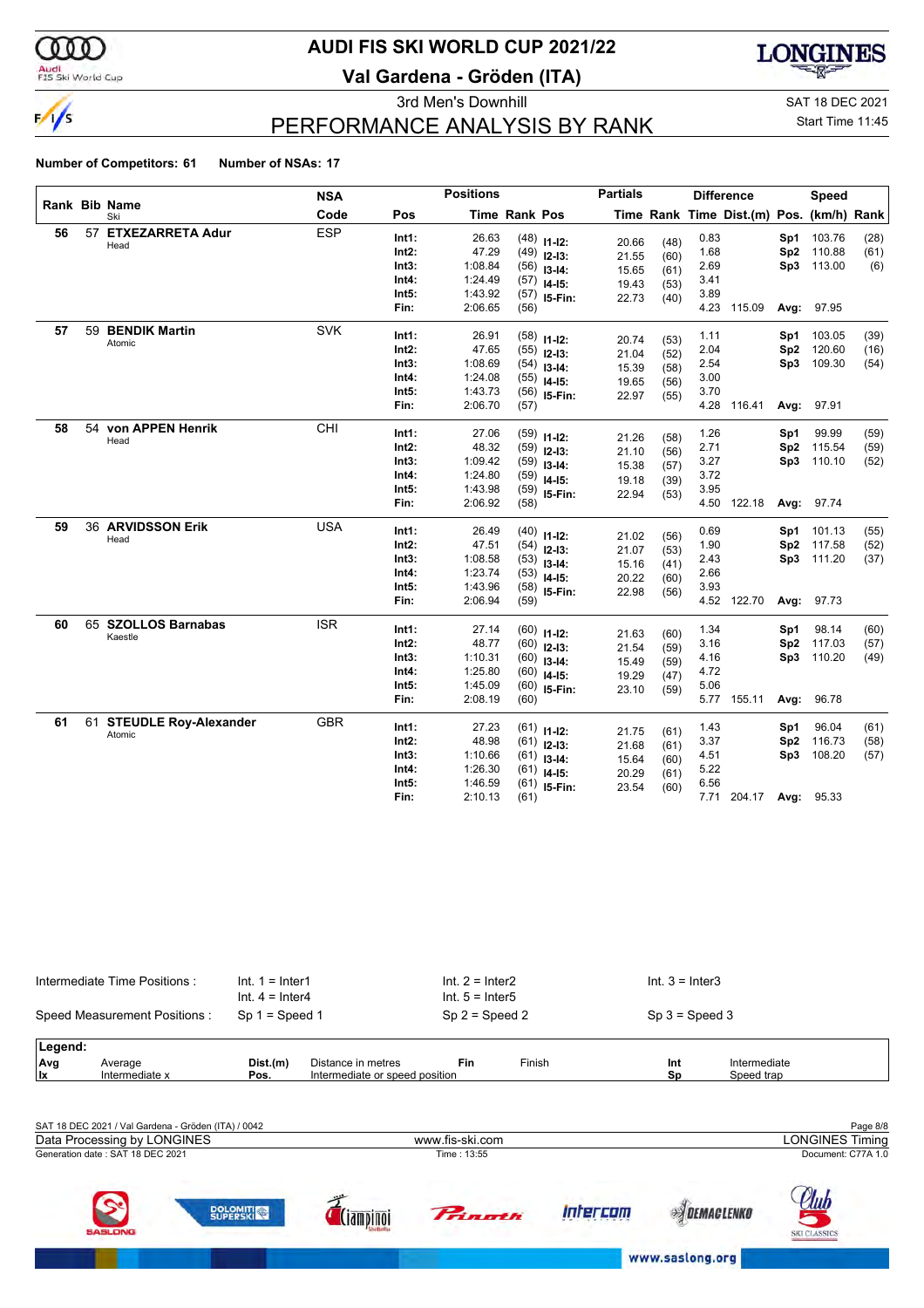

 $\frac{1}{\sqrt{2}}$ 

# **AUDI FIS SKI WORLD CUP 2021/22**

**Val Gardena - Gröden (ITA)**



3rd Men's Downhill SAT 18 DEC 2021

### PERFORMANCE ANALYSIS BY RANK

Start Time 11:45

#### **Number of Competitors: 61 Number of NSAs: 17**

|    |    | Rank Bib Name                | <b>NSA</b> |       | <b>Positions</b> |               |                | <b>Partials</b> |              |      | <b>Difference</b>                        |                 | <b>Speed</b> |      |
|----|----|------------------------------|------------|-------|------------------|---------------|----------------|-----------------|--------------|------|------------------------------------------|-----------------|--------------|------|
|    |    | Ski                          | Code       | Pos   |                  | Time Rank Pos |                |                 |              |      | Time Rank Time Dist.(m) Pos. (km/h) Rank |                 |              |      |
| 56 | 57 | <b>ETXEZARRETA Adur</b>      | <b>ESP</b> | Int1: | 26.63            |               | $(48)$ 11-12:  |                 |              | 0.83 |                                          | Sp1             | 103.76       | (28) |
|    |    | Head                         |            | Int2: | 47.29            |               | $(49)$ 12-13:  | 20.66<br>21.55  | (48)         | 1.68 |                                          | Sp <sub>2</sub> | 110.88       | (61) |
|    |    |                              |            | Int3: | 1:08.84          |               | $(56)$ 13-14:  | 15.65           | (60)<br>(61) | 2.69 |                                          |                 | Sp3 113.00   | (6)  |
|    |    |                              |            | Int4: | 1:24.49          |               | $(57)$ 14-15:  | 19.43           | (53)         | 3.41 |                                          |                 |              |      |
|    |    |                              |            | Int5: | 1:43.92          |               | $(57)$ 15-Fin: | 22.73           | (40)         | 3.89 |                                          |                 |              |      |
|    |    |                              |            | Fin:  | 2:06.65          | (56)          |                |                 |              |      | 4.23 115.09                              |                 | Avg: 97.95   |      |
| 57 | 59 | <b>BENDIK Martin</b>         | <b>SVK</b> | Int1: | 26.91            |               |                |                 |              | 1.11 |                                          | Sp1             | 103.05       | (39) |
|    |    | Atomic                       |            | Int2: | 47.65            |               | $(58)$ 11-12:  | 20.74           | (53)         | 2.04 |                                          | Sp <sub>2</sub> | 120.60       | (16) |
|    |    |                              |            | Int3: | 1:08.69          |               | $(55)$ 12-13:  | 21.04           | (52)         | 2.54 |                                          | Sp3             | 109.30       | (54) |
|    |    |                              |            | Int4: | 1:24.08          |               | $(54)$ 13-14:  | 15.39           | (58)         | 3.00 |                                          |                 |              |      |
|    |    |                              |            | Int5: | 1:43.73          |               | $(55)$ 14-15:  | 19.65           | (56)         | 3.70 |                                          |                 |              |      |
|    |    |                              |            | Fin:  | 2:06.70          | (57)          | $(56)$ 15-Fin: | 22.97           | (55)         | 4.28 | 116.41                                   | Avg:            | 97.91        |      |
|    |    |                              |            |       |                  |               |                |                 |              |      |                                          |                 |              |      |
| 58 | 54 | von APPEN Henrik             | CHI        | Int1: | 27.06            |               | $(59)$ 11-12:  |                 |              | 1.26 |                                          | Sp1             | 99.99        | (59) |
|    |    | Head                         |            | Int2: | 48.32            |               | $(59)$ 12-13:  | 21.26           | (58)         | 2.71 |                                          | Sp2             | 115.54       | (59) |
|    |    |                              |            | Int3: | 1:09.42          |               | $(59)$ 13-14:  | 21.10           | (56)         | 3.27 |                                          | Sp3             | 110.10       | (52) |
|    |    |                              |            | Int4: | 1:24.80          |               | $(59)$ 14-15:  | 15.38           | (57)         | 3.72 |                                          |                 |              |      |
|    |    |                              |            | Int5: | 1:43.98          |               | $(59)$ 15-Fin: | 19.18<br>22.94  | (39)         | 3.95 |                                          |                 |              |      |
|    |    |                              |            | Fin:  | 2:06.92          | (58)          |                |                 | (53)         |      | 4.50 122.18                              |                 | Avg: 97.74   |      |
| 59 |    | 36 ARVIDSSON Erik            | <b>USA</b> | Int1: | 26.49            |               |                |                 |              | 0.69 |                                          | Sp1             | 101.13       | (55) |
|    |    | Head                         |            | Int2: | 47.51            |               | $(40)$ 11-12:  | 21.02           | (56)         | 1.90 |                                          | Sp2             | 117.58       | (52) |
|    |    |                              |            | Int3: | 1:08.58          |               | $(54)$ 12-13:  | 21.07           | (53)         | 2.43 |                                          |                 | Sp3 111.20   | (37) |
|    |    |                              |            | Int4: | 1:23.74          |               | $(53)$ 13-14:  | 15.16           | (41)         | 2.66 |                                          |                 |              |      |
|    |    |                              |            | Int5: | 1:43.96          |               | $(53)$ 14-15:  | 20.22           | (60)         | 3.93 |                                          |                 |              |      |
|    |    |                              |            | Fin:  | 2:06.94          | (59)          | $(58)$ 15-Fin: | 22.98           | (56)         | 4.52 | 122.70                                   | Avg:            | 97.73        |      |
|    |    |                              |            |       |                  |               |                |                 |              |      |                                          |                 |              |      |
| 60 |    | 65 SZOLLOS Barnabas          | <b>ISR</b> | Int1: | 27.14            |               | $(60)$ 11-12:  | 21.63           | (60)         | 1.34 |                                          | Sp1             | 98.14        | (60) |
|    |    | Kaestle                      |            | Int2: | 48.77            |               | $(60)$ 12-13:  | 21.54           | (59)         | 3.16 |                                          | Sp2             | 117.03       | (57) |
|    |    |                              |            | Int3: | 1:10.31          |               | $(60)$ 13-14:  | 15.49           | (59)         | 4.16 |                                          | Sp3             | 110.20       | (49) |
|    |    |                              |            | Int4: | 1:25.80          |               | $(60)$ 14-15:  | 19.29           | (47)         | 4.72 |                                          |                 |              |      |
|    |    |                              |            | Int5: | 1:45.09          |               | $(60)$ 15-Fin: | 23.10           | (59)         | 5.06 |                                          |                 |              |      |
|    |    |                              |            | Fin:  | 2:08.19          | (60)          |                |                 |              |      | 5.77 155.11                              | Avg:            | 96.78        |      |
| 61 | 61 | <b>STEUDLE Roy-Alexander</b> | <b>GBR</b> | Int1: | 27.23            |               | $(61)$ 11-12:  | 21.75           |              | 1.43 |                                          | Sp1             | 96.04        | (61) |
|    |    | Atomic                       |            | Int2: | 48.98            |               | $(61)$ 12-13:  | 21.68           | (61)<br>(61) | 3.37 |                                          | Sp <sub>2</sub> | 116.73       | (58) |
|    |    |                              |            | Int3: | 1:10.66          |               | $(61)$ 13-14:  | 15.64           | (60)         | 4.51 |                                          | Sp3             | 108.20       | (57) |
|    |    |                              |            | Int4: | 1:26.30          |               | $(61)$ 14-15:  | 20.29           |              | 5.22 |                                          |                 |              |      |
|    |    |                              |            | Int5: | 1:46.59          |               | $(61)$ 15-Fin: | 23.54           | (61)<br>(60) | 6.56 |                                          |                 |              |      |
|    |    |                              |            | Fin:  | 2:10.13          | (61)          |                |                 |              | 7.71 | 204.17                                   | Avg:            | 95.33        |      |

|         | Intermediate Time Positions: | $Int. 1 = Inter1$<br>$Int. 4 = Inter4$ |                                | $Int. 2 = Inter2$<br>Int. $5 =$ Inter5 |        | $Int. 3 = Inter3$ |              |  |
|---------|------------------------------|----------------------------------------|--------------------------------|----------------------------------------|--------|-------------------|--------------|--|
|         | Speed Measurement Positions: | $Sp 1 = Speed 1$                       |                                | $Sp 2 = Speed 2$                       |        | $Sp 3 = Speed 3$  |              |  |
| Legend: |                              |                                        |                                |                                        |        |                   |              |  |
| Avg     | Average                      | Dist.(m)                               | Distance in metres             | Fin                                    | Finish | Int               | Intermediate |  |
| x       | Intermediate x               | Pos.                                   | Intermediate or speed position |                                        |        | Sp                | Speed trap   |  |
|         |                              |                                        |                                |                                        |        |                   |              |  |

| SAT 18 DEC 2021 / Val Gardena - Gröden (ITA) / 0042 |                 |        | Page 8/8                           |
|-----------------------------------------------------|-----------------|--------|------------------------------------|
| Data Processing by LONGINES                         | www.fis-ski.com |        | <b>LONGINES Timing</b>             |
| Generation date: SAT 18 DEC 2021                    | Time: 13:55     |        | Document: C77A 1.0                 |
| <b>SASLONG</b>                                      | <b>Princith</b> | tercom | <u>su</u> r<br><b>SKI CLASSICS</b> |

www.saslong.org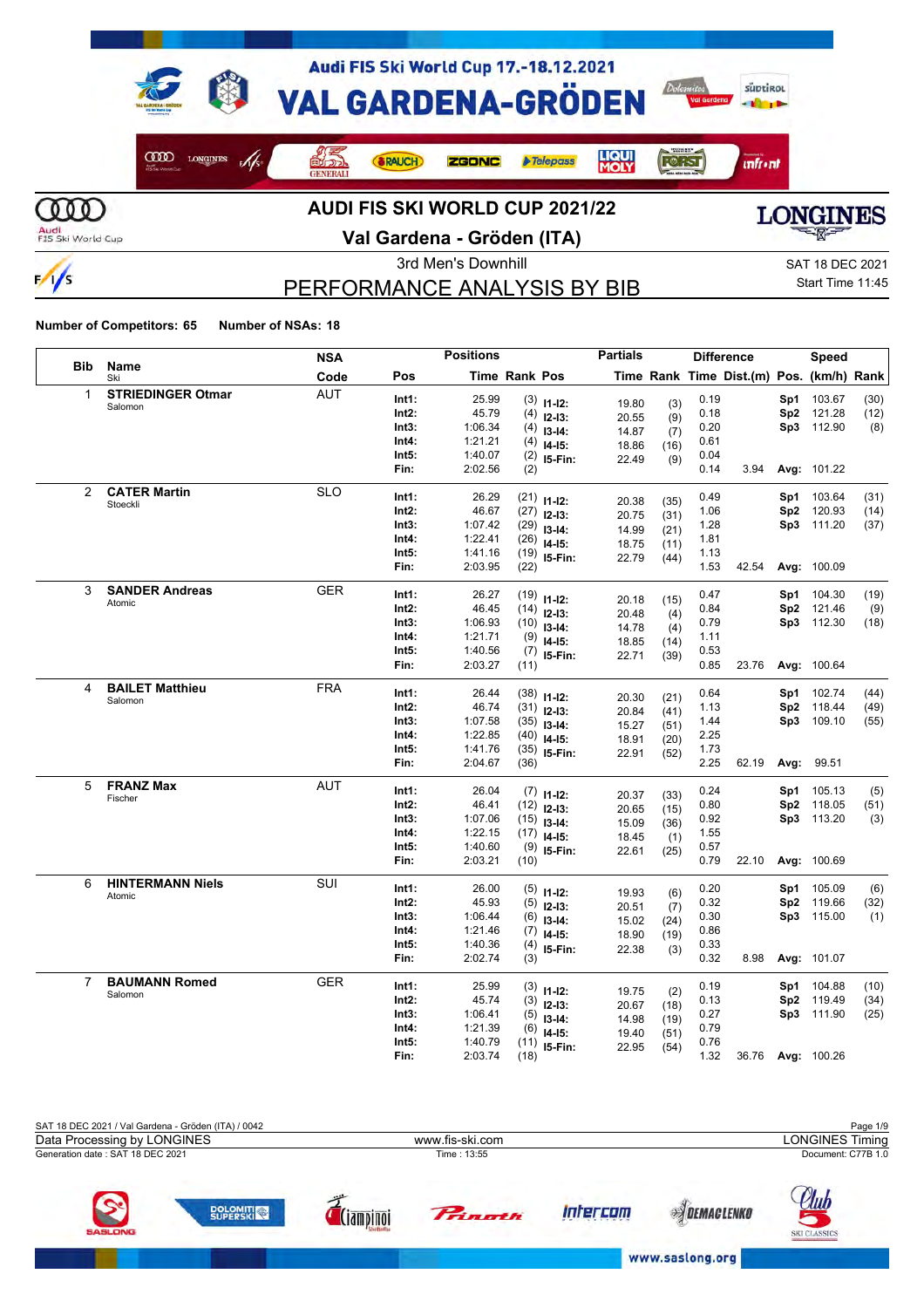

 $\frac{1}{s}$ 

# **Val Gardena - Gröden (ITA)**



# PERFORMANCE ANALYSIS BY BIB

3rd Men's Downhill Saturation Control of the SAT 18 DEC 2021 Start Time 11:45

|                |                          | <b>NSA</b> |       | <b>Positions</b> |                      |                                   | <b>Partials</b> |              |      | <b>Difference</b>                        |            | <b>Speed</b>     |              |
|----------------|--------------------------|------------|-------|------------------|----------------------|-----------------------------------|-----------------|--------------|------|------------------------------------------|------------|------------------|--------------|
| <b>Bib</b>     | Name<br>Ski              | Code       | Pos   |                  | <b>Time Rank Pos</b> |                                   |                 |              |      | Time Rank Time Dist.(m) Pos. (km/h) Rank |            |                  |              |
| 1              | <b>STRIEDINGER Otmar</b> | <b>AUT</b> | Int1: | 25.99            |                      | $(3)$ 11-12:                      | 19.80           | (3)          | 0.19 |                                          | Sp1        | 103.67           | (30)         |
|                | Salomon                  |            | Int2: | 45.79            |                      | $(4)$ 12-13:                      | 20.55           | (9)          | 0.18 |                                          |            | Sp2 121.28       | (12)         |
|                |                          |            | Int3: | 1:06.34          |                      | $(4)$ 13-14:                      | 14.87           | (7)          | 0.20 |                                          |            | Sp3 112.90       | (8)          |
|                |                          |            | Int4: | 1:21.21          |                      | $(4)$ 14-15:                      | 18.86           | (16)         | 0.61 |                                          |            |                  |              |
|                |                          |            | Int5: | 1:40.07          |                      | $(2)$ 15-Fin:                     | 22.49           | (9)          | 0.04 |                                          |            |                  |              |
|                |                          |            | Fin:  | 2:02.56          | (2)                  |                                   |                 |              | 0.14 | 3.94                                     |            | Avg: 101.22      |              |
| $\overline{2}$ | <b>CATER Martin</b>      | <b>SLO</b> | Int1: | 26.29            |                      | $(21)$ 11-12:                     |                 |              | 0.49 |                                          | Sp1        | 103.64           | (31)         |
|                | Stoeckli                 |            | Int2: | 46.67            |                      | $(27)$ 12-13:                     | 20.38           | (35)         | 1.06 |                                          | Sp2        | 120.93           | (14)         |
|                |                          |            | Int3: | 1:07.42          |                      | $(29)$ 13-14:                     | 20.75           | (31)         | 1.28 |                                          | Sp3        | 111.20           | (37)         |
|                |                          |            | Int4: | 1:22.41          |                      | $(26)$ 14-15:                     | 14.99<br>18.75  | (21)         | 1.81 |                                          |            |                  |              |
|                |                          |            | Int5: | 1:41.16          |                      | $(19)$ 15-Fin:                    | 22.79           | (11)         | 1.13 |                                          |            |                  |              |
|                |                          |            | Fin:  | 2:03.95          | (22)                 |                                   |                 | (44)         | 1.53 | 42.54                                    |            | Avg: 100.09      |              |
| 3              | <b>SANDER Andreas</b>    | <b>GER</b> | Int1: | 26.27            |                      |                                   |                 |              | 0.47 |                                          | Sp1        | 104.30           | (19)         |
|                | Atomic                   |            | Int2: | 46.45            |                      | $(19)$ $11-12$ :<br>$(14)$ 12-13: | 20.18           | (15)         | 0.84 |                                          | Sp2        | 121.46           | (9)          |
|                |                          |            | Int3: | 1:06.93          |                      | $(10)$ 13-14:                     | 20.48           | (4)          | 0.79 |                                          | Sp3        | 112.30           | (18)         |
|                |                          |            | Int4: | 1:21.71          |                      |                                   | 14.78           | (4)          | 1.11 |                                          |            |                  |              |
|                |                          |            | Int5: | 1:40.56          |                      | $(9)$ 14-15:<br>$(7)$ 15-Fin:     | 18.85           | (14)         | 0.53 |                                          |            |                  |              |
|                |                          |            | Fin:  | 2:03.27          | (11)                 |                                   | 22.71           | (39)         | 0.85 | 23.76                                    |            | Avg: 100.64      |              |
| 4              | <b>BAILET Matthieu</b>   | <b>FRA</b> | Int1: | 26.44            |                      |                                   |                 |              | 0.64 |                                          |            |                  |              |
|                | Salomon                  |            | Int2: | 46.74            |                      | $(38)$ 11-12:                     | 20.30           | (21)         | 1.13 |                                          | Sp1<br>Sp2 | 102.74<br>118.44 | (44)<br>(49) |
|                |                          |            | Int3: | 1:07.58          |                      | $(31)$ 12-13:                     | 20.84           | (41)         | 1.44 |                                          | Sp3        | 109.10           |              |
|                |                          |            | Int4: | 1:22.85          |                      | $(35)$ 13-14:                     | 15.27           | (51)         | 2.25 |                                          |            |                  | (55)         |
|                |                          |            | Int5: | 1:41.76          |                      | $(40)$ 14-15:                     | 18.91           | (20)         | 1.73 |                                          |            |                  |              |
|                |                          |            | Fin:  | 2:04.67          | (36)                 | $(35)$ 15-Fin:                    | 22.91           | (52)         | 2.25 | 62.19                                    | Avg:       | 99.51            |              |
| 5              | <b>FRANZ Max</b>         | <b>AUT</b> |       |                  |                      |                                   |                 |              |      |                                          |            |                  |              |
|                | Fischer                  |            | Int1: | 26.04            |                      | $(7)$ 11-12:                      | 20.37           | (33)         | 0.24 |                                          | Sp1        | 105.13           | (5)          |
|                |                          |            | Int2: | 46.41            |                      | $(12)$ 12-13:                     | 20.65           | (15)         | 0.80 |                                          | Sp2        | 118.05           | (51)         |
|                |                          |            | Int3: | 1:07.06          |                      | $(15)$ 13-14:                     | 15.09           | (36)         | 0.92 |                                          | Sp3        | 113.20           | (3)          |
|                |                          |            | Int4: | 1:22.15          |                      | $(17)$ 14-15:                     | 18.45           | (1)          | 1.55 |                                          |            |                  |              |
|                |                          |            | Int5: | 1:40.60          |                      | $(9)$ 15-Fin:                     | 22.61           | (25)         | 0.57 |                                          |            |                  |              |
|                |                          |            | Fin:  | 2:03.21          | (10)                 |                                   |                 |              | 0.79 | 22.10                                    |            | Avg: 100.69      |              |
| 6              | <b>HINTERMANN Niels</b>  | SUI        | Int1: | 26.00            |                      | $(5)$ 11-12:                      | 19.93           | (6)          | 0.20 |                                          | Sp1        | 105.09           | (6)          |
|                | Atomic                   |            | Int2: | 45.93            |                      | $(5)$ 12-13:                      | 20.51           | (7)          | 0.32 |                                          | Sp2        | 119.66           | (32)         |
|                |                          |            | Int3: | 1:06.44          |                      | $(6)$ 13-14:                      | 15.02           | (24)         | 0.30 |                                          | Sp3        | 115.00           | (1)          |
|                |                          |            | Int4: | 1:21.46          |                      | $(7)$ 14-15:                      | 18.90           | (19)         | 0.86 |                                          |            |                  |              |
|                |                          |            | Int5: | 1:40.36          |                      | $(4)$ 15-Fin:                     | 22.38           | (3)          | 0.33 |                                          |            |                  |              |
|                |                          |            | Fin:  | 2:02.74          | (3)                  |                                   |                 |              | 0.32 | 8.98                                     |            | Avg: 101.07      |              |
| $\overline{7}$ | <b>BAUMANN Romed</b>     | <b>GER</b> | Int1: | 25.99            |                      | $(3)$ 11-12:                      |                 |              | 0.19 |                                          | Sp1        | 104.88           | (10)         |
|                | Salomon                  |            | Int2: | 45.74            |                      | $(3)$ 12-13:                      | 19.75<br>20.67  | (2)          | 0.13 |                                          | Sp2        | 119.49           | (34)         |
|                |                          |            | Int3: | 1:06.41          |                      | $(5)$ 13-14:                      | 14.98           | (18)         | 0.27 |                                          | Sp3        | 111.90           | (25)         |
|                |                          |            | Int4: | 1:21.39          | (6)                  | $14 - 15$ :                       | 19.40           | (19)         | 0.79 |                                          |            |                  |              |
|                |                          |            | Int5: | 1:40.79          |                      | $(11)$ 15-Fin:                    | 22.95           | (51)<br>(54) | 0.76 |                                          |            |                  |              |
|                |                          |            | Fin:  | 2:03.74          | (18)                 |                                   |                 |              | 1.32 | 36.76                                    |            | Avg: 100.26      |              |

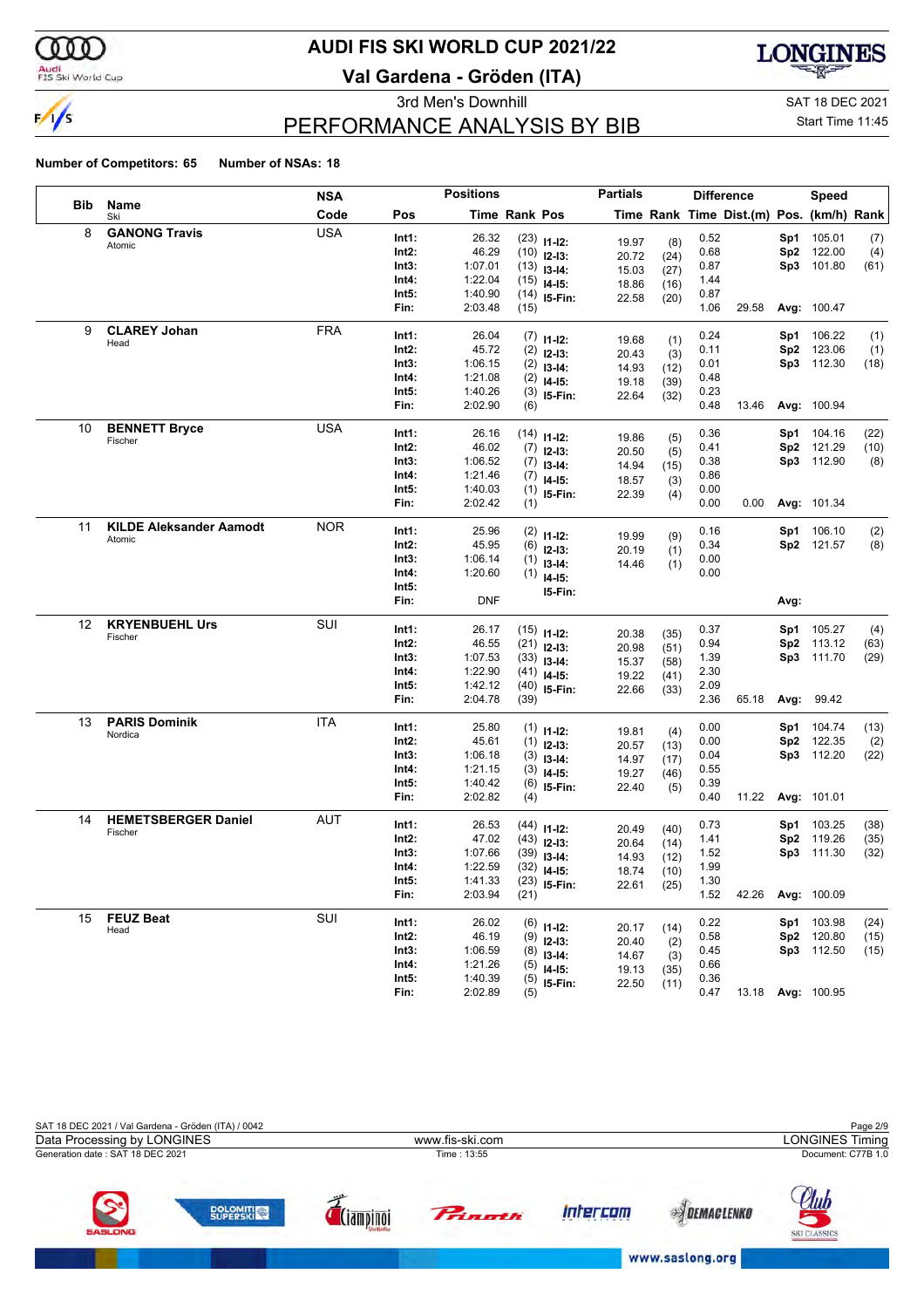

#### Audi<br>FIS Ski World Cup

# **AUDI FIS SKI WORLD CUP 2021/22**

**Val Gardena - Gröden (ITA)**



# PERFORMANCE ANALYSIS BY BIB

3rd Men's Downhill Same Communication of the SAT 18 DEC 2021

### Start Time 11:45

|            |                                | <b>NSA</b> |                | <b>Positions</b>   |                      |                               | <b>Partials</b> |             |              | <b>Difference</b>                        |      | <b>Speed</b> |      |
|------------|--------------------------------|------------|----------------|--------------------|----------------------|-------------------------------|-----------------|-------------|--------------|------------------------------------------|------|--------------|------|
| <b>Bib</b> | Name<br>Ski                    | Code       | Pos            |                    | <b>Time Rank Pos</b> |                               |                 |             |              | Time Rank Time Dist.(m) Pos. (km/h) Rank |      |              |      |
| 8          | <b>GANONG Travis</b>           | <b>USA</b> | Int1:          | 26.32              |                      | $(23)$ 11-12:                 |                 |             | 0.52         |                                          | Sp1  | 105.01       | (7)  |
|            | Atomic                         |            | $Int2$ :       | 46.29              |                      | $(10)$ 12-13:                 | 19.97<br>20.72  | (8)<br>(24) | 0.68         |                                          | Sp2  | 122.00       | (4)  |
|            |                                |            | Int3:          | 1:07.01            |                      | $(13)$ 13-14:                 | 15.03           | (27)        | 0.87         |                                          | Sp3  | 101.80       | (61) |
|            |                                |            | Int4:          | 1:22.04            |                      | $(15)$ 14-15:                 | 18.86           | (16)        | 1.44         |                                          |      |              |      |
|            |                                |            | Int5:          | 1:40.90            |                      | $(14)$ 15-Fin:                | 22.58           | (20)        | 0.87         |                                          |      |              |      |
|            |                                |            | Fin:           | 2:03.48            | (15)                 |                               |                 |             | 1.06         | 29.58                                    |      | Avg: 100.47  |      |
| 9          | <b>CLAREY Johan</b>            | <b>FRA</b> | Int1:          | 26.04              |                      |                               |                 |             | 0.24         |                                          | Sp1  | 106.22       | (1)  |
|            | Head                           |            | $Int2$ :       | 45.72              |                      | $(7)$ 11-12:<br>$(2)$ 12-13:  | 19.68           | (1)         | 0.11         |                                          | Sp2  | 123.06       | (1)  |
|            |                                |            | Int3:          | 1:06.15            |                      | $(2)$ 13-14:                  | 20.43           | (3)         | 0.01         |                                          |      | Sp3 112.30   | (18) |
|            |                                |            | Int4:          | 1:21.08            |                      | $(2)$ 14-15:                  | 14.93           | (12)        | 0.48         |                                          |      |              |      |
|            |                                |            | Int5:          | 1:40.26            |                      | $(3)$ 15-Fin:                 | 19.18<br>22.64  | (39)        | 0.23         |                                          |      |              |      |
|            |                                |            | Fin:           | 2:02.90            | (6)                  |                               |                 | (32)        | 0.48         | 13.46                                    |      | Avg: 100.94  |      |
| 10         | <b>BENNETT Bryce</b>           | <b>USA</b> | Int1:          | 26.16              |                      |                               |                 |             | 0.36         |                                          | Sp1  | 104.16       | (22) |
|            | Fischer                        |            | $Int2$ :       | 46.02              |                      | $(14)$ 11-12:                 | 19.86           | (5)         | 0.41         |                                          | Sp2  | 121.29       | (10) |
|            |                                |            | Int3:          | 1:06.52            |                      | $(7)$ 12-13:                  | 20.50           | (5)         | 0.38         |                                          |      | Sp3 112.90   | (8)  |
|            |                                |            | Int4:          | 1:21.46            |                      | $(7)$ 13-14:                  | 14.94           | (15)        | 0.86         |                                          |      |              |      |
|            |                                |            | Int5:          | 1:40.03            |                      | $(7)$ 14-15:<br>$(1)$ 15-Fin: | 18.57           | (3)         | 0.00         |                                          |      |              |      |
|            |                                |            | Fin:           | 2:02.42            | (1)                  |                               | 22.39           | (4)         | 0.00         | 0.00                                     |      | Avg: 101.34  |      |
| 11         | <b>KILDE Aleksander Aamodt</b> | <b>NOR</b> |                | 25.96              |                      |                               |                 |             |              |                                          |      |              |      |
|            | Atomic                         |            | Int1:          |                    |                      | $(2)$ 11-12:                  | 19.99           | (9)         | 0.16         |                                          | Sp1  | 106.10       | (2)  |
|            |                                |            | Int2:<br>Int3: | 45.95              |                      | $(6)$ 12-13:                  | 20.19           | (1)         | 0.34<br>0.00 |                                          |      | Sp2 121.57   | (8)  |
|            |                                |            | Int4:          | 1:06.14<br>1:20.60 |                      | $(1)$ 13-14:                  | 14.46           | (1)         | 0.00         |                                          |      |              |      |
|            |                                |            | Int5:          |                    |                      | $(1)$ 14-15:                  |                 |             |              |                                          |      |              |      |
|            |                                |            | Fin:           | <b>DNF</b>         |                      | 15-Fin:                       |                 |             |              |                                          | Avg: |              |      |
| 12         | <b>KRYENBUEHL Urs</b>          | SUI        |                |                    |                      |                               |                 |             |              |                                          |      |              |      |
|            | Fischer                        |            | Int1:          | 26.17              |                      | $(15)$ 11-12:                 | 20.38           | (35)        | 0.37         |                                          | Sp1  | 105.27       | (4)  |
|            |                                |            | Int2:          | 46.55              |                      | $(21)$ 12-13:                 | 20.98           | (51)        | 0.94         |                                          |      | Sp2 113.12   | (63) |
|            |                                |            | Int3:          | 1:07.53            |                      | $(33)$ 13-14:                 | 15.37           | (58)        | 1.39         |                                          |      | Sp3 111.70   | (29) |
|            |                                |            | Int4:          | 1:22.90            |                      | $(41)$ 14-15:                 | 19.22           | (41)        | 2.30         |                                          |      |              |      |
|            |                                |            | Int5:<br>Fin:  | 1:42.12<br>2:04.78 | (39)                 | $(40)$ 15-Fin:                | 22.66           | (33)        | 2.09<br>2.36 | 65.18                                    | Avg: | 99.42        |      |
|            |                                |            |                |                    |                      |                               |                 |             |              |                                          |      |              |      |
| 13         | <b>PARIS Dominik</b>           | <b>ITA</b> | Int1:          | 25.80              |                      | $(1)$ 11-12:                  | 19.81           | (4)         | 0.00         |                                          | Sp1  | 104.74       | (13) |
|            | Nordica                        |            | $Int2$ :       | 45.61              |                      | $(1)$ 12-13:                  | 20.57           | (13)        | 0.00         |                                          |      | Sp2 122.35   | (2)  |
|            |                                |            | Int3:          | 1:06.18            |                      | $(3)$ 13-14:                  | 14.97           | (17)        | 0.04         |                                          |      | Sp3 112.20   | (22) |
|            |                                |            | Int4:          | 1:21.15            |                      | $(3)$ 14-15:                  | 19.27           | (46)        | 0.55         |                                          |      |              |      |
|            |                                |            | Int5:          | 1:40.42            |                      | $(6)$ 15-Fin:                 | 22.40           | (5)         | 0.39         |                                          |      |              |      |
|            |                                |            | Fin:           | 2:02.82            | (4)                  |                               |                 |             | 0.40         | 11.22                                    |      | Avg: 101.01  |      |
| 14         | <b>HEMETSBERGER Daniel</b>     | <b>AUT</b> | Int1:          | 26.53              |                      | $(44)$ 11-12:                 | 20.49           | (40)        | 0.73         |                                          | Sp1  | 103.25       | (38) |
|            | Fischer                        |            | Int2:          | 47.02              |                      | $(43)$ 12-13:                 | 20.64           | (14)        | 1.41         |                                          |      | Sp2 119.26   | (35) |
|            |                                |            | Int3:          | 1:07.66            |                      | $(39)$ 13-14:                 | 14.93           | (12)        | 1.52         |                                          |      | Sp3 111.30   | (32) |
|            |                                |            | Int4:          | 1:22.59            |                      | $(32)$ 14-15:                 | 18.74           | (10)        | 1.99         |                                          |      |              |      |
|            |                                |            | Int5:          | 1:41.33            |                      | $(23)$ 15-Fin:                | 22.61           | (25)        | 1.30         |                                          |      |              |      |
|            |                                |            | Fin:           | 2:03.94            | (21)                 |                               |                 |             | 1.52         | 42.26                                    |      | Avg: 100.09  |      |
| 15         | <b>FEUZ Beat</b>               | SUI        | Int1:          | 26.02              |                      | $(6)$ 11-12:                  | 20.17           | (14)        | 0.22         |                                          | Sp1  | 103.98       | (24) |
|            | Head                           |            | $Int2$ :       | 46.19              |                      | $(9)$ 12-13:                  | 20.40           | (2)         | 0.58         |                                          |      | Sp2 120.80   | (15) |
|            |                                |            | Int3:          | 1:06.59            |                      | $(8)$ 13-14:                  | 14.67           | (3)         | 0.45         |                                          |      | Sp3 112.50   | (15) |
|            |                                |            | Int4:          | 1:21.26            |                      | $(5)$ 14-15:                  | 19.13           | (35)        | 0.66         |                                          |      |              |      |
|            |                                |            | Int5:          | 1:40.39            |                      | $(5)$ 15-Fin:                 | 22.50           | (11)        | 0.36         |                                          |      |              |      |
|            |                                |            | Fin:           | 2:02.89            | (5)                  |                               |                 |             | 0.47         | 13.18                                    |      | Avg: 100.95  |      |

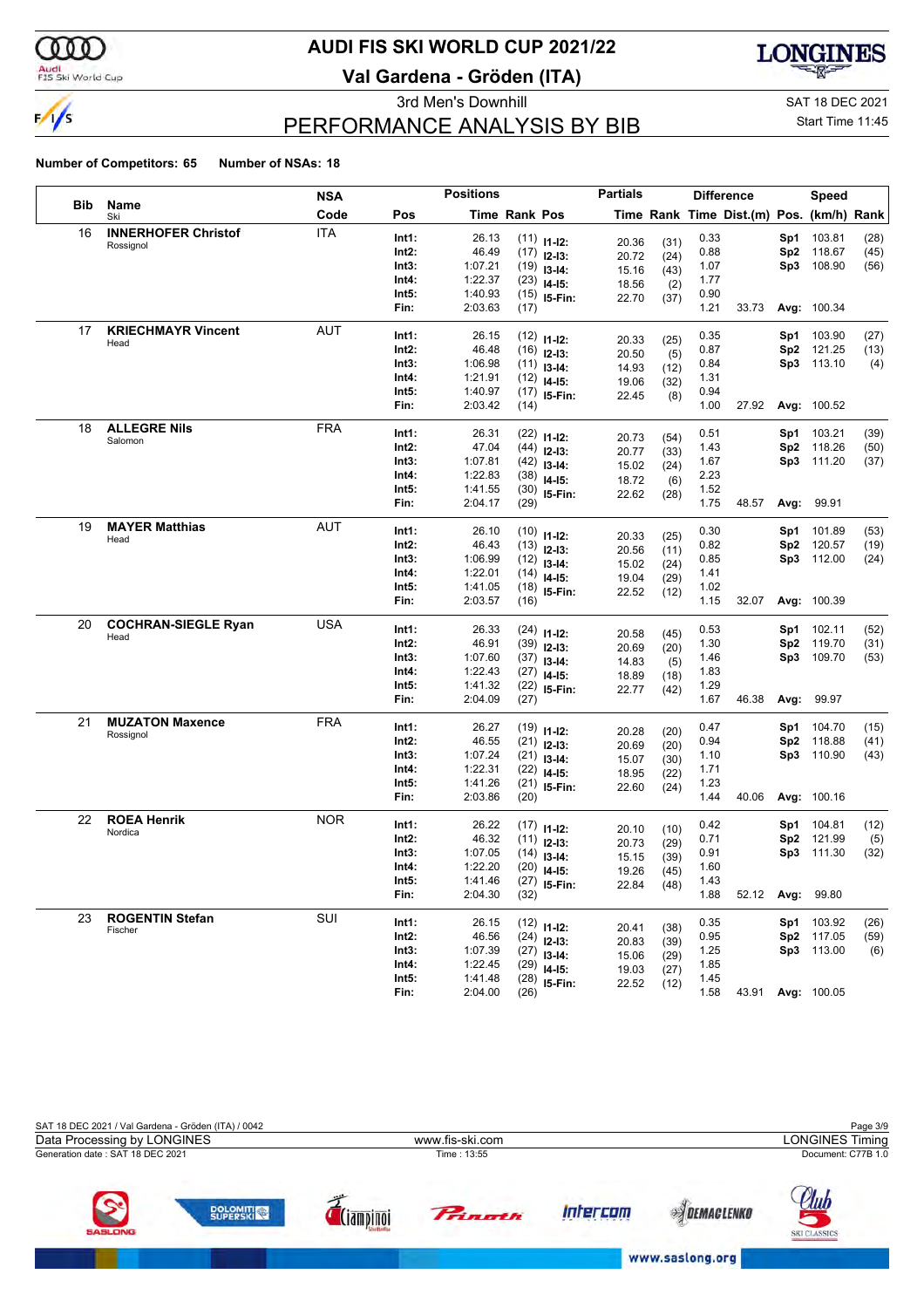

### Audi<br>FIS Ski World Cup

# **AUDI FIS SKI WORLD CUP 2021/22**

**Val Gardena - Gröden (ITA)**



# PERFORMANCE ANALYSIS BY BIB

3rd Men's Downhill Same Communication of the SAT 18 DEC 2021

### Start Time 11:45

|            |                            | <b>NSA</b> |          | <b>Positions</b> |                      |                                | <b>Partials</b> |             |      | <b>Difference</b>                        |      | <b>Speed</b>     |              |
|------------|----------------------------|------------|----------|------------------|----------------------|--------------------------------|-----------------|-------------|------|------------------------------------------|------|------------------|--------------|
| <b>Bib</b> | Name<br>Ski                | Code       | Pos      |                  | <b>Time Rank Pos</b> |                                |                 |             |      | Time Rank Time Dist.(m) Pos. (km/h) Rank |      |                  |              |
| 16         | <b>INNERHOFER Christof</b> | <b>ITA</b> | Int1:    | 26.13            |                      | $(11)$ 11-12:                  | 20.36           | (31)        | 0.33 |                                          | Sp1  | 103.81           | (28)         |
|            | Rossignol                  |            | Int2:    | 46.49            |                      | $(17)$ 12-13:                  | 20.72           | (24)        | 0.88 |                                          | Sp2  | 118.67           | (45)         |
|            |                            |            | Int3:    | 1:07.21          |                      | $(19)$ 13-14:                  | 15.16           | (43)        | 1.07 |                                          | Sp3  | 108.90           | (56)         |
|            |                            |            | Int4:    | 1:22.37          |                      | $(23)$ 14-15:                  | 18.56           | (2)         | 1.77 |                                          |      |                  |              |
|            |                            |            | Int5:    | 1:40.93          |                      | $(15)$ 15-Fin:                 | 22.70           | (37)        | 0.90 |                                          |      |                  |              |
|            |                            |            | Fin:     | 2:03.63          | (17)                 |                                |                 |             | 1.21 | 33.73                                    |      | Avg: 100.34      |              |
| 17         | <b>KRIECHMAYR Vincent</b>  | AUT        | Int1:    | 26.15            |                      | $(12)$ 11-12:                  |                 |             | 0.35 |                                          | Sp1  | 103.90           | (27)         |
|            | Head                       |            | $Int2$ : | 46.48            |                      | $(16)$ 12-13:                  | 20.33<br>20.50  | (25)        | 0.87 |                                          | Sp2  | 121.25           | (13)         |
|            |                            |            | Int3:    | 1:06.98          |                      | $(11)$ 13-14:                  | 14.93           | (5)<br>(12) | 0.84 |                                          | Sp3  | 113.10           | (4)          |
|            |                            |            | Int4:    | 1:21.91          |                      | $(12)$ 14-15:                  | 19.06           | (32)        | 1.31 |                                          |      |                  |              |
|            |                            |            | Int5:    | 1:40.97          |                      | $(17)$ 15-Fin:                 | 22.45           | (8)         | 0.94 |                                          |      |                  |              |
|            |                            |            | Fin:     | 2:03.42          | (14)                 |                                |                 |             | 1.00 | 27.92                                    |      | Avg: 100.52      |              |
| 18         | <b>ALLEGRE Nils</b>        | <b>FRA</b> | Int1:    | 26.31            |                      | $(22)$ 11-12:                  |                 |             | 0.51 |                                          | Sp1  | 103.21           | (39)         |
|            | Salomon                    |            | Int2:    | 47.04            |                      | $(44)$ 12-13:                  | 20.73           | (54)        | 1.43 |                                          | Sp2  | 118.26           | (50)         |
|            |                            |            | Int3:    | 1:07.81          |                      | $(42)$ 13-14:                  | 20.77           | (33)        | 1.67 |                                          | Sp3  | 111.20           | (37)         |
|            |                            |            | Int4:    | 1:22.83          |                      | $(38)$ 14-15:                  | 15.02<br>18.72  | (24)        | 2.23 |                                          |      |                  |              |
|            |                            |            | Int5:    | 1:41.55          |                      | $(30)$ 15-Fin:                 | 22.62           | (6)<br>(28) | 1.52 |                                          |      |                  |              |
|            |                            |            | Fin:     | 2:04.17          | (29)                 |                                |                 |             | 1.75 | 48.57                                    |      | Avg: 99.91       |              |
| 19         | <b>MAYER Matthias</b>      | AUT        | Int1:    | 26.10            |                      | $(10)$ 11-12:                  |                 |             | 0.30 |                                          | Sp1  | 101.89           | (53)         |
|            | Head                       |            | Int2:    | 46.43            |                      | $(13)$ 12-13:                  | 20.33           | (25)        | 0.82 |                                          | Sp2  | 120.57           | (19)         |
|            |                            |            | Int3:    | 1:06.99          |                      | $(12)$ 13-14:                  | 20.56           | (11)        | 0.85 |                                          | Sp3  | 112.00           | (24)         |
|            |                            |            | Int4:    | 1:22.01          |                      | $(14)$ 14-15:                  | 15.02           | (24)        | 1.41 |                                          |      |                  |              |
|            |                            |            | Int5:    | 1:41.05          |                      | $(18)$ 15-Fin:                 | 19.04           | (29)        | 1.02 |                                          |      |                  |              |
|            |                            |            | Fin:     | 2:03.57          | (16)                 |                                | 22.52           | (12)        | 1.15 | 32.07                                    |      | Avg: 100.39      |              |
| 20         | <b>COCHRAN-SIEGLE Ryan</b> | <b>USA</b> | Int1:    | 26.33            |                      |                                |                 |             | 0.53 |                                          | Sp1  | 102.11           | (52)         |
|            | Head                       |            | Int2:    | 46.91            |                      | $(24)$ 11-12:                  | 20.58           | (45)        | 1.30 |                                          | Sp2  | 119.70           | (31)         |
|            |                            |            | Int3:    | 1:07.60          |                      | $(39)$ 12-13:<br>$(37)$ 13-14: | 20.69           | (20)        | 1.46 |                                          | Sp3  | 109.70           | (53)         |
|            |                            |            | Int4:    | 1:22.43          |                      | $(27)$ 14-15:                  | 14.83           | (5)         | 1.83 |                                          |      |                  |              |
|            |                            |            | Int5:    | 1:41.32          |                      | $(22)$ 15-Fin:                 | 18.89           | (18)        | 1.29 |                                          |      |                  |              |
|            |                            |            | Fin:     | 2:04.09          | (27)                 |                                | 22.77           | (42)        | 1.67 | 46.38                                    | Avg: | 99.97            |              |
| 21         | <b>MUZATON Maxence</b>     | <b>FRA</b> | Int1:    | 26.27            |                      |                                |                 |             | 0.47 |                                          | Sp1  | 104.70           |              |
|            | Rossignol                  |            | Int2:    | 46.55            |                      | $(19)$ 11-12:                  | 20.28           | (20)        | 0.94 |                                          | Sp2  | 118.88           | (15)<br>(41) |
|            |                            |            | Int3:    | 1:07.24          |                      | $(21)$ 12-13:                  | 20.69           | (20)        | 1.10 |                                          | Sp3  | 110.90           | (43)         |
|            |                            |            | Int4:    | 1:22.31          |                      | $(21)$ 13-14:<br>$(22)$ 14-15: | 15.07           | (30)        | 1.71 |                                          |      |                  |              |
|            |                            |            | Int5:    | 1:41.26          |                      | $(21)$ 15-Fin:                 | 18.95           | (22)        | 1.23 |                                          |      |                  |              |
|            |                            |            | Fin:     | 2:03.86          | (20)                 |                                | 22.60           | (24)        | 1.44 | 40.06                                    |      | Avg: 100.16      |              |
| 22         | <b>ROEA Henrik</b>         | <b>NOR</b> | Int1:    | 26.22            |                      |                                |                 |             | 0.42 |                                          | Sp1  | 104.81           | (12)         |
|            | Nordica                    |            | $Int2$ : | 46.32            |                      | $(17)$ 11-12:                  | 20.10           | (10)        | 0.71 |                                          | Sp2  | 121.99           | (5)          |
|            |                            |            | Int3:    | 1:07.05          |                      | $(11)$ 12-13:<br>$(14)$ 13-14: | 20.73           | (29)        | 0.91 |                                          | Sp3  | 111.30           | (32)         |
|            |                            |            | Int4:    | 1:22.20          |                      | $(20)$ 14-15:                  | 15.15           | (39)        | 1.60 |                                          |      |                  |              |
|            |                            |            | Int5:    | 1:41.46          |                      | $(27)$ 15-Fin:                 | 19.26           | (45)        | 1.43 |                                          |      |                  |              |
|            |                            |            | Fin:     | 2:04.30          | (32)                 |                                | 22.84           | (48)        | 1.88 |                                          |      | 52.12 Avg: 99.80 |              |
| 23         | <b>ROGENTIN Stefan</b>     | SUI        | Int1:    | 26.15            |                      |                                |                 |             | 0.35 |                                          |      | Sp1 103.92       |              |
|            | Fischer                    |            | $Int2$ : | 46.56            |                      | $(12)$ 11-12:                  | 20.41           | (38)        | 0.95 |                                          |      | Sp2 117.05       | (26)<br>(59) |
|            |                            |            | Int3:    | 1:07.39          |                      | $(24)$ 12-13:                  | 20.83           | (39)        | 1.25 |                                          |      | Sp3 113.00       | (6)          |
|            |                            |            | Int4:    | 1:22.45          |                      | $(27)$ 13-14:<br>$(29)$ 14-15: | 15.06           | (29)        | 1.85 |                                          |      |                  |              |
|            |                            |            | Int5:    | 1:41.48          |                      | $(28)$ 15-Fin:                 | 19.03           | (27)        | 1.45 |                                          |      |                  |              |
|            |                            |            | Fin:     | 2:04.00          | (26)                 |                                | 22.52           | (12)        | 1.58 | 43.91                                    |      | Avg: 100.05      |              |

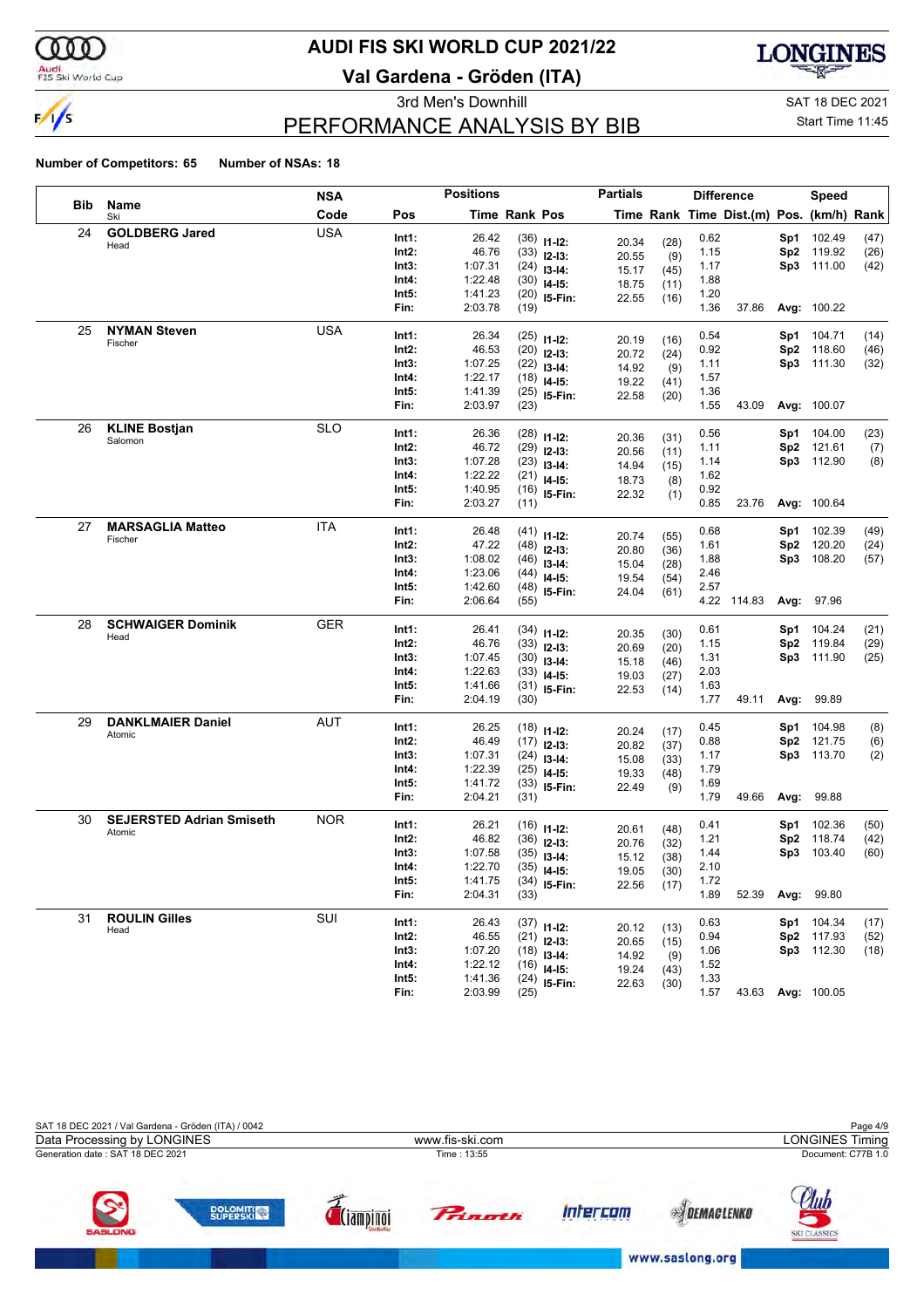

### Audi<br>FIS Ski World Cup

# **AUDI FIS SKI WORLD CUP 2021/22**

**Val Gardena - Gröden (ITA)**



# PERFORMANCE ANALYSIS BY BIB

3rd Men's Downhill Same Communication of the SAT 18 DEC 2021

Start Time 11:45

|     |                                 | <b>NSA</b> |       | <b>Positions</b> |               |                | <b>Partials</b> |              |      | <b>Difference</b>                        |                 | <b>Speed</b>      |      |
|-----|---------------------------------|------------|-------|------------------|---------------|----------------|-----------------|--------------|------|------------------------------------------|-----------------|-------------------|------|
| Bib | Name<br>Ski                     | Code       | Pos   |                  | Time Rank Pos |                |                 |              |      | Time Rank Time Dist.(m) Pos. (km/h) Rank |                 |                   |      |
| 24  | <b>GOLDBERG Jared</b>           | <b>USA</b> | Int1: | 26.42            |               | $(36)$ 11-12:  | 20.34           | (28)         | 0.62 |                                          |                 | Sp1 102.49        | (47) |
|     | Head                            |            | Int2: | 46.76            |               | $(33)$ 12-13:  | 20.55           | (9)          | 1.15 |                                          |                 | Sp2 119.92        | (26) |
|     |                                 |            | Int3: | 1:07.31          |               | $(24)$ 13-14:  | 15.17           | (45)         | 1.17 |                                          |                 | Sp3 111.00        | (42) |
|     |                                 |            | Int4: | 1:22.48          |               | $(30)$ 14-15:  | 18.75           | (11)         | 1.88 |                                          |                 |                   |      |
|     |                                 |            | Int5: | 1:41.23          |               | $(20)$ 15-Fin: | 22.55           | (16)         | 1.20 |                                          |                 |                   |      |
|     |                                 |            | Fin:  | 2:03.78          | (19)          |                |                 |              | 1.36 | 37.86                                    |                 | Avg: 100.22       |      |
| 25  | <b>NYMAN Steven</b>             | <b>USA</b> | Int1: | 26.34            |               | $(25)$ 11-12:  | 20.19           | (16)         | 0.54 |                                          |                 | <b>Sp1</b> 104.71 | (14) |
|     | Fischer                         |            | Int2: | 46.53            |               | $(20)$ 12-13:  | 20.72           | (24)         | 0.92 |                                          |                 | Sp2 118.60        | (46) |
|     |                                 |            | Int3: | 1:07.25          |               | $(22)$ 13-14:  | 14.92           | (9)          | 1.11 |                                          |                 | Sp3 111.30        | (32) |
|     |                                 |            | Int4: | 1:22.17          |               | $(18)$ 14-15:  | 19.22           | (41)         | 1.57 |                                          |                 |                   |      |
|     |                                 |            | Int5: | 1:41.39          |               | $(25)$ 15-Fin: | 22.58           | (20)         | 1.36 |                                          |                 |                   |      |
|     |                                 |            | Fin:  | 2:03.97          | (23)          |                |                 |              | 1.55 | 43.09                                    |                 | Avg: 100.07       |      |
| 26  | <b>KLINE Bostjan</b>            | <b>SLO</b> | Int1: | 26.36            |               | $(28)$ 11-12:  | 20.36           | (31)         | 0.56 |                                          |                 | Sp1 104.00        | (23) |
|     | Salomon                         |            | Int2: | 46.72            |               | $(29)$ 12-13:  | 20.56           | (11)         | 1.11 |                                          | Sp2             | 121.61            | (7)  |
|     |                                 |            | Int3: | 1:07.28          |               | $(23)$ 13-14:  | 14.94           | (15)         | 1.14 |                                          |                 | Sp3 112.90        | (8)  |
|     |                                 |            | Int4: | 1:22.22          |               | $(21)$ 14-15:  | 18.73           | (8)          | 1.62 |                                          |                 |                   |      |
|     |                                 |            | Int5: | 1:40.95          |               | $(16)$ 15-Fin: | 22.32           | (1)          | 0.92 |                                          |                 |                   |      |
|     |                                 |            | Fin:  | 2:03.27          | (11)          |                |                 |              | 0.85 | 23.76                                    |                 | Avg: 100.64       |      |
| 27  | <b>MARSAGLIA Matteo</b>         | <b>ITA</b> | Int1: | 26.48            |               | $(41)$ 11-12:  | 20.74           | (55)         | 0.68 |                                          |                 | Sp1 102.39        | (49) |
|     | Fischer                         |            | Int2: | 47.22            |               | $(48)$ 12-13:  | 20.80           | (36)         | 1.61 |                                          | Sp <sub>2</sub> | 120.20            | (24) |
|     |                                 |            | Int3: | 1:08.02          |               | $(46)$ 13-14:  | 15.04           | (28)         | 1.88 |                                          |                 | Sp3 108.20        | (57) |
|     |                                 |            | Int4: | 1:23.06          |               | $(44)$ 14-15:  | 19.54           | (54)         | 2.46 |                                          |                 |                   |      |
|     |                                 |            | Int5: | 1:42.60          |               | $(48)$ 15-Fin: | 24.04           | (61)         | 2.57 |                                          |                 |                   |      |
|     |                                 |            | Fin:  | 2:06.64          | (55)          |                |                 |              |      | 4.22 114.83                              |                 | Avg: 97.96        |      |
| 28  | <b>SCHWAIGER Dominik</b>        | <b>GER</b> | Int1: | 26.41            |               | $(34)$ 11-12:  |                 |              | 0.61 |                                          | Sp1             | 104.24            | (21) |
|     | Head                            |            | Int2: | 46.76            |               | $(33)$ 12-13:  | 20.35<br>20.69  | (30)<br>(20) | 1.15 |                                          | Sp2             | 119.84            | (29) |
|     |                                 |            | Int3: | 1:07.45          |               | $(30)$ 13-14:  | 15.18           | (46)         | 1.31 |                                          |                 | Sp3 111.90        | (25) |
|     |                                 |            | Int4: | 1:22.63          |               | $(33)$ 14-15:  | 19.03           | (27)         | 2.03 |                                          |                 |                   |      |
|     |                                 |            | Int5: | 1:41.66          |               | $(31)$ 15-Fin: | 22.53           | (14)         | 1.63 |                                          |                 |                   |      |
|     |                                 |            | Fin:  | 2:04.19          | (30)          |                |                 |              | 1.77 | 49.11                                    |                 | Avg: 99.89        |      |
| 29  | <b>DANKLMAIER Daniel</b>        | <b>AUT</b> | Int1: | 26.25            |               | $(18)$ 11-12:  |                 |              | 0.45 |                                          | Sp1             | 104.98            | (8)  |
|     | Atomic                          |            | Int2: | 46.49            |               | $(17)$ 12-13:  | 20.24<br>20.82  | (17)<br>(37) | 0.88 |                                          | Sp2             | 121.75            | (6)  |
|     |                                 |            | Int3: | 1:07.31          |               | $(24)$ 13-14:  | 15.08           | (33)         | 1.17 |                                          |                 | Sp3 113.70        | (2)  |
|     |                                 |            | Int4: | 1:22.39          |               | $(25)$ 14-15:  | 19.33           | (48)         | 1.79 |                                          |                 |                   |      |
|     |                                 |            | Int5: | 1:41.72          |               | $(33)$ 15-Fin: | 22.49           | (9)          | 1.69 |                                          |                 |                   |      |
|     |                                 |            | Fin:  | 2:04.21          | (31)          |                |                 |              | 1.79 | 49.66                                    |                 | Avg: 99.88        |      |
| 30  | <b>SEJERSTED Adrian Smiseth</b> | <b>NOR</b> | Int1: | 26.21            |               | $(16)$ 11-12:  | 20.61           | (48)         | 0.41 |                                          | Sp1             | 102.36            | (50) |
|     | Atomic                          |            | Int2: | 46.82            |               | $(36)$ 12-13:  | 20.76           | (32)         | 1.21 |                                          | Sp <sub>2</sub> | 118.74            | (42) |
|     |                                 |            | Int3: | 1:07.58          |               | $(35)$ 13-14:  | 15.12           | (38)         | 1.44 |                                          | Sp3             | 103.40            | (60) |
|     |                                 |            | Int4: | 1:22.70          |               | $(35)$ 14-15:  | 19.05           | (30)         | 2.10 |                                          |                 |                   |      |
|     |                                 |            | Int5: | 1:41.75          |               | $(34)$ 15-Fin: | 22.56           | (17)         | 1.72 |                                          |                 |                   |      |
|     |                                 |            | Fin:  | 2:04.31          | (33)          |                |                 |              | 1.89 | 52.39                                    |                 | Avg: 99.80        |      |
| 31  | <b>ROULIN Gilles</b>            | SUI        | Int1: | 26.43            |               | $(37)$ 11-12:  | 20.12           | (13)         | 0.63 |                                          |                 | Sp1 104.34        | (17) |
|     | Head                            |            | Int2: | 46.55            |               | $(21)$ 12-13:  | 20.65           | (15)         | 0.94 |                                          |                 | Sp2 117.93        | (52) |
|     |                                 |            | Int3: | 1:07.20          |               | $(18)$ 13-14:  | 14.92           | (9)          | 1.06 |                                          |                 | Sp3 112.30        | (18) |
|     |                                 |            | Int4: | 1:22.12          |               | $(16)$ 14-15:  | 19.24           | (43)         | 1.52 |                                          |                 |                   |      |
|     |                                 |            | Int5: | 1:41.36          |               | $(24)$ 15-Fin: | 22.63           | (30)         | 1.33 |                                          |                 |                   |      |
|     |                                 |            | Fin:  | 2:03.99          | (25)          |                |                 |              | 1.57 |                                          |                 | 43.63 Avg: 100.05 |      |

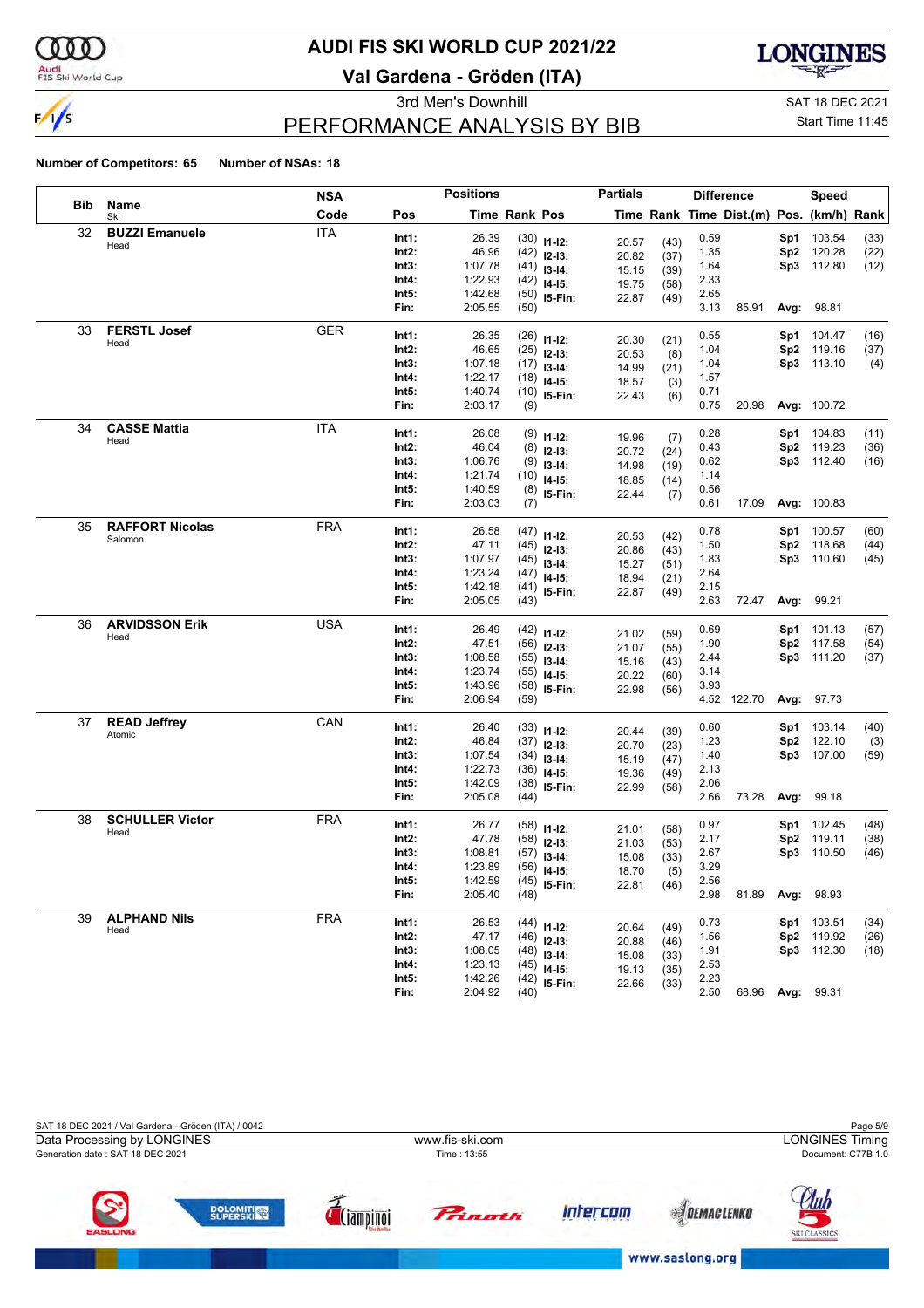

### Audi<br>FIS Ski World Cup

# **AUDI FIS SKI WORLD CUP 2021/22**

**Val Gardena - Gröden (ITA)**



# PERFORMANCE ANALYSIS BY BIB

3rd Men's Downhill Same Communication of the SAT 18 DEC 2021

Start Time 11:45

|     |                        | <b>NSA</b> |       | <b>Positions</b> |               |                | <b>Partials</b> |              |      | <b>Difference</b>                        |                 | <b>Speed</b>       |      |
|-----|------------------------|------------|-------|------------------|---------------|----------------|-----------------|--------------|------|------------------------------------------|-----------------|--------------------|------|
| Bib | Name<br>Ski            | Code       | Pos   |                  | Time Rank Pos |                |                 |              |      | Time Rank Time Dist.(m) Pos. (km/h) Rank |                 |                    |      |
| 32  | <b>BUZZI Emanuele</b>  | <b>ITA</b> | Int1: | 26.39            |               | $(30)$ 11-12:  | 20.57           | (43)         | 0.59 |                                          | Sp1             | 103.54             | (33) |
|     | Head                   |            | Int2: | 46.96            |               | $(42)$ 12-13:  | 20.82           | (37)         | 1.35 |                                          | Sp2             | 120.28             | (22) |
|     |                        |            | Int3: | 1:07.78          |               | $(41)$ 13-14:  | 15.15           | (39)         | 1.64 |                                          |                 | Sp3 112.80         | (12) |
|     |                        |            | Int4: | 1:22.93          |               | $(42)$ 14-15:  | 19.75           | (58)         | 2.33 |                                          |                 |                    |      |
|     |                        |            | Int5: | 1:42.68          |               | $(50)$ 15-Fin: | 22.87           | (49)         | 2.65 |                                          |                 |                    |      |
|     |                        |            | Fin:  | 2:05.55          | (50)          |                |                 |              | 3.13 | 85.91                                    |                 | Avg: 98.81         |      |
| 33  | <b>FERSTL Josef</b>    | <b>GER</b> | Int1: | 26.35            |               | $(26)$ 11-12:  | 20.30           | (21)         | 0.55 |                                          |                 | <b>Sp1</b> 104.47  | (16) |
|     | Head                   |            | Int2: | 46.65            |               | $(25)$ 12-13:  | 20.53           | (8)          | 1.04 |                                          |                 | Sp2 119.16         | (37) |
|     |                        |            | Int3: | 1:07.18          |               | $(17)$ 13-14:  | 14.99           | (21)         | 1.04 |                                          |                 | Sp3 113.10         | (4)  |
|     |                        |            | Int4: | 1:22.17          |               | $(18)$ 14-15:  | 18.57           | (3)          | 1.57 |                                          |                 |                    |      |
|     |                        |            | Int5: | 1:40.74          |               | $(10)$ 15-Fin: | 22.43           | (6)          | 0.71 |                                          |                 |                    |      |
|     |                        |            | Fin:  | 2:03.17          | (9)           |                |                 |              | 0.75 | 20.98                                    |                 | <b>Avg: 100.72</b> |      |
| 34  | <b>CASSE Mattia</b>    | <b>ITA</b> | Int1: | 26.08            |               | $(9)$ 11-12:   | 19.96           | (7)          | 0.28 |                                          |                 | Sp1 104.83         | (11) |
|     | Head                   |            | Int2: | 46.04            |               | $(8)$ 12-13:   | 20.72           | (24)         | 0.43 |                                          |                 | Sp2 119.23         | (36) |
|     |                        |            | Int3: | 1:06.76          |               | $(9)$ 13-14:   | 14.98           | (19)         | 0.62 |                                          |                 | Sp3 112.40         | (16) |
|     |                        |            | Int4: | 1:21.74          |               | $(10)$ 14-15:  | 18.85           | (14)         | 1.14 |                                          |                 |                    |      |
|     |                        |            | Int5: | 1:40.59          |               | $(8)$ 15-Fin:  | 22.44           | (7)          | 0.56 |                                          |                 |                    |      |
|     |                        |            | Fin:  | 2:03.03          | (7)           |                |                 |              | 0.61 | 17.09                                    |                 | Avg: 100.83        |      |
| 35  | <b>RAFFORT Nicolas</b> | FRA        | Int1: | 26.58            |               | $(47)$ 11-12:  | 20.53           | (42)         | 0.78 |                                          |                 | Sp1 100.57         | (60) |
|     | Salomon                |            | Int2: | 47.11            |               | $(45)$ 12-13:  | 20.86           | (43)         | 1.50 |                                          | Sp <sub>2</sub> | 118.68             | (44) |
|     |                        |            | Int3: | 1:07.97          |               | $(45)$ 13-14:  | 15.27           | (51)         | 1.83 |                                          |                 | Sp3 110.60         | (45) |
|     |                        |            | Int4: | 1:23.24          |               | $(47)$ 14-15:  | 18.94           | (21)         | 2.64 |                                          |                 |                    |      |
|     |                        |            | Int5: | 1:42.18          |               | $(41)$ 15-Fin: | 22.87           | (49)         | 2.15 |                                          |                 |                    |      |
|     |                        |            | Fin:  | 2:05.05          | (43)          |                |                 |              | 2.63 | 72.47                                    |                 | Avg: 99.21         |      |
| 36  | <b>ARVIDSSON Erik</b>  | <b>USA</b> | Int1: | 26.49            |               | $(42)$ 11-12:  |                 |              | 0.69 |                                          | Sp1             | 101.13             | (57) |
|     | Head                   |            | Int2: | 47.51            |               | $(56)$ 12-13:  | 21.02<br>21.07  | (59)<br>(55) | 1.90 |                                          | Sp2             | 117.58             | (54) |
|     |                        |            | Int3: | 1:08.58          |               | $(55)$ 13-14:  | 15.16           | (43)         | 2.44 |                                          |                 | Sp3 111.20         | (37) |
|     |                        |            | Int4: | 1:23.74          |               | $(55)$ 14-15:  | 20.22           | (60)         | 3.14 |                                          |                 |                    |      |
|     |                        |            | Int5: | 1:43.96          |               | $(58)$ 15-Fin: | 22.98           | (56)         | 3.93 |                                          |                 |                    |      |
|     |                        |            | Fin:  | 2:06.94          | (59)          |                |                 |              |      | 4.52 122.70                              |                 | Avg: 97.73         |      |
| 37  | <b>READ Jeffrey</b>    | CAN        | Int1: | 26.40            |               | $(33)$ 11-12:  |                 |              | 0.60 |                                          |                 | <b>Sp1</b> 103.14  | (40) |
|     | Atomic                 |            | Int2: | 46.84            |               | $(37)$ 12-13:  | 20.44           | (39)         | 1.23 |                                          | Sp <sub>2</sub> | 122.10             | (3)  |
|     |                        |            | Int3: | 1:07.54          |               | $(34)$ 13-14:  | 20.70<br>15.19  | (23)<br>(47) | 1.40 |                                          |                 | Sp3 107.00         | (59) |
|     |                        |            | Int4: | 1:22.73          |               | $(36)$ 14-15:  | 19.36           | (49)         | 2.13 |                                          |                 |                    |      |
|     |                        |            | Int5: | 1:42.09          |               | $(38)$ 15-Fin: | 22.99           | (58)         | 2.06 |                                          |                 |                    |      |
|     |                        |            | Fin:  | 2:05.08          | (44)          |                |                 |              | 2.66 | 73.28                                    |                 | Avg: 99.18         |      |
| 38  | <b>SCHULLER Victor</b> | <b>FRA</b> | Int1: | 26.77            |               | $(58)$ 11-12:  |                 |              | 0.97 |                                          | Sp1             | 102.45             | (48) |
|     | Head                   |            | Int2: | 47.78            |               | $(58)$ 12-13:  | 21.01           | (58)         | 2.17 |                                          | Sp <sub>2</sub> | 119.11             | (38) |
|     |                        |            | Int3: | 1:08.81          |               | $(57)$ 13-14:  | 21.03<br>15.08  | (53)         | 2.67 |                                          |                 | Sp3 110.50         | (46) |
|     |                        |            | Int4: | 1:23.89          |               | $(56)$ 14-15:  | 18.70           | (33)<br>(5)  | 3.29 |                                          |                 |                    |      |
|     |                        |            | Int5: | 1:42.59          |               | $(45)$ 15-Fin: | 22.81           | (46)         | 2.56 |                                          |                 |                    |      |
|     |                        |            | Fin:  | 2:05.40          | (48)          |                |                 |              | 2.98 | 81.89                                    |                 | Avg: 98.93         |      |
| 39  | <b>ALPHAND Nils</b>    | <b>FRA</b> | Int1: | 26.53            |               | $(44)$ 11-12:  |                 |              | 0.73 |                                          |                 | <b>Sp1</b> 103.51  | (34) |
|     | Head                   |            | Int2: | 47.17            |               | $(46)$ 12-13:  | 20.64           | (49)         | 1.56 |                                          |                 | Sp2 119.92         | (26) |
|     |                        |            | Int3: | 1:08.05          |               | $(48)$ 13-14:  | 20.88           | (46)         | 1.91 |                                          |                 | Sp3 112.30         | (18) |
|     |                        |            | Int4: | 1:23.13          |               | $(45)$ 14-15:  | 15.08<br>19.13  | (33)         | 2.53 |                                          |                 |                    |      |
|     |                        |            | Int5: | 1:42.26          |               | $(42)$ 15-Fin: | 22.66           | (35)<br>(33) | 2.23 |                                          |                 |                    |      |
|     |                        |            | Fin:  | 2:04.92          | (40)          |                |                 |              | 2.50 | 68.96                                    |                 | <b>Avg: 99.31</b>  |      |

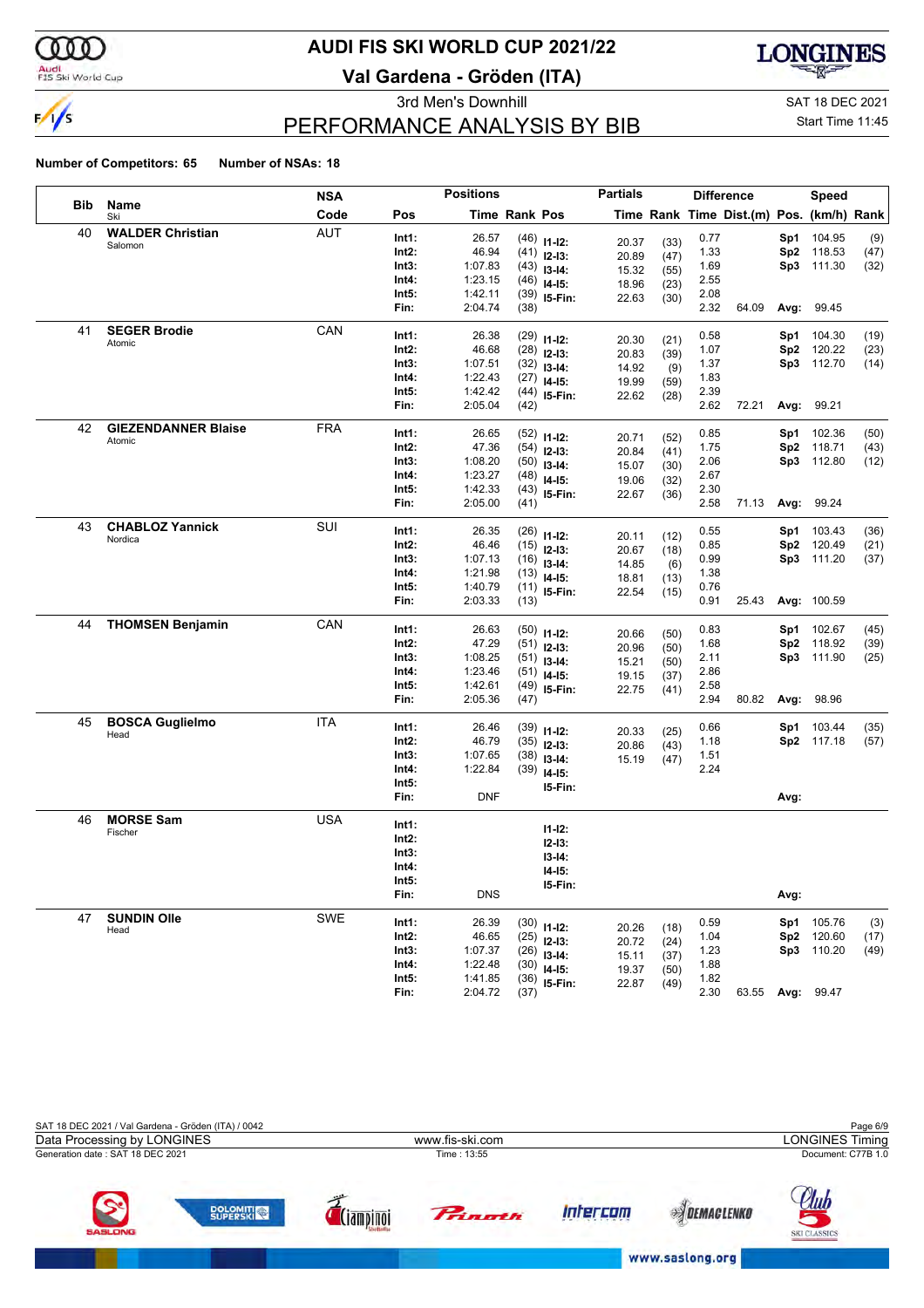

### Audi<br>FIS Ski World Cup

# **AUDI FIS SKI WORLD CUP 2021/22**

**Val Gardena - Gröden (ITA)**



# PERFORMANCE ANALYSIS BY BIB

3rd Men's Downhill Same Communication of the SAT 18 DEC 2021

### Start Time 11:45

|            |                            | <b>NSA</b> |                | <b>Positions</b>   |                      |                                | <b>Partials</b> |              |              | <b>Difference</b>                        |                 | <b>Speed</b>     |              |
|------------|----------------------------|------------|----------------|--------------------|----------------------|--------------------------------|-----------------|--------------|--------------|------------------------------------------|-----------------|------------------|--------------|
| <b>Bib</b> | Name<br>Ski                | Code       | Pos            |                    | <b>Time Rank Pos</b> |                                |                 |              |              | Time Rank Time Dist.(m) Pos. (km/h) Rank |                 |                  |              |
| 40         | <b>WALDER Christian</b>    | <b>AUT</b> | Int1:          | 26.57              |                      | $(46)$ 11-12:                  |                 |              | 0.77         |                                          | Sp1             | 104.95           | (9)          |
|            | Salomon                    |            | Int2:          | 46.94              |                      | $(41)$ 12-13:                  | 20.37<br>20.89  | (33)<br>(47) | 1.33         |                                          | Sp <sub>2</sub> | 118.53           | (47)         |
|            |                            |            | Int3:          | 1:07.83            |                      | $(43)$ 13-14:                  | 15.32           | (55)         | 1.69         |                                          | Sp3             | 111.30           | (32)         |
|            |                            |            | Int4:          | 1:23.15            |                      | $(46)$ 14-15:                  | 18.96           | (23)         | 2.55         |                                          |                 |                  |              |
|            |                            |            | Int5:          | 1:42.11            |                      | $(39)$ 15-Fin:                 | 22.63           | (30)         | 2.08         |                                          |                 |                  |              |
|            |                            |            | Fin:           | 2:04.74            | (38)                 |                                |                 |              | 2.32         | 64.09                                    |                 | Avg: 99.45       |              |
| 41         | <b>SEGER Brodie</b>        | CAN        | Int1:          | 26.38              |                      | $(29)$ 11-12:                  |                 |              | 0.58         |                                          | Sp1             | 104.30           | (19)         |
|            | Atomic                     |            | Int2:          | 46.68              |                      | $(28)$ 12-13:                  | 20.30           | (21)         | 1.07         |                                          | Sp2             | 120.22           | (23)         |
|            |                            |            | Int3:          | 1:07.51            |                      | $(32)$ 13-14:                  | 20.83           | (39)         | 1.37         |                                          |                 | Sp3 112.70       | (14)         |
|            |                            |            | Int4:          | 1:22.43            |                      | $(27)$ 14-15:                  | 14.92<br>19.99  | (9)          | 1.83         |                                          |                 |                  |              |
|            |                            |            | Int5:          | 1:42.42            |                      | $(44)$ 15-Fin:                 | 22.62           | (59)<br>(28) | 2.39         |                                          |                 |                  |              |
|            |                            |            | Fin:           | 2:05.04            | (42)                 |                                |                 |              | 2.62         | 72.21                                    | Avg:            | 99.21            |              |
| 42         | <b>GIEZENDANNER Blaise</b> | <b>FRA</b> | Int1:          | 26.65              |                      | $(52)$ 11-12:                  |                 |              | 0.85         |                                          | Sp1             | 102.36           | (50)         |
|            | Atomic                     |            | Int2:          | 47.36              |                      | $(54)$ 12-13:                  | 20.71           | (52)         | 1.75         |                                          | Sp <sub>2</sub> | 118.71           | (43)         |
|            |                            |            | Int3:          | 1:08.20            |                      | $(50)$ 13-14:                  | 20.84           | (41)         | 2.06         |                                          | Sp3             | 112.80           | (12)         |
|            |                            |            | Int4:          | 1:23.27            |                      | $(48)$ 14-15:                  | 15.07           | (30)         | 2.67         |                                          |                 |                  |              |
|            |                            |            | Int5:          | 1:42.33            |                      | $(43)$ 15-Fin:                 | 19.06           | (32)         | 2.30         |                                          |                 |                  |              |
|            |                            |            | Fin:           | 2:05.00            | (41)                 |                                | 22.67           | (36)         | 2.58         | 71.13                                    |                 | Avg: 99.24       |              |
| 43         | <b>CHABLOZ Yannick</b>     | SUI        | Int1:          | 26.35              |                      |                                |                 |              | 0.55         |                                          | Sp1             | 103.43           | (36)         |
|            | Nordica                    |            | $Int2$ :       | 46.46              |                      | $(26)$ 11-12:                  | 20.11           | (12)         | 0.85         |                                          | Sp <sub>2</sub> | 120.49           | (21)         |
|            |                            |            | Int3:          | 1:07.13            |                      | $(15)$ 12-13:                  | 20.67           | (18)         | 0.99         |                                          |                 | Sp3 111.20       | (37)         |
|            |                            |            | Int4:          | 1:21.98            |                      | $(16)$ 13-14:<br>$(13)$ 14-15: | 14.85           | (6)          | 1.38         |                                          |                 |                  |              |
|            |                            |            | Int5:          | 1:40.79            |                      | $(11)$ 15-Fin:                 | 18.81           | (13)         | 0.76         |                                          |                 |                  |              |
|            |                            |            | Fin:           | 2:03.33            | (13)                 |                                | 22.54           | (15)         | 0.91         | 25.43                                    |                 | Avg: 100.59      |              |
| 44         | <b>THOMSEN Benjamin</b>    | CAN        | Int1:          | 26.63              |                      |                                |                 |              | 0.83         |                                          | Sp1             |                  |              |
|            |                            |            | Int2:          | 47.29              |                      | $(50)$ 11-12:                  | 20.66           | (50)         | 1.68         |                                          | Sp <sub>2</sub> | 102.67<br>118.92 | (45)<br>(39) |
|            |                            |            | Int3:          | 1:08.25            |                      | $(51)$ 12-13:                  | 20.96           | (50)         | 2.11         |                                          | Sp3             | 111.90           | (25)         |
|            |                            |            | Int4:          | 1:23.46            |                      | $(51)$ 13-14:                  | 15.21           | (50)         | 2.86         |                                          |                 |                  |              |
|            |                            |            | Int5:          | 1:42.61            |                      | $(51)$ 14-15:                  | 19.15           | (37)         | 2.58         |                                          |                 |                  |              |
|            |                            |            | Fin:           | 2:05.36            | (47)                 | $(49)$ 15-Fin:                 | 22.75           | (41)         | 2.94         | 80.82                                    |                 | Avg: 98.96       |              |
| 45         | <b>BOSCA Guglielmo</b>     | <b>ITA</b> |                |                    |                      |                                |                 |              |              |                                          |                 |                  |              |
|            | Head                       |            | Int1:          | 26.46              |                      | $(39)$ 11-12:                  | 20.33           | (25)         | 0.66         |                                          |                 | Sp1 103.44       | (35)         |
|            |                            |            | Int2:<br>Int3: | 46.79<br>1:07.65   |                      | $(35)$ 12-13:                  | 20.86           | (43)         | 1.18         |                                          |                 | Sp2 117.18       | (57)         |
|            |                            |            | Int4:          | 1:22.84            |                      | $(38)$ 13-14:                  | 15.19           | (47)         | 1.51<br>2.24 |                                          |                 |                  |              |
|            |                            |            | Int5:          |                    |                      | $(39)$ 14-15:                  |                 |              |              |                                          |                 |                  |              |
|            |                            |            | Fin:           | <b>DNF</b>         |                      | 15-Fin:                        |                 |              |              |                                          | Avg:            |                  |              |
| 46         | <b>MORSE Sam</b>           | USA        |                |                    |                      |                                |                 |              |              |                                          |                 |                  |              |
|            | Fischer                    |            | Int1:          |                    |                      | $11 - 12$ :                    |                 |              |              |                                          |                 |                  |              |
|            |                            |            | $Int2$ :       |                    |                      | $12 - 13:$                     |                 |              |              |                                          |                 |                  |              |
|            |                            |            | Int3:<br>Int4: |                    |                      | $13-14:$                       |                 |              |              |                                          |                 |                  |              |
|            |                            |            | Int5:          |                    |                      | $14-15:$                       |                 |              |              |                                          |                 |                  |              |
|            |                            |            | Fin:           | <b>DNS</b>         |                      | 15-Fin:                        |                 |              |              |                                          | Avg:            |                  |              |
| 47         | <b>SUNDIN Olle</b>         | SWE        |                |                    |                      |                                |                 |              |              |                                          |                 |                  |              |
|            | Head                       |            | Int1:          | 26.39              |                      | $(30)$ 11-12:                  | 20.26           | (18)         | 0.59         |                                          |                 | Sp1 105.76       | (3)          |
|            |                            |            | $Int2$ :       | 46.65              |                      | $(25)$ 12-13:                  | 20.72           | (24)         | 1.04         |                                          | Sp2             | 120.60           | (17)         |
|            |                            |            | Int3:<br>Int4: | 1:07.37<br>1:22.48 |                      | $(26)$ 13-14:                  | 15.11           | (37)         | 1.23<br>1.88 |                                          |                 | Sp3 110.20       | (49)         |
|            |                            |            | Int5:          | 1:41.85            |                      | $(30)$ 14-15:                  | 19.37           | (50)         | 1.82         |                                          |                 |                  |              |
|            |                            |            | Fin:           | 2:04.72            | (37)                 | $(36)$ 15-Fin:                 | 22.87           | (49)         | 2.30         |                                          |                 | 63.55 Avg: 99.47 |              |

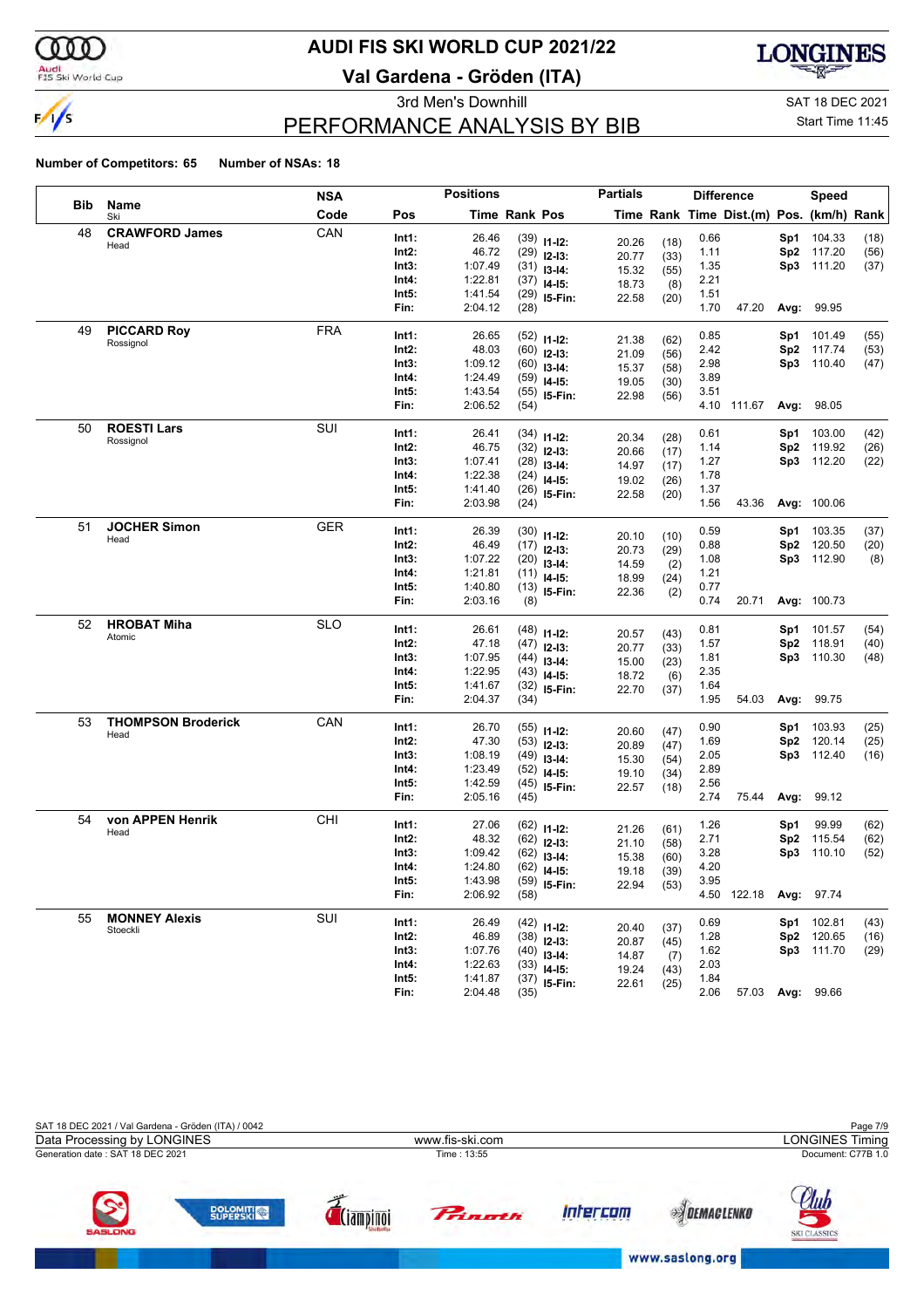

### Audi<br>FIS Ski World Cup

# **AUDI FIS SKI WORLD CUP 2021/22**

**Val Gardena - Gröden (ITA)**



# PERFORMANCE ANALYSIS BY BIB

3rd Men's Downhill Same Communication of the SAT 18 DEC 2021

#### Start Time 11:45

|     |                           | <b>NSA</b> |       | <b>Positions</b> |               |                | <b>Partials</b> |              | <b>Difference</b> |                                          |                 | <b>Speed</b>     |      |
|-----|---------------------------|------------|-------|------------------|---------------|----------------|-----------------|--------------|-------------------|------------------------------------------|-----------------|------------------|------|
| Bib | Name<br>Ski               | Code       | Pos   |                  | Time Rank Pos |                |                 |              |                   | Time Rank Time Dist.(m) Pos. (km/h) Rank |                 |                  |      |
| 48  | <b>CRAWFORD James</b>     | CAN        | Int1: | 26.46            |               | $(39)$ 11-12:  | 20.26           | (18)         | 0.66              |                                          | Sp1             | 104.33           | (18) |
|     | Head                      |            | Int2: | 46.72            |               | $(29)$ 12-13:  | 20.77           | (33)         | 1.11              |                                          | Sp <sub>2</sub> | 117.20           | (56) |
|     |                           |            | Int3: | 1:07.49          |               | $(31)$ 13-14:  | 15.32           | (55)         | 1.35              |                                          | Sp3             | 111.20           | (37) |
|     |                           |            | Int4: | 1:22.81          |               | $(37)$ 14-15:  | 18.73           | (8)          | 2.21              |                                          |                 |                  |      |
|     |                           |            | Int5: | 1:41.54          |               | $(29)$ 15-Fin: | 22.58           | (20)         | 1.51              |                                          |                 |                  |      |
|     |                           |            | Fin:  | 2:04.12          | (28)          |                |                 |              | 1.70              | 47.20                                    |                 | Avg: 99.95       |      |
| 49  | <b>PICCARD Roy</b>        | <b>FRA</b> | Int1: | 26.65            |               | $(52)$ 11-12:  |                 | (62)         | 0.85              |                                          | Sp1             | 101.49           | (55) |
|     | Rossignol                 |            | Int2: | 48.03            |               | $(60)$ 12-13:  | 21.38<br>21.09  | (56)         | 2.42              |                                          | Sp <sub>2</sub> | 117.74           | (53) |
|     |                           |            | Int3: | 1:09.12          |               | $(60)$ 13-14:  | 15.37           | (58)         | 2.98              |                                          | Sp3             | 110.40           | (47) |
|     |                           |            | Int4: | 1:24.49          |               | $(59)$ 14-15:  | 19.05           | (30)         | 3.89              |                                          |                 |                  |      |
|     |                           |            | Int5: | 1:43.54          |               | $(55)$ 15-Fin: | 22.98           | (56)         | 3.51              |                                          |                 |                  |      |
|     |                           |            | Fin:  | 2:06.52          | (54)          |                |                 |              | 4.10              | 111.67                                   | Avg:            | 98.05            |      |
| 50  | <b>ROESTI Lars</b>        | SUI        | Int1: | 26.41            |               | $(34)$ 11-12:  | 20.34           | (28)         | 0.61              |                                          | Sp1             | 103.00           | (42) |
|     | Rossignol                 |            | Int2: | 46.75            |               | $(32)$ 12-13:  | 20.66           | (17)         | 1.14              |                                          | Sp <sub>2</sub> | 119.92           | (26) |
|     |                           |            | Int3: | 1:07.41          |               | $(28)$ 13-14:  | 14.97           | (17)         | 1.27              |                                          | Sp3             | 112.20           | (22) |
|     |                           |            | Int4: | 1:22.38          |               | $(24)$ 14-15:  | 19.02           | (26)         | 1.78              |                                          |                 |                  |      |
|     |                           |            | Int5: | 1:41.40          |               | $(26)$ 15-Fin: | 22.58           | (20)         | 1.37              |                                          |                 |                  |      |
|     |                           |            | Fin:  | 2:03.98          | (24)          |                |                 |              | 1.56              | 43.36                                    |                 | Avg: 100.06      |      |
| 51  | <b>JOCHER Simon</b>       | <b>GER</b> | Int1: | 26.39            |               | $(30)$ 11-12:  | 20.10           | (10)         | 0.59              |                                          | Sp1             | 103.35           | (37) |
|     | Head                      |            | Int2: | 46.49            |               | $(17)$ 12-13:  | 20.73           | (29)         | 0.88              |                                          | Sp <sub>2</sub> | 120.50           | (20) |
|     |                           |            | Int3: | 1:07.22          |               | $(20)$ 13-14:  | 14.59           | (2)          | 1.08              |                                          |                 | Sp3 112.90       | (8)  |
|     |                           |            | Int4: | 1:21.81          |               | $(11)$ 14-15:  | 18.99           | (24)         | 1.21              |                                          |                 |                  |      |
|     |                           |            | Int5: | 1:40.80          |               | $(13)$ 15-Fin: | 22.36           | (2)          | 0.77              |                                          |                 |                  |      |
|     |                           |            | Fin:  | 2:03.16          | (8)           |                |                 |              | 0.74              | 20.71                                    |                 | Avg: 100.73      |      |
| 52  | <b>HROBAT Miha</b>        | <b>SLO</b> | Int1: | 26.61            |               | $(48)$ 11-12:  |                 |              | 0.81              |                                          | Sp1             | 101.57           | (54) |
|     | Atomic                    |            | Int2: | 47.18            |               | $(47)$ 12-13:  | 20.57<br>20.77  | (43)         | 1.57              |                                          | Sp <sub>2</sub> | 118.91           | (40) |
|     |                           |            | Int3: | 1:07.95          |               | $(44)$ 13-14:  | 15.00           | (33)<br>(23) | 1.81              |                                          | Sp3             | 110.30           | (48) |
|     |                           |            | Int4: | 1:22.95          |               | $(43)$ 14-15:  | 18.72           | (6)          | 2.35              |                                          |                 |                  |      |
|     |                           |            | Int5: | 1:41.67          |               | $(32)$ 15-Fin: | 22.70           | (37)         | 1.64              |                                          |                 |                  |      |
|     |                           |            | Fin:  | 2:04.37          | (34)          |                |                 |              | 1.95              | 54.03                                    | Avg:            | 99.75            |      |
| 53  | <b>THOMPSON Broderick</b> | CAN        | Int1: | 26.70            |               | $(55)$ 11-12:  |                 |              | 0.90              |                                          | Sp1             | 103.93           | (25) |
|     | Head                      |            | Int2: | 47.30            |               | $(53)$ 12-13:  | 20.60<br>20.89  | (47)<br>(47) | 1.69              |                                          | Sp <sub>2</sub> | 120.14           | (25) |
|     |                           |            | Int3: | 1:08.19          |               | $(49)$ 13-14:  | 15.30           | (54)         | 2.05              |                                          | Sp3             | 112.40           | (16) |
|     |                           |            | Int4: | 1:23.49          |               | $(52)$ 14-15:  | 19.10           | (34)         | 2.89              |                                          |                 |                  |      |
|     |                           |            | Int5: | 1:42.59          |               | $(45)$ 15-Fin: | 22.57           | (18)         | 2.56              |                                          |                 |                  |      |
|     |                           |            | Fin:  | 2:05.16          | (45)          |                |                 |              | 2.74              | 75.44                                    | Avg:            | 99.12            |      |
| 54  | von APPEN Henrik          | CHI        | Int1: | 27.06            |               | $(62)$ 11-12:  |                 |              | 1.26              |                                          | Sp1             | 99.99            | (62) |
|     | Head                      |            | Int2: | 48.32            |               | $(62)$ 12-13:  | 21.26<br>21.10  | (61)<br>(58) | 2.71              |                                          | Sp <sub>2</sub> | 115.54           | (62) |
|     |                           |            | Int3: | 1:09.42          |               | $(62)$ 13-14:  | 15.38           | (60)         | 3.28              |                                          | Sp3             | 110.10           | (52) |
|     |                           |            | Int4: | 1:24.80          |               | $(62)$ 14-15:  | 19.18           | (39)         | 4.20              |                                          |                 |                  |      |
|     |                           |            | Int5: | 1:43.98          |               | $(59)$ 15-Fin: | 22.94           | (53)         | 3.95              |                                          |                 |                  |      |
|     |                           |            | Fin:  | 2:06.92          | (58)          |                |                 |              |                   | 4.50 122.18 Avg: 97.74                   |                 |                  |      |
| 55  | <b>MONNEY Alexis</b>      | SUI        | Int1: | 26.49            |               | $(42)$ 11-12:  |                 |              | 0.69              |                                          | Sp1             | 102.81           | (43) |
|     | Stoeckli                  |            | Int2: | 46.89            |               | $(38)$ 12-13:  | 20.40<br>20.87  | (37)         | 1.28              |                                          |                 | Sp2 120.65       | (16) |
|     |                           |            | Int3: | 1:07.76          |               | $(40)$ 13-14:  | 14.87           | (45)         | 1.62              |                                          |                 | Sp3 111.70       | (29) |
|     |                           |            | Int4: | 1:22.63          |               | $(33)$ 14-15:  | 19.24           | (7)<br>(43)  | 2.03              |                                          |                 |                  |      |
|     |                           |            | Int5: | 1:41.87          |               | $(37)$ 15-Fin: | 22.61           | (25)         | 1.84              |                                          |                 |                  |      |
|     |                           |            | Fin:  | 2:04.48          | (35)          |                |                 |              | 2.06              |                                          |                 | 57.03 Avg: 99.66 |      |

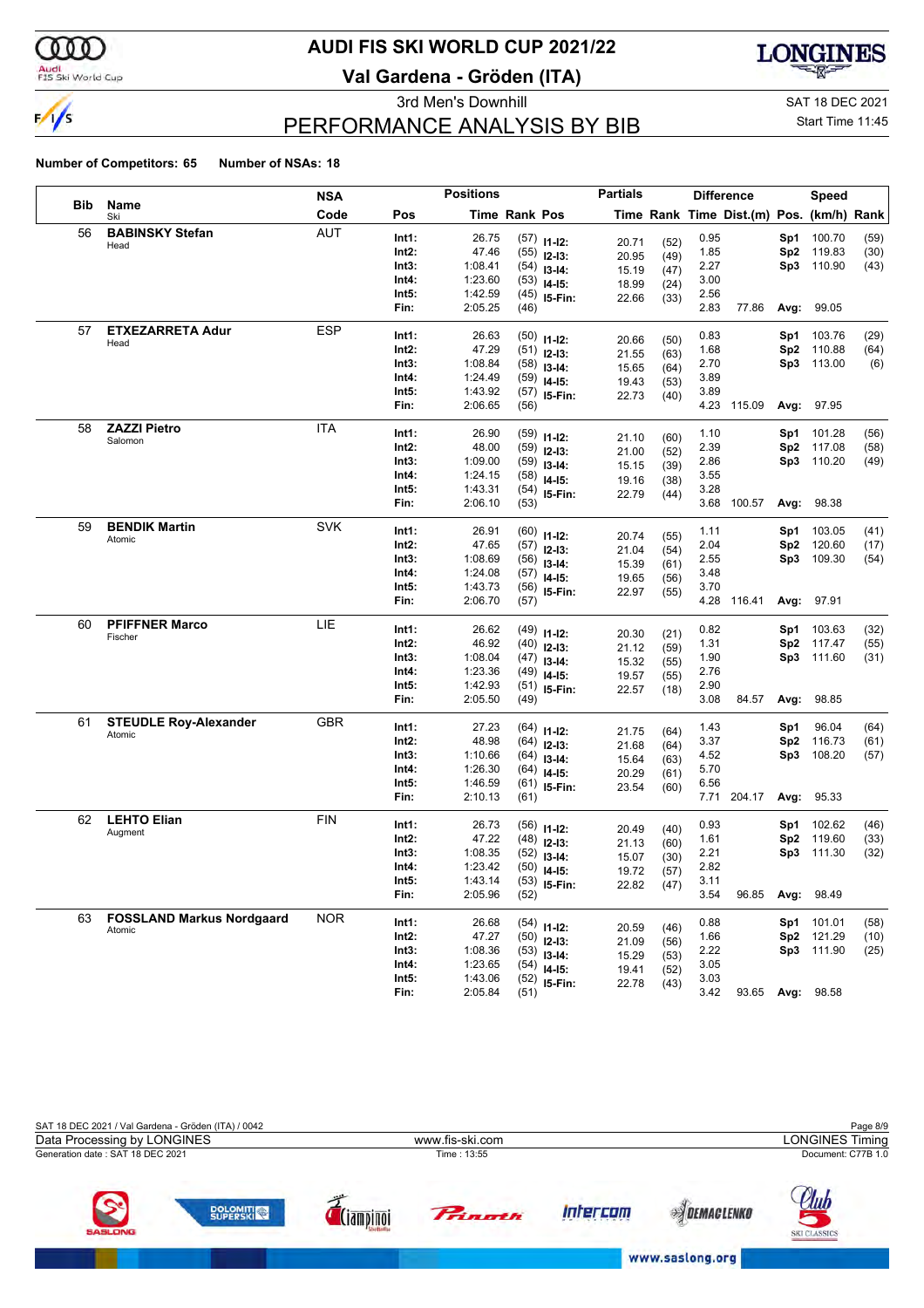

### Audi<br>FIS Ski World Cup

# **AUDI FIS SKI WORLD CUP 2021/22**

**Val Gardena - Gröden (ITA)**



# PERFORMANCE ANALYSIS BY BIB

3rd Men's Downhill Same Communication of the SAT 18 DEC 2021

### Start Time 11:45

|     |                                  | <b>NSA</b> |       | <b>Positions</b> |               |                                | <b>Partials</b> |              |      | <b>Difference</b>                        |            | Speed            |              |
|-----|----------------------------------|------------|-------|------------------|---------------|--------------------------------|-----------------|--------------|------|------------------------------------------|------------|------------------|--------------|
| Bib | Name<br>Ski                      | Code       | Pos   |                  | Time Rank Pos |                                |                 |              |      | Time Rank Time Dist.(m) Pos. (km/h) Rank |            |                  |              |
| 56  | <b>BABINSKY Stefan</b>           | <b>AUT</b> | Int1: | 26.75            |               | $(57)$ 11-12:                  | 20.71           | (52)         | 0.95 |                                          | Sp1        | 100.70           | (59)         |
|     | Head                             |            | Int2: | 47.46            |               | $(55)$ 12-13:                  | 20.95           | (49)         | 1.85 |                                          | Sp2        | 119.83           | (30)         |
|     |                                  |            | Int3: | 1:08.41          |               | $(54)$ 13-14:                  | 15.19           | (47)         | 2.27 |                                          | Sp3        | 110.90           | (43)         |
|     |                                  |            | Int4: | 1:23.60          |               | $(53)$ 14-15:                  | 18.99           | (24)         | 3.00 |                                          |            |                  |              |
|     |                                  |            | Int5: | 1:42.59          |               | $(45)$ 15-Fin:                 | 22.66           | (33)         | 2.56 |                                          |            |                  |              |
|     |                                  |            | Fin:  | 2:05.25          | (46)          |                                |                 |              | 2.83 | 77.86                                    |            | Avg: 99.05       |              |
| 57  | <b>ETXEZARRETA Adur</b>          | <b>ESP</b> | Int1: | 26.63            |               | $(50)$ 11-12:                  |                 |              | 0.83 |                                          | Sp1        | 103.76           | (29)         |
|     | Head                             |            | Int2: | 47.29            |               | $(51)$ 12-13:                  | 20.66<br>21.55  | (50)<br>(63) | 1.68 |                                          | Sp2        | 110.88           | (64)         |
|     |                                  |            | Int3: | 1:08.84          |               | $(58)$ 13-14:                  | 15.65           | (64)         | 2.70 |                                          |            | Sp3 113.00       | (6)          |
|     |                                  |            | Int4: | 1:24.49          |               | $(59)$ 14-15:                  | 19.43           | (53)         | 3.89 |                                          |            |                  |              |
|     |                                  |            | Int5: | 1:43.92          |               | $(57)$ 15-Fin:                 | 22.73           | (40)         | 3.89 |                                          |            |                  |              |
|     |                                  |            | Fin:  | 2:06.65          | (56)          |                                |                 |              |      | 4.23 115.09                              |            | Avg: 97.95       |              |
| 58  | <b>ZAZZI Pietro</b>              | <b>ITA</b> | Int1: | 26.90            |               | $(59)$ 11-12:                  |                 |              | 1.10 |                                          | Sp1        | 101.28           | (56)         |
|     | Salomon                          |            | Int2: | 48.00            |               | $(59)$ 12-13:                  | 21.10           | (60)         | 2.39 |                                          | Sp2        | 117.08           | (58)         |
|     |                                  |            | Int3: | 1:09.00          |               | $(59)$ 13-14:                  | 21.00<br>15.15  | (52)         | 2.86 |                                          |            | Sp3 110.20       | (49)         |
|     |                                  |            | Int4: | 1:24.15          |               | $(58)$ 14-15:                  | 19.16           | (39)<br>(38) | 3.55 |                                          |            |                  |              |
|     |                                  |            | Int5: | 1:43.31          |               | $(54)$ 15-Fin:                 | 22.79           | (44)         | 3.28 |                                          |            |                  |              |
|     |                                  |            | Fin:  | 2:06.10          | (53)          |                                |                 |              |      | 3.68 100.57                              |            | Avg: 98.38       |              |
| 59  | <b>BENDIK Martin</b>             | <b>SVK</b> | Int1: | 26.91            |               | $(60)$ 11-12:                  |                 |              | 1.11 |                                          | Sp1        | 103.05           | (41)         |
|     | Atomic                           |            | Int2: | 47.65            |               | $(57)$ 12-13:                  | 20.74           | (55)         | 2.04 |                                          | Sp2        | 120.60           | (17)         |
|     |                                  |            | Int3: | 1:08.69          |               | $(56)$ 13-14:                  | 21.04           | (54)         | 2.55 |                                          | Sp3.       | 109.30           | (54)         |
|     |                                  |            | Int4: | 1:24.08          |               | $(57)$ 14-15:                  | 15.39           | (61)         | 3.48 |                                          |            |                  |              |
|     |                                  |            | Int5: | 1:43.73          |               | $(56)$ 15-Fin:                 | 19.65<br>22.97  | (56)<br>(55) | 3.70 |                                          |            |                  |              |
|     |                                  |            | Fin:  | 2:06.70          | (57)          |                                |                 |              |      | 4.28 116.41                              |            | Avg: 97.91       |              |
| 60  | <b>PFIFFNER Marco</b>            | LIE        | Int1: | 26.62            |               |                                |                 |              | 0.82 |                                          | Sp1        | 103.63           | (32)         |
|     | Fischer                          |            | Int2: | 46.92            |               | $(49)$ 11-12:<br>$(40)$ 12-13: | 20.30           | (21)         | 1.31 |                                          | Sp2        | 117.47           | (55)         |
|     |                                  |            | Int3: | 1:08.04          |               | $(47)$ 13-14:                  | 21.12           | (59)         | 1.90 |                                          | Sp3        | 111.60           | (31)         |
|     |                                  |            | Int4: | 1:23.36          |               | $(49)$ 14-15:                  | 15.32           | (55)         | 2.76 |                                          |            |                  |              |
|     |                                  |            | Int5: | 1:42.93          |               | $(51)$ 15-Fin:                 | 19.57<br>22.57  | (55)<br>(18) | 2.90 |                                          |            |                  |              |
|     |                                  |            | Fin:  | 2:05.50          | (49)          |                                |                 |              | 3.08 | 84.57                                    | Avg:       | 98.85            |              |
| 61  | <b>STEUDLE Roy-Alexander</b>     | <b>GBR</b> | Int1: | 27.23            |               |                                |                 |              | 1.43 |                                          | Sp1        | 96.04            | (64)         |
|     | Atomic                           |            | Int2: | 48.98            |               | $(64)$ 11-12:<br>$(64)$ 12-13: | 21.75           | (64)         | 3.37 |                                          | Sp2        | 116.73           | (61)         |
|     |                                  |            | Int3: | 1:10.66          |               | $(64)$ 13-14:                  | 21.68           | (64)         | 4.52 |                                          | Sp3.       | 108.20           | (57)         |
|     |                                  |            | Int4: | 1:26.30          |               | $(64)$ 14-15:                  | 15.64           | (63)         | 5.70 |                                          |            |                  |              |
|     |                                  |            | Int5: | 1:46.59          |               | $(61)$ 15-Fin:                 | 20.29<br>23.54  | (61)<br>(60) | 6.56 |                                          |            |                  |              |
|     |                                  |            | Fin:  | 2:10.13          | (61)          |                                |                 |              | 7.71 | 204.17                                   |            | Avg: 95.33       |              |
| 62  | <b>LEHTO Elian</b>               | <b>FIN</b> | Int1: | 26.73            |               | $(56)$ 11-12:                  |                 |              | 0.93 |                                          | Sp1        | 102.62           | (46)         |
|     | Augment                          |            | Int2: | 47.22            |               | $(48)$ 12-13:                  | 20.49           | (40)         | 1.61 |                                          | Sp2        | 119.60           | (33)         |
|     |                                  |            | Int3: | 1:08.35          |               | $(52)$ 13-14:                  | 21.13           | (60)         | 2.21 |                                          | Sp3        | 111.30           | (32)         |
|     |                                  |            | Int4: | 1:23.42          |               | $(50)$ 14-15:                  | 15.07           | (30)         | 2.82 |                                          |            |                  |              |
|     |                                  |            | Int5: | 1:43.14          |               | $(53)$ 15-Fin:                 | 19.72<br>22.82  | (57)         | 3.11 |                                          |            |                  |              |
|     |                                  |            | Fin:  | 2:05.96          | (52)          |                                |                 | (47)         | 3.54 | 96.85                                    | Avg:       | 98.49            |              |
| 63  | <b>FOSSLAND Markus Nordgaard</b> | <b>NOR</b> | Int1: | 26.68            |               |                                |                 |              | 0.88 |                                          |            |                  |              |
|     | Atomic                           |            | Int2: | 47.27            |               | $(54)$ 11-12:                  | 20.59           | (46)         | 1.66 |                                          | Sp1<br>Sp2 | 101.01<br>121.29 | (58)<br>(10) |
|     |                                  |            | Int3: | 1:08.36          |               | $(50)$ 12-13:<br>$(53)$ 13-14: | 21.09           | (56)         | 2.22 |                                          |            | Sp3 111.90       | (25)         |
|     |                                  |            | Int4: | 1:23.65          |               | $(54)$ 14-15:                  | 15.29           | (53)         | 3.05 |                                          |            |                  |              |
|     |                                  |            | Int5: | 1:43.06          |               | $(52)$ 15-Fin:                 | 19.41<br>22.78  | (52)         | 3.03 |                                          |            |                  |              |
|     |                                  |            | Fin:  | 2:05.84          | (51)          |                                |                 | (43)         | 3.42 | 93.65                                    |            | Avg: 98.58       |              |

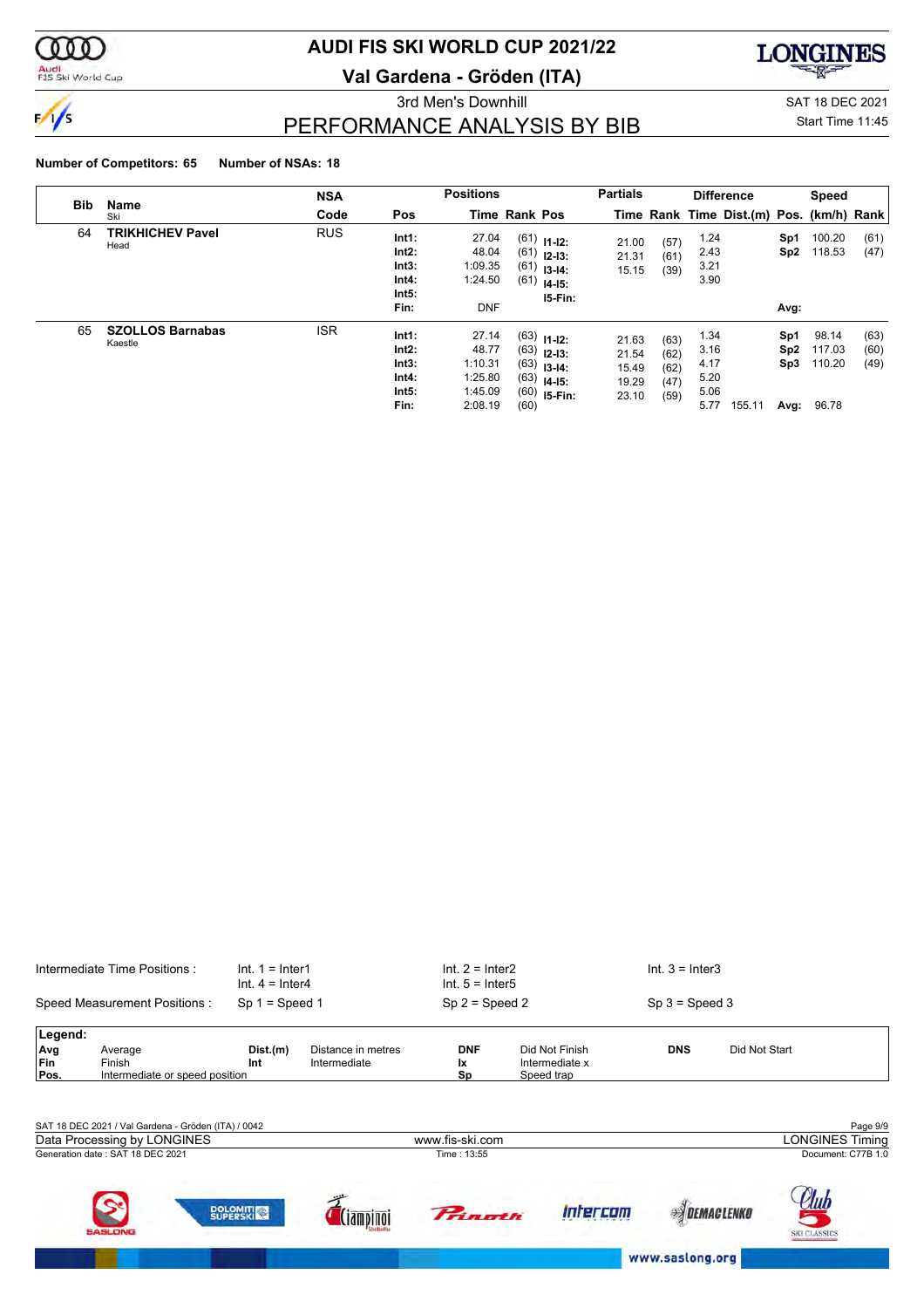

# **AUDI FIS SKI WORLD CUP 2021/22**

**Val Gardena - Gröden (ITA)**



3rd Men's Downhill SAT 18 DEC 2021

### PERFORMANCE ANALYSIS BY BIB

### Start Time 11:45

#### **Number of Competitors: 65 Number of NSAs: 18**

|            |                                    | <b>Partials</b><br><b>Positions</b><br><b>NSA</b><br>Name |                                                   |                                                            |                      | <b>Difference</b>                                                                  |                                           |                                      |                                              | Speed                                    |                                |                                         |                      |
|------------|------------------------------------|-----------------------------------------------------------|---------------------------------------------------|------------------------------------------------------------|----------------------|------------------------------------------------------------------------------------|-------------------------------------------|--------------------------------------|----------------------------------------------|------------------------------------------|--------------------------------|-----------------------------------------|----------------------|
| <b>Bib</b> | Ski                                | Code                                                      | Pos                                               |                                                            | <b>Time Rank Pos</b> |                                                                                    |                                           |                                      |                                              | Time Rank Time Dist.(m) Pos. (km/h) Rank |                                |                                         |                      |
| 64         | <b>TRIKHICHEV Pavel</b><br>Head    | <b>RUS</b>                                                | Int1:<br>Int2:<br>Int3:<br>Int4:<br>Int5:<br>Fin: | 27.04<br>48.04<br>1:09.35<br>1:24.50<br><b>DNF</b>         | (61)                 | $(61)$ 11-12:<br>$(61)$ 12-13:<br>$(61)$ 13-14:<br>$14 - 15$ :<br>$15-Fin:$        | 21.00<br>21.31<br>15.15                   | (57)<br>(61)<br>(39)                 | 1.24<br>2.43<br>3.21<br>3.90                 |                                          | Sp1<br>Sp <sub>2</sub><br>Avg: | 100.20<br>118.53                        | (61)<br>(47)         |
| 65         | <b>SZOLLOS Barnabas</b><br>Kaestle | <b>ISR</b>                                                | Int1:<br>Int2:<br>Int3:<br>Int4:<br>Int5:<br>Fin: | 27.14<br>48.77<br>1:10.31<br>1:25.80<br>1:45.09<br>2:08.19 | (60)                 | $(63)$ 11-12:<br>$(63)$ 12-13:<br>$(63)$ 13-14:<br>$(63)$ 14-15:<br>$(60)$ 15-Fin: | 21.63<br>21.54<br>15.49<br>19.29<br>23.10 | (63)<br>(62)<br>(62)<br>(47)<br>(59) | 1.34<br>3.16<br>4.17<br>5.20<br>5.06<br>5.77 | 155.11                                   | Sp1<br>Sp2<br>Sp3              | 98.14<br>117.03<br>110.20<br>Avg: 96.78 | (63)<br>(60)<br>(49) |

|                           | Intermediate Time Positions:<br>$Int. 1 = Inter1$<br>$Int. 4 = Inter4$ |                   |                                    | $Int. 2 = Inter2$<br>$Int. 5 = Inter5$ |                                                | $Int. 3 = Inter3$   |                        |
|---------------------------|------------------------------------------------------------------------|-------------------|------------------------------------|----------------------------------------|------------------------------------------------|---------------------|------------------------|
|                           | Speed Measurement Positions:                                           | $Sp 1 = Speed 1$  |                                    | $Sp 2 = Speed 2$                       |                                                | $Sp 3 = Speed 3$    |                        |
| Legend:                   |                                                                        |                   |                                    |                                        |                                                |                     |                        |
| Avg<br><b>Fin</b><br>Pos. | Average<br>Finish<br>Intermediate or speed position                    | Dist.(m)<br>Int   | Distance in metres<br>Intermediate | <b>DNF</b><br>Ιx<br>Sp                 | Did Not Finish<br>Intermediate x<br>Speed trap | <b>DNS</b>          | Did Not Start          |
|                           |                                                                        |                   |                                    |                                        |                                                |                     |                        |
|                           | SAT 18 DEC 2021 / Val Gardena - Gröden (ITA) / 0042                    |                   |                                    |                                        |                                                |                     | Page 9/9               |
|                           | Data Processing by LONGINES                                            |                   |                                    | www.fis-ski.com                        |                                                |                     | <b>LONGINES Timing</b> |
|                           | Generation date: SAT 18 DEC 2021                                       |                   |                                    | Time: 13:55                            |                                                |                     | Document: C77B 1.0     |
|                           | <b>SASLONG</b>                                                         | <b>DOLOMITICA</b> |                                    | Princetti                              | Intercom                                       | <b>EXPENACLENKO</b> | <b>SKI CLASSICS</b>    |

www.saslong.org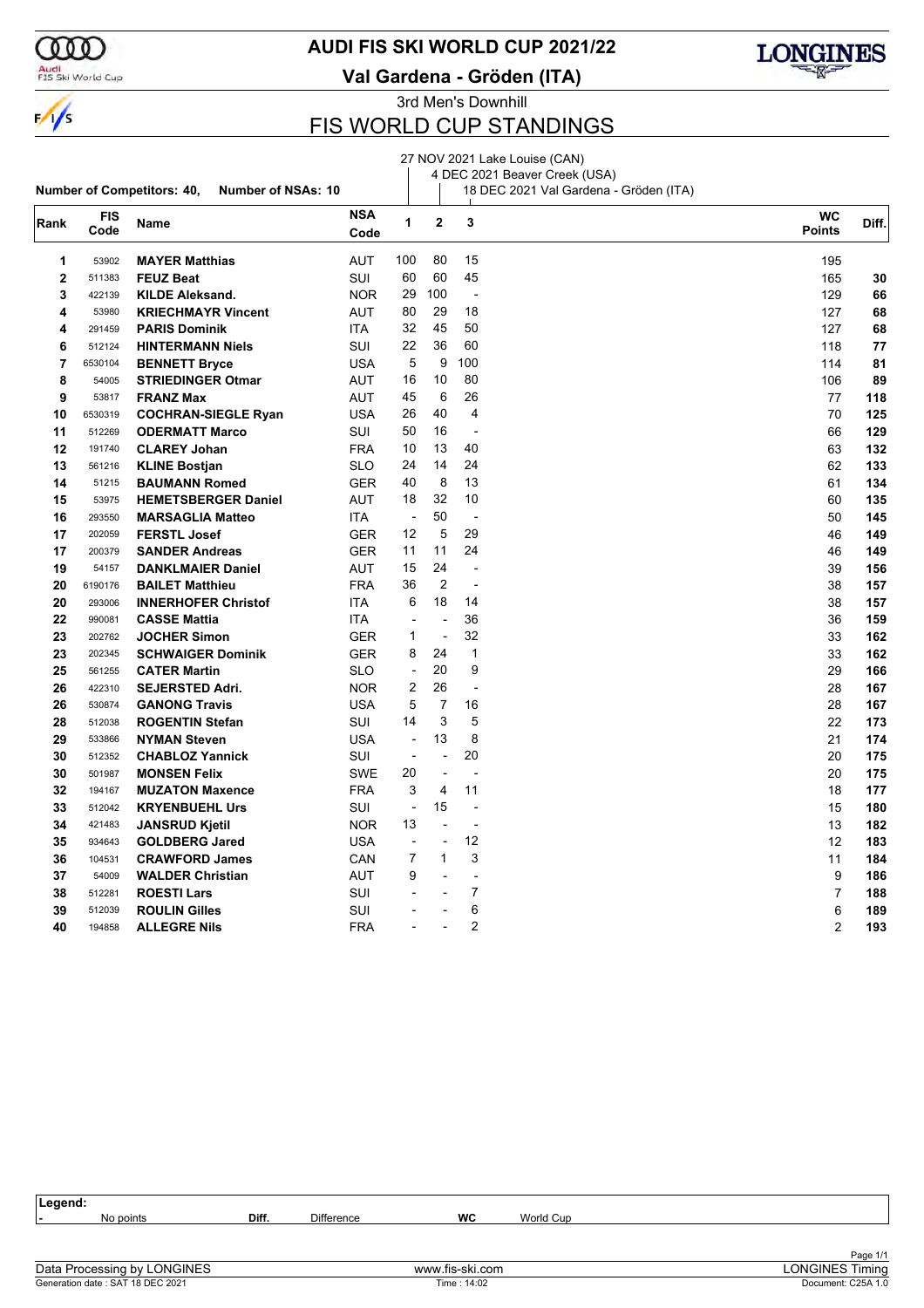

#### **AUDI FIS SKI WORLD CUP 2021/22**

FIS Ski World Cup

**Val Gardena - Gröden (ITA)**



3rd Men's Downhill

### FIS WORLD CUP STANDINGS

27 NOV 2021 Lake Louise (CAN)

#### **Number of Competitors: 40, Number of NSAs: 10** 4 DEC 2021 Beaver Creek (USA) 18 DEC 2021 Val Gardena - Gröden (ITA) **Rank FIS Code Name NSA Code WC** Diff. **Points <sup>2</sup> <sup>3</sup>** 53902 **MAYER Matthias 195** AUT **100 80 15** 195 511383 **FEUZ Beat** SUI 60 60 45 165 **30** 422139 **KILDE Aleksand.** NOR 29 100 - 129 **66** 53980 **KRIECHMAYR Vincent** AUT 80 29 18 127 **68** 291459 **PARIS Dominik** ITA 32 45 50 127 **68** 512124 **HINTERMANN Niels** SUI 22 36 60 118 **77** 6530104 **BENNETT Bryce** USA 5 9 100 114 **81** 54005 **STRIEDINGER Otmar** AUT 16 10 80 106 **89** 53817 **FRANZ Max** AUT 45 6 26 **6 77 118**  6530319 **COCHRAN-SIEGLE Ryan** USA 26 40 4 70 **125** 512269 **ODERMATT Marco** SUI 50 16 - 66 **129** 191740 **CLAREY Johan** FRA 10 13 40 63 **132** 561216 **KLINE Bostjan** SLO 24 14 24 62 **133** 51215 **BAUMANN Romed** GER 40 8 13 61 **134** 53975 **HEMETSBERGER Daniel** AUT 18 32 10 60 **135** 293550 **MARSAGLIA Matteo** ITA - 50 - 50 **145** 202059 **FERSTL Josef** GER 12 5 29 46 **149** 200379 **SANDER Andreas** GER 11 11 24 46 **149** 54157 **DANKLMAIER Daniel** AUT 15 24 - 39 **156** 6190176 **BAILET Matthieu** FRA 36 2 - 38 **157** 293006 **INNERHOFER Christof** ITA 6 18 14 38 **157** 990081 **CASSE Mattia** ITA - - 36 36 **159** 202762 **JOCHER Simon** GER 1 - 32 33 **162** 202345 **SCHWAIGER Dominik** GER 8 24 1 33 **162** 561255 **CATER Martin** SLO - 20 9 29 **166** 422310 **SEJERSTED Adri.** NOR 2 26 - 28 **167** 530874 **GANONG Travis** USA 5 7 16 28 **167** 512038 **ROGENTIN Stefan** SUI 14 3 5 22 **173** 533866 **NYMAN Steven** USA - 13 8 21 **174** 512352 **CHABLOZ Yannick** SUI - - 20 20 **175** 501987 **MONSEN Felix** SWE 20 - - 20 **175** 194167 **MUZATON Maxence** FRA 3 4 11 **18 177** 18 177 512042 **KRYENBUEHL Urs** SUI - 15 - 15 **180** 421483 **JANSRUD Kjetil** NOR 13 - - 13 **182** 934643 **GOLDBERG Jared** USA - - 12 12 **183** 104531 **CRAWFORD James** CAN 7 1 3 11 **184** 54009 **WALDER Christian** AUT 9 - - 9 **186** 512281 **ROESTI Lars** SUI - - 7 7 **188** 512039 **ROULIN Gilles** SUI - - 6 6 **189** 194858 **ALLEGRE Nils** FRA - - 2 2 **193**

**Legend: -** No points **Diff.** Difference **WC** World Cup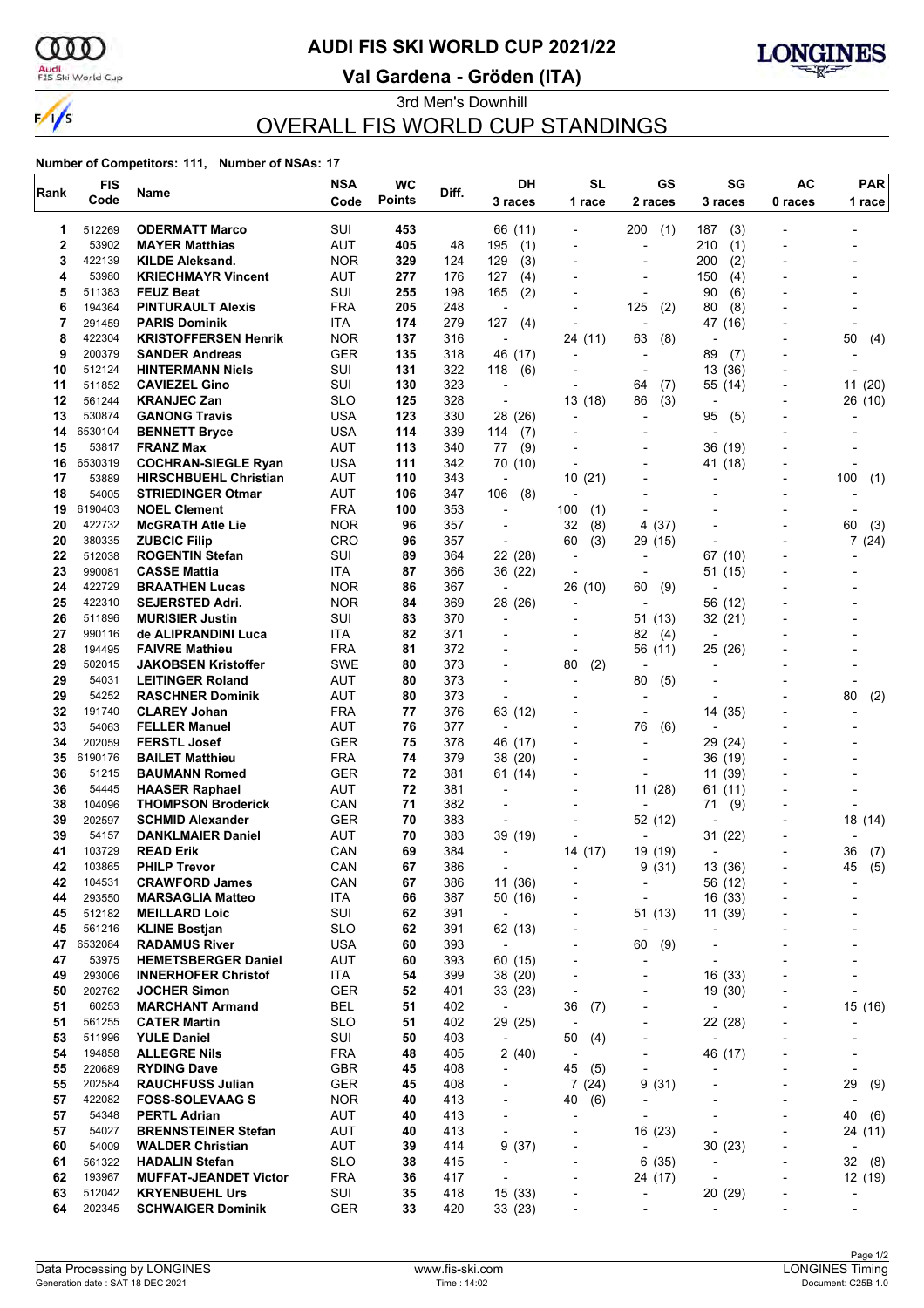

 $\frac{1}{\sqrt{2}}$ 

# **AUDI FIS SKI WORLD CUP 2021/22**

Audi<br>FIS Ski World Cup

**Val Gardena - Gröden (ITA)**



3rd Men's Downhill OVERALL FIS WORLD CUP STANDINGS

| Rank     | <b>FIS</b><br>Code | Name                                           | <b>NSA</b><br>Code       | <b>WC</b><br><b>Points</b> | Diff.      | DH<br>3 races                                        | <b>SL</b><br>1 race                   | GS<br>2 races               | SG<br>3 races            | <b>AC</b><br>0 races     | <b>PAR</b><br>1 race               |
|----------|--------------------|------------------------------------------------|--------------------------|----------------------------|------------|------------------------------------------------------|---------------------------------------|-----------------------------|--------------------------|--------------------------|------------------------------------|
|          | 512269             |                                                | SUI                      | 453                        |            | 66 (11)                                              | $\blacksquare$                        |                             |                          |                          |                                    |
| 1<br>2   | 53902              | <b>ODERMATT Marco</b><br><b>MAYER Matthias</b> | AUT                      | 405                        | 48         | 195<br>(1)                                           | $\overline{a}$                        | 200<br>(1)<br>÷,            | (3)<br>187<br>210<br>(1) | $\overline{\phantom{a}}$ |                                    |
| 3        | 422139             | <b>KILDE Aleksand.</b>                         | <b>NOR</b>               | 329                        | 124        | 129<br>(3)                                           | $\overline{\phantom{a}}$              | -                           | 200<br>(2)               |                          |                                    |
| 4        | 53980              | <b>KRIECHMAYR Vincent</b>                      | <b>AUT</b>               | 277                        | 176        | 127<br>(4)                                           |                                       |                             | 150<br>(4)               |                          |                                    |
| 5        | 511383             | <b>FEUZ Beat</b>                               | SUI                      | 255                        | 198        | 165<br>(2)                                           |                                       |                             | 90<br>(6)                |                          |                                    |
| 6        | 194364             | <b>PINTURAULT Alexis</b>                       | FRA                      | 205                        | 248        | $\overline{\phantom{a}}$                             |                                       | 125<br>(2)                  | 80<br>(8)                |                          |                                    |
| 7        | 291459             | <b>PARIS Dominik</b>                           | ITA                      | 174                        | 279        | 127<br>(4)                                           |                                       | ٠                           | 47 (16)                  |                          |                                    |
| 8        | 422304             | <b>KRISTOFFERSEN Henrik</b>                    | <b>NOR</b>               | 137                        | 316        | $\overline{\phantom{a}}$                             | 24 (11)                               | 63<br>(8)                   | $\overline{\phantom{a}}$ |                          | 50<br>(4)                          |
| 9        | 200379             | <b>SANDER Andreas</b>                          | GER                      | 135                        | 318        | 46 (17)                                              | $\overline{\phantom{a}}$              |                             | 89<br>(7)                |                          |                                    |
| 10       | 512124             | <b>HINTERMANN Niels</b>                        | SUI                      | 131                        | 322        | 118<br>(6)                                           |                                       |                             | 13 (36)                  |                          |                                    |
| 11       | 511852             | <b>CAVIEZEL Gino</b>                           | SUI                      | 130                        | 323        | $\overline{\phantom{a}}$                             |                                       | (7)<br>64                   | 55 (14)                  |                          | 11<br>(20)                         |
| 12       | 561244             | <b>KRANJEC Zan</b>                             | SLO                      | 125                        | 328        | ÷,                                                   | 13 (18)                               | 86<br>(3)                   | $\overline{\phantom{a}}$ |                          | 26 (10)                            |
| 13       | 530874             | <b>GANONG Travis</b>                           | USA                      | 123                        | 330        | 28 (26)                                              | $\overline{\phantom{a}}$              | $\overline{a}$              | 95<br>(5)                |                          |                                    |
| 14       | 6530104            | <b>BENNETT Bryce</b>                           | USA                      | 114                        | 339        | 114<br>(7)                                           |                                       | $\overline{a}$              | $\overline{\phantom{a}}$ |                          |                                    |
| 15       | 53817              | <b>FRANZ Max</b>                               | AUT                      | 113                        | 340        | 77<br>(9)                                            |                                       | $\overline{a}$              | 36 (19)                  |                          |                                    |
| 16       | 6530319            | <b>COCHRAN-SIEGLE Ryan</b>                     | <b>USA</b>               | 111                        | 342        | 70 (10)                                              | $\overline{\phantom{a}}$              |                             | 41 (18)                  |                          |                                    |
| 17       | 53889              | <b>HIRSCHBUEHL Christian</b>                   | AUT                      | 110                        | 343        | $\overline{\phantom{a}}$                             | 10(21)                                |                             |                          | $\overline{a}$           | 100<br>(1)                         |
| 18       | 54005              | <b>STRIEDINGER Otmar</b>                       | AUT                      | 106                        | 347        | (8)<br>106                                           | $\overline{\phantom{a}}$              | $\overline{a}$              |                          |                          |                                    |
| 19       | 6190403            | <b>NOEL Clement</b>                            | FRA                      | 100                        | 353        | $\overline{a}$                                       | 100<br>(1)                            |                             |                          |                          |                                    |
| 20       | 422732             | <b>McGRATH Atle Lie</b>                        | <b>NOR</b>               | 96                         | 357        | $\overline{a}$                                       | 32<br>(8)                             | 4<br>(37)                   |                          | $\overline{a}$           | 60<br>(3)                          |
| 20       | 380335             | <b>ZUBCIC Filip</b>                            | CRO                      | 96                         | 357        | ÷,                                                   | 60<br>(3)                             | 29 (15)                     |                          | $\blacksquare$           | 7(24)                              |
| 22       | 512038             | <b>ROGENTIN Stefan</b>                         | SUI                      | 89                         | 364        | 22 (28)                                              | $\blacksquare$                        | $\overline{a}$              | 67 (10)                  |                          |                                    |
| 23       | 990081             | <b>CASSE Mattia</b>                            | ITA                      | 87                         | 366        | 36 (22)                                              | $\overline{\phantom{a}}$              | $\overline{a}$              | 51 (15)                  |                          |                                    |
| 24       | 422729             | <b>BRAATHEN Lucas</b>                          | NOR                      | 86                         | 367        | $\overline{\phantom{a}}$                             | 26 (10)                               | 60<br>(9)                   | $\overline{\phantom{a}}$ |                          |                                    |
| 25       | 422310             | <b>SEJERSTED Adri.</b>                         | <b>NOR</b>               | 84                         | 369        | 28 (26)                                              | $\blacksquare$                        | $\overline{\phantom{a}}$    | 56 (12)                  |                          |                                    |
| 26       | 511896             | <b>MURISIER Justin</b>                         | SUI                      | 83                         | 370        | $\overline{\phantom{a}}$                             |                                       | 51 (13)                     | 32 (21)                  |                          |                                    |
| 27       | 990116             | de ALIPRANDINI Luca                            | ITA                      | 82                         | 371        |                                                      | $\blacksquare$                        | 82<br>(4)                   |                          |                          |                                    |
| 28       | 194495             | <b>FAIVRE Mathieu</b>                          | FRA                      | 81                         | 372        |                                                      | $\overline{\phantom{a}}$              | 56 (11)                     | 25 (26)                  |                          |                                    |
| 29       | 502015             | <b>JAKOBSEN Kristoffer</b>                     | SWE                      | 80                         | 373        | $\overline{\phantom{a}}$                             | (2)<br>80                             | ÷                           |                          |                          |                                    |
| 29       | 54031              | <b>LEITINGER Roland</b>                        | AUT                      | 80                         | 373        | $\overline{a}$                                       | $\overline{\phantom{a}}$              | 80<br>(5)                   |                          |                          |                                    |
| 29       | 54252<br>191740    | <b>RASCHNER Dominik</b>                        | AUT                      | 80                         | 373        |                                                      |                                       | $\overline{\phantom{0}}$    |                          |                          | 80<br>(2)                          |
| 32<br>33 |                    | <b>CLAREY Johan</b>                            | FRA<br><b>AUT</b>        | 77<br>76                   | 376        | 63 (12)<br>$\overline{\phantom{a}}$                  |                                       | ÷                           | 14 (35)                  |                          |                                    |
| 34       | 54063<br>202059    | <b>FELLER Manuel</b><br><b>FERSTL Josef</b>    | GER                      | 75                         | 377<br>378 | 46 (17)                                              |                                       | 76<br>(6)<br>$\overline{a}$ | 29 (24)                  |                          |                                    |
| 35       | 6190176            | <b>BAILET Matthieu</b>                         | <b>FRA</b>               | 74                         | 379        | 38 (20)                                              |                                       | $\overline{a}$              | 36 (19)                  |                          |                                    |
| 36       | 51215              | <b>BAUMANN Romed</b>                           | GER                      | 72                         | 381        | 61 (14)                                              |                                       | $\overline{a}$              | 11 (39)                  |                          |                                    |
| 36       | 54445              | <b>HAASER Raphael</b>                          | AUT                      | 72                         | 381        | $\overline{\phantom{a}}$                             |                                       | 11(28)                      | 61 (11)                  |                          |                                    |
| 38       | 104096             | <b>THOMPSON Broderick</b>                      | CAN                      | 71                         | 382        | $\overline{a}$                                       |                                       | $\overline{a}$              | 71<br>(9)                |                          |                                    |
| 39       | 202597             | <b>SCHMID Alexander</b>                        | GER                      | 70                         | 383        | $\overline{a}$                                       |                                       | 52 (12)                     |                          |                          | 18 (14)                            |
| 39       | 54157              | <b>DANKLMAIER Daniel</b>                       | <b>AUT</b>               | 70                         | 383        | 39 (19)                                              |                                       | $\overline{\phantom{a}}$    | 31 (22)                  |                          |                                    |
| 41       | 103729             | <b>READ Erik</b>                               | CAN                      | 69                         | 384        | $\overline{\phantom{a}}$                             | 14 (17)                               | 19 (19)                     | $\overline{a}$           |                          | 36<br>(7)                          |
| 42       | 103865             | <b>PHILP Trevor</b>                            | CAN                      | 67                         | 386        |                                                      |                                       | 9(31)                       | 13 (36)                  |                          | 45<br>(5)                          |
| 42       | 104531             | <b>CRAWFORD James</b>                          | CAN                      | 67                         | 386        | 11 (36)                                              |                                       | -                           | 56 (12)                  |                          |                                    |
| 44       | 293550             | <b>MARSAGLIA Matteo</b>                        | ITA                      | 66                         | 387        | 50 (16)                                              |                                       |                             | 16 (33)                  |                          |                                    |
| 45       | 512182             | <b>MEILLARD Loic</b>                           | SUI                      | 62                         | 391        | $\overline{\phantom{a}}$                             |                                       | 51(13)                      | 11 (39)                  |                          |                                    |
| 45       | 561216             | <b>KLINE Bostjan</b>                           | <b>SLO</b>               | 62                         | 391        | 62 (13)                                              |                                       |                             |                          |                          |                                    |
| 47       | 6532084            | <b>RADAMUS River</b>                           | <b>USA</b>               | 60                         | 393        | $\overline{\phantom{a}}$                             |                                       | (9)<br>60                   | $\overline{a}$           |                          |                                    |
| 47       | 53975              | <b>HEMETSBERGER Daniel</b>                     | AUT                      | 60                         | 393        | 60 (15)                                              | $\overline{\phantom{a}}$              |                             | $\blacksquare$           |                          |                                    |
| 49       | 293006             | <b>INNERHOFER Christof</b>                     | ITA                      | 54                         | 399        | 38 (20)                                              |                                       | $\overline{a}$              | 16(33)                   | $\overline{\phantom{0}}$ |                                    |
| 50       | 202762             | <b>JOCHER Simon</b>                            | <b>GER</b>               | 52                         | 401        | 33(23)                                               | $\overline{a}$                        | -                           | 19 (30)                  | -                        |                                    |
| 51       | 60253              | <b>MARCHANT Armand</b>                         | BEL                      | 51                         | 402        | $\blacksquare$                                       | 36<br>(7)                             | -                           | $\overline{\phantom{a}}$ |                          | 15 (16)                            |
| 51       | 561255             | <b>CATER Martin</b>                            | <b>SLO</b>               | 51                         | 402        | 29 (25)                                              | $\overline{\phantom{a}}$              |                             | 22 (28)                  | -                        |                                    |
| 53       | 511996             | <b>YULE Daniel</b>                             | SUI                      | 50                         | 403        | $\overline{\phantom{a}}$                             | 50<br>(4)                             | -                           | $\overline{\phantom{a}}$ |                          |                                    |
| 54       | 194858             | <b>ALLEGRE Nils</b>                            | <b>FRA</b>               | 48                         | 405        | 2(40)                                                |                                       | -                           | 46 (17)                  | -                        |                                    |
| 55<br>55 | 220689<br>202584   | <b>RYDING Dave</b><br><b>RAUCHFUSS Julian</b>  | <b>GBR</b><br><b>GER</b> | 45<br>45                   | 408<br>408 | $\overline{\phantom{a}}$<br>$\overline{\phantom{0}}$ | 45<br>(5)<br>7(24)                    | ÷,<br>9<br>(31)             |                          | ٠                        | $\overline{\phantom{a}}$<br>29     |
| 57       |                    |                                                |                          |                            |            |                                                      |                                       |                             |                          |                          | (9)                                |
| 57       | 422082<br>54348    | <b>FOSS-SOLEVAAG S</b><br><b>PERTL Adrian</b>  | <b>NOR</b><br><b>AUT</b> | 40<br>40                   | 413<br>413 | $\overline{\phantom{0}}$<br>$\overline{\phantom{0}}$ | 40<br>(6)<br>$\overline{\phantom{a}}$ | -                           |                          | -<br>٠                   | $\overline{\phantom{a}}$<br>40 (6) |
| 57       | 54027              | <b>BRENNSTEINER Stefan</b>                     | <b>AUT</b>               | 40                         | 413        | $\overline{\phantom{a}}$                             |                                       | 16 (23)                     |                          | ٠                        | 24 (11)                            |
| 60       | 54009              | <b>WALDER Christian</b>                        | <b>AUT</b>               | 39                         | 414        | 9(37)                                                |                                       | $\overline{\phantom{a}}$    | 30(23)                   | $\overline{a}$           |                                    |
| 61       | 561322             | <b>HADALIN Stefan</b>                          | <b>SLO</b>               | 38                         | 415        | $\overline{\phantom{a}}$                             |                                       | 6 (35)                      | $\overline{a}$           | $\overline{\phantom{0}}$ | 32(8)                              |
| 62       | 193967             | <b>MUFFAT-JEANDET Victor</b>                   | <b>FRA</b>               | 36                         | 417        | ÷,                                                   |                                       | 24 (17)                     | $\overline{\phantom{a}}$ | ٠                        | 12 (19)                            |
| 63       | 512042             | <b>KRYENBUEHL Urs</b>                          | SUI                      | 35                         | 418        | 15 (33)                                              | $\overline{a}$                        | $\overline{\phantom{a}}$    | 20 (29)                  | -                        |                                    |
| 64       | 202345             | <b>SCHWAIGER Dominik</b>                       | <b>GER</b>               | 33                         | 420        | 33 (23)                                              |                                       | -                           | $\overline{a}$           | -                        |                                    |
|          |                    |                                                |                          |                            |            |                                                      |                                       |                             |                          |                          |                                    |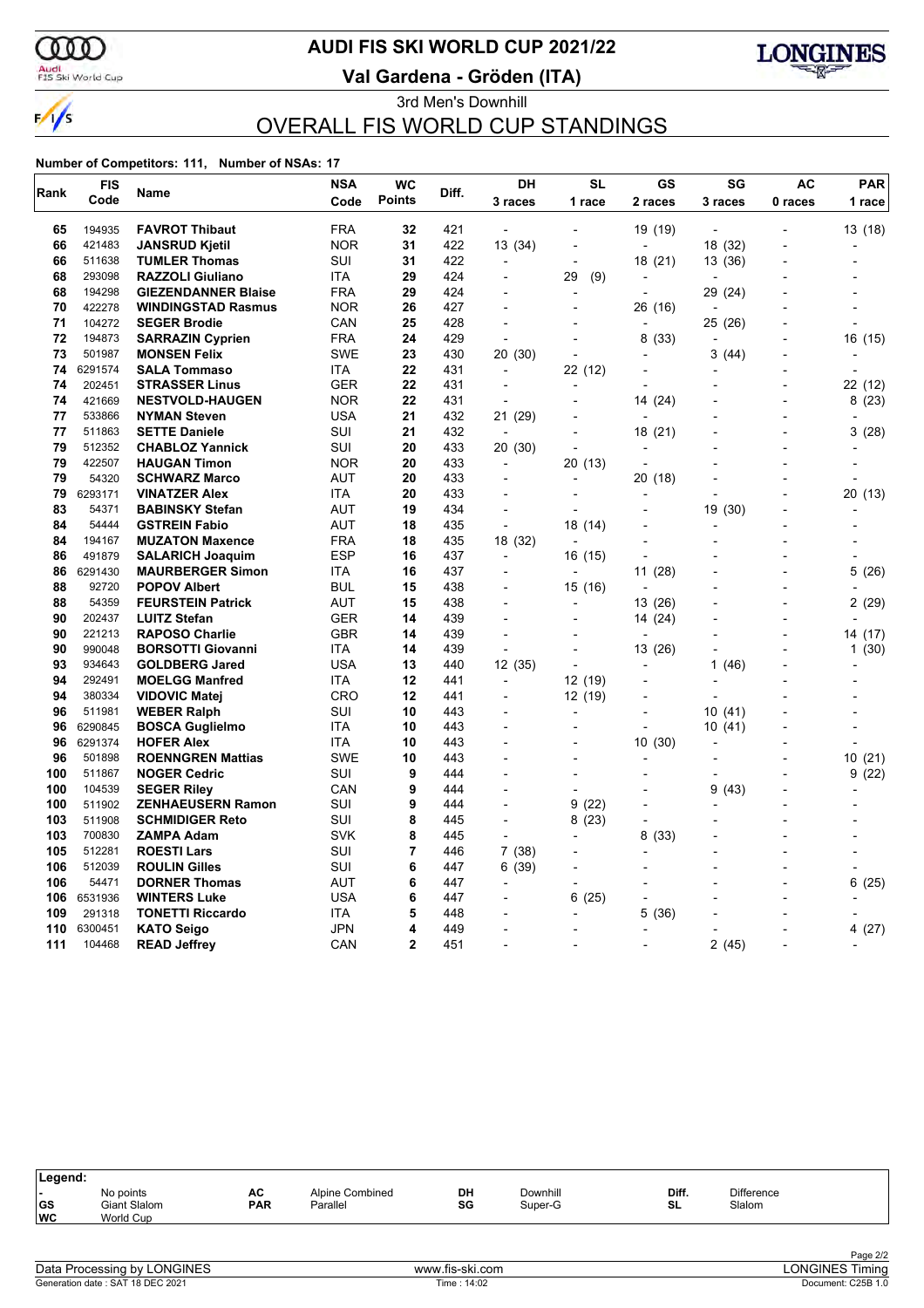

 $\frac{1}{\sqrt{2}}$ 

## **AUDI FIS SKI WORLD CUP 2021/22**

Audi<br>FIS Ski World Cup

**Val Gardena - Gröden (ITA)**



3rd Men's Downhill OVERALL FIS WORLD CUP STANDINGS

| Rank | <b>FIS</b><br>Name |                            | <b>NSA</b> | <b>WC</b>      | Diff. | <b>DH</b>                | <b>SL</b>      | GS             | SG             | AC      | <b>PAR</b>               |
|------|--------------------|----------------------------|------------|----------------|-------|--------------------------|----------------|----------------|----------------|---------|--------------------------|
|      | Code               |                            | Code       | <b>Points</b>  |       | 3 races                  | 1 race         | 2 races        | 3 races        | 0 races | 1 race                   |
| 65   | 194935             | <b>FAVROT Thibaut</b>      | <b>FRA</b> | 32             | 421   | $\overline{\phantom{a}}$ |                | 19 (19)        |                |         | 13 (18)                  |
| 66   | 421483             | <b>JANSRUD Kjetil</b>      | <b>NOR</b> | 31             | 422   | 13 (34)                  |                | $\blacksquare$ | 18 (32)        |         |                          |
| 66   | 511638             | <b>TUMLER Thomas</b>       | SUI        | 31             | 422   | $\overline{a}$           | $\blacksquare$ | 18 (21)        | 13 (36)        |         |                          |
| 68   | 293098             | <b>RAZZOLI Giuliano</b>    | ITA        | 29             | 424   | $\overline{\phantom{a}}$ | 29<br>(9)      |                |                |         |                          |
| 68   | 194298             | <b>GIEZENDANNER Blaise</b> | FRA        | 29             | 424   |                          |                | $\overline{a}$ | 29 (24)        |         |                          |
| 70   | 422278             | <b>WINDINGSTAD Rasmus</b>  | <b>NOR</b> | 26             | 427   |                          |                | 26 (16)        |                |         |                          |
| 71   | 104272             | <b>SEGER Brodie</b>        | CAN        | 25             | 428   | $\blacksquare$           |                | $\overline{a}$ | 25 (26)        |         |                          |
| 72   | 194873             | <b>SARRAZIN Cyprien</b>    | FRA        | 24             | 429   | L,                       |                | 8<br>(33)      |                |         | 16 (15)                  |
| 73   | 501987             | <b>MONSEN Felix</b>        | SWE        | 23             | 430   | 20 (30)                  |                |                | 3(44)          |         |                          |
| 74   | 6291574            | <b>SALA Tommaso</b>        | ITA        | 22             | 431   | $\blacksquare$           | 22 (12)        |                |                |         |                          |
| 74   | 202451             | <b>STRASSER Linus</b>      | GER        | 22             | 431   | $\overline{a}$           |                |                |                |         | 22 (12)                  |
| 74   | 421669             | <b>NESTVOLD-HAUGEN</b>     | <b>NOR</b> | 22             | 431   | $\overline{a}$           |                | 14 (24)        |                |         | 8(23)                    |
| 77   | 533866             | <b>NYMAN Steven</b>        | <b>USA</b> | 21             | 432   | 21 (29)                  |                |                |                |         |                          |
| 77   | 511863             | <b>SETTE Daniele</b>       | SUI        | 21             | 432   | $\overline{\phantom{a}}$ |                | 18 (21)        |                |         | 3 (28)                   |
| 79   | 512352             | <b>CHABLOZ Yannick</b>     | SUI        | 20             | 433   | 20 (30)                  |                | $\overline{a}$ |                |         |                          |
| 79   | 422507             | <b>HAUGAN Timon</b>        | <b>NOR</b> | 20             | 433   | $\blacksquare$           | 20 (13)        | L,             |                |         |                          |
| 79   | 54320              | <b>SCHWARZ Marco</b>       | AUT        | 20             | 433   | L,                       |                | 20 (18)        |                |         |                          |
| 79   | 6293171            | <b>VINATZER Alex</b>       | ITA        | 20             | 433   | $\overline{a}$           |                | ÷,             |                |         | 20(13)                   |
| 83   | 54371              | <b>BABINSKY Stefan</b>     | <b>AUT</b> | 19             | 434   | $\overline{a}$           |                |                | 19 (30)        |         |                          |
| 84   | 54444              | <b>GSTREIN Fabio</b>       | AUT        | 18             | 435   | $\blacksquare$           | 18 (14)        |                |                |         |                          |
| 84   | 194167             | <b>MUZATON Maxence</b>     | FRA        | 18             | 435   | 18 (32)                  |                |                |                |         |                          |
| 86   | 491879             | <b>SALARICH Joaquim</b>    | ESP        | 16             | 437   | $\blacksquare$           | 16 (15)        | L,             |                |         |                          |
| 86   | 6291430            | <b>MAURBERGER Simon</b>    | ITA        | 16             | 437   | $\blacksquare$           | $\overline{a}$ | 11 (28)        |                |         | 5(26)                    |
| 88   | 92720              | <b>POPOV Albert</b>        | BUL        | 15             | 438   | ÷,                       | 15 (16)        | ÷,             |                |         |                          |
| 88   | 54359              | <b>FEURSTEIN Patrick</b>   | <b>AUT</b> | 15             | 438   |                          |                | 13 (26)        |                |         | 2(29)                    |
| 90   | 202437             | <b>LUITZ Stefan</b>        | GER        | 14             | 439   | $\overline{a}$           | $\overline{a}$ | 14 (24)        |                |         |                          |
| 90   | 221213             | <b>RAPOSO Charlie</b>      | <b>GBR</b> | 14             | 439   | $\overline{a}$           |                | $\blacksquare$ |                |         | 14 (17)                  |
| 90   | 990048             | <b>BORSOTTI Giovanni</b>   | <b>ITA</b> | 14             | 439   | ÷,                       |                | 13 (26)        |                |         | 1(30)                    |
| 93   | 934643             | <b>GOLDBERG Jared</b>      | USA        | 13             | 440   | 12(35)                   | $\overline{a}$ | $\blacksquare$ | (46)<br>1      |         |                          |
| 94   | 292491             | <b>MOELGG Manfred</b>      | ITA        | 12             | 441   | $\overline{\phantom{a}}$ | 12 (19)        | $\overline{a}$ | $\overline{a}$ |         |                          |
| 94   | 380334             | <b>VIDOVIC Matej</b>       | CRO        | 12             | 441   | L,                       | 12 (19)        |                |                |         |                          |
| 96   | 511981             | <b>WEBER Ralph</b>         | SUI        | 10             | 443   | $\blacksquare$           | $\blacksquare$ | $\overline{a}$ | 10 (41)        |         |                          |
| 96   | 6290845            | <b>BOSCA Guglielmo</b>     | <b>ITA</b> | 10             | 443   | $\overline{a}$           |                | $\overline{a}$ | 10(41)         |         |                          |
| 96   | 6291374            | <b>HOFER Alex</b>          | ITA        | 10             | 443   | $\blacksquare$           | $\overline{a}$ | 10(30)         | $\overline{a}$ |         |                          |
| 96   | 501898             | <b>ROENNGREN Mattias</b>   | SWE        | 10             | 443   | $\overline{\phantom{a}}$ |                | $\overline{a}$ | $\overline{a}$ |         | 10(21)                   |
| 100  | 511867             | <b>NOGER Cedric</b>        | SUI        | 9              | 444   | $\overline{a}$           |                | $\overline{a}$ |                |         | 9(22)                    |
| 100  | 104539             | <b>SEGER Riley</b>         | CAN        | 9              | 444   | $\overline{a}$           |                |                | 9<br>(43)      |         |                          |
| 100  | 511902             | <b>ZENHAEUSERN Ramon</b>   | SUI        | 9              | 444   | $\blacksquare$           | 9<br>(22)      | $\overline{a}$ | L,             |         |                          |
| 103  | 511908             | <b>SCHMIDIGER Reto</b>     | SUI        | 8              | 445   | $\blacksquare$           | 8(23)          |                |                |         |                          |
| 103  | 700830             | <b>ZAMPA Adam</b>          | SVK        | 8              | 445   | $\overline{a}$           |                | 8<br>(33)      |                |         |                          |
| 105  | 512281             | <b>ROESTI Lars</b>         | SUI        | 7              | 446   | 7(38)                    |                |                |                |         |                          |
| 106  | 512039             | <b>ROULIN Gilles</b>       | SUI        | 6              | 447   | 6 (39)                   |                |                |                |         |                          |
| 106  | 54471              | <b>DORNER Thomas</b>       | AUT        | 6              | 447   | $\blacksquare$           |                |                |                |         | 6(25)                    |
|      | 106 6531936        | <b>WINTERS Luke</b>        | <b>USA</b> | 6              | 447   | $\blacksquare$           | 6<br>(25)      | $\blacksquare$ |                |         |                          |
| 109  | 291318             | <b>TONETTI Riccardo</b>    | ITA        | 5              | 448   |                          |                | 5<br>(36)      |                |         |                          |
| 110  | 6300451            | <b>KATO Seigo</b>          | JPN        | 4              | 449   | L,                       | $\overline{a}$ | $\overline{a}$ |                |         | 4 (27)                   |
| 111  | 104468             | <b>READ Jeffrey</b>        | CAN        | $\overline{2}$ | 451   | $\overline{a}$           |                | $\overline{a}$ | 2 (45)         |         | $\overline{\phantom{a}}$ |

| Legend:                 |                                        |                  |                                    |          |                     |             |                             |  |
|-------------------------|----------------------------------------|------------------|------------------------------------|----------|---------------------|-------------|-----------------------------|--|
| . .<br> GS<br><b>WC</b> | No points<br>Giant Slalom<br>World Cup | AC<br><b>PAR</b> | <b>Alpine Combined</b><br>Parallel | DH<br>SG | Downhill<br>Super-G | Diff.<br>SL | <b>Difference</b><br>Slalom |  |
|                         |                                        |                  |                                    |          |                     |             |                             |  |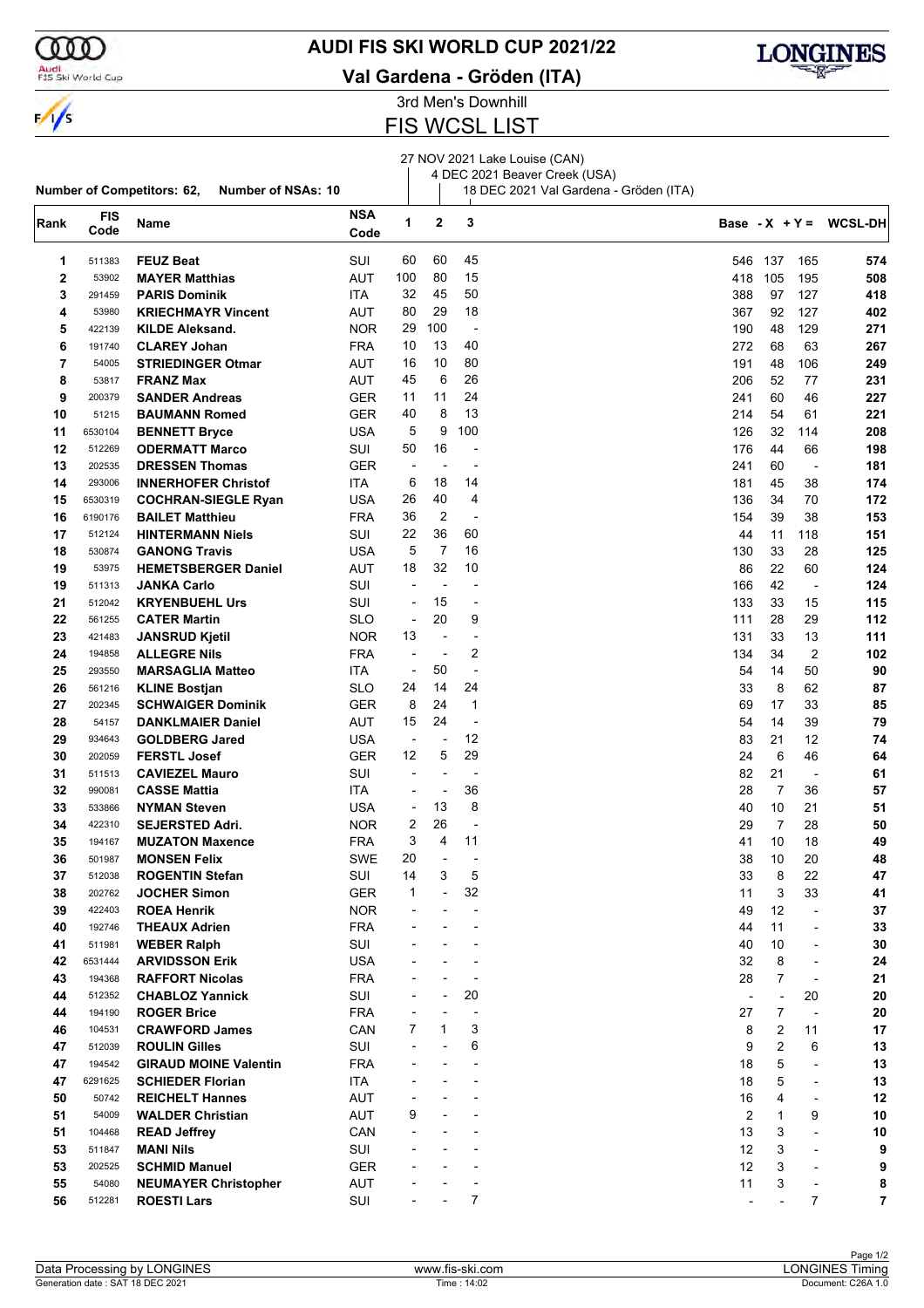

### **AUDI FIS SKI WORLD CUP 2021/22**

Audi<br>FIS Ski World Cup

**Number of Competitors: 62, Number of NSAs: 10**

### **Val Gardena - Gröden (ITA)**



3rd Men's Downhill

### FIS WCSL LIST

#### 27 NOV 2021 Lake Louise (CAN) 4 DEC 2021 Beaver Creek (USA)

 $\overline{1}$ 

18 DEC 2021 Val Gardena - Gröden (ITA)

| Rank | <b>FIS</b><br>Code | Name                         | <b>NSA</b><br>Code | 1                        | $\mathbf{2}$             | 3                        |                          |                          |                          | Base - $X + Y = WCSL-DH$ |
|------|--------------------|------------------------------|--------------------|--------------------------|--------------------------|--------------------------|--------------------------|--------------------------|--------------------------|--------------------------|
| 1    | 511383             | <b>FEUZ Beat</b>             | SUI                | 60                       | 60                       | 45                       | 546                      | 137                      | 165                      | 574                      |
| 2    | 53902              | <b>MAYER Matthias</b>        | <b>AUT</b>         | 100                      | 80                       | 15                       | 418                      | 105                      | 195                      | 508                      |
| 3    | 291459             | <b>PARIS Dominik</b>         | ITA                | 32                       | 45                       | 50                       | 388                      | 97                       | 127                      | 418                      |
| 4    | 53980              | <b>KRIECHMAYR Vincent</b>    | AUT                | 80                       | 29                       | 18                       | 367                      | 92                       | 127                      | 402                      |
| 5    | 422139             | <b>KILDE Aleksand.</b>       | <b>NOR</b>         | 29                       | 100                      | $\overline{\phantom{a}}$ | 190                      | 48                       | 129                      | 271                      |
|      | 191740             | <b>CLAREY Johan</b>          |                    | 10                       | 13                       | 40                       |                          | 68                       | 63                       | 267                      |
| 6    | 54005              |                              | <b>FRA</b>         | 16                       | 10                       | 80                       | 272<br>191               | 48                       | 106                      | 249                      |
| 7    |                    | <b>STRIEDINGER Otmar</b>     | <b>AUT</b>         | 45                       | 6                        | 26                       |                          |                          | 77                       |                          |
| 8    | 53817              | <b>FRANZ Max</b>             | AUT                |                          | 11                       | 24                       | 206                      | 52                       |                          | 231                      |
| 9    | 200379             | <b>SANDER Andreas</b>        | <b>GER</b>         | 11                       | 8                        | 13                       | 241                      | 60                       | 46                       | 227                      |
| 10   | 51215              | <b>BAUMANN Romed</b>         | <b>GER</b>         | 40<br>5                  | 9                        | 100                      | 214                      | 54                       | 61                       | 221                      |
| 11   | 6530104            | <b>BENNETT Bryce</b>         | USA                |                          | 16                       |                          | 126                      | 32                       | 114                      | 208                      |
| 12   | 512269             | <b>ODERMATT Marco</b>        | SUI                | 50                       |                          | $\overline{a}$           | 176                      | 44                       | 66                       | 198                      |
| 13   | 202535             | <b>DRESSEN Thomas</b>        | <b>GER</b>         | -                        | $\overline{\phantom{a}}$ | ٠                        | 241                      | 60                       | ÷,                       | 181                      |
| 14   | 293006             | <b>INNERHOFER Christof</b>   | ITA                | 6                        | 18                       | 14                       | 181                      | 45                       | 38                       | 174                      |
| 15   | 6530319            | <b>COCHRAN-SIEGLE Ryan</b>   | USA                | 26                       | 40                       | 4                        | 136                      | 34                       | 70                       | 172                      |
| 16   | 6190176            | <b>BAILET Matthieu</b>       | <b>FRA</b>         | 36                       | 2                        | ÷                        | 154                      | 39                       | 38                       | 153                      |
| 17   | 512124             | <b>HINTERMANN Niels</b>      | SUI                | 22                       | 36                       | 60                       | 44                       | 11                       | 118                      | 151                      |
| 18   | 530874             | <b>GANONG Travis</b>         | USA                | 5                        | 7                        | 16                       | 130                      | 33                       | 28                       | 125                      |
| 19   | 53975              | <b>HEMETSBERGER Daniel</b>   | <b>AUT</b>         | 18                       | 32                       | 10                       | 86                       | 22                       | 60                       | 124                      |
| 19   | 511313             | <b>JANKA Carlo</b>           | SUI                | $\overline{\phantom{a}}$ | $\overline{\phantom{a}}$ | $\overline{\phantom{a}}$ | 166                      | 42                       | $\overline{\phantom{a}}$ | 124                      |
| 21   | 512042             | <b>KRYENBUEHL Urs</b>        | SUI                | $\overline{\phantom{a}}$ | 15                       | $\overline{\phantom{a}}$ | 133                      | 33                       | 15                       | 115                      |
| 22   | 561255             | <b>CATER Martin</b>          | <b>SLO</b>         | $\overline{a}$           | 20                       | 9                        | 111                      | 28                       | 29                       | 112                      |
| 23   | 421483             | <b>JANSRUD Kjetil</b>        | <b>NOR</b>         | 13                       | $\overline{\phantom{a}}$ | $\overline{\phantom{a}}$ | 131                      | 33                       | 13                       | 111                      |
| 24   | 194858             | <b>ALLEGRE Nils</b>          | <b>FRA</b>         | $\overline{\phantom{a}}$ | $\overline{\phantom{a}}$ | 2                        | 134                      | 34                       | $\overline{2}$           | 102                      |
| 25   | 293550             | <b>MARSAGLIA Matteo</b>      | <b>ITA</b>         | $\overline{\phantom{a}}$ | 50                       | ÷                        | 54                       | 14                       | 50                       | 90                       |
| 26   | 561216             | <b>KLINE Bostjan</b>         | SLO                | 24                       | 14                       | 24                       | 33                       | 8                        | 62                       | 87                       |
| 27   | 202345             | <b>SCHWAIGER Dominik</b>     | <b>GER</b>         | 8                        | 24                       | 1                        | 69                       | 17                       | 33                       | 85                       |
| 28   | 54157              | <b>DANKLMAIER Daniel</b>     | AUT                | 15                       | 24                       | ÷,                       | 54                       | 14                       | 39                       | 79                       |
| 29   | 934643             | <b>GOLDBERG Jared</b>        | USA                | $\overline{\phantom{a}}$ | ÷,                       | 12                       | 83                       | 21                       | 12                       | 74                       |
| 30   | 202059             | <b>FERSTL Josef</b>          | <b>GER</b>         | 12                       | 5                        | 29                       | 24                       | 6                        | 46                       | 64                       |
| 31   | 511513             | <b>CAVIEZEL Mauro</b>        | SUI                | $\overline{a}$           | L,                       |                          | 82                       | 21                       | $\blacksquare$           | 61                       |
| 32   | 990081             | <b>CASSE Mattia</b>          | <b>ITA</b>         | $\overline{a}$           | $\overline{\phantom{a}}$ | 36                       | 28                       | $\overline{7}$           | 36                       | 57                       |
| 33   | 533866             | <b>NYMAN Steven</b>          | <b>USA</b>         | $\overline{\phantom{a}}$ | 13                       | 8                        | 40                       | 10                       | 21                       | 51                       |
| 34   | 422310             | <b>SEJERSTED Adri.</b>       | <b>NOR</b>         | 2                        | 26                       | ÷                        | 29                       | $\overline{7}$           | 28                       | 50                       |
| 35   | 194167             | <b>MUZATON Maxence</b>       | <b>FRA</b>         | 3                        | 4                        | 11                       | 41                       | 10                       | 18                       | 49                       |
| 36   | 501987             | <b>MONSEN Felix</b>          | <b>SWE</b>         | 20                       | ÷,                       | ÷                        | 38                       | 10                       | 20                       | 48                       |
| 37   | 512038             | <b>ROGENTIN Stefan</b>       | SUI                | 14                       | 3                        | 5                        | 33                       | 8                        | 22                       | 47                       |
| 38   | 202762             | <b>JOCHER Simon</b>          | <b>GER</b>         | 1                        | $\overline{\phantom{a}}$ | 32                       | 11                       | 3                        | 33                       | 41                       |
| 39   | 422403             | <b>ROEA Henrik</b>           | <b>NOR</b>         |                          |                          |                          | 49                       | 12                       | L,                       | 37                       |
| 40   | 192746             | <b>THEAUX Adrien</b>         | <b>FRA</b>         |                          |                          |                          | 44                       | 11                       | L,                       | 33                       |
| 41   | 511981             | <b>WEBER Ralph</b>           | SUI                |                          |                          |                          | 40                       | 10                       | $\overline{a}$           | 30                       |
| 42   | 6531444            | <b>ARVIDSSON Erik</b>        | <b>USA</b>         |                          |                          |                          | 32                       | 8                        | $\overline{\phantom{a}}$ | 24                       |
| 43   | 194368             | <b>RAFFORT Nicolas</b>       | <b>FRA</b>         |                          |                          | $\overline{a}$           | 28                       | $\overline{7}$           | $\overline{\phantom{a}}$ | 21                       |
| 44   | 512352             | <b>CHABLOZ Yannick</b>       | SUI                |                          | ٠                        | 20                       | $\overline{\phantom{a}}$ | $\overline{\phantom{a}}$ | 20                       | 20                       |
| 44   | 194190             | <b>ROGER Brice</b>           | <b>FRA</b>         |                          |                          | ÷                        | 27                       | 7                        | $\overline{\phantom{a}}$ | 20                       |
| 46   | 104531             | <b>CRAWFORD James</b>        | CAN                | 7                        | 1                        | 3                        | 8                        | 2                        | 11                       | 17                       |
| 47   | 512039             | <b>ROULIN Gilles</b>         | SUI                | $\overline{\phantom{0}}$ |                          | 6                        | 9                        | 2                        | 6                        | 13                       |
| 47   | 194542             | <b>GIRAUD MOINE Valentin</b> | <b>FRA</b>         |                          |                          |                          | 18                       | 5                        | $\overline{\phantom{a}}$ | 13                       |
| 47   | 6291625            | <b>SCHIEDER Florian</b>      | ITA                |                          |                          |                          | 18                       | 5                        | $\overline{\phantom{a}}$ | 13                       |
| 50   | 50742              | <b>REICHELT Hannes</b>       | AUT                |                          |                          |                          | 16                       | 4                        | $\overline{\phantom{a}}$ | 12                       |
| 51   | 54009              | <b>WALDER Christian</b>      | AUT                | 9                        |                          |                          | 2                        | $\mathbf{1}$             | 9                        | 10                       |
| 51   | 104468             | <b>READ Jeffrey</b>          | CAN                |                          |                          |                          | 13                       | 3                        | $\overline{\phantom{a}}$ | 10                       |
| 53   | 511847             | <b>MANI Nils</b>             | SUI                |                          |                          |                          | 12                       | 3                        | $\overline{a}$           | 9                        |
| 53   | 202525             | <b>SCHMID Manuel</b>         | <b>GER</b>         |                          |                          |                          | 12                       | 3                        | $\overline{\phantom{a}}$ | 9                        |
| 55   | 54080              | <b>NEUMAYER Christopher</b>  | AUT                |                          |                          |                          | 11                       | 3                        | $\overline{a}$           | 8                        |
| 56   | 512281             | <b>ROESTI Lars</b>           | SUI                |                          |                          | 7                        |                          |                          | 7                        | 7                        |
|      |                    |                              |                    |                          |                          |                          |                          |                          |                          |                          |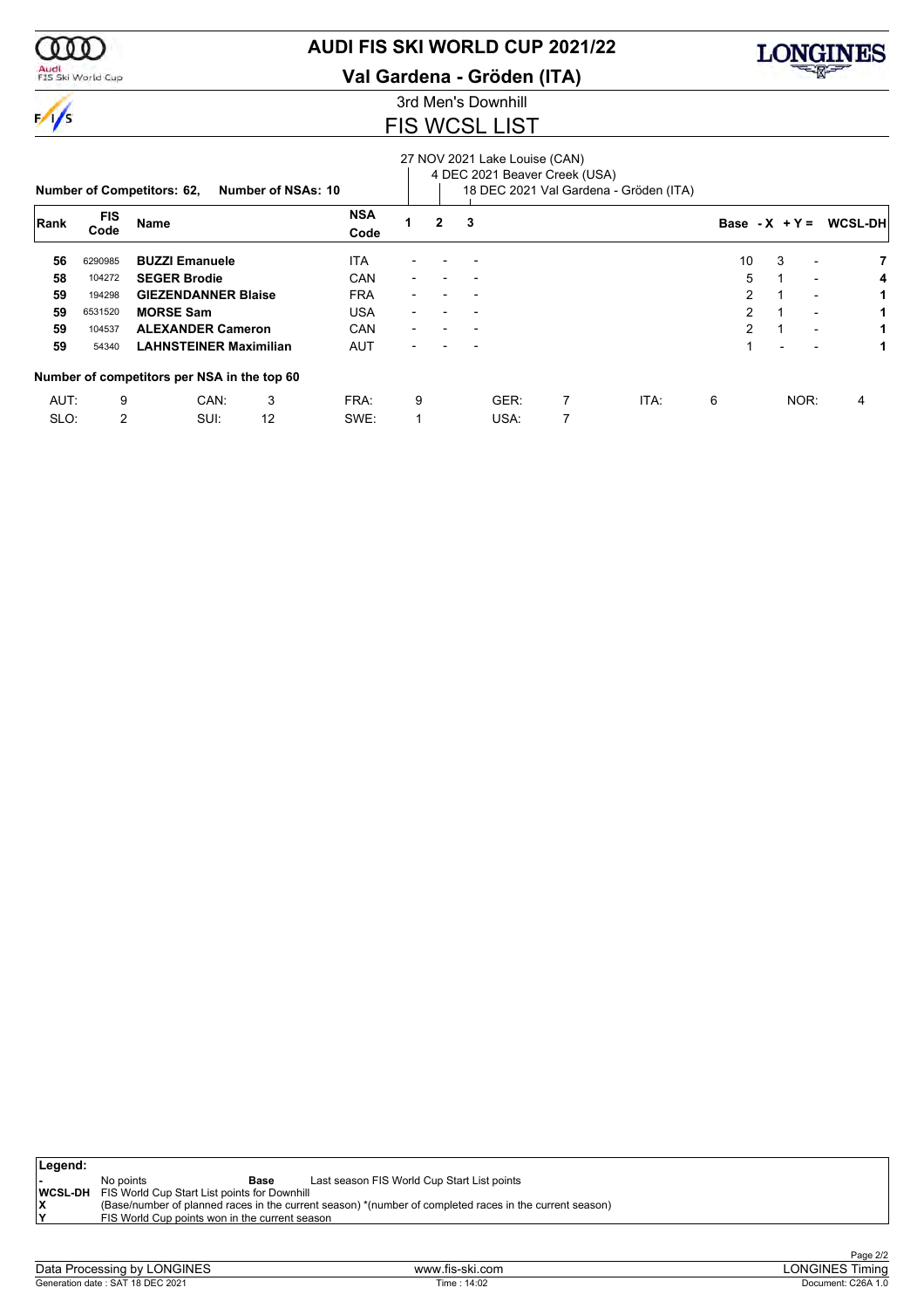

 $\frac{1}{\sqrt{2}}$ 

### Audi<br>FIS Ski World Cup

### **AUDI FIS SKI WORLD CUP 2021/22**

**Val Gardena - Gröden (ITA)**

# 3rd Men's Downhill

### FIS WCSL LIST

#### 27 NOV 2021 Lake Louise (CAN)

4 DEC 2021 Beaver Creek (USA)

|      | <b>Number of Competitors: 62,</b> | Number of NSAs: 10                          |    |                    |   |                |   | 18 DEC 2021 Val Gardena - Gröden (ITA) |   |      |                  |                          |                          |                 |
|------|-----------------------------------|---------------------------------------------|----|--------------------|---|----------------|---|----------------------------------------|---|------|------------------|--------------------------|--------------------------|-----------------|
| Rank | <b>FIS</b><br>Code                | <b>Name</b>                                 |    | <b>NSA</b><br>Code |   | $\overline{2}$ | 3 |                                        |   |      | Base - $X + Y =$ |                          |                          | <b>WCSL-DHI</b> |
| 56   | 6290985                           | <b>BUZZI Emanuele</b>                       |    | <b>ITA</b>         |   |                |   |                                        |   |      | 10               | 3                        | $\overline{\phantom{0}}$ | 7               |
| 58   | 104272                            | <b>SEGER Brodie</b>                         |    | CAN                |   |                |   |                                        |   |      | 5                |                          | $\overline{\phantom{0}}$ | 4               |
| 59   | 194298                            | <b>GIEZENDANNER Blaise</b>                  |    | <b>FRA</b>         |   |                |   |                                        |   |      | $\overline{2}$   |                          | $\blacksquare$           | 1.              |
| 59   | 6531520                           | <b>MORSE Sam</b>                            |    | USA                |   |                |   |                                        |   |      | 2                |                          | $\overline{\phantom{0}}$ | 1               |
| 59   | 104537                            | <b>ALEXANDER Cameron</b>                    |    | <b>CAN</b>         |   |                |   |                                        |   |      | 2                |                          | $\blacksquare$           | 1               |
| 59   | 54340                             | <b>LAHNSTEINER Maximilian</b>               |    | <b>AUT</b>         |   |                |   |                                        |   |      |                  | $\overline{\phantom{0}}$ | $\overline{\phantom{a}}$ | 1.              |
|      |                                   | Number of competitors per NSA in the top 60 |    |                    |   |                |   |                                        |   |      |                  |                          |                          |                 |
| AUT: | 9                                 | CAN:                                        | 3  | FRA:               | 9 |                |   | GER:                                   | 7 | ITA: | 6                |                          | NOR:                     | 4               |
| SLO: | 2                                 | SUI:                                        | 12 | SWE:               |   |                |   | USA:                                   | 7 |      |                  |                          |                          |                 |

| Legend: |           |                                                             |                                                                                                         |
|---------|-----------|-------------------------------------------------------------|---------------------------------------------------------------------------------------------------------|
|         | No points | Base                                                        | Last season FIS World Cup Start List points                                                             |
|         |           | <b>WCSL-DH</b> FIS World Cup Start List points for Downhill |                                                                                                         |
|         |           |                                                             | (Base/number of planned races in the current season) *(number of completed races in the current season) |
| ١v      |           | FIS World Cup points won in the current season              |                                                                                                         |
|         |           |                                                             |                                                                                                         |

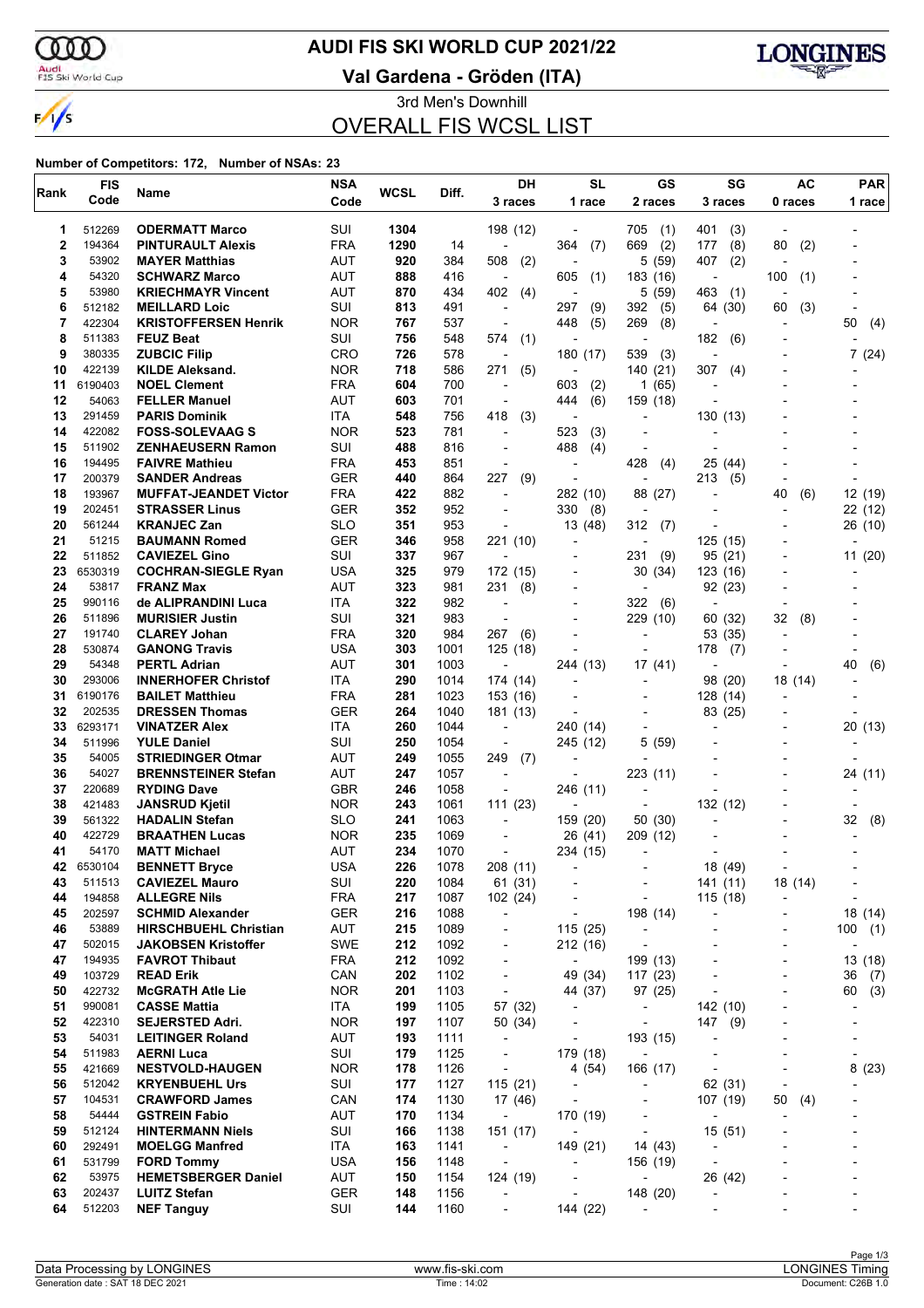ണ

### **AUDI FIS SKI WORLD CUP 2021/22**

Audi<br>FIS Ski World Cup

 $\frac{1}{\sqrt{2}}$ 

**Val Gardena - Gröden (ITA)**



3rd Men's Downhill OVERALL FIS WCSL LIST

| Code<br>1 race<br>2 races<br>3 races<br>3 races<br>0 races<br>SUI<br>512269<br><b>ODERMATT Marco</b><br>1304<br>198 (12)<br>705<br>(1)<br>401<br>(3)<br>1<br>2<br>194364<br><b>FRA</b><br>1290<br>364<br>669<br>(2)<br>177<br>(8)<br>(2)<br><b>PINTURAULT Alexis</b><br>14<br>(7)<br>80<br>3<br>AUT<br>5<br>53902<br><b>MAYER Matthias</b><br>920<br>384<br>508<br>(2)<br>(59)<br>407<br>(2)<br><b>AUT</b><br>4<br>54320<br>183 (16)<br><b>SCHWARZ Marco</b><br>888<br>416<br>605<br>(1)<br>100<br>(1)<br>$\overline{\phantom{a}}$<br>$\blacksquare$<br>5<br>53980<br>AUT<br>870<br>434<br>402<br>5(59)<br>463<br><b>KRIECHMAYR Vincent</b><br>(4)<br>(1)<br>٠<br>$\overline{\phantom{a}}$<br>SUI<br>6<br>512182<br><b>MEILLARD Loic</b><br>813<br>491<br>297<br>(9)<br>392<br>(5)<br>64 (30)<br>60<br>(3)<br>$\overline{\phantom{a}}$<br>7<br><b>KRISTOFFERSEN Henrik</b><br><b>NOR</b><br>269<br>422304<br>767<br>537<br>448<br>(5)<br>(8)<br>50<br>(4)<br>$\blacksquare$<br>8<br>511383<br>SUI<br>756<br>182<br><b>FEUZ Beat</b><br>548<br>574<br>(1)<br>(6)<br>÷,<br>$\overline{a}$<br>9<br><b>ZUBCIC Filip</b><br><b>CRO</b><br>539<br>7(24)<br>380335<br>726<br>578<br>180 (17)<br>(3)<br>422139<br><b>KILDE Aleksand.</b><br><b>NOR</b><br>718<br>140 (21)<br>10<br>586<br>271<br>(5)<br>307<br>(4)<br>$\overline{\phantom{a}}$<br>6190403<br><b>NOEL Clement</b><br><b>FRA</b><br>604<br>700<br>603<br>(65)<br>11<br>(2)<br>1<br>$\overline{\phantom{a}}$<br>÷<br>12<br>AUT<br>54063<br><b>FELLER Manuel</b><br>603<br>701<br>444<br>(6)<br>159 (18)<br>$\overline{\phantom{a}}$<br>13<br>ITA<br>291459<br><b>PARIS Dominik</b><br>548<br>756<br>418<br>(3)<br>130 (13)<br>$\blacksquare$<br>422082<br><b>FOSS-SOLEVAAG S</b><br><b>NOR</b><br>523<br>781<br>523<br>(3)<br>14<br>$\overline{\phantom{a}}$<br>511902<br>SUI<br>15<br>ZENHAEUSERN Ramon<br>488<br>816<br>488<br>(4)<br>16<br>194495<br><b>FAIVRE Mathieu</b><br><b>FRA</b><br>453<br>851<br>428<br>(4)<br>25 (44)<br>$\overline{a}$<br>200379<br><b>GER</b><br>440<br>864<br>227<br>(9)<br>17<br><b>SANDER Andreas</b><br>213<br>(5)<br>$\overline{\phantom{a}}$<br>$\overline{\phantom{a}}$<br>193967<br><b>FRA</b><br>882<br>18<br><b>MUFFAT-JEANDET Victor</b><br>422<br>282 (10)<br>88 (27)<br>40<br>(6)<br>12 (19)<br>$\overline{a}$<br>19<br><b>GER</b><br>352<br>952<br>22 (12)<br>202451<br><b>STRASSER Linus</b><br>330<br>(8)<br>$\overline{\phantom{a}}$<br>20<br>561244<br><b>KRANJEC Zan</b><br><b>SLO</b><br>351<br>953<br>13 (48)<br>312<br>26 (10)<br>(7)<br>21<br><b>GER</b><br>51215<br><b>BAUMANN Romed</b><br>346<br>958<br>221 (10)<br>125(15)<br>٠<br>SUI<br>22<br>511852<br><b>CAVIEZEL Gino</b><br>337<br>967<br>231<br>(9)<br>95(21)<br>23<br>6530319<br><b>USA</b><br>325<br>979<br>172 (15)<br><b>COCHRAN-SIEGLE Ryan</b><br>30 (34)<br>123 (16)<br>٠<br>24<br>53817<br>AUT<br>323<br><b>FRANZ Max</b><br>981<br>231<br>(8)<br>92 (23)<br>$\overline{a}$<br>25<br>ITA<br>322<br>990116<br>de ALIPRANDINI Luca<br>982<br>322<br>(6)<br>$\overline{\phantom{a}}$<br>$\blacksquare$<br>SUI<br>26<br>511896<br>321<br>983<br>229 (10)<br>(8)<br><b>MURISIER Justin</b><br>60 (32)<br>32<br>$\overline{\phantom{a}}$<br><b>FRA</b><br>320<br>27<br>191740<br><b>CLAREY Johan</b><br>984<br>267<br>(6)<br>53 (35)<br>٠<br>$\blacksquare$<br>28<br><b>GANONG Travis</b><br><b>USA</b><br>125 (18)<br>178<br>530874<br>303<br>1001<br>(7)<br>$\overline{\phantom{a}}$<br>29<br>54348<br>AUT<br>301<br><b>PERTL Adrian</b><br>1003<br>244 (13)<br>17 (41)<br>40<br>(6)<br>÷,<br>30<br>293006<br>ITA<br>290<br><b>INNERHOFER Christof</b><br>1014<br>174 (14)<br>98<br>(20)<br>18 (14)<br>6190176<br><b>FRA</b><br>31<br><b>BAILET Matthieu</b><br>281<br>1023<br>153 (16)<br>128 (14)<br>32<br>202535<br><b>GER</b><br>264<br>83 (25)<br><b>DRESSEN Thomas</b><br>1040<br>181 (13)<br>$\overline{a}$<br>33<br>6293171<br>ITA<br><b>VINATZER Alex</b><br>260<br>1044<br>240 (14)<br>$\overline{\phantom{a}}$<br>SUI<br>34<br>5<br>511996<br><b>YULE Daniel</b><br>250<br>1054<br>245 (12)<br>(59)<br>35<br>54005<br>AUT<br>249<br>249<br><b>STRIEDINGER Otmar</b><br>1055<br>(7)<br>٠<br>36<br>AUT<br>223 (11)<br>54027<br><b>BRENNSTEINER Stefan</b><br>247<br>1057<br>24 (11)<br>$\overline{a}$<br>٠<br><b>GBR</b><br>246 (11)<br>37<br>220689<br><b>RYDING Dave</b><br>246<br>1058<br>38<br><b>NOR</b><br>243<br>111 (23)<br>132 (12)<br><b>JANSRUD Kjetil</b><br>1061<br>421483<br>÷,<br>٠<br>39<br><b>SLO</b><br>32<br>561322<br><b>HADALIN Stefan</b><br>241<br>1063<br>159 (20)<br>50 (30)<br>(8)<br>40<br><b>NOR</b><br>235<br>422729<br><b>BRAATHEN Lucas</b><br>1069<br>26 (41)<br>209 (12)<br><b>AUT</b><br>234<br>41<br>54170<br>1070<br>234 (15)<br><b>MATT Michael</b><br>$\overline{\phantom{a}}$<br>6530104<br><b>USA</b><br>226<br>208 (11)<br>18 (49)<br>42<br><b>BENNETT Bryce</b><br>1078<br>SUI<br>511513<br><b>CAVIEZEL Mauro</b><br>220<br>1084<br>61(31)<br>18 (14)<br>43<br>141 (11)<br>-<br>$\overline{\phantom{a}}$<br><b>FRA</b><br>194858<br><b>ALLEGRE Nils</b><br>217<br>1087<br>102 (24)<br>115 (18)<br>44<br>$\overline{\phantom{a}}$<br>$\overline{a}$<br>$\overline{\phantom{0}}$<br>202597<br>198 (14)<br>45<br><b>SCHMID Alexander</b><br>GER<br>216<br>1088<br>18 (14)<br>$\overline{\phantom{a}}$<br>$\overline{\phantom{a}}$<br>$\overline{a}$<br>AUT<br>46<br>1089<br>115 (25)<br>53889<br><b>HIRSCHBUEHL Christian</b><br>215<br>100<br>(1)<br>$\overline{\phantom{a}}$<br>SWE<br>212<br>212 (16)<br>47<br>502015<br><b>JAKOBSEN Kristoffer</b><br>1092<br>$\overline{\phantom{a}}$<br>$\overline{\phantom{a}}$<br>٠<br><b>FRA</b><br>13 (18)<br>47<br>194935<br><b>FAVROT Thibaut</b><br>212<br>1092<br>199 (13)<br>$\overline{\phantom{a}}$<br>$\overline{\phantom{a}}$<br>٠<br>49<br>103729<br>CAN<br>202<br>1102<br>49 (34)<br>117(23)<br><b>READ Erik</b><br>36<br>(7)<br>$\overline{\phantom{a}}$<br>$\overline{\phantom{0}}$<br>50<br>422732<br><b>NOR</b><br>201<br>1103<br><b>McGRATH Atle Lie</b><br>44 (37)<br>97 (25)<br>60<br>$\overline{\phantom{a}}$<br>$\overline{a}$<br>$\overline{\phantom{0}}$<br>142 (10)<br>51<br>990081<br><b>CASSE Mattia</b><br>ITA<br>199<br>1105<br>57 (32)<br>$\blacksquare$<br>$\overline{\phantom{a}}$<br>-<br>$\overline{\phantom{0}}$<br>52<br><b>NOR</b><br>147(9)<br>422310<br><b>SEJERSTED Adri.</b><br>197<br>1107<br>50 (34)<br>$\overline{\phantom{a}}$<br>$\overline{\phantom{a}}$<br><b>AUT</b><br>53<br>54031<br>193<br>193 (15)<br><b>LEITINGER Roland</b><br>1111<br>$\overline{\phantom{a}}$<br>$\overline{\phantom{a}}$<br>$\overline{\phantom{a}}$<br>$\overline{\phantom{a}}$<br>$\overline{\phantom{a}}$<br>SUI<br>54<br>511983<br><b>AERNI Luca</b><br>179<br>1125<br>179 (18)<br>$\overline{\phantom{a}}$<br>55<br>421669<br><b>NOR</b><br>178<br>1126<br>8(23)<br><b>NESTVOLD-HAUGEN</b><br>4 (54)<br>166 (17)<br>$\overline{\phantom{a}}$<br>$\overline{\phantom{a}}$<br>SUI<br>56<br>512042<br><b>KRYENBUEHL Urs</b><br>177<br>1127<br>62 (31)<br>115(21)<br>$\blacksquare$<br>$\overline{\phantom{a}}$<br>$\overline{\phantom{a}}$<br>CAN<br>(4)<br>57<br>104531<br><b>CRAWFORD James</b><br>174<br>1130<br>17 (46)<br>107 (19)<br>50<br>$\overline{\phantom{a}}$<br>$\overline{\phantom{a}}$<br>58<br>54444<br>AUT<br>1134<br><b>GSTREIN Fabio</b><br>170<br>170 (19)<br>$\overline{\phantom{a}}$<br>$\overline{\phantom{a}}$<br>$\overline{\phantom{a}}$<br>59<br>512124<br>SUI<br>166<br>1138<br>15 (51)<br><b>HINTERMANN Niels</b><br>151 (17)<br>$\overline{\phantom{a}}$<br>$\overline{\phantom{a}}$<br>149 (21)<br>60<br>292491<br><b>MOELGG Manfred</b><br>ITA<br>163<br>1141<br>14 (43)<br>$\overline{\phantom{a}}$<br>61<br><b>USA</b><br>1148<br>531799<br><b>FORD Tommy</b><br>156<br>156 (19)<br>$\overline{\phantom{a}}$<br>$\overline{\phantom{a}}$<br>$\overline{\phantom{a}}$<br><b>AUT</b><br>62<br>53975<br>150<br>1154<br><b>HEMETSBERGER Daniel</b><br>124 (19)<br>26 (42)<br>$\overline{\phantom{a}}$<br>$\overline{\phantom{a}}$<br>63<br>202437<br>GER<br>1156<br>148 (20)<br><b>LUITZ Stefan</b><br>148<br>$\overline{\phantom{a}}$<br>$\overline{\phantom{a}}$<br>64<br>512203<br>SUI<br>144<br>1160<br>144 (22)<br><b>NEF Tanguy</b><br>$\overline{\phantom{a}}$<br>$\overline{\phantom{a}}$<br>- | Rank | <b>FIS</b> | Name | <b>NSA</b> | <b>WCSL</b> | Diff. | DH | <b>SL</b> | GS | SG | AC | <b>PAR</b> |  |
|------------------------------------------------------------------------------------------------------------------------------------------------------------------------------------------------------------------------------------------------------------------------------------------------------------------------------------------------------------------------------------------------------------------------------------------------------------------------------------------------------------------------------------------------------------------------------------------------------------------------------------------------------------------------------------------------------------------------------------------------------------------------------------------------------------------------------------------------------------------------------------------------------------------------------------------------------------------------------------------------------------------------------------------------------------------------------------------------------------------------------------------------------------------------------------------------------------------------------------------------------------------------------------------------------------------------------------------------------------------------------------------------------------------------------------------------------------------------------------------------------------------------------------------------------------------------------------------------------------------------------------------------------------------------------------------------------------------------------------------------------------------------------------------------------------------------------------------------------------------------------------------------------------------------------------------------------------------------------------------------------------------------------------------------------------------------------------------------------------------------------------------------------------------------------------------------------------------------------------------------------------------------------------------------------------------------------------------------------------------------------------------------------------------------------------------------------------------------------------------------------------------------------------------------------------------------------------------------------------------------------------------------------------------------------------------------------------------------------------------------------------------------------------------------------------------------------------------------------------------------------------------------------------------------------------------------------------------------------------------------------------------------------------------------------------------------------------------------------------------------------------------------------------------------------------------------------------------------------------------------------------------------------------------------------------------------------------------------------------------------------------------------------------------------------------------------------------------------------------------------------------------------------------------------------------------------------------------------------------------------------------------------------------------------------------------------------------------------------------------------------------------------------------------------------------------------------------------------------------------------------------------------------------------------------------------------------------------------------------------------------------------------------------------------------------------------------------------------------------------------------------------------------------------------------------------------------------------------------------------------------------------------------------------------------------------------------------------------------------------------------------------------------------------------------------------------------------------------------------------------------------------------------------------------------------------------------------------------------------------------------------------------------------------------------------------------------------------------------------------------------------------------------------------------------------------------------------------------------------------------------------------------------------------------------------------------------------------------------------------------------------------------------------------------------------------------------------------------------------------------------------------------------------------------------------------------------------------------------------------------------------------------------------------------------------------------------------------------------------------------------------------------------------------------------------------------------------------------------------------------------------------------------------------------------------------------------------------------------------------------------------------------------------------------------------------------------------------------------------------------------------------------------------------------------------------------------------------------------------------------------------------------------------------------------------------------------------------------------------------------------------------------------------------------------------------------------------------------------------------------------------------------------------------------------------------------------------------------------------------------------------------------------------------------------------------------------------------------------------------------------------------------------------------------------------------------------------------------------------------------------------------------------------------------------------------------------------------------------------------------------------------------------------------------------------------------------------------------------------------------------------------------------------------------------------------------------------------------------------------------------------------------------------------------------------------------------------------------------------------------------------------------------------------------------------------------------------------------------------------------------------------------------------------------------------------------------------------------------------------------------------------------------------------------------------------------------------------------------------------------------------------------------------------------------------------------------------------------------------------------------------------------------------------------------------------------------------------------------------------------------------------------------------------------------------------------------------------------------------------------------------------------------------------------------------------------------------------------------------------------------------------------------------------------------------------------------------------------------------------------------------------------------------------------------------------------------------------------------------------------------------------------------------------------------------------------------------------------------------------------------------------------------------------------------------------------------------|------|------------|------|------------|-------------|-------|----|-----------|----|----|----|------------|--|
|                                                                                                                                                                                                                                                                                                                                                                                                                                                                                                                                                                                                                                                                                                                                                                                                                                                                                                                                                                                                                                                                                                                                                                                                                                                                                                                                                                                                                                                                                                                                                                                                                                                                                                                                                                                                                                                                                                                                                                                                                                                                                                                                                                                                                                                                                                                                                                                                                                                                                                                                                                                                                                                                                                                                                                                                                                                                                                                                                                                                                                                                                                                                                                                                                                                                                                                                                                                                                                                                                                                                                                                                                                                                                                                                                                                                                                                                                                                                                                                                                                                                                                                                                                                                                                                                                                                                                                                                                                                                                                                                                                                                                                                                                                                                                                                                                                                                                                                                                                                                                                                                                                                                                                                                                                                                                                                                                                                                                                                                                                                                                                                                                                                                                                                                                                                                                                                                                                                                                                                                                                                                                                                                                                                                                                                                                                                                                                                                                                                                                                                                                                                                                                                                                                                                                                                                                                                                                                                                                                                                                                                                                                                                                                                                                                                                                                                                                                                                                                                                                                                                                                                                                                                                                                                                                                                                                                                                                                                                                                                                                                                                                                                                                                                                                                                                                                                                    |      | Code       |      |            |             |       |    |           |    |    |    | 1 race     |  |
|                                                                                                                                                                                                                                                                                                                                                                                                                                                                                                                                                                                                                                                                                                                                                                                                                                                                                                                                                                                                                                                                                                                                                                                                                                                                                                                                                                                                                                                                                                                                                                                                                                                                                                                                                                                                                                                                                                                                                                                                                                                                                                                                                                                                                                                                                                                                                                                                                                                                                                                                                                                                                                                                                                                                                                                                                                                                                                                                                                                                                                                                                                                                                                                                                                                                                                                                                                                                                                                                                                                                                                                                                                                                                                                                                                                                                                                                                                                                                                                                                                                                                                                                                                                                                                                                                                                                                                                                                                                                                                                                                                                                                                                                                                                                                                                                                                                                                                                                                                                                                                                                                                                                                                                                                                                                                                                                                                                                                                                                                                                                                                                                                                                                                                                                                                                                                                                                                                                                                                                                                                                                                                                                                                                                                                                                                                                                                                                                                                                                                                                                                                                                                                                                                                                                                                                                                                                                                                                                                                                                                                                                                                                                                                                                                                                                                                                                                                                                                                                                                                                                                                                                                                                                                                                                                                                                                                                                                                                                                                                                                                                                                                                                                                                                                                                                                                                                    |      |            |      |            |             |       |    |           |    |    |    |            |  |
|                                                                                                                                                                                                                                                                                                                                                                                                                                                                                                                                                                                                                                                                                                                                                                                                                                                                                                                                                                                                                                                                                                                                                                                                                                                                                                                                                                                                                                                                                                                                                                                                                                                                                                                                                                                                                                                                                                                                                                                                                                                                                                                                                                                                                                                                                                                                                                                                                                                                                                                                                                                                                                                                                                                                                                                                                                                                                                                                                                                                                                                                                                                                                                                                                                                                                                                                                                                                                                                                                                                                                                                                                                                                                                                                                                                                                                                                                                                                                                                                                                                                                                                                                                                                                                                                                                                                                                                                                                                                                                                                                                                                                                                                                                                                                                                                                                                                                                                                                                                                                                                                                                                                                                                                                                                                                                                                                                                                                                                                                                                                                                                                                                                                                                                                                                                                                                                                                                                                                                                                                                                                                                                                                                                                                                                                                                                                                                                                                                                                                                                                                                                                                                                                                                                                                                                                                                                                                                                                                                                                                                                                                                                                                                                                                                                                                                                                                                                                                                                                                                                                                                                                                                                                                                                                                                                                                                                                                                                                                                                                                                                                                                                                                                                                                                                                                                                                    |      |            |      |            |             |       |    |           |    |    |    |            |  |
|                                                                                                                                                                                                                                                                                                                                                                                                                                                                                                                                                                                                                                                                                                                                                                                                                                                                                                                                                                                                                                                                                                                                                                                                                                                                                                                                                                                                                                                                                                                                                                                                                                                                                                                                                                                                                                                                                                                                                                                                                                                                                                                                                                                                                                                                                                                                                                                                                                                                                                                                                                                                                                                                                                                                                                                                                                                                                                                                                                                                                                                                                                                                                                                                                                                                                                                                                                                                                                                                                                                                                                                                                                                                                                                                                                                                                                                                                                                                                                                                                                                                                                                                                                                                                                                                                                                                                                                                                                                                                                                                                                                                                                                                                                                                                                                                                                                                                                                                                                                                                                                                                                                                                                                                                                                                                                                                                                                                                                                                                                                                                                                                                                                                                                                                                                                                                                                                                                                                                                                                                                                                                                                                                                                                                                                                                                                                                                                                                                                                                                                                                                                                                                                                                                                                                                                                                                                                                                                                                                                                                                                                                                                                                                                                                                                                                                                                                                                                                                                                                                                                                                                                                                                                                                                                                                                                                                                                                                                                                                                                                                                                                                                                                                                                                                                                                                                                    |      |            |      |            |             |       |    |           |    |    |    |            |  |
|                                                                                                                                                                                                                                                                                                                                                                                                                                                                                                                                                                                                                                                                                                                                                                                                                                                                                                                                                                                                                                                                                                                                                                                                                                                                                                                                                                                                                                                                                                                                                                                                                                                                                                                                                                                                                                                                                                                                                                                                                                                                                                                                                                                                                                                                                                                                                                                                                                                                                                                                                                                                                                                                                                                                                                                                                                                                                                                                                                                                                                                                                                                                                                                                                                                                                                                                                                                                                                                                                                                                                                                                                                                                                                                                                                                                                                                                                                                                                                                                                                                                                                                                                                                                                                                                                                                                                                                                                                                                                                                                                                                                                                                                                                                                                                                                                                                                                                                                                                                                                                                                                                                                                                                                                                                                                                                                                                                                                                                                                                                                                                                                                                                                                                                                                                                                                                                                                                                                                                                                                                                                                                                                                                                                                                                                                                                                                                                                                                                                                                                                                                                                                                                                                                                                                                                                                                                                                                                                                                                                                                                                                                                                                                                                                                                                                                                                                                                                                                                                                                                                                                                                                                                                                                                                                                                                                                                                                                                                                                                                                                                                                                                                                                                                                                                                                                                                    |      |            |      |            |             |       |    |           |    |    |    |            |  |
|                                                                                                                                                                                                                                                                                                                                                                                                                                                                                                                                                                                                                                                                                                                                                                                                                                                                                                                                                                                                                                                                                                                                                                                                                                                                                                                                                                                                                                                                                                                                                                                                                                                                                                                                                                                                                                                                                                                                                                                                                                                                                                                                                                                                                                                                                                                                                                                                                                                                                                                                                                                                                                                                                                                                                                                                                                                                                                                                                                                                                                                                                                                                                                                                                                                                                                                                                                                                                                                                                                                                                                                                                                                                                                                                                                                                                                                                                                                                                                                                                                                                                                                                                                                                                                                                                                                                                                                                                                                                                                                                                                                                                                                                                                                                                                                                                                                                                                                                                                                                                                                                                                                                                                                                                                                                                                                                                                                                                                                                                                                                                                                                                                                                                                                                                                                                                                                                                                                                                                                                                                                                                                                                                                                                                                                                                                                                                                                                                                                                                                                                                                                                                                                                                                                                                                                                                                                                                                                                                                                                                                                                                                                                                                                                                                                                                                                                                                                                                                                                                                                                                                                                                                                                                                                                                                                                                                                                                                                                                                                                                                                                                                                                                                                                                                                                                                                                    |      |            |      |            |             |       |    |           |    |    |    |            |  |
|                                                                                                                                                                                                                                                                                                                                                                                                                                                                                                                                                                                                                                                                                                                                                                                                                                                                                                                                                                                                                                                                                                                                                                                                                                                                                                                                                                                                                                                                                                                                                                                                                                                                                                                                                                                                                                                                                                                                                                                                                                                                                                                                                                                                                                                                                                                                                                                                                                                                                                                                                                                                                                                                                                                                                                                                                                                                                                                                                                                                                                                                                                                                                                                                                                                                                                                                                                                                                                                                                                                                                                                                                                                                                                                                                                                                                                                                                                                                                                                                                                                                                                                                                                                                                                                                                                                                                                                                                                                                                                                                                                                                                                                                                                                                                                                                                                                                                                                                                                                                                                                                                                                                                                                                                                                                                                                                                                                                                                                                                                                                                                                                                                                                                                                                                                                                                                                                                                                                                                                                                                                                                                                                                                                                                                                                                                                                                                                                                                                                                                                                                                                                                                                                                                                                                                                                                                                                                                                                                                                                                                                                                                                                                                                                                                                                                                                                                                                                                                                                                                                                                                                                                                                                                                                                                                                                                                                                                                                                                                                                                                                                                                                                                                                                                                                                                                                                    |      |            |      |            |             |       |    |           |    |    |    |            |  |
|                                                                                                                                                                                                                                                                                                                                                                                                                                                                                                                                                                                                                                                                                                                                                                                                                                                                                                                                                                                                                                                                                                                                                                                                                                                                                                                                                                                                                                                                                                                                                                                                                                                                                                                                                                                                                                                                                                                                                                                                                                                                                                                                                                                                                                                                                                                                                                                                                                                                                                                                                                                                                                                                                                                                                                                                                                                                                                                                                                                                                                                                                                                                                                                                                                                                                                                                                                                                                                                                                                                                                                                                                                                                                                                                                                                                                                                                                                                                                                                                                                                                                                                                                                                                                                                                                                                                                                                                                                                                                                                                                                                                                                                                                                                                                                                                                                                                                                                                                                                                                                                                                                                                                                                                                                                                                                                                                                                                                                                                                                                                                                                                                                                                                                                                                                                                                                                                                                                                                                                                                                                                                                                                                                                                                                                                                                                                                                                                                                                                                                                                                                                                                                                                                                                                                                                                                                                                                                                                                                                                                                                                                                                                                                                                                                                                                                                                                                                                                                                                                                                                                                                                                                                                                                                                                                                                                                                                                                                                                                                                                                                                                                                                                                                                                                                                                                                                    |      |            |      |            |             |       |    |           |    |    |    |            |  |
|                                                                                                                                                                                                                                                                                                                                                                                                                                                                                                                                                                                                                                                                                                                                                                                                                                                                                                                                                                                                                                                                                                                                                                                                                                                                                                                                                                                                                                                                                                                                                                                                                                                                                                                                                                                                                                                                                                                                                                                                                                                                                                                                                                                                                                                                                                                                                                                                                                                                                                                                                                                                                                                                                                                                                                                                                                                                                                                                                                                                                                                                                                                                                                                                                                                                                                                                                                                                                                                                                                                                                                                                                                                                                                                                                                                                                                                                                                                                                                                                                                                                                                                                                                                                                                                                                                                                                                                                                                                                                                                                                                                                                                                                                                                                                                                                                                                                                                                                                                                                                                                                                                                                                                                                                                                                                                                                                                                                                                                                                                                                                                                                                                                                                                                                                                                                                                                                                                                                                                                                                                                                                                                                                                                                                                                                                                                                                                                                                                                                                                                                                                                                                                                                                                                                                                                                                                                                                                                                                                                                                                                                                                                                                                                                                                                                                                                                                                                                                                                                                                                                                                                                                                                                                                                                                                                                                                                                                                                                                                                                                                                                                                                                                                                                                                                                                                                                    |      |            |      |            |             |       |    |           |    |    |    |            |  |
|                                                                                                                                                                                                                                                                                                                                                                                                                                                                                                                                                                                                                                                                                                                                                                                                                                                                                                                                                                                                                                                                                                                                                                                                                                                                                                                                                                                                                                                                                                                                                                                                                                                                                                                                                                                                                                                                                                                                                                                                                                                                                                                                                                                                                                                                                                                                                                                                                                                                                                                                                                                                                                                                                                                                                                                                                                                                                                                                                                                                                                                                                                                                                                                                                                                                                                                                                                                                                                                                                                                                                                                                                                                                                                                                                                                                                                                                                                                                                                                                                                                                                                                                                                                                                                                                                                                                                                                                                                                                                                                                                                                                                                                                                                                                                                                                                                                                                                                                                                                                                                                                                                                                                                                                                                                                                                                                                                                                                                                                                                                                                                                                                                                                                                                                                                                                                                                                                                                                                                                                                                                                                                                                                                                                                                                                                                                                                                                                                                                                                                                                                                                                                                                                                                                                                                                                                                                                                                                                                                                                                                                                                                                                                                                                                                                                                                                                                                                                                                                                                                                                                                                                                                                                                                                                                                                                                                                                                                                                                                                                                                                                                                                                                                                                                                                                                                                                    |      |            |      |            |             |       |    |           |    |    |    |            |  |
|                                                                                                                                                                                                                                                                                                                                                                                                                                                                                                                                                                                                                                                                                                                                                                                                                                                                                                                                                                                                                                                                                                                                                                                                                                                                                                                                                                                                                                                                                                                                                                                                                                                                                                                                                                                                                                                                                                                                                                                                                                                                                                                                                                                                                                                                                                                                                                                                                                                                                                                                                                                                                                                                                                                                                                                                                                                                                                                                                                                                                                                                                                                                                                                                                                                                                                                                                                                                                                                                                                                                                                                                                                                                                                                                                                                                                                                                                                                                                                                                                                                                                                                                                                                                                                                                                                                                                                                                                                                                                                                                                                                                                                                                                                                                                                                                                                                                                                                                                                                                                                                                                                                                                                                                                                                                                                                                                                                                                                                                                                                                                                                                                                                                                                                                                                                                                                                                                                                                                                                                                                                                                                                                                                                                                                                                                                                                                                                                                                                                                                                                                                                                                                                                                                                                                                                                                                                                                                                                                                                                                                                                                                                                                                                                                                                                                                                                                                                                                                                                                                                                                                                                                                                                                                                                                                                                                                                                                                                                                                                                                                                                                                                                                                                                                                                                                                                                    |      |            |      |            |             |       |    |           |    |    |    |            |  |
|                                                                                                                                                                                                                                                                                                                                                                                                                                                                                                                                                                                                                                                                                                                                                                                                                                                                                                                                                                                                                                                                                                                                                                                                                                                                                                                                                                                                                                                                                                                                                                                                                                                                                                                                                                                                                                                                                                                                                                                                                                                                                                                                                                                                                                                                                                                                                                                                                                                                                                                                                                                                                                                                                                                                                                                                                                                                                                                                                                                                                                                                                                                                                                                                                                                                                                                                                                                                                                                                                                                                                                                                                                                                                                                                                                                                                                                                                                                                                                                                                                                                                                                                                                                                                                                                                                                                                                                                                                                                                                                                                                                                                                                                                                                                                                                                                                                                                                                                                                                                                                                                                                                                                                                                                                                                                                                                                                                                                                                                                                                                                                                                                                                                                                                                                                                                                                                                                                                                                                                                                                                                                                                                                                                                                                                                                                                                                                                                                                                                                                                                                                                                                                                                                                                                                                                                                                                                                                                                                                                                                                                                                                                                                                                                                                                                                                                                                                                                                                                                                                                                                                                                                                                                                                                                                                                                                                                                                                                                                                                                                                                                                                                                                                                                                                                                                                                                    |      |            |      |            |             |       |    |           |    |    |    |            |  |
|                                                                                                                                                                                                                                                                                                                                                                                                                                                                                                                                                                                                                                                                                                                                                                                                                                                                                                                                                                                                                                                                                                                                                                                                                                                                                                                                                                                                                                                                                                                                                                                                                                                                                                                                                                                                                                                                                                                                                                                                                                                                                                                                                                                                                                                                                                                                                                                                                                                                                                                                                                                                                                                                                                                                                                                                                                                                                                                                                                                                                                                                                                                                                                                                                                                                                                                                                                                                                                                                                                                                                                                                                                                                                                                                                                                                                                                                                                                                                                                                                                                                                                                                                                                                                                                                                                                                                                                                                                                                                                                                                                                                                                                                                                                                                                                                                                                                                                                                                                                                                                                                                                                                                                                                                                                                                                                                                                                                                                                                                                                                                                                                                                                                                                                                                                                                                                                                                                                                                                                                                                                                                                                                                                                                                                                                                                                                                                                                                                                                                                                                                                                                                                                                                                                                                                                                                                                                                                                                                                                                                                                                                                                                                                                                                                                                                                                                                                                                                                                                                                                                                                                                                                                                                                                                                                                                                                                                                                                                                                                                                                                                                                                                                                                                                                                                                                                                    |      |            |      |            |             |       |    |           |    |    |    |            |  |
|                                                                                                                                                                                                                                                                                                                                                                                                                                                                                                                                                                                                                                                                                                                                                                                                                                                                                                                                                                                                                                                                                                                                                                                                                                                                                                                                                                                                                                                                                                                                                                                                                                                                                                                                                                                                                                                                                                                                                                                                                                                                                                                                                                                                                                                                                                                                                                                                                                                                                                                                                                                                                                                                                                                                                                                                                                                                                                                                                                                                                                                                                                                                                                                                                                                                                                                                                                                                                                                                                                                                                                                                                                                                                                                                                                                                                                                                                                                                                                                                                                                                                                                                                                                                                                                                                                                                                                                                                                                                                                                                                                                                                                                                                                                                                                                                                                                                                                                                                                                                                                                                                                                                                                                                                                                                                                                                                                                                                                                                                                                                                                                                                                                                                                                                                                                                                                                                                                                                                                                                                                                                                                                                                                                                                                                                                                                                                                                                                                                                                                                                                                                                                                                                                                                                                                                                                                                                                                                                                                                                                                                                                                                                                                                                                                                                                                                                                                                                                                                                                                                                                                                                                                                                                                                                                                                                                                                                                                                                                                                                                                                                                                                                                                                                                                                                                                                                    |      |            |      |            |             |       |    |           |    |    |    |            |  |
|                                                                                                                                                                                                                                                                                                                                                                                                                                                                                                                                                                                                                                                                                                                                                                                                                                                                                                                                                                                                                                                                                                                                                                                                                                                                                                                                                                                                                                                                                                                                                                                                                                                                                                                                                                                                                                                                                                                                                                                                                                                                                                                                                                                                                                                                                                                                                                                                                                                                                                                                                                                                                                                                                                                                                                                                                                                                                                                                                                                                                                                                                                                                                                                                                                                                                                                                                                                                                                                                                                                                                                                                                                                                                                                                                                                                                                                                                                                                                                                                                                                                                                                                                                                                                                                                                                                                                                                                                                                                                                                                                                                                                                                                                                                                                                                                                                                                                                                                                                                                                                                                                                                                                                                                                                                                                                                                                                                                                                                                                                                                                                                                                                                                                                                                                                                                                                                                                                                                                                                                                                                                                                                                                                                                                                                                                                                                                                                                                                                                                                                                                                                                                                                                                                                                                                                                                                                                                                                                                                                                                                                                                                                                                                                                                                                                                                                                                                                                                                                                                                                                                                                                                                                                                                                                                                                                                                                                                                                                                                                                                                                                                                                                                                                                                                                                                                                                    |      |            |      |            |             |       |    |           |    |    |    |            |  |
|                                                                                                                                                                                                                                                                                                                                                                                                                                                                                                                                                                                                                                                                                                                                                                                                                                                                                                                                                                                                                                                                                                                                                                                                                                                                                                                                                                                                                                                                                                                                                                                                                                                                                                                                                                                                                                                                                                                                                                                                                                                                                                                                                                                                                                                                                                                                                                                                                                                                                                                                                                                                                                                                                                                                                                                                                                                                                                                                                                                                                                                                                                                                                                                                                                                                                                                                                                                                                                                                                                                                                                                                                                                                                                                                                                                                                                                                                                                                                                                                                                                                                                                                                                                                                                                                                                                                                                                                                                                                                                                                                                                                                                                                                                                                                                                                                                                                                                                                                                                                                                                                                                                                                                                                                                                                                                                                                                                                                                                                                                                                                                                                                                                                                                                                                                                                                                                                                                                                                                                                                                                                                                                                                                                                                                                                                                                                                                                                                                                                                                                                                                                                                                                                                                                                                                                                                                                                                                                                                                                                                                                                                                                                                                                                                                                                                                                                                                                                                                                                                                                                                                                                                                                                                                                                                                                                                                                                                                                                                                                                                                                                                                                                                                                                                                                                                                                                    |      |            |      |            |             |       |    |           |    |    |    |            |  |
|                                                                                                                                                                                                                                                                                                                                                                                                                                                                                                                                                                                                                                                                                                                                                                                                                                                                                                                                                                                                                                                                                                                                                                                                                                                                                                                                                                                                                                                                                                                                                                                                                                                                                                                                                                                                                                                                                                                                                                                                                                                                                                                                                                                                                                                                                                                                                                                                                                                                                                                                                                                                                                                                                                                                                                                                                                                                                                                                                                                                                                                                                                                                                                                                                                                                                                                                                                                                                                                                                                                                                                                                                                                                                                                                                                                                                                                                                                                                                                                                                                                                                                                                                                                                                                                                                                                                                                                                                                                                                                                                                                                                                                                                                                                                                                                                                                                                                                                                                                                                                                                                                                                                                                                                                                                                                                                                                                                                                                                                                                                                                                                                                                                                                                                                                                                                                                                                                                                                                                                                                                                                                                                                                                                                                                                                                                                                                                                                                                                                                                                                                                                                                                                                                                                                                                                                                                                                                                                                                                                                                                                                                                                                                                                                                                                                                                                                                                                                                                                                                                                                                                                                                                                                                                                                                                                                                                                                                                                                                                                                                                                                                                                                                                                                                                                                                                                                    |      |            |      |            |             |       |    |           |    |    |    |            |  |
|                                                                                                                                                                                                                                                                                                                                                                                                                                                                                                                                                                                                                                                                                                                                                                                                                                                                                                                                                                                                                                                                                                                                                                                                                                                                                                                                                                                                                                                                                                                                                                                                                                                                                                                                                                                                                                                                                                                                                                                                                                                                                                                                                                                                                                                                                                                                                                                                                                                                                                                                                                                                                                                                                                                                                                                                                                                                                                                                                                                                                                                                                                                                                                                                                                                                                                                                                                                                                                                                                                                                                                                                                                                                                                                                                                                                                                                                                                                                                                                                                                                                                                                                                                                                                                                                                                                                                                                                                                                                                                                                                                                                                                                                                                                                                                                                                                                                                                                                                                                                                                                                                                                                                                                                                                                                                                                                                                                                                                                                                                                                                                                                                                                                                                                                                                                                                                                                                                                                                                                                                                                                                                                                                                                                                                                                                                                                                                                                                                                                                                                                                                                                                                                                                                                                                                                                                                                                                                                                                                                                                                                                                                                                                                                                                                                                                                                                                                                                                                                                                                                                                                                                                                                                                                                                                                                                                                                                                                                                                                                                                                                                                                                                                                                                                                                                                                                                    |      |            |      |            |             |       |    |           |    |    |    |            |  |
|                                                                                                                                                                                                                                                                                                                                                                                                                                                                                                                                                                                                                                                                                                                                                                                                                                                                                                                                                                                                                                                                                                                                                                                                                                                                                                                                                                                                                                                                                                                                                                                                                                                                                                                                                                                                                                                                                                                                                                                                                                                                                                                                                                                                                                                                                                                                                                                                                                                                                                                                                                                                                                                                                                                                                                                                                                                                                                                                                                                                                                                                                                                                                                                                                                                                                                                                                                                                                                                                                                                                                                                                                                                                                                                                                                                                                                                                                                                                                                                                                                                                                                                                                                                                                                                                                                                                                                                                                                                                                                                                                                                                                                                                                                                                                                                                                                                                                                                                                                                                                                                                                                                                                                                                                                                                                                                                                                                                                                                                                                                                                                                                                                                                                                                                                                                                                                                                                                                                                                                                                                                                                                                                                                                                                                                                                                                                                                                                                                                                                                                                                                                                                                                                                                                                                                                                                                                                                                                                                                                                                                                                                                                                                                                                                                                                                                                                                                                                                                                                                                                                                                                                                                                                                                                                                                                                                                                                                                                                                                                                                                                                                                                                                                                                                                                                                                                                    |      |            |      |            |             |       |    |           |    |    |    |            |  |
|                                                                                                                                                                                                                                                                                                                                                                                                                                                                                                                                                                                                                                                                                                                                                                                                                                                                                                                                                                                                                                                                                                                                                                                                                                                                                                                                                                                                                                                                                                                                                                                                                                                                                                                                                                                                                                                                                                                                                                                                                                                                                                                                                                                                                                                                                                                                                                                                                                                                                                                                                                                                                                                                                                                                                                                                                                                                                                                                                                                                                                                                                                                                                                                                                                                                                                                                                                                                                                                                                                                                                                                                                                                                                                                                                                                                                                                                                                                                                                                                                                                                                                                                                                                                                                                                                                                                                                                                                                                                                                                                                                                                                                                                                                                                                                                                                                                                                                                                                                                                                                                                                                                                                                                                                                                                                                                                                                                                                                                                                                                                                                                                                                                                                                                                                                                                                                                                                                                                                                                                                                                                                                                                                                                                                                                                                                                                                                                                                                                                                                                                                                                                                                                                                                                                                                                                                                                                                                                                                                                                                                                                                                                                                                                                                                                                                                                                                                                                                                                                                                                                                                                                                                                                                                                                                                                                                                                                                                                                                                                                                                                                                                                                                                                                                                                                                                                                    |      |            |      |            |             |       |    |           |    |    |    |            |  |
|                                                                                                                                                                                                                                                                                                                                                                                                                                                                                                                                                                                                                                                                                                                                                                                                                                                                                                                                                                                                                                                                                                                                                                                                                                                                                                                                                                                                                                                                                                                                                                                                                                                                                                                                                                                                                                                                                                                                                                                                                                                                                                                                                                                                                                                                                                                                                                                                                                                                                                                                                                                                                                                                                                                                                                                                                                                                                                                                                                                                                                                                                                                                                                                                                                                                                                                                                                                                                                                                                                                                                                                                                                                                                                                                                                                                                                                                                                                                                                                                                                                                                                                                                                                                                                                                                                                                                                                                                                                                                                                                                                                                                                                                                                                                                                                                                                                                                                                                                                                                                                                                                                                                                                                                                                                                                                                                                                                                                                                                                                                                                                                                                                                                                                                                                                                                                                                                                                                                                                                                                                                                                                                                                                                                                                                                                                                                                                                                                                                                                                                                                                                                                                                                                                                                                                                                                                                                                                                                                                                                                                                                                                                                                                                                                                                                                                                                                                                                                                                                                                                                                                                                                                                                                                                                                                                                                                                                                                                                                                                                                                                                                                                                                                                                                                                                                                                                    |      |            |      |            |             |       |    |           |    |    |    | 11 (20)    |  |
|                                                                                                                                                                                                                                                                                                                                                                                                                                                                                                                                                                                                                                                                                                                                                                                                                                                                                                                                                                                                                                                                                                                                                                                                                                                                                                                                                                                                                                                                                                                                                                                                                                                                                                                                                                                                                                                                                                                                                                                                                                                                                                                                                                                                                                                                                                                                                                                                                                                                                                                                                                                                                                                                                                                                                                                                                                                                                                                                                                                                                                                                                                                                                                                                                                                                                                                                                                                                                                                                                                                                                                                                                                                                                                                                                                                                                                                                                                                                                                                                                                                                                                                                                                                                                                                                                                                                                                                                                                                                                                                                                                                                                                                                                                                                                                                                                                                                                                                                                                                                                                                                                                                                                                                                                                                                                                                                                                                                                                                                                                                                                                                                                                                                                                                                                                                                                                                                                                                                                                                                                                                                                                                                                                                                                                                                                                                                                                                                                                                                                                                                                                                                                                                                                                                                                                                                                                                                                                                                                                                                                                                                                                                                                                                                                                                                                                                                                                                                                                                                                                                                                                                                                                                                                                                                                                                                                                                                                                                                                                                                                                                                                                                                                                                                                                                                                                                                    |      |            |      |            |             |       |    |           |    |    |    |            |  |
|                                                                                                                                                                                                                                                                                                                                                                                                                                                                                                                                                                                                                                                                                                                                                                                                                                                                                                                                                                                                                                                                                                                                                                                                                                                                                                                                                                                                                                                                                                                                                                                                                                                                                                                                                                                                                                                                                                                                                                                                                                                                                                                                                                                                                                                                                                                                                                                                                                                                                                                                                                                                                                                                                                                                                                                                                                                                                                                                                                                                                                                                                                                                                                                                                                                                                                                                                                                                                                                                                                                                                                                                                                                                                                                                                                                                                                                                                                                                                                                                                                                                                                                                                                                                                                                                                                                                                                                                                                                                                                                                                                                                                                                                                                                                                                                                                                                                                                                                                                                                                                                                                                                                                                                                                                                                                                                                                                                                                                                                                                                                                                                                                                                                                                                                                                                                                                                                                                                                                                                                                                                                                                                                                                                                                                                                                                                                                                                                                                                                                                                                                                                                                                                                                                                                                                                                                                                                                                                                                                                                                                                                                                                                                                                                                                                                                                                                                                                                                                                                                                                                                                                                                                                                                                                                                                                                                                                                                                                                                                                                                                                                                                                                                                                                                                                                                                                                    |      |            |      |            |             |       |    |           |    |    |    |            |  |
|                                                                                                                                                                                                                                                                                                                                                                                                                                                                                                                                                                                                                                                                                                                                                                                                                                                                                                                                                                                                                                                                                                                                                                                                                                                                                                                                                                                                                                                                                                                                                                                                                                                                                                                                                                                                                                                                                                                                                                                                                                                                                                                                                                                                                                                                                                                                                                                                                                                                                                                                                                                                                                                                                                                                                                                                                                                                                                                                                                                                                                                                                                                                                                                                                                                                                                                                                                                                                                                                                                                                                                                                                                                                                                                                                                                                                                                                                                                                                                                                                                                                                                                                                                                                                                                                                                                                                                                                                                                                                                                                                                                                                                                                                                                                                                                                                                                                                                                                                                                                                                                                                                                                                                                                                                                                                                                                                                                                                                                                                                                                                                                                                                                                                                                                                                                                                                                                                                                                                                                                                                                                                                                                                                                                                                                                                                                                                                                                                                                                                                                                                                                                                                                                                                                                                                                                                                                                                                                                                                                                                                                                                                                                                                                                                                                                                                                                                                                                                                                                                                                                                                                                                                                                                                                                                                                                                                                                                                                                                                                                                                                                                                                                                                                                                                                                                                                                    |      |            |      |            |             |       |    |           |    |    |    |            |  |
|                                                                                                                                                                                                                                                                                                                                                                                                                                                                                                                                                                                                                                                                                                                                                                                                                                                                                                                                                                                                                                                                                                                                                                                                                                                                                                                                                                                                                                                                                                                                                                                                                                                                                                                                                                                                                                                                                                                                                                                                                                                                                                                                                                                                                                                                                                                                                                                                                                                                                                                                                                                                                                                                                                                                                                                                                                                                                                                                                                                                                                                                                                                                                                                                                                                                                                                                                                                                                                                                                                                                                                                                                                                                                                                                                                                                                                                                                                                                                                                                                                                                                                                                                                                                                                                                                                                                                                                                                                                                                                                                                                                                                                                                                                                                                                                                                                                                                                                                                                                                                                                                                                                                                                                                                                                                                                                                                                                                                                                                                                                                                                                                                                                                                                                                                                                                                                                                                                                                                                                                                                                                                                                                                                                                                                                                                                                                                                                                                                                                                                                                                                                                                                                                                                                                                                                                                                                                                                                                                                                                                                                                                                                                                                                                                                                                                                                                                                                                                                                                                                                                                                                                                                                                                                                                                                                                                                                                                                                                                                                                                                                                                                                                                                                                                                                                                                                                    |      |            |      |            |             |       |    |           |    |    |    |            |  |
|                                                                                                                                                                                                                                                                                                                                                                                                                                                                                                                                                                                                                                                                                                                                                                                                                                                                                                                                                                                                                                                                                                                                                                                                                                                                                                                                                                                                                                                                                                                                                                                                                                                                                                                                                                                                                                                                                                                                                                                                                                                                                                                                                                                                                                                                                                                                                                                                                                                                                                                                                                                                                                                                                                                                                                                                                                                                                                                                                                                                                                                                                                                                                                                                                                                                                                                                                                                                                                                                                                                                                                                                                                                                                                                                                                                                                                                                                                                                                                                                                                                                                                                                                                                                                                                                                                                                                                                                                                                                                                                                                                                                                                                                                                                                                                                                                                                                                                                                                                                                                                                                                                                                                                                                                                                                                                                                                                                                                                                                                                                                                                                                                                                                                                                                                                                                                                                                                                                                                                                                                                                                                                                                                                                                                                                                                                                                                                                                                                                                                                                                                                                                                                                                                                                                                                                                                                                                                                                                                                                                                                                                                                                                                                                                                                                                                                                                                                                                                                                                                                                                                                                                                                                                                                                                                                                                                                                                                                                                                                                                                                                                                                                                                                                                                                                                                                                                    |      |            |      |            |             |       |    |           |    |    |    |            |  |
|                                                                                                                                                                                                                                                                                                                                                                                                                                                                                                                                                                                                                                                                                                                                                                                                                                                                                                                                                                                                                                                                                                                                                                                                                                                                                                                                                                                                                                                                                                                                                                                                                                                                                                                                                                                                                                                                                                                                                                                                                                                                                                                                                                                                                                                                                                                                                                                                                                                                                                                                                                                                                                                                                                                                                                                                                                                                                                                                                                                                                                                                                                                                                                                                                                                                                                                                                                                                                                                                                                                                                                                                                                                                                                                                                                                                                                                                                                                                                                                                                                                                                                                                                                                                                                                                                                                                                                                                                                                                                                                                                                                                                                                                                                                                                                                                                                                                                                                                                                                                                                                                                                                                                                                                                                                                                                                                                                                                                                                                                                                                                                                                                                                                                                                                                                                                                                                                                                                                                                                                                                                                                                                                                                                                                                                                                                                                                                                                                                                                                                                                                                                                                                                                                                                                                                                                                                                                                                                                                                                                                                                                                                                                                                                                                                                                                                                                                                                                                                                                                                                                                                                                                                                                                                                                                                                                                                                                                                                                                                                                                                                                                                                                                                                                                                                                                                                                    |      |            |      |            |             |       |    |           |    |    |    |            |  |
|                                                                                                                                                                                                                                                                                                                                                                                                                                                                                                                                                                                                                                                                                                                                                                                                                                                                                                                                                                                                                                                                                                                                                                                                                                                                                                                                                                                                                                                                                                                                                                                                                                                                                                                                                                                                                                                                                                                                                                                                                                                                                                                                                                                                                                                                                                                                                                                                                                                                                                                                                                                                                                                                                                                                                                                                                                                                                                                                                                                                                                                                                                                                                                                                                                                                                                                                                                                                                                                                                                                                                                                                                                                                                                                                                                                                                                                                                                                                                                                                                                                                                                                                                                                                                                                                                                                                                                                                                                                                                                                                                                                                                                                                                                                                                                                                                                                                                                                                                                                                                                                                                                                                                                                                                                                                                                                                                                                                                                                                                                                                                                                                                                                                                                                                                                                                                                                                                                                                                                                                                                                                                                                                                                                                                                                                                                                                                                                                                                                                                                                                                                                                                                                                                                                                                                                                                                                                                                                                                                                                                                                                                                                                                                                                                                                                                                                                                                                                                                                                                                                                                                                                                                                                                                                                                                                                                                                                                                                                                                                                                                                                                                                                                                                                                                                                                                                                    |      |            |      |            |             |       |    |           |    |    |    |            |  |
|                                                                                                                                                                                                                                                                                                                                                                                                                                                                                                                                                                                                                                                                                                                                                                                                                                                                                                                                                                                                                                                                                                                                                                                                                                                                                                                                                                                                                                                                                                                                                                                                                                                                                                                                                                                                                                                                                                                                                                                                                                                                                                                                                                                                                                                                                                                                                                                                                                                                                                                                                                                                                                                                                                                                                                                                                                                                                                                                                                                                                                                                                                                                                                                                                                                                                                                                                                                                                                                                                                                                                                                                                                                                                                                                                                                                                                                                                                                                                                                                                                                                                                                                                                                                                                                                                                                                                                                                                                                                                                                                                                                                                                                                                                                                                                                                                                                                                                                                                                                                                                                                                                                                                                                                                                                                                                                                                                                                                                                                                                                                                                                                                                                                                                                                                                                                                                                                                                                                                                                                                                                                                                                                                                                                                                                                                                                                                                                                                                                                                                                                                                                                                                                                                                                                                                                                                                                                                                                                                                                                                                                                                                                                                                                                                                                                                                                                                                                                                                                                                                                                                                                                                                                                                                                                                                                                                                                                                                                                                                                                                                                                                                                                                                                                                                                                                                                                    |      |            |      |            |             |       |    |           |    |    |    |            |  |
|                                                                                                                                                                                                                                                                                                                                                                                                                                                                                                                                                                                                                                                                                                                                                                                                                                                                                                                                                                                                                                                                                                                                                                                                                                                                                                                                                                                                                                                                                                                                                                                                                                                                                                                                                                                                                                                                                                                                                                                                                                                                                                                                                                                                                                                                                                                                                                                                                                                                                                                                                                                                                                                                                                                                                                                                                                                                                                                                                                                                                                                                                                                                                                                                                                                                                                                                                                                                                                                                                                                                                                                                                                                                                                                                                                                                                                                                                                                                                                                                                                                                                                                                                                                                                                                                                                                                                                                                                                                                                                                                                                                                                                                                                                                                                                                                                                                                                                                                                                                                                                                                                                                                                                                                                                                                                                                                                                                                                                                                                                                                                                                                                                                                                                                                                                                                                                                                                                                                                                                                                                                                                                                                                                                                                                                                                                                                                                                                                                                                                                                                                                                                                                                                                                                                                                                                                                                                                                                                                                                                                                                                                                                                                                                                                                                                                                                                                                                                                                                                                                                                                                                                                                                                                                                                                                                                                                                                                                                                                                                                                                                                                                                                                                                                                                                                                                                                    |      |            |      |            |             |       |    |           |    |    |    |            |  |
|                                                                                                                                                                                                                                                                                                                                                                                                                                                                                                                                                                                                                                                                                                                                                                                                                                                                                                                                                                                                                                                                                                                                                                                                                                                                                                                                                                                                                                                                                                                                                                                                                                                                                                                                                                                                                                                                                                                                                                                                                                                                                                                                                                                                                                                                                                                                                                                                                                                                                                                                                                                                                                                                                                                                                                                                                                                                                                                                                                                                                                                                                                                                                                                                                                                                                                                                                                                                                                                                                                                                                                                                                                                                                                                                                                                                                                                                                                                                                                                                                                                                                                                                                                                                                                                                                                                                                                                                                                                                                                                                                                                                                                                                                                                                                                                                                                                                                                                                                                                                                                                                                                                                                                                                                                                                                                                                                                                                                                                                                                                                                                                                                                                                                                                                                                                                                                                                                                                                                                                                                                                                                                                                                                                                                                                                                                                                                                                                                                                                                                                                                                                                                                                                                                                                                                                                                                                                                                                                                                                                                                                                                                                                                                                                                                                                                                                                                                                                                                                                                                                                                                                                                                                                                                                                                                                                                                                                                                                                                                                                                                                                                                                                                                                                                                                                                                                                    |      |            |      |            |             |       |    |           |    |    |    | 20 (13)    |  |
|                                                                                                                                                                                                                                                                                                                                                                                                                                                                                                                                                                                                                                                                                                                                                                                                                                                                                                                                                                                                                                                                                                                                                                                                                                                                                                                                                                                                                                                                                                                                                                                                                                                                                                                                                                                                                                                                                                                                                                                                                                                                                                                                                                                                                                                                                                                                                                                                                                                                                                                                                                                                                                                                                                                                                                                                                                                                                                                                                                                                                                                                                                                                                                                                                                                                                                                                                                                                                                                                                                                                                                                                                                                                                                                                                                                                                                                                                                                                                                                                                                                                                                                                                                                                                                                                                                                                                                                                                                                                                                                                                                                                                                                                                                                                                                                                                                                                                                                                                                                                                                                                                                                                                                                                                                                                                                                                                                                                                                                                                                                                                                                                                                                                                                                                                                                                                                                                                                                                                                                                                                                                                                                                                                                                                                                                                                                                                                                                                                                                                                                                                                                                                                                                                                                                                                                                                                                                                                                                                                                                                                                                                                                                                                                                                                                                                                                                                                                                                                                                                                                                                                                                                                                                                                                                                                                                                                                                                                                                                                                                                                                                                                                                                                                                                                                                                                                                    |      |            |      |            |             |       |    |           |    |    |    |            |  |
|                                                                                                                                                                                                                                                                                                                                                                                                                                                                                                                                                                                                                                                                                                                                                                                                                                                                                                                                                                                                                                                                                                                                                                                                                                                                                                                                                                                                                                                                                                                                                                                                                                                                                                                                                                                                                                                                                                                                                                                                                                                                                                                                                                                                                                                                                                                                                                                                                                                                                                                                                                                                                                                                                                                                                                                                                                                                                                                                                                                                                                                                                                                                                                                                                                                                                                                                                                                                                                                                                                                                                                                                                                                                                                                                                                                                                                                                                                                                                                                                                                                                                                                                                                                                                                                                                                                                                                                                                                                                                                                                                                                                                                                                                                                                                                                                                                                                                                                                                                                                                                                                                                                                                                                                                                                                                                                                                                                                                                                                                                                                                                                                                                                                                                                                                                                                                                                                                                                                                                                                                                                                                                                                                                                                                                                                                                                                                                                                                                                                                                                                                                                                                                                                                                                                                                                                                                                                                                                                                                                                                                                                                                                                                                                                                                                                                                                                                                                                                                                                                                                                                                                                                                                                                                                                                                                                                                                                                                                                                                                                                                                                                                                                                                                                                                                                                                                                    |      |            |      |            |             |       |    |           |    |    |    |            |  |
|                                                                                                                                                                                                                                                                                                                                                                                                                                                                                                                                                                                                                                                                                                                                                                                                                                                                                                                                                                                                                                                                                                                                                                                                                                                                                                                                                                                                                                                                                                                                                                                                                                                                                                                                                                                                                                                                                                                                                                                                                                                                                                                                                                                                                                                                                                                                                                                                                                                                                                                                                                                                                                                                                                                                                                                                                                                                                                                                                                                                                                                                                                                                                                                                                                                                                                                                                                                                                                                                                                                                                                                                                                                                                                                                                                                                                                                                                                                                                                                                                                                                                                                                                                                                                                                                                                                                                                                                                                                                                                                                                                                                                                                                                                                                                                                                                                                                                                                                                                                                                                                                                                                                                                                                                                                                                                                                                                                                                                                                                                                                                                                                                                                                                                                                                                                                                                                                                                                                                                                                                                                                                                                                                                                                                                                                                                                                                                                                                                                                                                                                                                                                                                                                                                                                                                                                                                                                                                                                                                                                                                                                                                                                                                                                                                                                                                                                                                                                                                                                                                                                                                                                                                                                                                                                                                                                                                                                                                                                                                                                                                                                                                                                                                                                                                                                                                                                    |      |            |      |            |             |       |    |           |    |    |    |            |  |
|                                                                                                                                                                                                                                                                                                                                                                                                                                                                                                                                                                                                                                                                                                                                                                                                                                                                                                                                                                                                                                                                                                                                                                                                                                                                                                                                                                                                                                                                                                                                                                                                                                                                                                                                                                                                                                                                                                                                                                                                                                                                                                                                                                                                                                                                                                                                                                                                                                                                                                                                                                                                                                                                                                                                                                                                                                                                                                                                                                                                                                                                                                                                                                                                                                                                                                                                                                                                                                                                                                                                                                                                                                                                                                                                                                                                                                                                                                                                                                                                                                                                                                                                                                                                                                                                                                                                                                                                                                                                                                                                                                                                                                                                                                                                                                                                                                                                                                                                                                                                                                                                                                                                                                                                                                                                                                                                                                                                                                                                                                                                                                                                                                                                                                                                                                                                                                                                                                                                                                                                                                                                                                                                                                                                                                                                                                                                                                                                                                                                                                                                                                                                                                                                                                                                                                                                                                                                                                                                                                                                                                                                                                                                                                                                                                                                                                                                                                                                                                                                                                                                                                                                                                                                                                                                                                                                                                                                                                                                                                                                                                                                                                                                                                                                                                                                                                                                    |      |            |      |            |             |       |    |           |    |    |    |            |  |
|                                                                                                                                                                                                                                                                                                                                                                                                                                                                                                                                                                                                                                                                                                                                                                                                                                                                                                                                                                                                                                                                                                                                                                                                                                                                                                                                                                                                                                                                                                                                                                                                                                                                                                                                                                                                                                                                                                                                                                                                                                                                                                                                                                                                                                                                                                                                                                                                                                                                                                                                                                                                                                                                                                                                                                                                                                                                                                                                                                                                                                                                                                                                                                                                                                                                                                                                                                                                                                                                                                                                                                                                                                                                                                                                                                                                                                                                                                                                                                                                                                                                                                                                                                                                                                                                                                                                                                                                                                                                                                                                                                                                                                                                                                                                                                                                                                                                                                                                                                                                                                                                                                                                                                                                                                                                                                                                                                                                                                                                                                                                                                                                                                                                                                                                                                                                                                                                                                                                                                                                                                                                                                                                                                                                                                                                                                                                                                                                                                                                                                                                                                                                                                                                                                                                                                                                                                                                                                                                                                                                                                                                                                                                                                                                                                                                                                                                                                                                                                                                                                                                                                                                                                                                                                                                                                                                                                                                                                                                                                                                                                                                                                                                                                                                                                                                                                                                    |      |            |      |            |             |       |    |           |    |    |    |            |  |
|                                                                                                                                                                                                                                                                                                                                                                                                                                                                                                                                                                                                                                                                                                                                                                                                                                                                                                                                                                                                                                                                                                                                                                                                                                                                                                                                                                                                                                                                                                                                                                                                                                                                                                                                                                                                                                                                                                                                                                                                                                                                                                                                                                                                                                                                                                                                                                                                                                                                                                                                                                                                                                                                                                                                                                                                                                                                                                                                                                                                                                                                                                                                                                                                                                                                                                                                                                                                                                                                                                                                                                                                                                                                                                                                                                                                                                                                                                                                                                                                                                                                                                                                                                                                                                                                                                                                                                                                                                                                                                                                                                                                                                                                                                                                                                                                                                                                                                                                                                                                                                                                                                                                                                                                                                                                                                                                                                                                                                                                                                                                                                                                                                                                                                                                                                                                                                                                                                                                                                                                                                                                                                                                                                                                                                                                                                                                                                                                                                                                                                                                                                                                                                                                                                                                                                                                                                                                                                                                                                                                                                                                                                                                                                                                                                                                                                                                                                                                                                                                                                                                                                                                                                                                                                                                                                                                                                                                                                                                                                                                                                                                                                                                                                                                                                                                                                                                    |      |            |      |            |             |       |    |           |    |    |    |            |  |
|                                                                                                                                                                                                                                                                                                                                                                                                                                                                                                                                                                                                                                                                                                                                                                                                                                                                                                                                                                                                                                                                                                                                                                                                                                                                                                                                                                                                                                                                                                                                                                                                                                                                                                                                                                                                                                                                                                                                                                                                                                                                                                                                                                                                                                                                                                                                                                                                                                                                                                                                                                                                                                                                                                                                                                                                                                                                                                                                                                                                                                                                                                                                                                                                                                                                                                                                                                                                                                                                                                                                                                                                                                                                                                                                                                                                                                                                                                                                                                                                                                                                                                                                                                                                                                                                                                                                                                                                                                                                                                                                                                                                                                                                                                                                                                                                                                                                                                                                                                                                                                                                                                                                                                                                                                                                                                                                                                                                                                                                                                                                                                                                                                                                                                                                                                                                                                                                                                                                                                                                                                                                                                                                                                                                                                                                                                                                                                                                                                                                                                                                                                                                                                                                                                                                                                                                                                                                                                                                                                                                                                                                                                                                                                                                                                                                                                                                                                                                                                                                                                                                                                                                                                                                                                                                                                                                                                                                                                                                                                                                                                                                                                                                                                                                                                                                                                                                    |      |            |      |            |             |       |    |           |    |    |    |            |  |
|                                                                                                                                                                                                                                                                                                                                                                                                                                                                                                                                                                                                                                                                                                                                                                                                                                                                                                                                                                                                                                                                                                                                                                                                                                                                                                                                                                                                                                                                                                                                                                                                                                                                                                                                                                                                                                                                                                                                                                                                                                                                                                                                                                                                                                                                                                                                                                                                                                                                                                                                                                                                                                                                                                                                                                                                                                                                                                                                                                                                                                                                                                                                                                                                                                                                                                                                                                                                                                                                                                                                                                                                                                                                                                                                                                                                                                                                                                                                                                                                                                                                                                                                                                                                                                                                                                                                                                                                                                                                                                                                                                                                                                                                                                                                                                                                                                                                                                                                                                                                                                                                                                                                                                                                                                                                                                                                                                                                                                                                                                                                                                                                                                                                                                                                                                                                                                                                                                                                                                                                                                                                                                                                                                                                                                                                                                                                                                                                                                                                                                                                                                                                                                                                                                                                                                                                                                                                                                                                                                                                                                                                                                                                                                                                                                                                                                                                                                                                                                                                                                                                                                                                                                                                                                                                                                                                                                                                                                                                                                                                                                                                                                                                                                                                                                                                                                                                    |      |            |      |            |             |       |    |           |    |    |    |            |  |
|                                                                                                                                                                                                                                                                                                                                                                                                                                                                                                                                                                                                                                                                                                                                                                                                                                                                                                                                                                                                                                                                                                                                                                                                                                                                                                                                                                                                                                                                                                                                                                                                                                                                                                                                                                                                                                                                                                                                                                                                                                                                                                                                                                                                                                                                                                                                                                                                                                                                                                                                                                                                                                                                                                                                                                                                                                                                                                                                                                                                                                                                                                                                                                                                                                                                                                                                                                                                                                                                                                                                                                                                                                                                                                                                                                                                                                                                                                                                                                                                                                                                                                                                                                                                                                                                                                                                                                                                                                                                                                                                                                                                                                                                                                                                                                                                                                                                                                                                                                                                                                                                                                                                                                                                                                                                                                                                                                                                                                                                                                                                                                                                                                                                                                                                                                                                                                                                                                                                                                                                                                                                                                                                                                                                                                                                                                                                                                                                                                                                                                                                                                                                                                                                                                                                                                                                                                                                                                                                                                                                                                                                                                                                                                                                                                                                                                                                                                                                                                                                                                                                                                                                                                                                                                                                                                                                                                                                                                                                                                                                                                                                                                                                                                                                                                                                                                                                    |      |            |      |            |             |       |    |           |    |    |    |            |  |
|                                                                                                                                                                                                                                                                                                                                                                                                                                                                                                                                                                                                                                                                                                                                                                                                                                                                                                                                                                                                                                                                                                                                                                                                                                                                                                                                                                                                                                                                                                                                                                                                                                                                                                                                                                                                                                                                                                                                                                                                                                                                                                                                                                                                                                                                                                                                                                                                                                                                                                                                                                                                                                                                                                                                                                                                                                                                                                                                                                                                                                                                                                                                                                                                                                                                                                                                                                                                                                                                                                                                                                                                                                                                                                                                                                                                                                                                                                                                                                                                                                                                                                                                                                                                                                                                                                                                                                                                                                                                                                                                                                                                                                                                                                                                                                                                                                                                                                                                                                                                                                                                                                                                                                                                                                                                                                                                                                                                                                                                                                                                                                                                                                                                                                                                                                                                                                                                                                                                                                                                                                                                                                                                                                                                                                                                                                                                                                                                                                                                                                                                                                                                                                                                                                                                                                                                                                                                                                                                                                                                                                                                                                                                                                                                                                                                                                                                                                                                                                                                                                                                                                                                                                                                                                                                                                                                                                                                                                                                                                                                                                                                                                                                                                                                                                                                                                                                    |      |            |      |            |             |       |    |           |    |    |    |            |  |
|                                                                                                                                                                                                                                                                                                                                                                                                                                                                                                                                                                                                                                                                                                                                                                                                                                                                                                                                                                                                                                                                                                                                                                                                                                                                                                                                                                                                                                                                                                                                                                                                                                                                                                                                                                                                                                                                                                                                                                                                                                                                                                                                                                                                                                                                                                                                                                                                                                                                                                                                                                                                                                                                                                                                                                                                                                                                                                                                                                                                                                                                                                                                                                                                                                                                                                                                                                                                                                                                                                                                                                                                                                                                                                                                                                                                                                                                                                                                                                                                                                                                                                                                                                                                                                                                                                                                                                                                                                                                                                                                                                                                                                                                                                                                                                                                                                                                                                                                                                                                                                                                                                                                                                                                                                                                                                                                                                                                                                                                                                                                                                                                                                                                                                                                                                                                                                                                                                                                                                                                                                                                                                                                                                                                                                                                                                                                                                                                                                                                                                                                                                                                                                                                                                                                                                                                                                                                                                                                                                                                                                                                                                                                                                                                                                                                                                                                                                                                                                                                                                                                                                                                                                                                                                                                                                                                                                                                                                                                                                                                                                                                                                                                                                                                                                                                                                                                    |      |            |      |            |             |       |    |           |    |    |    |            |  |
|                                                                                                                                                                                                                                                                                                                                                                                                                                                                                                                                                                                                                                                                                                                                                                                                                                                                                                                                                                                                                                                                                                                                                                                                                                                                                                                                                                                                                                                                                                                                                                                                                                                                                                                                                                                                                                                                                                                                                                                                                                                                                                                                                                                                                                                                                                                                                                                                                                                                                                                                                                                                                                                                                                                                                                                                                                                                                                                                                                                                                                                                                                                                                                                                                                                                                                                                                                                                                                                                                                                                                                                                                                                                                                                                                                                                                                                                                                                                                                                                                                                                                                                                                                                                                                                                                                                                                                                                                                                                                                                                                                                                                                                                                                                                                                                                                                                                                                                                                                                                                                                                                                                                                                                                                                                                                                                                                                                                                                                                                                                                                                                                                                                                                                                                                                                                                                                                                                                                                                                                                                                                                                                                                                                                                                                                                                                                                                                                                                                                                                                                                                                                                                                                                                                                                                                                                                                                                                                                                                                                                                                                                                                                                                                                                                                                                                                                                                                                                                                                                                                                                                                                                                                                                                                                                                                                                                                                                                                                                                                                                                                                                                                                                                                                                                                                                                                                    |      |            |      |            |             |       |    |           |    |    |    |            |  |
|                                                                                                                                                                                                                                                                                                                                                                                                                                                                                                                                                                                                                                                                                                                                                                                                                                                                                                                                                                                                                                                                                                                                                                                                                                                                                                                                                                                                                                                                                                                                                                                                                                                                                                                                                                                                                                                                                                                                                                                                                                                                                                                                                                                                                                                                                                                                                                                                                                                                                                                                                                                                                                                                                                                                                                                                                                                                                                                                                                                                                                                                                                                                                                                                                                                                                                                                                                                                                                                                                                                                                                                                                                                                                                                                                                                                                                                                                                                                                                                                                                                                                                                                                                                                                                                                                                                                                                                                                                                                                                                                                                                                                                                                                                                                                                                                                                                                                                                                                                                                                                                                                                                                                                                                                                                                                                                                                                                                                                                                                                                                                                                                                                                                                                                                                                                                                                                                                                                                                                                                                                                                                                                                                                                                                                                                                                                                                                                                                                                                                                                                                                                                                                                                                                                                                                                                                                                                                                                                                                                                                                                                                                                                                                                                                                                                                                                                                                                                                                                                                                                                                                                                                                                                                                                                                                                                                                                                                                                                                                                                                                                                                                                                                                                                                                                                                                                                    |      |            |      |            |             |       |    |           |    |    |    |            |  |
|                                                                                                                                                                                                                                                                                                                                                                                                                                                                                                                                                                                                                                                                                                                                                                                                                                                                                                                                                                                                                                                                                                                                                                                                                                                                                                                                                                                                                                                                                                                                                                                                                                                                                                                                                                                                                                                                                                                                                                                                                                                                                                                                                                                                                                                                                                                                                                                                                                                                                                                                                                                                                                                                                                                                                                                                                                                                                                                                                                                                                                                                                                                                                                                                                                                                                                                                                                                                                                                                                                                                                                                                                                                                                                                                                                                                                                                                                                                                                                                                                                                                                                                                                                                                                                                                                                                                                                                                                                                                                                                                                                                                                                                                                                                                                                                                                                                                                                                                                                                                                                                                                                                                                                                                                                                                                                                                                                                                                                                                                                                                                                                                                                                                                                                                                                                                                                                                                                                                                                                                                                                                                                                                                                                                                                                                                                                                                                                                                                                                                                                                                                                                                                                                                                                                                                                                                                                                                                                                                                                                                                                                                                                                                                                                                                                                                                                                                                                                                                                                                                                                                                                                                                                                                                                                                                                                                                                                                                                                                                                                                                                                                                                                                                                                                                                                                                                                    |      |            |      |            |             |       |    |           |    |    |    |            |  |
|                                                                                                                                                                                                                                                                                                                                                                                                                                                                                                                                                                                                                                                                                                                                                                                                                                                                                                                                                                                                                                                                                                                                                                                                                                                                                                                                                                                                                                                                                                                                                                                                                                                                                                                                                                                                                                                                                                                                                                                                                                                                                                                                                                                                                                                                                                                                                                                                                                                                                                                                                                                                                                                                                                                                                                                                                                                                                                                                                                                                                                                                                                                                                                                                                                                                                                                                                                                                                                                                                                                                                                                                                                                                                                                                                                                                                                                                                                                                                                                                                                                                                                                                                                                                                                                                                                                                                                                                                                                                                                                                                                                                                                                                                                                                                                                                                                                                                                                                                                                                                                                                                                                                                                                                                                                                                                                                                                                                                                                                                                                                                                                                                                                                                                                                                                                                                                                                                                                                                                                                                                                                                                                                                                                                                                                                                                                                                                                                                                                                                                                                                                                                                                                                                                                                                                                                                                                                                                                                                                                                                                                                                                                                                                                                                                                                                                                                                                                                                                                                                                                                                                                                                                                                                                                                                                                                                                                                                                                                                                                                                                                                                                                                                                                                                                                                                                                                    |      |            |      |            |             |       |    |           |    |    |    | (3)        |  |
|                                                                                                                                                                                                                                                                                                                                                                                                                                                                                                                                                                                                                                                                                                                                                                                                                                                                                                                                                                                                                                                                                                                                                                                                                                                                                                                                                                                                                                                                                                                                                                                                                                                                                                                                                                                                                                                                                                                                                                                                                                                                                                                                                                                                                                                                                                                                                                                                                                                                                                                                                                                                                                                                                                                                                                                                                                                                                                                                                                                                                                                                                                                                                                                                                                                                                                                                                                                                                                                                                                                                                                                                                                                                                                                                                                                                                                                                                                                                                                                                                                                                                                                                                                                                                                                                                                                                                                                                                                                                                                                                                                                                                                                                                                                                                                                                                                                                                                                                                                                                                                                                                                                                                                                                                                                                                                                                                                                                                                                                                                                                                                                                                                                                                                                                                                                                                                                                                                                                                                                                                                                                                                                                                                                                                                                                                                                                                                                                                                                                                                                                                                                                                                                                                                                                                                                                                                                                                                                                                                                                                                                                                                                                                                                                                                                                                                                                                                                                                                                                                                                                                                                                                                                                                                                                                                                                                                                                                                                                                                                                                                                                                                                                                                                                                                                                                                                                    |      |            |      |            |             |       |    |           |    |    |    |            |  |
|                                                                                                                                                                                                                                                                                                                                                                                                                                                                                                                                                                                                                                                                                                                                                                                                                                                                                                                                                                                                                                                                                                                                                                                                                                                                                                                                                                                                                                                                                                                                                                                                                                                                                                                                                                                                                                                                                                                                                                                                                                                                                                                                                                                                                                                                                                                                                                                                                                                                                                                                                                                                                                                                                                                                                                                                                                                                                                                                                                                                                                                                                                                                                                                                                                                                                                                                                                                                                                                                                                                                                                                                                                                                                                                                                                                                                                                                                                                                                                                                                                                                                                                                                                                                                                                                                                                                                                                                                                                                                                                                                                                                                                                                                                                                                                                                                                                                                                                                                                                                                                                                                                                                                                                                                                                                                                                                                                                                                                                                                                                                                                                                                                                                                                                                                                                                                                                                                                                                                                                                                                                                                                                                                                                                                                                                                                                                                                                                                                                                                                                                                                                                                                                                                                                                                                                                                                                                                                                                                                                                                                                                                                                                                                                                                                                                                                                                                                                                                                                                                                                                                                                                                                                                                                                                                                                                                                                                                                                                                                                                                                                                                                                                                                                                                                                                                                                                    |      |            |      |            |             |       |    |           |    |    |    |            |  |
|                                                                                                                                                                                                                                                                                                                                                                                                                                                                                                                                                                                                                                                                                                                                                                                                                                                                                                                                                                                                                                                                                                                                                                                                                                                                                                                                                                                                                                                                                                                                                                                                                                                                                                                                                                                                                                                                                                                                                                                                                                                                                                                                                                                                                                                                                                                                                                                                                                                                                                                                                                                                                                                                                                                                                                                                                                                                                                                                                                                                                                                                                                                                                                                                                                                                                                                                                                                                                                                                                                                                                                                                                                                                                                                                                                                                                                                                                                                                                                                                                                                                                                                                                                                                                                                                                                                                                                                                                                                                                                                                                                                                                                                                                                                                                                                                                                                                                                                                                                                                                                                                                                                                                                                                                                                                                                                                                                                                                                                                                                                                                                                                                                                                                                                                                                                                                                                                                                                                                                                                                                                                                                                                                                                                                                                                                                                                                                                                                                                                                                                                                                                                                                                                                                                                                                                                                                                                                                                                                                                                                                                                                                                                                                                                                                                                                                                                                                                                                                                                                                                                                                                                                                                                                                                                                                                                                                                                                                                                                                                                                                                                                                                                                                                                                                                                                                                                    |      |            |      |            |             |       |    |           |    |    |    |            |  |
|                                                                                                                                                                                                                                                                                                                                                                                                                                                                                                                                                                                                                                                                                                                                                                                                                                                                                                                                                                                                                                                                                                                                                                                                                                                                                                                                                                                                                                                                                                                                                                                                                                                                                                                                                                                                                                                                                                                                                                                                                                                                                                                                                                                                                                                                                                                                                                                                                                                                                                                                                                                                                                                                                                                                                                                                                                                                                                                                                                                                                                                                                                                                                                                                                                                                                                                                                                                                                                                                                                                                                                                                                                                                                                                                                                                                                                                                                                                                                                                                                                                                                                                                                                                                                                                                                                                                                                                                                                                                                                                                                                                                                                                                                                                                                                                                                                                                                                                                                                                                                                                                                                                                                                                                                                                                                                                                                                                                                                                                                                                                                                                                                                                                                                                                                                                                                                                                                                                                                                                                                                                                                                                                                                                                                                                                                                                                                                                                                                                                                                                                                                                                                                                                                                                                                                                                                                                                                                                                                                                                                                                                                                                                                                                                                                                                                                                                                                                                                                                                                                                                                                                                                                                                                                                                                                                                                                                                                                                                                                                                                                                                                                                                                                                                                                                                                                                                    |      |            |      |            |             |       |    |           |    |    |    |            |  |
|                                                                                                                                                                                                                                                                                                                                                                                                                                                                                                                                                                                                                                                                                                                                                                                                                                                                                                                                                                                                                                                                                                                                                                                                                                                                                                                                                                                                                                                                                                                                                                                                                                                                                                                                                                                                                                                                                                                                                                                                                                                                                                                                                                                                                                                                                                                                                                                                                                                                                                                                                                                                                                                                                                                                                                                                                                                                                                                                                                                                                                                                                                                                                                                                                                                                                                                                                                                                                                                                                                                                                                                                                                                                                                                                                                                                                                                                                                                                                                                                                                                                                                                                                                                                                                                                                                                                                                                                                                                                                                                                                                                                                                                                                                                                                                                                                                                                                                                                                                                                                                                                                                                                                                                                                                                                                                                                                                                                                                                                                                                                                                                                                                                                                                                                                                                                                                                                                                                                                                                                                                                                                                                                                                                                                                                                                                                                                                                                                                                                                                                                                                                                                                                                                                                                                                                                                                                                                                                                                                                                                                                                                                                                                                                                                                                                                                                                                                                                                                                                                                                                                                                                                                                                                                                                                                                                                                                                                                                                                                                                                                                                                                                                                                                                                                                                                                                                    |      |            |      |            |             |       |    |           |    |    |    |            |  |
|                                                                                                                                                                                                                                                                                                                                                                                                                                                                                                                                                                                                                                                                                                                                                                                                                                                                                                                                                                                                                                                                                                                                                                                                                                                                                                                                                                                                                                                                                                                                                                                                                                                                                                                                                                                                                                                                                                                                                                                                                                                                                                                                                                                                                                                                                                                                                                                                                                                                                                                                                                                                                                                                                                                                                                                                                                                                                                                                                                                                                                                                                                                                                                                                                                                                                                                                                                                                                                                                                                                                                                                                                                                                                                                                                                                                                                                                                                                                                                                                                                                                                                                                                                                                                                                                                                                                                                                                                                                                                                                                                                                                                                                                                                                                                                                                                                                                                                                                                                                                                                                                                                                                                                                                                                                                                                                                                                                                                                                                                                                                                                                                                                                                                                                                                                                                                                                                                                                                                                                                                                                                                                                                                                                                                                                                                                                                                                                                                                                                                                                                                                                                                                                                                                                                                                                                                                                                                                                                                                                                                                                                                                                                                                                                                                                                                                                                                                                                                                                                                                                                                                                                                                                                                                                                                                                                                                                                                                                                                                                                                                                                                                                                                                                                                                                                                                                                    |      |            |      |            |             |       |    |           |    |    |    |            |  |
|                                                                                                                                                                                                                                                                                                                                                                                                                                                                                                                                                                                                                                                                                                                                                                                                                                                                                                                                                                                                                                                                                                                                                                                                                                                                                                                                                                                                                                                                                                                                                                                                                                                                                                                                                                                                                                                                                                                                                                                                                                                                                                                                                                                                                                                                                                                                                                                                                                                                                                                                                                                                                                                                                                                                                                                                                                                                                                                                                                                                                                                                                                                                                                                                                                                                                                                                                                                                                                                                                                                                                                                                                                                                                                                                                                                                                                                                                                                                                                                                                                                                                                                                                                                                                                                                                                                                                                                                                                                                                                                                                                                                                                                                                                                                                                                                                                                                                                                                                                                                                                                                                                                                                                                                                                                                                                                                                                                                                                                                                                                                                                                                                                                                                                                                                                                                                                                                                                                                                                                                                                                                                                                                                                                                                                                                                                                                                                                                                                                                                                                                                                                                                                                                                                                                                                                                                                                                                                                                                                                                                                                                                                                                                                                                                                                                                                                                                                                                                                                                                                                                                                                                                                                                                                                                                                                                                                                                                                                                                                                                                                                                                                                                                                                                                                                                                                                                    |      |            |      |            |             |       |    |           |    |    |    |            |  |
|                                                                                                                                                                                                                                                                                                                                                                                                                                                                                                                                                                                                                                                                                                                                                                                                                                                                                                                                                                                                                                                                                                                                                                                                                                                                                                                                                                                                                                                                                                                                                                                                                                                                                                                                                                                                                                                                                                                                                                                                                                                                                                                                                                                                                                                                                                                                                                                                                                                                                                                                                                                                                                                                                                                                                                                                                                                                                                                                                                                                                                                                                                                                                                                                                                                                                                                                                                                                                                                                                                                                                                                                                                                                                                                                                                                                                                                                                                                                                                                                                                                                                                                                                                                                                                                                                                                                                                                                                                                                                                                                                                                                                                                                                                                                                                                                                                                                                                                                                                                                                                                                                                                                                                                                                                                                                                                                                                                                                                                                                                                                                                                                                                                                                                                                                                                                                                                                                                                                                                                                                                                                                                                                                                                                                                                                                                                                                                                                                                                                                                                                                                                                                                                                                                                                                                                                                                                                                                                                                                                                                                                                                                                                                                                                                                                                                                                                                                                                                                                                                                                                                                                                                                                                                                                                                                                                                                                                                                                                                                                                                                                                                                                                                                                                                                                                                                                                    |      |            |      |            |             |       |    |           |    |    |    |            |  |
|                                                                                                                                                                                                                                                                                                                                                                                                                                                                                                                                                                                                                                                                                                                                                                                                                                                                                                                                                                                                                                                                                                                                                                                                                                                                                                                                                                                                                                                                                                                                                                                                                                                                                                                                                                                                                                                                                                                                                                                                                                                                                                                                                                                                                                                                                                                                                                                                                                                                                                                                                                                                                                                                                                                                                                                                                                                                                                                                                                                                                                                                                                                                                                                                                                                                                                                                                                                                                                                                                                                                                                                                                                                                                                                                                                                                                                                                                                                                                                                                                                                                                                                                                                                                                                                                                                                                                                                                                                                                                                                                                                                                                                                                                                                                                                                                                                                                                                                                                                                                                                                                                                                                                                                                                                                                                                                                                                                                                                                                                                                                                                                                                                                                                                                                                                                                                                                                                                                                                                                                                                                                                                                                                                                                                                                                                                                                                                                                                                                                                                                                                                                                                                                                                                                                                                                                                                                                                                                                                                                                                                                                                                                                                                                                                                                                                                                                                                                                                                                                                                                                                                                                                                                                                                                                                                                                                                                                                                                                                                                                                                                                                                                                                                                                                                                                                                                                    |      |            |      |            |             |       |    |           |    |    |    |            |  |
|                                                                                                                                                                                                                                                                                                                                                                                                                                                                                                                                                                                                                                                                                                                                                                                                                                                                                                                                                                                                                                                                                                                                                                                                                                                                                                                                                                                                                                                                                                                                                                                                                                                                                                                                                                                                                                                                                                                                                                                                                                                                                                                                                                                                                                                                                                                                                                                                                                                                                                                                                                                                                                                                                                                                                                                                                                                                                                                                                                                                                                                                                                                                                                                                                                                                                                                                                                                                                                                                                                                                                                                                                                                                                                                                                                                                                                                                                                                                                                                                                                                                                                                                                                                                                                                                                                                                                                                                                                                                                                                                                                                                                                                                                                                                                                                                                                                                                                                                                                                                                                                                                                                                                                                                                                                                                                                                                                                                                                                                                                                                                                                                                                                                                                                                                                                                                                                                                                                                                                                                                                                                                                                                                                                                                                                                                                                                                                                                                                                                                                                                                                                                                                                                                                                                                                                                                                                                                                                                                                                                                                                                                                                                                                                                                                                                                                                                                                                                                                                                                                                                                                                                                                                                                                                                                                                                                                                                                                                                                                                                                                                                                                                                                                                                                                                                                                                                    |      |            |      |            |             |       |    |           |    |    |    |            |  |
|                                                                                                                                                                                                                                                                                                                                                                                                                                                                                                                                                                                                                                                                                                                                                                                                                                                                                                                                                                                                                                                                                                                                                                                                                                                                                                                                                                                                                                                                                                                                                                                                                                                                                                                                                                                                                                                                                                                                                                                                                                                                                                                                                                                                                                                                                                                                                                                                                                                                                                                                                                                                                                                                                                                                                                                                                                                                                                                                                                                                                                                                                                                                                                                                                                                                                                                                                                                                                                                                                                                                                                                                                                                                                                                                                                                                                                                                                                                                                                                                                                                                                                                                                                                                                                                                                                                                                                                                                                                                                                                                                                                                                                                                                                                                                                                                                                                                                                                                                                                                                                                                                                                                                                                                                                                                                                                                                                                                                                                                                                                                                                                                                                                                                                                                                                                                                                                                                                                                                                                                                                                                                                                                                                                                                                                                                                                                                                                                                                                                                                                                                                                                                                                                                                                                                                                                                                                                                                                                                                                                                                                                                                                                                                                                                                                                                                                                                                                                                                                                                                                                                                                                                                                                                                                                                                                                                                                                                                                                                                                                                                                                                                                                                                                                                                                                                                                                    |      |            |      |            |             |       |    |           |    |    |    |            |  |
|                                                                                                                                                                                                                                                                                                                                                                                                                                                                                                                                                                                                                                                                                                                                                                                                                                                                                                                                                                                                                                                                                                                                                                                                                                                                                                                                                                                                                                                                                                                                                                                                                                                                                                                                                                                                                                                                                                                                                                                                                                                                                                                                                                                                                                                                                                                                                                                                                                                                                                                                                                                                                                                                                                                                                                                                                                                                                                                                                                                                                                                                                                                                                                                                                                                                                                                                                                                                                                                                                                                                                                                                                                                                                                                                                                                                                                                                                                                                                                                                                                                                                                                                                                                                                                                                                                                                                                                                                                                                                                                                                                                                                                                                                                                                                                                                                                                                                                                                                                                                                                                                                                                                                                                                                                                                                                                                                                                                                                                                                                                                                                                                                                                                                                                                                                                                                                                                                                                                                                                                                                                                                                                                                                                                                                                                                                                                                                                                                                                                                                                                                                                                                                                                                                                                                                                                                                                                                                                                                                                                                                                                                                                                                                                                                                                                                                                                                                                                                                                                                                                                                                                                                                                                                                                                                                                                                                                                                                                                                                                                                                                                                                                                                                                                                                                                                                                                    |      |            |      |            |             |       |    |           |    |    |    |            |  |
|                                                                                                                                                                                                                                                                                                                                                                                                                                                                                                                                                                                                                                                                                                                                                                                                                                                                                                                                                                                                                                                                                                                                                                                                                                                                                                                                                                                                                                                                                                                                                                                                                                                                                                                                                                                                                                                                                                                                                                                                                                                                                                                                                                                                                                                                                                                                                                                                                                                                                                                                                                                                                                                                                                                                                                                                                                                                                                                                                                                                                                                                                                                                                                                                                                                                                                                                                                                                                                                                                                                                                                                                                                                                                                                                                                                                                                                                                                                                                                                                                                                                                                                                                                                                                                                                                                                                                                                                                                                                                                                                                                                                                                                                                                                                                                                                                                                                                                                                                                                                                                                                                                                                                                                                                                                                                                                                                                                                                                                                                                                                                                                                                                                                                                                                                                                                                                                                                                                                                                                                                                                                                                                                                                                                                                                                                                                                                                                                                                                                                                                                                                                                                                                                                                                                                                                                                                                                                                                                                                                                                                                                                                                                                                                                                                                                                                                                                                                                                                                                                                                                                                                                                                                                                                                                                                                                                                                                                                                                                                                                                                                                                                                                                                                                                                                                                                                                    |      |            |      |            |             |       |    |           |    |    |    |            |  |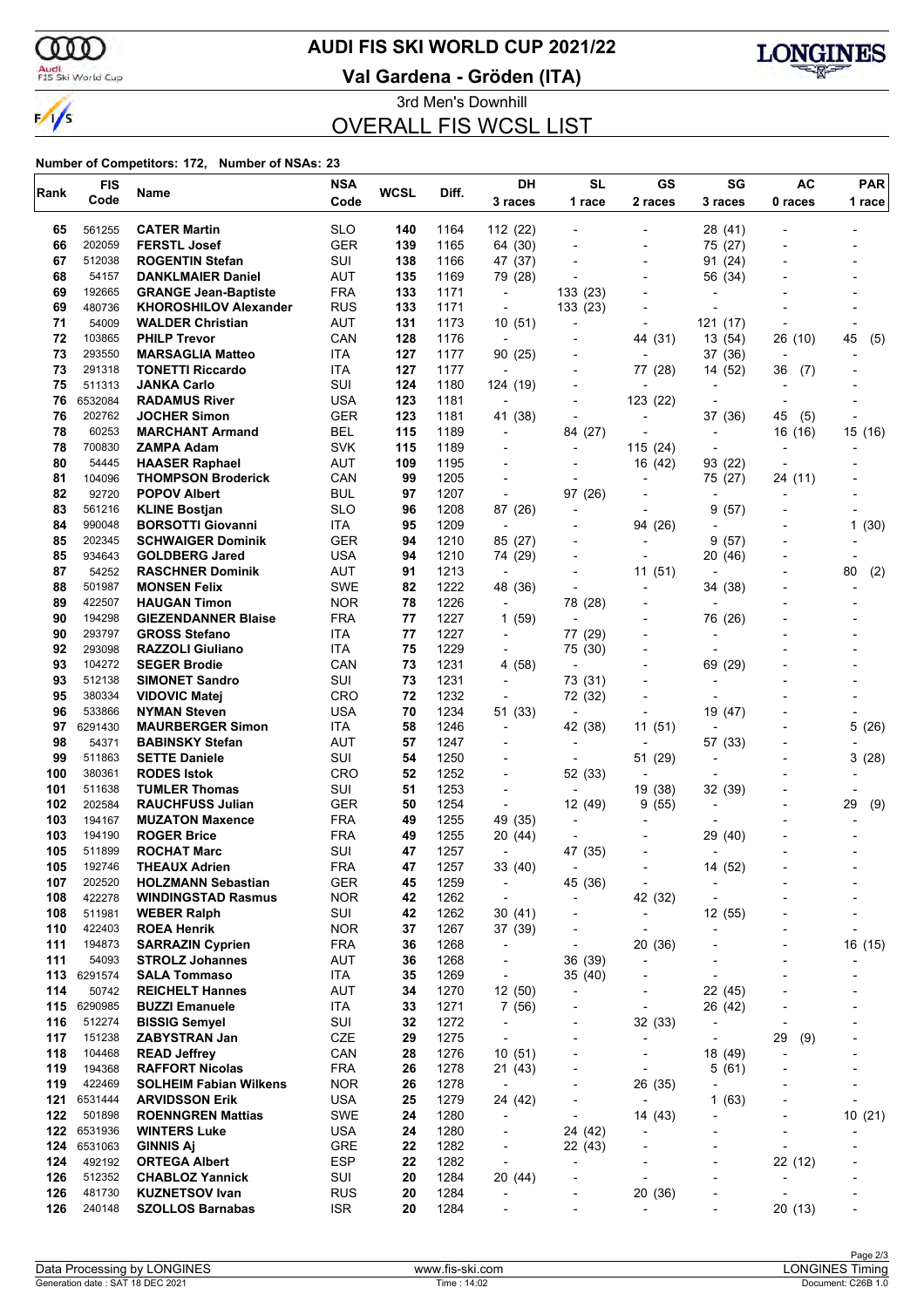m

### **AUDI FIS SKI WORLD CUP 2021/22**

Audi<br>FIS Ski World Cup

 $\frac{1}{\sqrt{2}}$ 

**Val Gardena - Gröden (ITA)**



3rd Men's Downhill OVERALL FIS WCSL LIST

| Rank       | <b>FIS</b>       | Name                                                   | <b>NSA</b>        | <b>WCSL</b> | Diff.        | DH                                   | <b>SL</b>                                            | GS                                      | SG                            | AC                       | <b>PAR</b> |
|------------|------------------|--------------------------------------------------------|-------------------|-------------|--------------|--------------------------------------|------------------------------------------------------|-----------------------------------------|-------------------------------|--------------------------|------------|
|            | Code             |                                                        | Code              |             |              | 3 races                              | 1 race                                               | 2 races                                 | 3 races                       | 0 races                  | 1 race     |
| 65         | 561255           | <b>CATER Martin</b>                                    | <b>SLO</b>        | 140         | 1164         | 112 (22)                             |                                                      |                                         | 28 (41)                       |                          |            |
| 66         | 202059           | <b>FERSTL Josef</b>                                    | <b>GER</b>        | 139         | 1165         | 64 (30)                              | $\overline{a}$                                       | $\overline{\phantom{a}}$                | 75 (27)                       |                          |            |
| 67         | 512038           | <b>ROGENTIN Stefan</b>                                 | SUI               | 138         | 1166         | 47 (37)                              | $\overline{\phantom{a}}$                             | $\overline{\phantom{a}}$                | 91 (24)                       |                          |            |
| 68         | 54157            | <b>DANKLMAIER Daniel</b>                               | AUT               | 135         | 1169         | 79 (28)                              |                                                      |                                         | 56 (34)                       |                          |            |
| 69         | 192665           | <b>GRANGE Jean-Baptiste</b>                            | <b>FRA</b>        | 133         | 1171         | $\overline{\phantom{a}}$             | 133 (23)                                             |                                         | ٠                             |                          |            |
| 69         | 480736           | <b>KHOROSHILOV Alexander</b>                           | <b>RUS</b>        | 133         | 1171         | $\overline{\phantom{a}}$             | 133 (23)                                             |                                         |                               |                          |            |
| 71         | 54009            | <b>WALDER Christian</b>                                | <b>AUT</b>        | 131         | 1173         | 10(51)                               |                                                      |                                         | 121 (17)                      |                          |            |
| 72         | 103865           | <b>PHILP Trevor</b>                                    | CAN               | 128         | 1176         | $\overline{\phantom{a}}$             | $\overline{\phantom{a}}$                             | 44 (31)                                 | 13 (54)                       | 26 (10)                  | 45<br>(5)  |
| 73         | 293550           | <b>MARSAGLIA Matteo</b>                                | <b>ITA</b>        | 127         | 1177         | 90(25)                               |                                                      | $\overline{\phantom{0}}$                | 37 (36)                       |                          |            |
| 73<br>75   | 291318<br>511313 | <b>TONETTI Riccardo</b>                                | ITA               | 127         | 1177         | $\overline{\phantom{a}}$             |                                                      | 77 (28)                                 | 14 (52)                       | 36<br>(7)                |            |
| 76         | 6532084          | <b>JANKA Carlo</b><br><b>RADAMUS River</b>             | SUI<br>USA        | 124<br>123  | 1180<br>1181 | 124 (19)<br>$\overline{\phantom{a}}$ | $\overline{\phantom{a}}$                             | $\overline{a}$<br>123 (22)              | $\overline{\phantom{a}}$      |                          |            |
| 76         | 202762           | <b>JOCHER Simon</b>                                    | <b>GER</b>        | 123         | 1181         | 41 (38)                              |                                                      | $\overline{a}$                          | 37 (36)                       | 45<br>(5)                |            |
| 78         | 60253            | <b>MARCHANT Armand</b>                                 | <b>BEL</b>        | 115         | 1189         | $\overline{\phantom{a}}$             | 84 (27)                                              | ٠                                       | $\overline{\phantom{a}}$      | 16 (16)                  | 15 (16)    |
| 78         | 700830           | ZAMPA Adam                                             | <b>SVK</b>        | 115         | 1189         | $\blacksquare$                       | $\blacksquare$                                       | 115(24)                                 | $\overline{a}$                |                          |            |
| 80         | 54445            | <b>HAASER Raphael</b>                                  | <b>AUT</b>        | 109         | 1195         |                                      |                                                      | 16 (42)                                 | 93 (22)                       |                          |            |
| 81         | 104096           | <b>THOMPSON Broderick</b>                              | CAN               | 99          | 1205         | $\overline{a}$                       | $\overline{\phantom{a}}$                             | $\overline{\phantom{a}}$                | 75 (27)                       | 24 (11)                  |            |
| 82         | 92720            | <b>POPOV Albert</b>                                    | <b>BUL</b>        | 97          | 1207         | $\overline{\phantom{a}}$             | 97 (26)                                              | $\overline{a}$                          | $\overline{\phantom{a}}$      |                          |            |
| 83         | 561216           | <b>KLINE Bostjan</b>                                   | <b>SLO</b>        | 96          | 1208         | 87 (26)                              |                                                      |                                         | 9(57)                         |                          |            |
| 84         | 990048           | <b>BORSOTTI Giovanni</b>                               | ITA               | 95          | 1209         | $\overline{\phantom{a}}$             |                                                      | 94 (26)                                 | Ĭ.                            |                          | 1(30)      |
| 85         | 202345           | <b>SCHWAIGER Dominik</b>                               | <b>GER</b>        | 94          | 1210         | 85 (27)                              | $\overline{\phantom{a}}$                             |                                         | 9(57)                         |                          |            |
| 85         | 934643           | <b>GOLDBERG Jared</b>                                  | <b>USA</b>        | 94          | 1210         | 74 (29)                              |                                                      |                                         | 20 (46)                       |                          |            |
| 87         | 54252            | <b>RASCHNER Dominik</b>                                | AUT               | 91          | 1213         | $\overline{\phantom{a}}$             | $\overline{\phantom{a}}$                             | 11(51)                                  | $\overline{\phantom{a}}$      |                          | (2)<br>80  |
| 88         | 501987           | <b>MONSEN Felix</b>                                    | <b>SWE</b>        | 82          | 1222         | 48 (36)                              | $\blacksquare$                                       | $\qquad \qquad \blacksquare$            | 34 (38)                       |                          |            |
| 89         | 422507           | <b>HAUGAN Timon</b>                                    | <b>NOR</b>        | 78          | 1226         | $\overline{\phantom{a}}$             | 78 (28)                                              |                                         | $\blacksquare$                |                          |            |
| 90         | 194298           | <b>GIEZENDANNER Blaise</b>                             | <b>FRA</b>        | 77          | 1227         | 1(59)                                | $\overline{\phantom{a}}$                             |                                         | 76 (26)                       |                          |            |
| 90         | 293797           | <b>GROSS Stefano</b>                                   | ITA               | 77          | 1227         | $\overline{\phantom{a}}$             | 77 (29)                                              | $\overline{\phantom{a}}$                |                               |                          |            |
| 92<br>93   | 293098<br>104272 | <b>RAZZOLI Giuliano</b><br><b>SEGER Brodie</b>         | ITA<br>CAN        | 75<br>73    | 1229<br>1231 | $\overline{\phantom{a}}$<br>4 (58)   | 75 (30)<br>$\overline{\phantom{a}}$                  |                                         | 69 (29)                       |                          |            |
| 93         | 512138           | <b>SIMONET Sandro</b>                                  | SUI               | 73          | 1231         | $\overline{\phantom{a}}$             | 73 (31)                                              | $\overline{a}$                          | $\overline{\phantom{a}}$      |                          |            |
| 95         | 380334           | <b>VIDOVIC Matej</b>                                   | <b>CRO</b>        | 72          | 1232         | $\overline{a}$                       | 72 (32)                                              |                                         |                               |                          |            |
| 96         | 533866           | <b>NYMAN Steven</b>                                    | <b>USA</b>        | 70          | 1234         | 51 (33)                              | $\overline{\phantom{a}}$                             | $\overline{\phantom{a}}$                | 19 (47)                       |                          |            |
| 97         | 6291430          | <b>MAURBERGER Simon</b>                                | ITA               | 58          | 1246         | $\overline{\phantom{a}}$             | 42 (38)                                              | 11(51)                                  |                               |                          | 5 (26)     |
| 98         | 54371            | <b>BABINSKY Stefan</b>                                 | AUT               | 57          | 1247         |                                      | $\blacksquare$                                       |                                         | 57 (33)                       |                          |            |
| 99         | 511863           | <b>SETTE Daniele</b>                                   | SUI               | 54          | 1250         | $\blacksquare$                       | $\overline{\phantom{a}}$                             | 51 (29)                                 | $\overline{\phantom{a}}$      |                          | 3(28)      |
| 100        | 380361           | <b>RODES Istok</b>                                     | <b>CRO</b>        | 52          | 1252         | $\blacksquare$                       | 52 (33)                                              | $\overline{\phantom{a}}$                | $\overline{\phantom{a}}$      |                          |            |
| 101        | 511638           | <b>TUMLER Thomas</b>                                   | SUI               | 51          | 1253         | $\blacksquare$                       | $\blacksquare$                                       | 19 (38)                                 | 32 (39)                       |                          |            |
| 102        | 202584           | <b>RAUCHFUSS Julian</b>                                | <b>GER</b>        | 50          | 1254         | $\overline{\phantom{a}}$             | 12 (49)                                              | 9(55)                                   | $\overline{\phantom{a}}$      |                          | 29<br>(9)  |
| 103        | 194167           | <b>MUZATON Maxence</b>                                 | <b>FRA</b>        | 49          | 1255         | 49 (35)                              | $\overline{\phantom{a}}$                             |                                         |                               |                          |            |
| 103        | 194190           | <b>ROGER Brice</b>                                     | <b>FRA</b>        | 49          | 1255         | 20 (44)                              |                                                      |                                         | 29 (40)                       |                          |            |
| 105        | 511899           | <b>ROCHAT Marc</b>                                     | SUI               | 47          | 1257         | $\overline{\phantom{a}}$             | 47 (35)                                              |                                         |                               |                          |            |
| 105        | 192746           | <b>THEAUX Adrien</b>                                   | <b>FRA</b>        | 47          | 1257         | 33 (40)                              | $\blacksquare$                                       |                                         | 14 (52)                       |                          |            |
| 107<br>108 | 202520<br>422278 | <b>HOLZMANN Sebastian</b><br><b>WINDINGSTAD Rasmus</b> | GER<br><b>NOR</b> | 45<br>42    | 1259<br>1262 | $\overline{\phantom{a}}$<br>÷,       | 45 (36)                                              | $\overline{a}$                          | $\overline{\phantom{a}}$      |                          |            |
| 108        | 511981           | <b>WEBER Ralph</b>                                     | SUI               | 42          | 1262         | 30(41)                               | $\overline{\phantom{a}}$<br>$\overline{\phantom{a}}$ | 42 (32)<br>$\qquad \qquad \blacksquare$ | 12 (55)                       |                          | -          |
| 110        | 422403           | <b>ROEA Henrik</b>                                     | <b>NOR</b>        | 37          | 1267         | 37 (39)                              |                                                      | $\overline{\phantom{a}}$                | $\overline{a}$                |                          |            |
| 111        | 194873           | <b>SARRAZIN Cyprien</b>                                | <b>FRA</b>        | 36          | 1268         | $\overline{\phantom{a}}$             | ÷,                                                   | 20 (36)                                 | Ĭ.                            |                          | 16 (15)    |
| 111        | 54093            | <b>STROLZ Johannes</b>                                 | AUT               | 36          | 1268         | $\overline{\phantom{a}}$             | 36 (39)                                              | $\overline{\phantom{a}}$                |                               |                          |            |
|            | 113 6291574      | <b>SALA Tommaso</b>                                    | ITA               | 35          | 1269         | $\overline{\phantom{a}}$             | 35 (40)                                              |                                         | $\blacksquare$                |                          |            |
| 114        | 50742            | <b>REICHELT Hannes</b>                                 | <b>AUT</b>        | 34          | 1270         | 12(50)                               | $\overline{\phantom{a}}$                             | $\overline{a}$                          | 22 (45)                       |                          |            |
| 115        | 6290985          | <b>BUZZI Emanuele</b>                                  | ITA               | 33          | 1271         | 7(56)                                | -                                                    | $\overline{\phantom{0}}$                | 26 (42)                       |                          |            |
| 116        | 512274           | <b>BISSIG Semyel</b>                                   | SUI               | 32          | 1272         | $\overline{\phantom{a}}$             |                                                      | 32 (33)                                 | $\overline{a}$                |                          |            |
| 117        | 151238           | <b>ZABYSTRAN Jan</b>                                   | CZE               | 29          | 1275         | $\overline{\phantom{a}}$             |                                                      | $\overline{\phantom{0}}$                | ÷,                            | 29<br>(9)                |            |
| 118        | 104468           | <b>READ Jeffrey</b>                                    | CAN               | 28          | 1276         | 10(51)                               | $\overline{\phantom{a}}$                             | $\qquad \qquad \blacksquare$            | 18 (49)                       |                          |            |
| 119        | 194368           | <b>RAFFORT Nicolas</b>                                 | <b>FRA</b>        | 26          | 1278         | 21 (43)                              |                                                      | $\overline{\phantom{a}}$                | 5(61)                         |                          |            |
| 119        | 422469           | <b>SOLHEIM Fabian Wilkens</b>                          | <b>NOR</b>        | 26          | 1278         | $\overline{\phantom{a}}$             |                                                      | 26 (35)                                 | ÷,                            |                          |            |
| 121        | 6531444          | <b>ARVIDSSON Erik</b>                                  | USA               | 25          | 1279         | 24 (42)                              | $\overline{a}$                                       | $\overline{\phantom{a}}$                | 1(63)                         |                          |            |
| 122        | 501898           | <b>ROENNGREN Mattias</b>                               | <b>SWE</b>        | 24          | 1280         | $\overline{\phantom{a}}$             |                                                      | 14 (43)                                 | $\overline{a}$                |                          | 10(21)     |
| 122        | 6531936          | <b>WINTERS Luke</b>                                    | <b>USA</b>        | 24          | 1280         | $\overline{\phantom{a}}$             | 24 (42)                                              |                                         | ۰                             |                          |            |
| 124        | 6531063          | <b>GINNIS Aj</b>                                       | GRE               | 22          | 1282         | $\overline{\phantom{a}}$             | 22 (43)<br>$\overline{a}$                            | $\overline{\phantom{a}}$                | $\overline{a}$                |                          |            |
| 124<br>126 | 492192<br>512352 | <b>ORTEGA Albert</b><br><b>CHABLOZ Yannick</b>         | <b>ESP</b><br>SUI | 22<br>20    | 1282<br>1284 | $\overline{\phantom{a}}$             |                                                      | $\overline{a}$                          | $\overline{\phantom{a}}$<br>٠ | 22 (12)                  |            |
| 126        | 481730           | <b>KUZNETSOV Ivan</b>                                  | <b>RUS</b>        | 20          | 1284         | 20 (44)<br>-                         | -                                                    | 20 (36)                                 | ۰                             | $\overline{\phantom{a}}$ |            |
| 126        | 240148           | <b>SZOLLOS Barnabas</b>                                | <b>ISR</b>        | 20          | 1284         | -                                    |                                                      | -                                       | $\overline{\phantom{0}}$      | 20 (13)                  |            |
|            |                  |                                                        |                   |             |              |                                      |                                                      |                                         |                               |                          |            |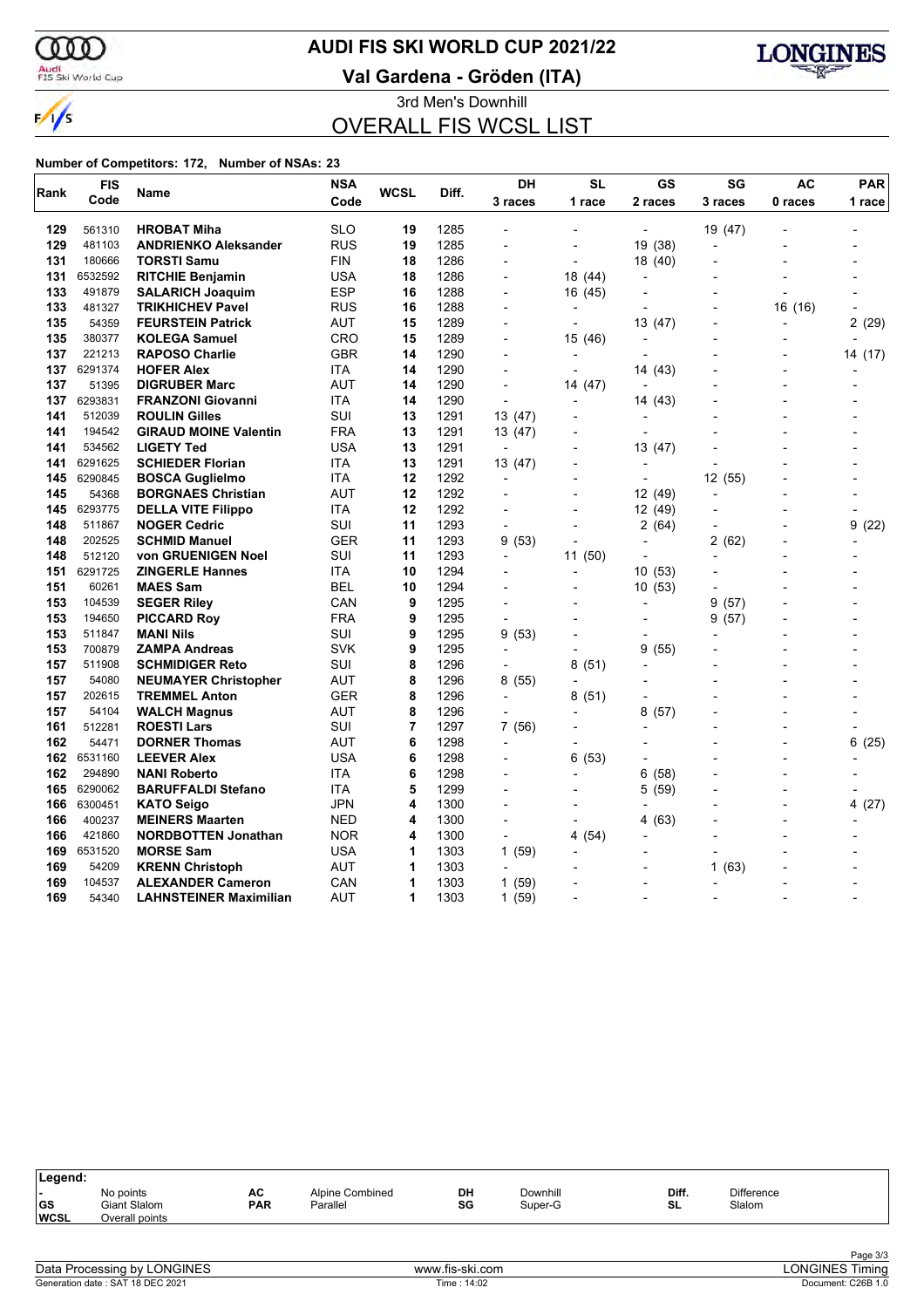ണ

### **AUDI FIS SKI WORLD CUP 2021/22**

Audi<br>FIS Ski World Cup

 $\frac{1}{\sqrt{2}}$ 

**Val Gardena - Gröden (ITA)**



3rd Men's Downhill

# OVERALL FIS WCSL LIST

| Rank       | <b>FIS</b>      | Name                                        | <b>NSA</b>        | WCSL   | Diff.        | DH                       | SL                       | GS                       | SG                       | AC                       | <b>PAR</b><br>1 race |  |
|------------|-----------------|---------------------------------------------|-------------------|--------|--------------|--------------------------|--------------------------|--------------------------|--------------------------|--------------------------|----------------------|--|
|            | Code            |                                             | Code              |        |              | 3 races                  | 1 race                   | 2 races                  | 3 races                  | 0 races                  |                      |  |
| 129        | 561310          | <b>HROBAT Miha</b>                          | <b>SLO</b>        | 19     | 1285         |                          |                          |                          | 19 (47)                  |                          |                      |  |
| 129        | 481103          | <b>ANDRIENKO Aleksander</b>                 | RUS               | 19     | 1285         |                          |                          | 19 (38)                  |                          |                          |                      |  |
| 131        | 180666          | <b>TORSTI Samu</b>                          | FIN               | 18     | 1286         | $\overline{a}$           | $\overline{a}$           | 18 (40)                  |                          |                          |                      |  |
| 131        | 6532592         | <b>RITCHIE Benjamin</b>                     | USA               | 18     | 1286         | L,                       | 18 (44)                  | ÷                        |                          |                          |                      |  |
| 133        | 491879          | <b>SALARICH Joaquim</b>                     | <b>ESP</b>        | 16     | 1288         |                          | 16 (45)                  |                          |                          |                          |                      |  |
| 133        | 481327          | <b>TRIKHICHEV Pavel</b>                     | RUS               | 16     | 1288         | $\overline{a}$           | ÷,                       |                          |                          | 16 (16)                  |                      |  |
| 135        | 54359           | <b>FEURSTEIN Patrick</b>                    | AUT               | 15     | 1289         |                          | $\overline{\phantom{a}}$ | 13 (47)                  |                          |                          | 2(29)                |  |
| 135        | 380377          | <b>KOLEGA Samuel</b>                        | CRO               | 15     | 1289         | $\overline{a}$           | 15 (46)                  |                          |                          |                          |                      |  |
| 137        | 221213          | <b>RAPOSO Charlie</b>                       | GBR               | 14     | 1290         | $\overline{a}$           |                          | $\overline{a}$           |                          |                          | 14 (17)              |  |
| 137        | 6291374         | <b>HOFER Alex</b>                           | ITA               | 14     | 1290         |                          | $\blacksquare$           | 14 (43)                  |                          |                          |                      |  |
| 137        | 51395           | <b>DIGRUBER Marc</b>                        | AUT               | 14     | 1290         | $\blacksquare$           | 14 (47)                  |                          |                          | ٠                        |                      |  |
| 137        | 6293831         | <b>FRANZONI Giovanni</b>                    | <b>ITA</b>        | 14     | 1290         | $\overline{\phantom{a}}$ |                          | 14 (43)                  |                          |                          |                      |  |
| 141        | 512039          | <b>ROULIN Gilles</b>                        | SUI               | 13     | 1291         | 13 (47)                  |                          |                          |                          |                          |                      |  |
| 141        | 194542          | <b>GIRAUD MOINE Valentin</b>                | FRA               | 13     | 1291         | 13 (47)                  |                          |                          |                          |                          |                      |  |
| 141        | 534562          | <b>LIGETY Ted</b>                           | <b>USA</b>        | 13     | 1291         | L,                       |                          | 13 (47)                  |                          |                          |                      |  |
| 141        | 6291625         | <b>SCHIEDER Florian</b>                     | ITA               | 13     | 1291         | 13 (47)                  | $\blacksquare$           |                          |                          |                          |                      |  |
| 145        | 6290845         | <b>BOSCA Guglielmo</b>                      | ITA               | 12     | 1292         | $\overline{\phantom{a}}$ |                          | $\overline{\phantom{a}}$ | 12 (55)                  |                          |                      |  |
| 145        | 54368           | <b>BORGNAES Christian</b>                   | AUT               | 12     | 1292         |                          |                          | 12 (49)                  | $\overline{\phantom{a}}$ |                          |                      |  |
| 145        | 6293775         | <b>DELLA VITE Filippo</b>                   | ITA               | 12     | 1292         |                          | $\overline{a}$           | 12 (49)                  |                          |                          |                      |  |
| 148        | 511867          | <b>NOGER Cedric</b>                         | SUI               | 11     | 1293         |                          |                          | 2(64)                    |                          |                          | 9<br>(22)            |  |
| 148        | 202525          | <b>SCHMID Manuel</b>                        | GER               | 11     | 1293         | 9(53)                    | $\overline{\phantom{a}}$ |                          | 2<br>(62)                | ٠                        |                      |  |
| 148        | 512120          | von GRUENIGEN Noel                          | SUI               | 11     | 1293         | $\blacksquare$           | 11 (50)                  |                          |                          |                          |                      |  |
| 151        | 6291725         | <b>ZINGERLE Hannes</b>                      | ITA               | 10     | 1294         |                          | $\overline{a}$           | 10(53)                   |                          |                          |                      |  |
| 151        | 60261           | <b>MAES Sam</b>                             | BEL               | 10     | 1294         |                          |                          | 10(53)                   |                          |                          |                      |  |
| 153        | 104539          | <b>SEGER Riley</b>                          | CAN               | 9      | 1295         |                          |                          |                          | 9<br>(57)                |                          |                      |  |
| 153        | 194650          | <b>PICCARD Roy</b>                          | FRA               | 9      | 1295         | ÷,                       |                          | $\overline{\phantom{a}}$ | 9<br>(57)                |                          |                      |  |
| 153        | 511847          | <b>MANI Nils</b>                            | SUI               | 9      | 1295         | 9(53)                    |                          |                          |                          |                          |                      |  |
| 153        | 700879          | <b>ZAMPA Andreas</b>                        | <b>SVK</b>        | 9      | 1295         | $\overline{\phantom{a}}$ | $\blacksquare$           | 9<br>(55)                |                          |                          |                      |  |
| 157        | 511908          | <b>SCHMIDIGER Reto</b>                      | SUI               | 8      | 1296         | $\blacksquare$           | 8 (51)                   |                          |                          |                          |                      |  |
| 157        | 54080<br>202615 | <b>NEUMAYER Christopher</b>                 | AUT               | 8<br>8 | 1296         | 8 (55)<br>$\overline{a}$ | $\overline{a}$           |                          |                          |                          |                      |  |
| 157<br>157 | 54104           | <b>TREMMEL Anton</b><br><b>WALCH Magnus</b> | GER<br><b>AUT</b> | 8      | 1296<br>1296 | $\overline{a}$           | 8 (51)                   | 8                        |                          |                          |                      |  |
| 161        | 512281          | <b>ROESTI Lars</b>                          | SUI               | 7      | 1297         | 7 (56)                   |                          | (57)<br>$\overline{a}$   |                          |                          |                      |  |
| 162        | 54471           | <b>DORNER Thomas</b>                        | AUT               | 6      | 1298         | $\overline{a}$           |                          |                          |                          |                          | 6<br>(25)            |  |
| 162        | 6531160         | <b>LEEVER Alex</b>                          | USA               | 6      | 1298         |                          | 6(53)                    |                          |                          |                          |                      |  |
| 162        | 294890          | <b>NANI Roberto</b>                         | ITA               | 6      | 1298         |                          |                          | 6<br>(58)                |                          |                          |                      |  |
| 165        | 6290062         | <b>BARUFFALDI Stefano</b>                   | ITA               | 5      | 1299         |                          |                          | 5 (59)                   |                          |                          |                      |  |
| 166        | 6300451         | <b>KATO Seigo</b>                           | JPN               | 4      | 1300         | $\overline{\phantom{a}}$ | $\blacksquare$           |                          |                          | $\overline{\phantom{a}}$ | 4<br>(27)            |  |
| 166        | 400237          | <b>MEINERS Maarten</b>                      | NED               | 4      | 1300         |                          |                          | (63)<br>4                |                          |                          |                      |  |
| 166        | 421860          | <b>NORDBOTTEN Jonathan</b>                  | <b>NOR</b>        | 4      | 1300         | $\overline{a}$           | 4(54)                    |                          |                          |                          |                      |  |
| 169        | 6531520         | <b>MORSE Sam</b>                            | USA               | 1      | 1303         | 1(59)                    |                          |                          |                          |                          |                      |  |
| 169        | 54209           | <b>KRENN Christoph</b>                      | AUT               | 1      | 1303         |                          |                          |                          | (63)<br>1                |                          |                      |  |
| 169        | 104537          | <b>ALEXANDER Cameron</b>                    | CAN               | 1      | 1303         | 1(59)                    |                          |                          |                          |                          |                      |  |
| 169        | 54340           | <b>LAHNSTEINER Maximilian</b>               | <b>AUT</b>        | 1      | 1303         | 1(59)                    |                          |                          |                          |                          |                      |  |
|            |                 |                                             |                   |        |              |                          |                          |                          |                          |                          |                      |  |

| Legend:          |                                |            |                 |    |          |       |                   |  |
|------------------|--------------------------------|------------|-----------------|----|----------|-------|-------------------|--|
| . .<br><b>GS</b> | No points                      | AC         | Alpine Combined | DH | Downhill | Diff. | <b>Difference</b> |  |
| <b>WCSL</b>      | Giant Slalom<br>Overall points | <b>PAR</b> | Parallel        | SG | Super-G  | SL    | Slalom            |  |
|                  |                                |            |                 |    |          |       |                   |  |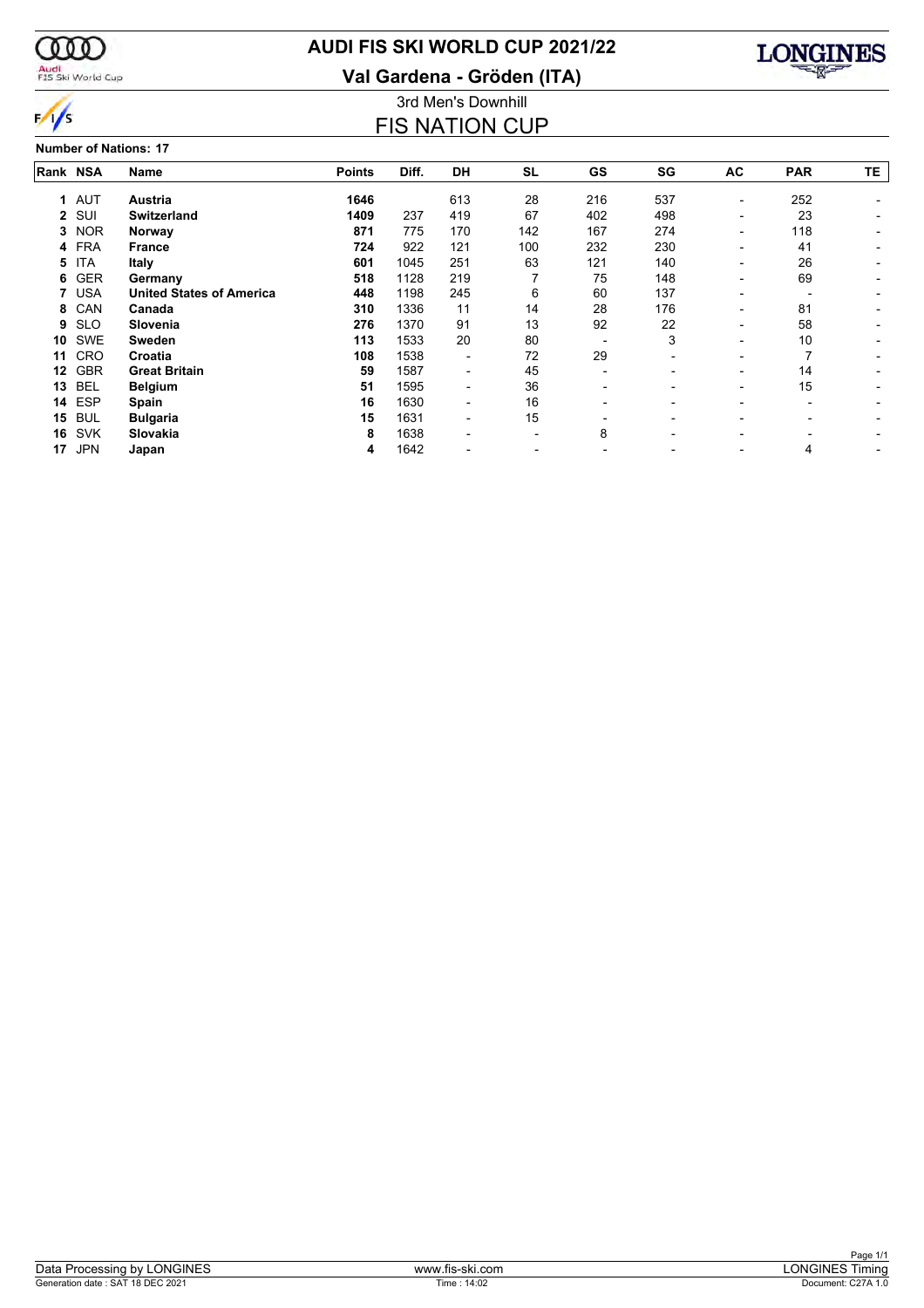

### **AUDI FIS SKI WORLD CUP 2021/22**

**Val Gardena - Gröden (ITA)**



 $\frac{1}{s}$ **Number of Nations: 17**

### 3rd Men's Downhill FIS NATION CUP

| Number of Nations: 17 |               |                                 |               |       |                          |                          |     |     |    |            |    |  |  |
|-----------------------|---------------|---------------------------------|---------------|-------|--------------------------|--------------------------|-----|-----|----|------------|----|--|--|
| Rank NSA              |               | Name                            | <b>Points</b> | Diff. | DH                       | <b>SL</b>                | GS  | SG  | AC | <b>PAR</b> | TE |  |  |
| 1                     | AUT           | Austria                         | 1646          |       | 613                      | 28                       | 216 | 537 |    | 252        |    |  |  |
|                       | 2 SUI         | <b>Switzerland</b>              | 1409          | 237   | 419                      | 67                       | 402 | 498 | -  | 23         |    |  |  |
| 3.                    | <b>NOR</b>    | Norway                          | 871           | 775   | 170                      | 142                      | 167 | 274 |    | 118        |    |  |  |
|                       | 4 FRA         | <b>France</b>                   | 724           | 922   | 121                      | 100                      | 232 | 230 |    | 41         |    |  |  |
| 5                     | <b>ITA</b>    | <b>Italy</b>                    | 601           | 1045  | 251                      | 63                       | 121 | 140 |    | 26         |    |  |  |
| 6                     | GER           | Germany                         | 518           | 1128  | 219                      |                          | 75  | 148 |    | 69         |    |  |  |
|                       | <b>USA</b>    | <b>United States of America</b> | 448           | 1198  | 245                      | 6                        | 60  | 137 |    |            |    |  |  |
| 8                     | CAN           | Canada                          | 310           | 1336  | 11                       | 14                       | 28  | 176 |    | 81         |    |  |  |
| 9                     | <b>SLO</b>    | Slovenia                        | 276           | 1370  | 91                       | 13                       | 92  | 22  |    | 58         |    |  |  |
| 10                    | <b>SWE</b>    | <b>Sweden</b>                   | 113           | 1533  | 20                       | 80                       |     | 3   |    | 10         |    |  |  |
| 11                    | CRO           | Croatia                         | 108           | 1538  | -                        | 72                       | 29  |     |    |            |    |  |  |
| 12                    | <b>GBR</b>    | <b>Great Britain</b>            | 59            | 1587  | $\overline{\phantom{a}}$ | 45                       |     |     |    | 14         |    |  |  |
| 13                    | <b>BEL</b>    | <b>Belgium</b>                  | 51            | 1595  |                          | 36                       |     |     |    | 15         |    |  |  |
|                       | <b>14 ESP</b> | Spain                           | 16            | 1630  |                          | 16                       |     |     |    |            |    |  |  |
| 15                    | <b>BUL</b>    | <b>Bulgaria</b>                 | 15            | 1631  |                          | 15                       |     |     |    |            |    |  |  |
| 16                    | <b>SVK</b>    | Slovakia                        | 8             | 1638  |                          | $\overline{\phantom{0}}$ | 8   |     |    |            |    |  |  |
| 17                    | <b>JPN</b>    | Japan                           | 4             | 1642  |                          |                          |     |     |    | 4          |    |  |  |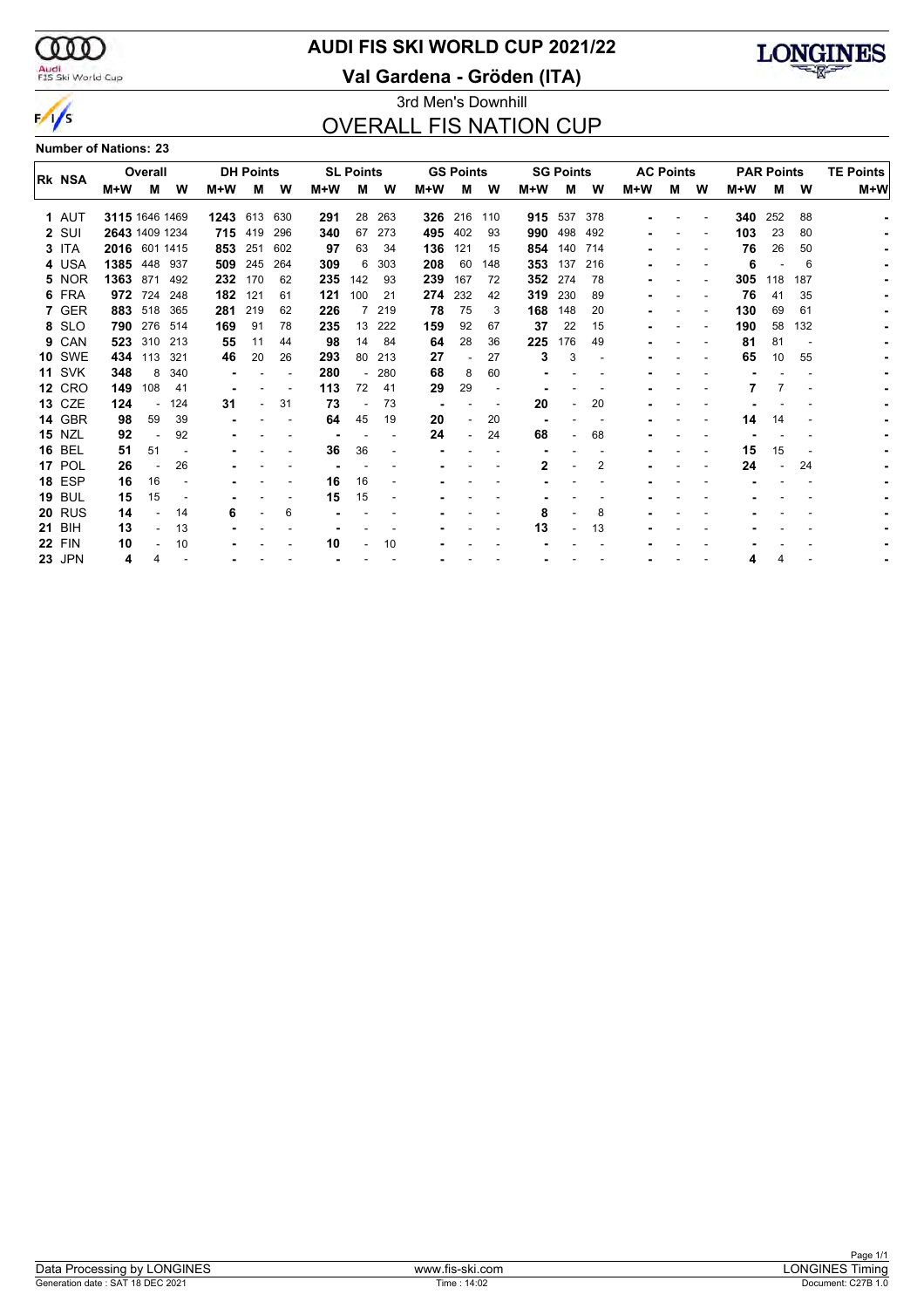

### **AUDI FIS SKI WORLD CUP 2021/22**

Audi<br>FIS Ski World Cup

### 3rd Men's Downhill **Val Gardena - Gröden (ITA)**



# OVERALL FIS NATION CUP

**Number of Nations: 23**

|               |                | Overall |         |          | <b>DH Points</b> |     |       | <b>SL Points</b> |        |     | <b>GS Points</b> |     |       | <b>SG Points</b> |     |       | <b>AC Points</b> |   |       | <b>PAR Points</b> |     | <b>TE Points</b> |
|---------------|----------------|---------|---------|----------|------------------|-----|-------|------------------|--------|-----|------------------|-----|-------|------------------|-----|-------|------------------|---|-------|-------------------|-----|------------------|
| <b>RK NSA</b> | M+W            | м       | W       | $M+W$    | м                | W   | $M+W$ | м                | W      | M+W | м                | W   | $M+W$ | М                | w   | $M+W$ | м                | W | $M+W$ | М                 | W   | M+W              |
| 1 AUT         | 3115 1646 1469 |         |         | 1243 613 |                  | 630 | 291   | 28               | 263    | 326 | 216              | 110 |       | 915 537          | 378 |       |                  |   | 340   | 252               | 88  |                  |
| 2 SUI         | 2643 1409 1234 |         |         |          | 715 419          | 296 | 340   | 67               | 273    | 495 | 402              | 93  | 990   | 498              | 492 |       |                  |   | 103   | 23                | 80  |                  |
| 3 ITA         | 2016 601 1415  |         |         | 853 251  |                  | 602 | 97    | 63               | 34     | 136 | 121              | 15  | 854   | 140              | 714 |       |                  |   | 76    | 26                | 50  |                  |
| 4 USA         | 1385           |         | 448 937 | 509      | 245              | 264 | 309   | 6                | 303    | 208 | 60               | 148 | 353   | 137              | 216 |       |                  |   | 6     |                   | 6   |                  |
| 5 NOR         | 1363 871       |         | 492     | 232      | 170              | 62  | 235   | 142              | 93     | 239 | 167              | 72  | 352   | 274              | 78  |       |                  |   | 305   | 118               | 187 |                  |
| 6 FRA         | 972 724        |         | 248     | 182      | 121              | 61  | 121   | 100              | 21     | 274 | 232              | 42  | 319   | 230              | 89  |       |                  |   | 76    | 41                | 35  |                  |
| 7 GER         | 883            | 518     | 365     | 281      | 219              | 62  | 226   | 7                | 219    | 78  | 75               | 3   | 168   | 148              | 20  |       |                  |   | 130   | 69                | 61  |                  |
| 8 SLO         | 790 276 514    |         |         | 169      | 91               | 78  | 235   | 13               | 222    | 159 | 92               | 67  | 37    | 22               | 15  |       |                  |   | 190   | 58                | 132 |                  |
| 9 CAN         | 523            | 310     | 213     | 55       | -11              | 44  | 98    | 14               | 84     | 64  | 28               | 36  | 225   | 176              | 49  |       |                  |   | 81    | 81                |     |                  |
| <b>10 SWE</b> | 434 113        |         | -321    | 46       | 20               | 26  | 293   | 80               | 213    | 27  |                  | 27  | 3     | 3                |     |       |                  |   | 65    | 10                | 55  |                  |
| <b>11 SVK</b> | 348            | 8       | 340     |          |                  |     | 280   |                  | $-280$ | 68  | 8                | 60  |       |                  |     |       |                  |   |       |                   |     |                  |
| <b>12 CRO</b> | 149            | 108     | 41      |          |                  |     | 113   | 72               | 41     | 29  | 29               |     |       |                  |     |       |                  |   |       |                   |     |                  |
| <b>13 CZE</b> | 124            |         | 124     | 31       |                  | 31  | 73    |                  | 73     |     |                  |     | 20    |                  | 20  |       |                  |   |       |                   |     |                  |
| 14 GBR        | 98             | 59      | 39      |          |                  |     | 64    | 45               | 19     | 20  |                  | 20  |       |                  |     |       |                  |   | 14    | 14                |     |                  |
| <b>15 NZL</b> | 92             |         | 92      |          |                  |     |       |                  |        | 24  |                  | 24  | 68    |                  | 68  |       |                  |   |       |                   |     |                  |
| <b>16 BEL</b> | 51             | 51      |         |          |                  |     | 36    | 36               |        |     |                  |     |       |                  |     |       |                  |   | 15    | 15                |     |                  |
| 17 POL        | 26             |         | 26      |          |                  |     |       |                  |        |     |                  |     | 2     |                  | 2   |       |                  |   | 24    |                   | 24  |                  |
| <b>18 ESP</b> | 16             | 16      |         |          |                  |     | 16    | 16               |        |     |                  |     |       |                  |     |       |                  |   |       |                   |     |                  |
| <b>19 BUL</b> | 15             | 15      |         |          |                  |     | 15    | 15               |        |     |                  |     |       |                  |     |       |                  |   |       |                   |     |                  |
| <b>20 RUS</b> | 14             |         | 14      | 6        |                  | 6   |       |                  |        |     |                  |     | 8     |                  | 8   |       |                  |   |       |                   |     |                  |
| <b>21 BIH</b> | 13             |         | 13      |          |                  |     |       |                  |        |     |                  |     | 13    |                  | 13  |       |                  |   |       |                   |     |                  |
| <b>22 FIN</b> | 10             |         | 10      |          |                  |     | 10    |                  | 10     |     |                  |     |       |                  |     |       |                  |   |       |                   |     |                  |
| <b>23 JPN</b> | 4              |         |         |          |                  |     |       |                  |        |     |                  |     |       |                  |     |       |                  |   |       |                   |     |                  |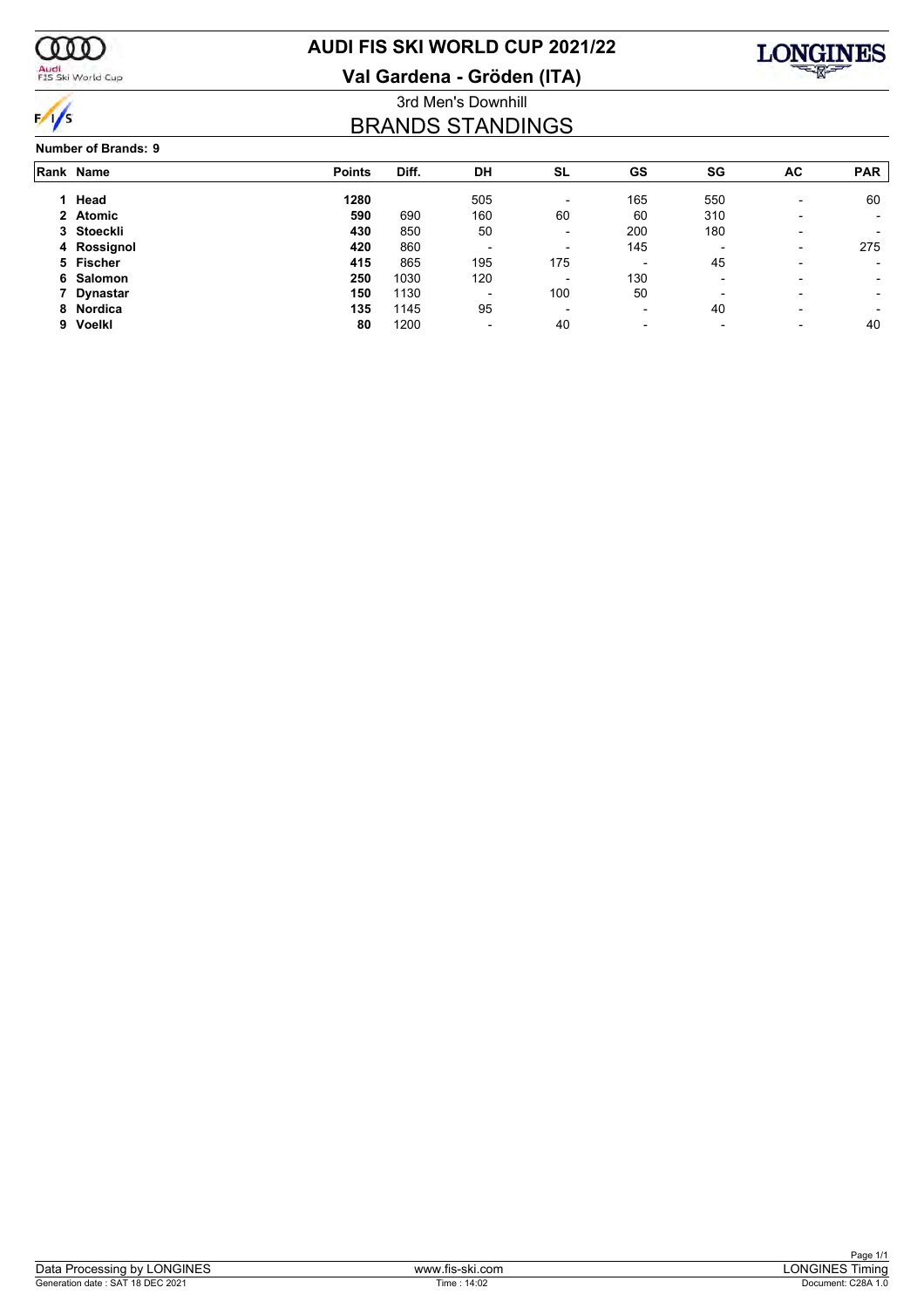

### Audi<br>FIS Ski World Cup

# **AUDI FIS SKI WORLD CUP 2021/22**

**Val Gardena - Gröden (ITA)**



#### 3rd Men's Downhill BRANDS STANDINGS

#### **Number of Brands: 9**

| Rank Name   | <b>Points</b> | Diff. | DH                       | <b>SL</b>                | GS                       | SG                       | AC                       | <b>PAR</b>               |
|-------------|---------------|-------|--------------------------|--------------------------|--------------------------|--------------------------|--------------------------|--------------------------|
| Head        | 1280          |       | 505                      | $\overline{\phantom{a}}$ | 165                      | 550                      | $\overline{\phantom{0}}$ | 60                       |
| 2 Atomic    | 590           | 690   | 160                      | 60                       | 60                       | 310                      | -                        | $\overline{\phantom{0}}$ |
| 3 Stoeckli  | 430           | 850   | 50                       | $\overline{\phantom{a}}$ | 200                      | 180                      |                          |                          |
| 4 Rossignol | 420           | 860   | $\overline{\phantom{0}}$ | $\overline{\phantom{a}}$ | 145                      | $\overline{\phantom{a}}$ | $\overline{\phantom{0}}$ | 275                      |
| 5 Fischer   | 415           | 865   | 195                      | 175                      | $\overline{\phantom{0}}$ | 45                       |                          |                          |
| 6 Salomon   | 250           | 1030  | 120                      | $\overline{\phantom{a}}$ | 130                      | $\overline{\phantom{a}}$ |                          | $\overline{\phantom{0}}$ |
| 7 Dynastar  | 150           | 1130  | $\overline{\phantom{0}}$ | 100                      | 50                       | $\overline{\phantom{0}}$ |                          |                          |
| 8 Nordica   | 135           | 1145  | 95                       | $\overline{\phantom{a}}$ | $\blacksquare$           | 40                       |                          |                          |
| 9 Voelkl    | 80            | 1200  | ۰                        | 40                       | $\blacksquare$           | $\overline{\phantom{a}}$ | $\overline{\phantom{0}}$ | 40                       |
|             |               |       |                          |                          |                          |                          |                          |                          |